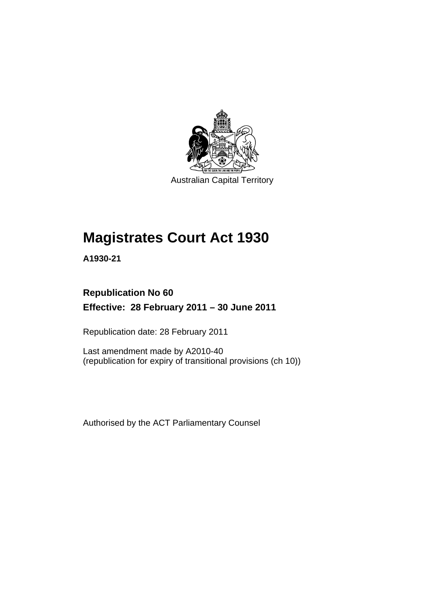

Australian Capital Territory

# **Magistrates Court Act 1930**

**A1930-21** 

### **Republication No 60 Effective: 28 February 2011 – 30 June 2011**

Republication date: 28 February 2011

Last amendment made by A2010-40 (republication for expiry of transitional provisions (ch 10))

Authorised by the ACT Parliamentary Counsel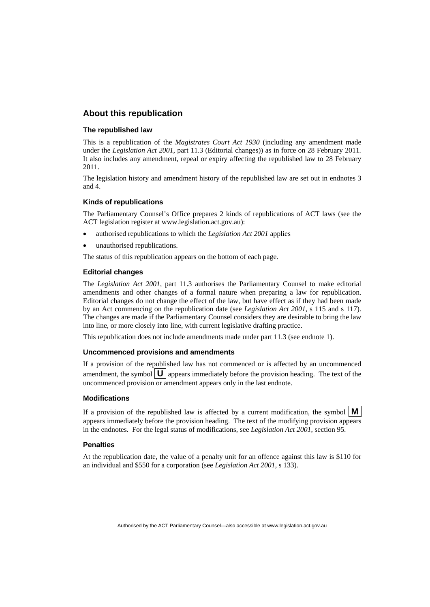### **About this republication**

#### **The republished law**

This is a republication of the *Magistrates Court Act 1930* (including any amendment made under the *Legislation Act 2001*, part 11.3 (Editorial changes)) as in force on 28 February 2011*.*  It also includes any amendment, repeal or expiry affecting the republished law to 28 February 2011.

The legislation history and amendment history of the republished law are set out in endnotes 3 and 4.

#### **Kinds of republications**

The Parliamentary Counsel's Office prepares 2 kinds of republications of ACT laws (see the ACT legislation register at www.legislation.act.gov.au):

- authorised republications to which the *Legislation Act 2001* applies
- unauthorised republications.

The status of this republication appears on the bottom of each page.

#### **Editorial changes**

The *Legislation Act 2001*, part 11.3 authorises the Parliamentary Counsel to make editorial amendments and other changes of a formal nature when preparing a law for republication. Editorial changes do not change the effect of the law, but have effect as if they had been made by an Act commencing on the republication date (see *Legislation Act 2001*, s 115 and s 117). The changes are made if the Parliamentary Counsel considers they are desirable to bring the law into line, or more closely into line, with current legislative drafting practice.

This republication does not include amendments made under part 11.3 (see endnote 1).

#### **Uncommenced provisions and amendments**

If a provision of the republished law has not commenced or is affected by an uncommenced amendment, the symbol  $\mathbf{U}$  appears immediately before the provision heading. The text of the uncommenced provision or amendment appears only in the last endnote.

#### **Modifications**

If a provision of the republished law is affected by a current modification, the symbol  $\mathbf{M}$ appears immediately before the provision heading. The text of the modifying provision appears in the endnotes. For the legal status of modifications, see *Legislation Act 2001*, section 95.

#### **Penalties**

At the republication date, the value of a penalty unit for an offence against this law is \$110 for an individual and \$550 for a corporation (see *Legislation Act 2001*, s 133).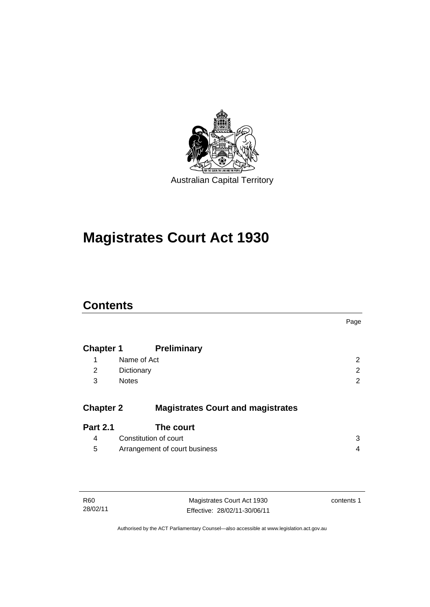

# **Magistrates Court Act 1930**

### **Contents**

|                                          | Page                                 |
|------------------------------------------|--------------------------------------|
| <b>Preliminary</b>                       |                                      |
| Name of Act                              | $\overline{2}$                       |
| Dictionary                               | 2                                    |
| <b>Notes</b>                             | 2                                    |
| <b>Magistrates Court and magistrates</b> |                                      |
| The court                                |                                      |
| Constitution of court                    | 3                                    |
| Arrangement of court business            | 4                                    |
|                                          | <b>Chapter 1</b><br><b>Chapter 2</b> |

| R60      |  |  |
|----------|--|--|
| 28/02/11 |  |  |

Magistrates Court Act 1930 Effective: 28/02/11-30/06/11 contents 1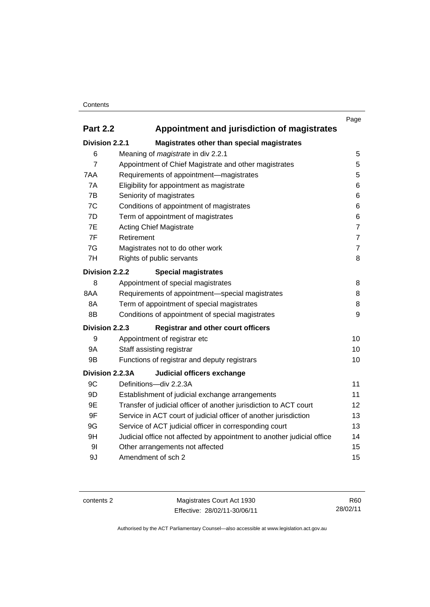### **Contents**

|                                                                |                                                                         | Page           |  |
|----------------------------------------------------------------|-------------------------------------------------------------------------|----------------|--|
| <b>Part 2.2</b><br>Appointment and jurisdiction of magistrates |                                                                         |                |  |
| Division 2.2.1                                                 | Magistrates other than special magistrates                              |                |  |
| 6                                                              | Meaning of magistrate in div 2.2.1                                      | 5              |  |
| $\overline{7}$                                                 | Appointment of Chief Magistrate and other magistrates                   | 5              |  |
| 7AA                                                            | Requirements of appointment-magistrates                                 | 5              |  |
| 7A                                                             | Eligibility for appointment as magistrate                               | 6              |  |
| 7B                                                             | Seniority of magistrates                                                | 6              |  |
| 7C                                                             | Conditions of appointment of magistrates                                | 6              |  |
| 7D                                                             | Term of appointment of magistrates                                      | 6              |  |
| 7E                                                             | <b>Acting Chief Magistrate</b>                                          | $\overline{7}$ |  |
| 7F                                                             | Retirement                                                              | $\overline{7}$ |  |
| 7G                                                             | Magistrates not to do other work                                        | $\overline{7}$ |  |
| 7H                                                             | Rights of public servants                                               | 8              |  |
| Division 2.2.2                                                 | <b>Special magistrates</b>                                              |                |  |
| 8                                                              | Appointment of special magistrates                                      | 8              |  |
| 8AA                                                            | Requirements of appointment-special magistrates                         | 8              |  |
| 8A                                                             | Term of appointment of special magistrates                              | 8              |  |
| 8B                                                             | Conditions of appointment of special magistrates                        |                |  |
| Division 2.2.3                                                 | <b>Registrar and other court officers</b>                               |                |  |
| 9                                                              | Appointment of registrar etc                                            | 10             |  |
| <b>9A</b>                                                      | Staff assisting registrar                                               |                |  |
| 9B                                                             | Functions of registrar and deputy registrars                            |                |  |
| Division 2.2.3A                                                | Judicial officers exchange                                              |                |  |
| 9C                                                             | Definitions-div 2.2.3A                                                  | 11             |  |
| 9D                                                             | Establishment of judicial exchange arrangements                         | 11             |  |
| 9E                                                             | Transfer of judicial officer of another jurisdiction to ACT court<br>12 |                |  |
| 9F                                                             | Service in ACT court of judicial officer of another jurisdiction        |                |  |
| 9G                                                             | Service of ACT judicial officer in corresponding court                  | 13             |  |
| 9H                                                             | Judicial office not affected by appointment to another judicial office  | 14             |  |
| 91                                                             | Other arrangements not affected                                         | 15             |  |
| 9J                                                             | Amendment of sch 2                                                      |                |  |

contents 2 Magistrates Court Act 1930 Effective: 28/02/11-30/06/11

R60 28/02/11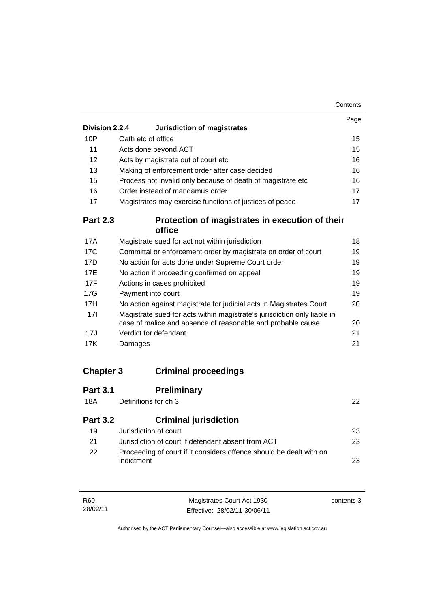|                 |                                                                          | Page |
|-----------------|--------------------------------------------------------------------------|------|
| Division 2.2.4  | Jurisdiction of magistrates                                              |      |
| 10P             | Oath etc of office                                                       | 15   |
| 11              | Acts done beyond ACT                                                     | 15   |
| 12              | Acts by magistrate out of court etc                                      | 16   |
| 13              | Making of enforcement order after case decided                           | 16   |
| 15              | Process not invalid only because of death of magistrate etc              | 16   |
| 16              | Order instead of mandamus order                                          | 17   |
| 17              | Magistrates may exercise functions of justices of peace                  | 17   |
| <b>Part 2.3</b> | Protection of magistrates in execution of their                          |      |
|                 | office                                                                   |      |
| 17A             | Magistrate sued for act not within jurisdiction                          | 18   |
| 17 <sub>C</sub> | Committal or enforcement order by magistrate on order of court           | 19   |
| 17D             | No action for acts done under Supreme Court order                        | 19   |
| 17E             | No action if proceeding confirmed on appeal                              | 19   |
| 17F             | Actions in cases prohibited                                              | 19   |
| 17G             | Payment into court                                                       | 19   |
| 17H             | No action against magistrate for judicial acts in Magistrates Court      | 20   |
| 17I             | Magistrate sued for acts within magistrate's jurisdiction only liable in |      |
|                 | case of malice and absence of reasonable and probable cause              | 20   |
| 17J             | Verdict for defendant                                                    | 21   |
| 17K             | Damages                                                                  | 21   |
|                 |                                                                          |      |
|                 |                                                                          |      |

## **Chapter 3 Criminal proceedings**

| <b>Part 3.1</b><br>18A | <b>Preliminary</b><br>Definitions for ch 3                                        | 22 |
|------------------------|-----------------------------------------------------------------------------------|----|
| <b>Part 3.2</b>        | <b>Criminal jurisdiction</b>                                                      |    |
| 19                     | Jurisdiction of court                                                             | 23 |
| 21                     | Jurisdiction of court if defendant absent from ACT                                | 23 |
| 22                     | Proceeding of court if it considers offence should be dealt with on<br>indictment | 23 |

| R60      | Magistrates Court Act 1930   | contents 3 |
|----------|------------------------------|------------|
| 28/02/11 | Effective: 28/02/11-30/06/11 |            |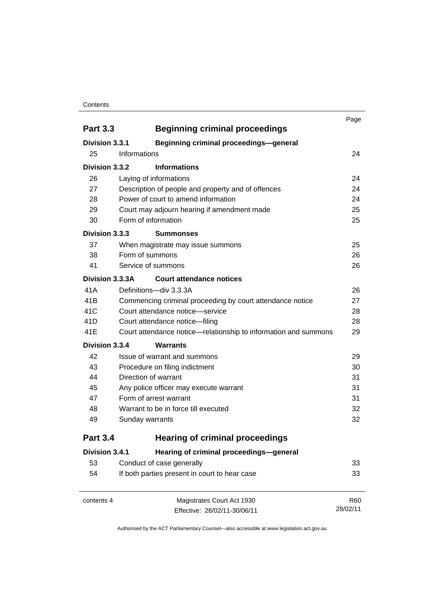#### **Contents**

| <b>Part 3.3</b> | <b>Beginning criminal proceedings</b>                           | Page       |
|-----------------|-----------------------------------------------------------------|------------|
| Division 3.3.1  |                                                                 |            |
| 25              | <b>Beginning criminal proceedings-general</b><br>Informations   | 24         |
|                 |                                                                 |            |
| Division 3.3.2  | <b>Informations</b>                                             |            |
| 26              | Laying of informations                                          | 24         |
| 27              | Description of people and property and of offences              | 24         |
| 28              | Power of court to amend information                             | 24         |
| 29              | Court may adjourn hearing if amendment made                     | 25         |
| 30              | Form of information                                             | 25         |
| Division 3.3.3  | <b>Summonses</b>                                                |            |
| 37              | When magistrate may issue summons                               | 25         |
| 38              | Form of summons                                                 | 26         |
| 41              | Service of summons                                              | 26         |
| Division 3.3.3A | <b>Court attendance notices</b>                                 |            |
| 41A             | Definitions-div 3.3.3A                                          | 26         |
| 41B             | Commencing criminal proceeding by court attendance notice       | 27         |
| 41C             | Court attendance notice—service                                 | 28         |
| 41D             | Court attendance notice-filing                                  | 28         |
| 41E             | Court attendance notice—relationship to information and summons | 29         |
| Division 3.3.4  | <b>Warrants</b>                                                 |            |
| 42              | Issue of warrant and summons                                    | 29         |
| 43              | Procedure on filing indictment                                  | 30         |
| 44              | Direction of warrant                                            | 31         |
| 45              | Any police officer may execute warrant                          | 31         |
| 47              | Form of arrest warrant                                          | 31         |
| 48              | Warrant to be in force till executed                            | 32         |
| 49              | Sunday warrants                                                 | 32         |
| <b>Part 3.4</b> | <b>Hearing of criminal proceedings</b>                          |            |
| Division 3.4.1  | Hearing of criminal proceedings-general                         |            |
| 53              | Conduct of case generally                                       | 33         |
| 54              | If both parties present in court to hear case                   | 33         |
| contents 4      | Magistrates Court Act 1930                                      | <b>R60</b> |
|                 | Effective: 28/02/11-30/06/11                                    | 28/02/11   |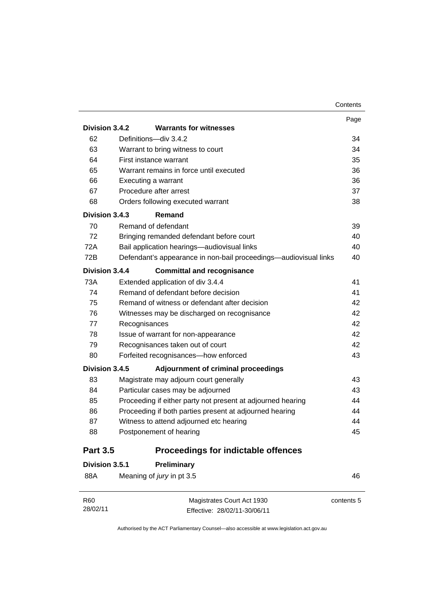|                 |                                                         |                                                                  | Page |  |
|-----------------|---------------------------------------------------------|------------------------------------------------------------------|------|--|
| Division 3.4.2  |                                                         | <b>Warrants for witnesses</b>                                    |      |  |
| 62              | Definitions-div 3.4.2                                   |                                                                  |      |  |
| 63              | Warrant to bring witness to court                       |                                                                  | 34   |  |
| 64              | First instance warrant                                  |                                                                  | 35   |  |
| 65              |                                                         | Warrant remains in force until executed                          | 36   |  |
| 66              | Executing a warrant                                     |                                                                  | 36   |  |
| 67              | Procedure after arrest                                  |                                                                  | 37   |  |
| 68              |                                                         | Orders following executed warrant                                | 38   |  |
| Division 3.4.3  | Remand                                                  |                                                                  |      |  |
| 70              | Remand of defendant                                     |                                                                  | 39   |  |
| 72              |                                                         | Bringing remanded defendant before court                         | 40   |  |
| 72A             |                                                         | Bail application hearings-audiovisual links                      | 40   |  |
| 72B             |                                                         | Defendant's appearance in non-bail proceedings—audiovisual links | 40   |  |
| Division 3.4.4  |                                                         | <b>Committal and recognisance</b>                                |      |  |
| 73A             | Extended application of div 3.4.4                       |                                                                  | 41   |  |
| 74              | Remand of defendant before decision<br>41               |                                                                  |      |  |
| 75              | Remand of witness or defendant after decision<br>42     |                                                                  |      |  |
| 76              | 42<br>Witnesses may be discharged on recognisance       |                                                                  |      |  |
| 77              | Recognisances                                           |                                                                  | 42   |  |
| 78              |                                                         | Issue of warrant for non-appearance                              | 42   |  |
| 79              |                                                         | Recognisances taken out of court                                 | 42   |  |
| 80              |                                                         | Forfeited recognisances-how enforced                             | 43   |  |
| Division 3.4.5  |                                                         | Adjournment of criminal proceedings                              |      |  |
| 83              |                                                         | Magistrate may adjourn court generally                           | 43   |  |
| 84              |                                                         | Particular cases may be adjourned                                | 43   |  |
| 85              |                                                         | Proceeding if either party not present at adjourned hearing      | 44   |  |
| 86              | Proceeding if both parties present at adjourned hearing |                                                                  | 44   |  |
| 87              |                                                         | Witness to attend adjourned etc hearing                          | 44   |  |
| 88              | Postponement of hearing                                 |                                                                  | 45   |  |
| <b>Part 3.5</b> |                                                         | <b>Proceedings for indictable offences</b>                       |      |  |
| Division 3.5.1  |                                                         | Preliminary                                                      |      |  |

| 46         | Meaning of <i>jury</i> in pt 3.5 | 88A |
|------------|----------------------------------|-----|
| contents 5 | Magistrates Court Act 1930       | R60 |

| 28/02/11 |                              |
|----------|------------------------------|
|          | Effective: 28/02/11-30/06/11 |
|          |                              |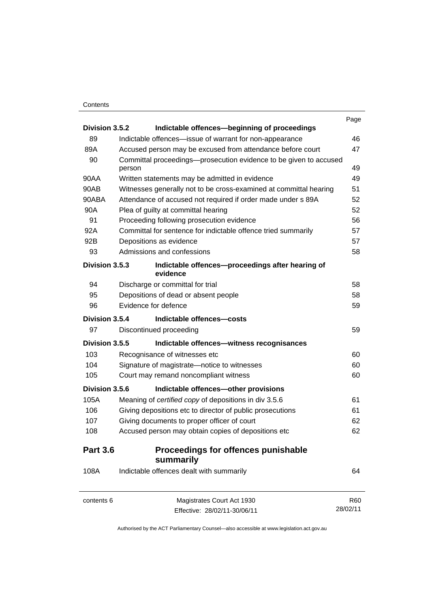### **Contents**

|                 |                                     |                                                                   | Page       |
|-----------------|-------------------------------------|-------------------------------------------------------------------|------------|
| Division 3.5.2  |                                     | Indictable offences-beginning of proceedings                      |            |
| 89              |                                     | Indictable offences-issue of warrant for non-appearance           | 46<br>47   |
| 89A             |                                     | Accused person may be excused from attendance before court        |            |
| 90              | person                              | Committal proceedings-prosecution evidence to be given to accused | 49         |
| 90AA            |                                     | Written statements may be admitted in evidence                    | 49         |
| 90AB            |                                     | Witnesses generally not to be cross-examined at committal hearing | 51         |
| 90ABA           |                                     | Attendance of accused not required if order made under s 89A      | 52         |
| 90A             | Plea of guilty at committal hearing |                                                                   | 52         |
| 91              |                                     | Proceeding following prosecution evidence                         | 56         |
| 92A             |                                     | Committal for sentence for indictable offence tried summarily     | 57         |
| 92B             | Depositions as evidence             |                                                                   | 57         |
| 93              | Admissions and confessions          |                                                                   | 58         |
| Division 3.5.3  | evidence                            | Indictable offences-proceedings after hearing of                  |            |
| 94              | Discharge or committal for trial    |                                                                   | 58         |
| 95              |                                     | Depositions of dead or absent people                              | 58         |
| 96              | Evidence for defence                |                                                                   | 59         |
| Division 3.5.4  |                                     | Indictable offences-costs                                         |            |
| 97              | Discontinued proceeding             |                                                                   | 59         |
| Division 3.5.5  |                                     | Indictable offences-witness recognisances                         |            |
| 103             | Recognisance of witnesses etc       |                                                                   | 60         |
| 104             |                                     | Signature of magistrate-notice to witnesses                       | 60         |
| 105             |                                     | Court may remand noncompliant witness                             |            |
| Division 3.5.6  |                                     | Indictable offences-other provisions                              |            |
| 105A            |                                     | Meaning of certified copy of depositions in div 3.5.6             | 61         |
| 106             |                                     | Giving depositions etc to director of public prosecutions         | 61         |
| 107             |                                     | Giving documents to proper officer of court                       | 62         |
| 108             |                                     | Accused person may obtain copies of depositions etc               | 62         |
| <b>Part 3.6</b> | summarily                           | Proceedings for offences punishable                               |            |
| 108A            |                                     | Indictable offences dealt with summarily                          | 64         |
| contents 6      |                                     | Magistrates Court Act 1930                                        | <b>R60</b> |
|                 |                                     | Effective: 28/02/11-30/06/11                                      | 28/02/11   |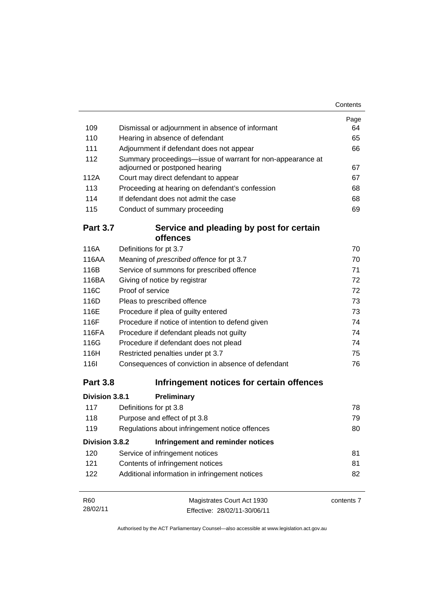|                 |                                                                                              | Page       |
|-----------------|----------------------------------------------------------------------------------------------|------------|
| 109             | Dismissal or adjournment in absence of informant                                             | 64         |
| 110             | Hearing in absence of defendant                                                              | 65         |
| 111             | Adjournment if defendant does not appear                                                     | 66         |
| 112             | Summary proceedings-issue of warrant for non-appearance at<br>adjourned or postponed hearing | 67         |
| 112A            | Court may direct defendant to appear                                                         | 67         |
| 113             | Proceeding at hearing on defendant's confession                                              | 68         |
| 114             | If defendant does not admit the case                                                         | 68         |
| 115             | Conduct of summary proceeding                                                                | 69         |
| <b>Part 3.7</b> | Service and pleading by post for certain                                                     |            |
|                 | offences                                                                                     |            |
| 116A            | Definitions for pt 3.7                                                                       | 70         |
| 116AA           | Meaning of prescribed offence for pt 3.7                                                     | 70         |
| 116B            | Service of summons for prescribed offence                                                    | 71         |
| 116BA           | Giving of notice by registrar                                                                | 72         |
| 116C            | Proof of service                                                                             | 72         |
| 116D            | Pleas to prescribed offence                                                                  | 73         |
| 116E            | Procedure if plea of guilty entered                                                          | 73         |
| 116F            | Procedure if notice of intention to defend given                                             | 74         |
| 116FA           | Procedure if defendant pleads not guilty                                                     | 74         |
| 116G            | Procedure if defendant does not plead                                                        | 74         |
| 116H            | Restricted penalties under pt 3.7                                                            | 75         |
| <b>116l</b>     | Consequences of conviction in absence of defendant                                           | 76         |
| <b>Part 3.8</b> | Infringement notices for certain offences                                                    |            |
| Division 3.8.1  | Preliminary                                                                                  |            |
| 117             | Definitions for pt 3.8                                                                       | 78         |
| 118             | Purpose and effect of pt 3.8                                                                 | 79         |
| 119             | Regulations about infringement notice offences                                               | 80         |
| Division 3.8.2  | Infringement and reminder notices                                                            |            |
| 120             | Service of infringement notices                                                              | 81         |
| 121             | Contents of infringement notices                                                             | 81         |
| 122             | Additional information in infringement notices                                               |            |
| R <sub>60</sub> | Magistrates Court Act 1930                                                                   | contents 7 |
| 28/02/11        | Effective: 28/02/11-30/06/11                                                                 |            |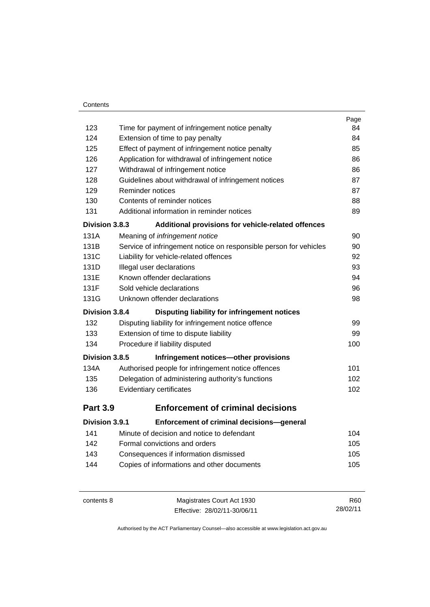### **Contents**

|                       |                                                                   | Page |
|-----------------------|-------------------------------------------------------------------|------|
| 123                   | Time for payment of infringement notice penalty                   | 84   |
| 124                   | Extension of time to pay penalty                                  | 84   |
| 125                   | Effect of payment of infringement notice penalty                  | 85   |
| 126                   | Application for withdrawal of infringement notice                 | 86   |
| 127                   | Withdrawal of infringement notice                                 | 86   |
| 128                   | Guidelines about withdrawal of infringement notices               | 87   |
| 129                   | Reminder notices                                                  | 87   |
| 130                   | Contents of reminder notices                                      | 88   |
| 131                   | Additional information in reminder notices                        | 89   |
| Division 3.8.3        | Additional provisions for vehicle-related offences                |      |
| 131A                  | Meaning of infringement notice                                    | 90   |
| 131B                  | Service of infringement notice on responsible person for vehicles | 90   |
| 131C                  | Liability for vehicle-related offences                            | 92   |
| 131D                  | Illegal user declarations                                         | 93   |
| 131E                  | Known offender declarations                                       | 94   |
| 131F                  | Sold vehicle declarations                                         | 96   |
| 131G                  | Unknown offender declarations                                     | 98   |
| Division 3.8.4        | Disputing liability for infringement notices                      |      |
| 132                   | Disputing liability for infringement notice offence               | 99   |
| 133                   | Extension of time to dispute liability                            | 99   |
| 134                   | Procedure if liability disputed                                   | 100  |
| Division 3.8.5        | Infringement notices-other provisions                             |      |
| 134A                  | Authorised people for infringement notice offences                | 101  |
| 135                   | Delegation of administering authority's functions                 | 102  |
| 136                   | Evidentiary certificates                                          | 102  |
| <b>Part 3.9</b>       | <b>Enforcement of criminal decisions</b>                          |      |
| <b>Division 3.9.1</b> | Enforcement of criminal decisions-general                         |      |
| 141                   | Minute of decision and notice to defendant                        | 104  |
| 142                   | Formal convictions and orders                                     | 105  |
| 143                   | Consequences if information dismissed                             | 105  |
| 144                   | Copies of informations and other documents                        | 105  |
|                       |                                                                   |      |

contents 8 Magistrates Court Act 1930 Effective: 28/02/11-30/06/11 R60 28/02/11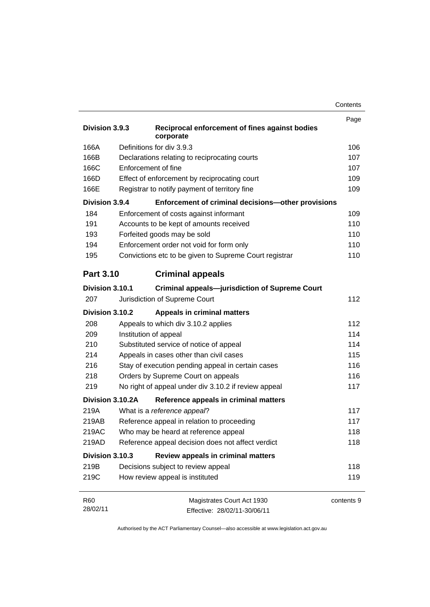|                             |                                                             | Contents |
|-----------------------------|-------------------------------------------------------------|----------|
|                             |                                                             | Page     |
| Division 3.9.3              | Reciprocal enforcement of fines against bodies<br>corporate |          |
| 166A                        | Definitions for div 3.9.3                                   | 106      |
| 166B                        | Declarations relating to reciprocating courts               | 107      |
| 166C<br>Enforcement of fine |                                                             | 107      |
| 166D                        | Effect of enforcement by reciprocating court                | 109      |
| 166E                        | Registrar to notify payment of territory fine               | 109      |
| Division 3.9.4              | Enforcement of criminal decisions-other provisions          |          |
| 184                         | Enforcement of costs against informant                      | 109      |
| 191                         | Accounts to be kept of amounts received                     | 110      |
| 193                         | Forfeited goods may be sold                                 | 110      |
| 194                         | Enforcement order not void for form only                    | 110      |
| 195                         | Convictions etc to be given to Supreme Court registrar      | 110      |
| <b>Part 3.10</b>            | <b>Criminal appeals</b>                                     |          |
| Division 3.10.1             | <b>Criminal appeals-jurisdiction of Supreme Court</b>       |          |
| 207                         | Jurisdiction of Supreme Court                               | 112      |
| Division 3.10.2             | <b>Appeals in criminal matters</b>                          |          |
| 208                         | Appeals to which div 3.10.2 applies                         | 112      |
| 209                         | Institution of appeal                                       |          |
| 210                         | 114<br>Substituted service of notice of appeal              |          |
| 214                         | 115<br>Appeals in cases other than civil cases              |          |
| 216                         | 116<br>Stay of execution pending appeal in certain cases    |          |
| 218                         | Orders by Supreme Court on appeals                          | 116      |
| 219                         | No right of appeal under div 3.10.2 if review appeal        | 117      |
| Division 3.10.2A            | Reference appeals in criminal matters                       |          |
| 219A                        | What is a reference appeal?                                 | 117      |
| 219AB                       | Reference appeal in relation to proceeding                  | 117      |

219AC Who may be heard at reference appeal 118 219AD Reference appeal decision does not affect verdict **118** 

219B Decisions subject to review appeal 219B 219B 219B 219C How review appeal is instituted 119

**Division 3.10.3 Review appeals in criminal matters**

Magistrates Court Act 1930 Effective: 28/02/11-30/06/11 contents 9

R60 28/02/11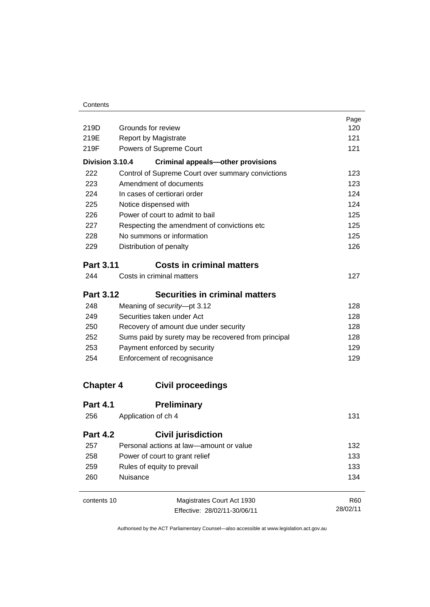| 219D             | Grounds for review                                  | Page<br>120 |
|------------------|-----------------------------------------------------|-------------|
| 219E             | <b>Report by Magistrate</b>                         | 121         |
| 219F             | Powers of Supreme Court                             | 121         |
| Division 3.10.4  | <b>Criminal appeals-other provisions</b>            |             |
| 222              | Control of Supreme Court over summary convictions   | 123         |
| 223              | Amendment of documents                              | 123         |
| 224              | In cases of certiorari order                        | 124         |
| 225              | Notice dispensed with                               | 124         |
| 226              | Power of court to admit to bail                     | 125         |
| 227              | Respecting the amendment of convictions etc         | 125         |
| 228              | No summons or information                           | 125         |
| 229              | Distribution of penalty                             | 126         |
|                  |                                                     |             |
| <b>Part 3.11</b> | <b>Costs in criminal matters</b>                    |             |
| 244              | Costs in criminal matters                           | 127         |
| <b>Part 3.12</b> | Securities in criminal matters                      |             |
| 248              | Meaning of security-pt 3.12                         | 128         |
| 249              | Securities taken under Act                          | 128         |
| 250              | Recovery of amount due under security               | 128         |
| 252              | Sums paid by surety may be recovered from principal | 128         |
| 253              | Payment enforced by security                        | 129         |
| 254              | Enforcement of recognisance                         | 129         |
| <b>Chapter 4</b> | <b>Civil proceedings</b>                            |             |
| <b>Part 4.1</b>  | <b>Preliminary</b>                                  |             |
| 256              | Application of ch 4                                 | 131         |
| <b>Part 4.2</b>  | <b>Civil jurisdiction</b>                           |             |
|                  |                                                     |             |
| 257              | Personal actions at law-amount or value             | 132         |
| 258              | Power of court to grant relief                      | 133         |
| 259              |                                                     | 133         |
| 260              | Rules of equity to prevail<br>Nuisance              | 134         |
| contents 10      | Magistrates Court Act 1930                          | R60         |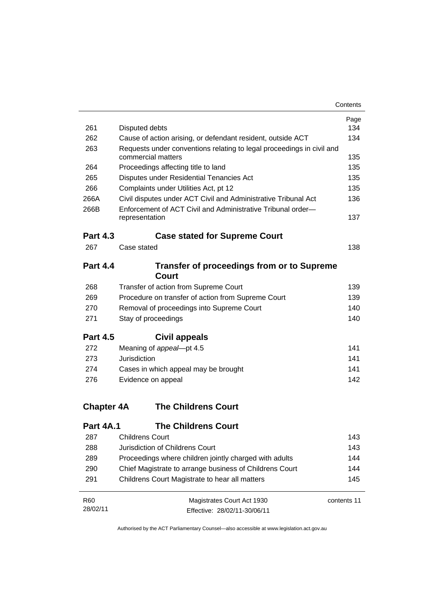| 261               | Disputed debts                                                        | Page<br>134 |
|-------------------|-----------------------------------------------------------------------|-------------|
| 262               | Cause of action arising, or defendant resident, outside ACT           | 134         |
| 263               | Requests under conventions relating to legal proceedings in civil and |             |
|                   | commercial matters                                                    | 135         |
| 264               | Proceedings affecting title to land                                   | 135         |
| 265               | Disputes under Residential Tenancies Act                              | 135         |
| 266               | Complaints under Utilities Act, pt 12                                 | 135         |
| 266A              | Civil disputes under ACT Civil and Administrative Tribunal Act        | 136         |
| 266B              | Enforcement of ACT Civil and Administrative Tribunal order-           |             |
|                   | representation                                                        | 137         |
| <b>Part 4.3</b>   | <b>Case stated for Supreme Court</b>                                  |             |
| 267               | Case stated                                                           | 138         |
| <b>Part 4.4</b>   | <b>Transfer of proceedings from or to Supreme</b>                     |             |
|                   | <b>Court</b>                                                          |             |
| 268               | Transfer of action from Supreme Court                                 | 139         |
| 269               | Procedure on transfer of action from Supreme Court                    | 139         |
| 270               | Removal of proceedings into Supreme Court                             | 140         |
| 271               | Stay of proceedings                                                   | 140         |
| <b>Part 4.5</b>   | Civil appeals                                                         |             |
| 272               | Meaning of appeal-pt 4.5                                              | 141         |
| 273               | Jurisdiction                                                          | 141         |
| 274               | Cases in which appeal may be brought                                  | 141         |
| 276               | Evidence on appeal                                                    | 142         |
| <b>Chapter 4A</b> | <b>The Childrens Court</b>                                            |             |
| <b>Part 4A.1</b>  | <b>The Childrens Court</b>                                            |             |
| 287               | Childrens Court                                                       | 143         |
| 288               | Jurisdiction of Childrens Court                                       | 143         |
| 289               | Proceedings where children jointly charged with adults                | 144         |
| 290               | Chief Magistrate to arrange business of Childrens Court               | 144         |
| 291               | Childrens Court Magistrate to hear all matters                        | 145         |

| R60      | Magistrates Court Act 1930   | contents 11 |
|----------|------------------------------|-------------|
| 28/02/11 | Effective: 28/02/11-30/06/11 |             |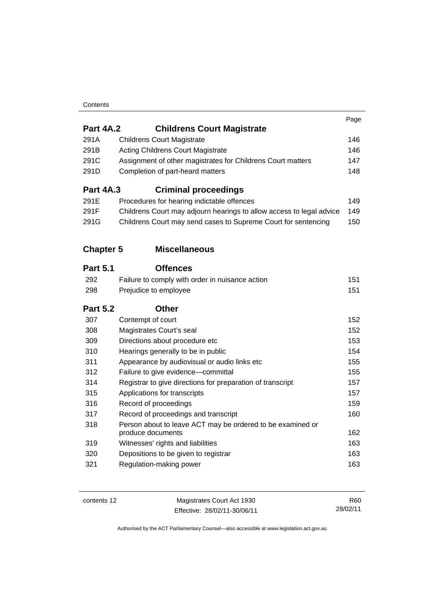### **Contents**

|                  |                                                                                 | Page |
|------------------|---------------------------------------------------------------------------------|------|
| <b>Part 4A.2</b> | <b>Childrens Court Magistrate</b>                                               |      |
| 291A             | <b>Childrens Court Magistrate</b>                                               | 146  |
| 291B             | <b>Acting Childrens Court Magistrate</b>                                        | 146  |
| 291C             | Assignment of other magistrates for Childrens Court matters                     | 147  |
| 291D             | Completion of part-heard matters                                                | 148  |
| <b>Part 4A.3</b> | <b>Criminal proceedings</b>                                                     |      |
| 291E             | Procedures for hearing indictable offences                                      | 149  |
| 291F             | Childrens Court may adjourn hearings to allow access to legal advice            | 149  |
| 291G             | Childrens Court may send cases to Supreme Court for sentencing                  | 150  |
| <b>Chapter 5</b> | <b>Miscellaneous</b>                                                            |      |
| <b>Part 5.1</b>  | <b>Offences</b>                                                                 |      |
| 292              | Failure to comply with order in nuisance action                                 | 151  |
| 298              | Prejudice to employee                                                           | 151  |
|                  |                                                                                 |      |
| <b>Part 5.2</b>  | <b>Other</b>                                                                    |      |
| 307              | Contempt of court                                                               | 152  |
| 308              | Magistrates Court's seal                                                        | 152  |
| 309              | Directions about procedure etc                                                  | 153  |
| 310              | Hearings generally to be in public                                              | 154  |
| 311              | Appearance by audiovisual or audio links etc                                    | 155  |
| 312              | Failure to give evidence-committal                                              | 155  |
| 314              | Registrar to give directions for preparation of transcript                      | 157  |
| 315              | Applications for transcripts                                                    | 157  |
| 316              | Record of proceedings                                                           | 159  |
| 317              | Record of proceedings and transcript                                            | 160  |
| 318              | Person about to leave ACT may be ordered to be examined or<br>produce documents | 162  |
| 319              | Witnesses' rights and liabilities                                               | 163  |
| 320              | Depositions to be given to registrar                                            | 163  |

contents 12 Magistrates Court Act 1930 Effective: 28/02/11-30/06/11

R60 28/02/11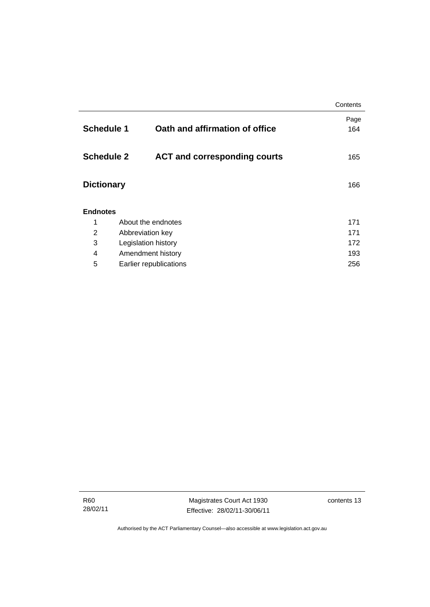|                             |                                     | Contents    |  |
|-----------------------------|-------------------------------------|-------------|--|
| <b>Schedule 1</b>           | Oath and affirmation of office      | Page<br>164 |  |
| <b>Schedule 2</b>           | <b>ACT and corresponding courts</b> | 165         |  |
| <b>Dictionary</b>           |                                     | 166         |  |
| <b>Endnotes</b>             |                                     |             |  |
| 1                           | About the endnotes                  | 171         |  |
| 2                           | Abbreviation key                    |             |  |
| 3<br>Legislation history    |                                     | 172         |  |
| 4                           | Amendment history                   |             |  |
| 5<br>Earlier republications |                                     | 256         |  |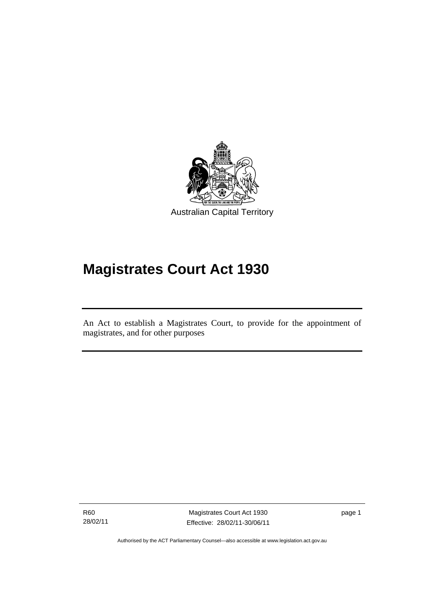

# **Magistrates Court Act 1930**

An Act to establish a Magistrates Court, to provide for the appointment of magistrates, and for other purposes

R60 28/02/11

Ī

Magistrates Court Act 1930 Effective: 28/02/11-30/06/11 page 1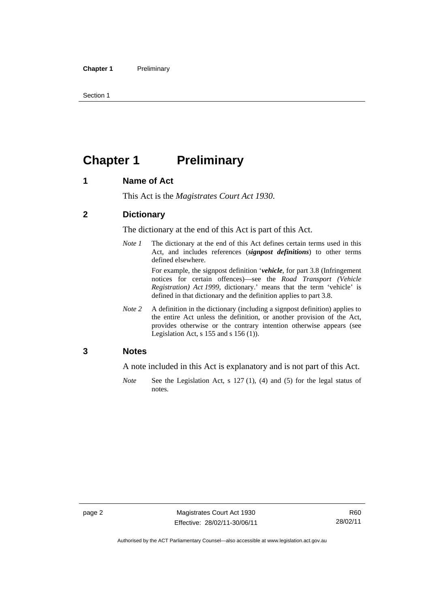Section 1

## **Chapter 1** Preliminary

### **1 Name of Act**

This Act is the *Magistrates Court Act 1930*.

### **2 Dictionary**

The dictionary at the end of this Act is part of this Act.

*Note 1* The dictionary at the end of this Act defines certain terms used in this Act, and includes references (*signpost definitions*) to other terms defined elsewhere.

> For example, the signpost definition '*vehicle*, for part 3.8 (Infringement notices for certain offences)—see the *Road Transport (Vehicle Registration) Act 1999*, dictionary.' means that the term 'vehicle' is defined in that dictionary and the definition applies to part 3.8.

*Note 2* A definition in the dictionary (including a signpost definition) applies to the entire Act unless the definition, or another provision of the Act, provides otherwise or the contrary intention otherwise appears (see Legislation Act, s 155 and s 156 (1)).

### **3 Notes**

A note included in this Act is explanatory and is not part of this Act.

*Note* See the Legislation Act, s 127 (1), (4) and (5) for the legal status of notes.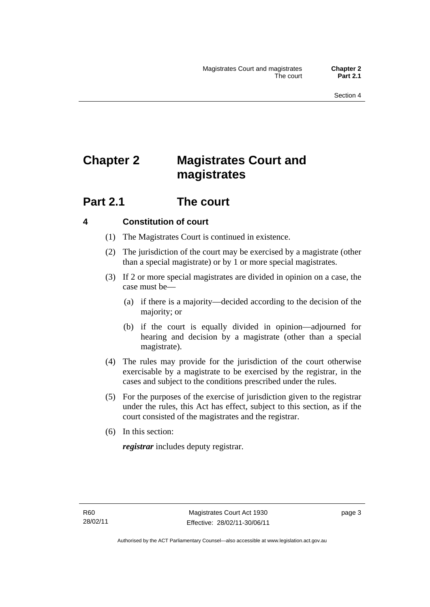## **Chapter 2 Magistrates Court and magistrates**

### **Part 2.1 The court**

### **4 Constitution of court**

- (1) The Magistrates Court is continued in existence.
- (2) The jurisdiction of the court may be exercised by a magistrate (other than a special magistrate) or by 1 or more special magistrates.
- (3) If 2 or more special magistrates are divided in opinion on a case, the case must be—
	- (a) if there is a majority—decided according to the decision of the majority; or
	- (b) if the court is equally divided in opinion—adjourned for hearing and decision by a magistrate (other than a special magistrate).
- (4) The rules may provide for the jurisdiction of the court otherwise exercisable by a magistrate to be exercised by the registrar, in the cases and subject to the conditions prescribed under the rules.
- (5) For the purposes of the exercise of jurisdiction given to the registrar under the rules, this Act has effect, subject to this section, as if the court consisted of the magistrates and the registrar.
- (6) In this section:

*registrar* includes deputy registrar.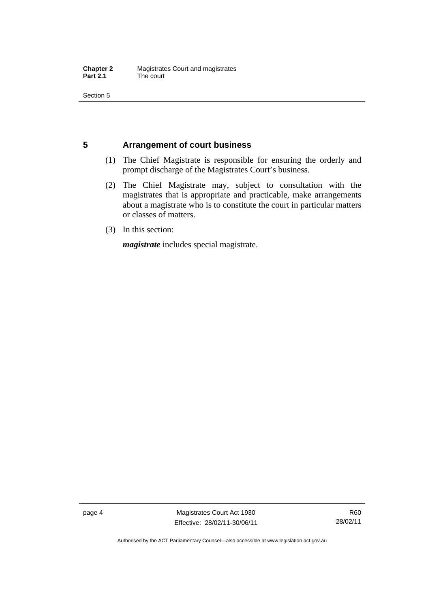Section 5

### **5 Arrangement of court business**

- (1) The Chief Magistrate is responsible for ensuring the orderly and prompt discharge of the Magistrates Court's business.
- (2) The Chief Magistrate may, subject to consultation with the magistrates that is appropriate and practicable, make arrangements about a magistrate who is to constitute the court in particular matters or classes of matters.
- (3) In this section:

*magistrate* includes special magistrate.

page 4 Magistrates Court Act 1930 Effective: 28/02/11-30/06/11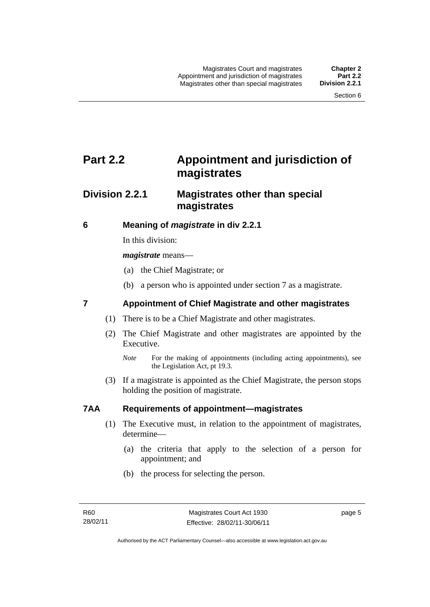### **Part 2.2 Appointment and jurisdiction of magistrates**

### **Division 2.2.1 Magistrates other than special magistrates**

### **6 Meaning of** *magistrate* **in div 2.2.1**

In this division:

*magistrate* means—

- (a) the Chief Magistrate; or
- (b) a person who is appointed under section 7 as a magistrate.

### **7 Appointment of Chief Magistrate and other magistrates**

- (1) There is to be a Chief Magistrate and other magistrates.
- (2) The Chief Magistrate and other magistrates are appointed by the Executive.

 (3) If a magistrate is appointed as the Chief Magistrate, the person stops holding the position of magistrate.

### **7AA Requirements of appointment—magistrates**

- (1) The Executive must, in relation to the appointment of magistrates, determine—
	- (a) the criteria that apply to the selection of a person for appointment; and
	- (b) the process for selecting the person.

page 5

*Note* For the making of appointments (including acting appointments), see the Legislation Act, pt 19.3.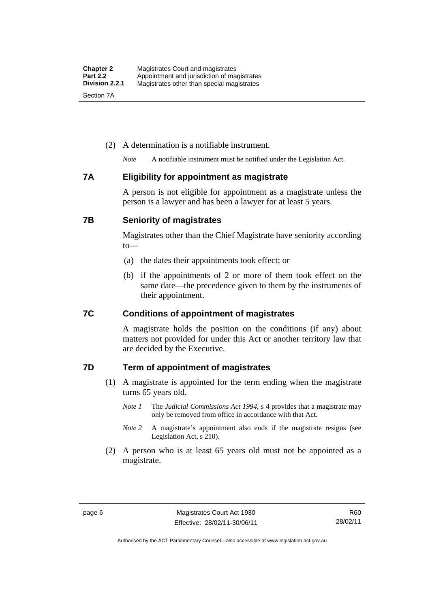### (2) A determination is a notifiable instrument.

*Note* A notifiable instrument must be notified under the Legislation Act.

### **7A Eligibility for appointment as magistrate**

A person is not eligible for appointment as a magistrate unless the person is a lawyer and has been a lawyer for at least 5 years.

### **7B Seniority of magistrates**

Magistrates other than the Chief Magistrate have seniority according to—

- (a) the dates their appointments took effect; or
- (b) if the appointments of 2 or more of them took effect on the same date—the precedence given to them by the instruments of their appointment.

### **7C Conditions of appointment of magistrates**

A magistrate holds the position on the conditions (if any) about matters not provided for under this Act or another territory law that are decided by the Executive.

### **7D Term of appointment of magistrates**

- (1) A magistrate is appointed for the term ending when the magistrate turns 65 years old.
	- *Note 1* The *Judicial Commissions Act 1994*, s 4 provides that a magistrate may only be removed from office in accordance with that Act.
	- *Note 2* A magistrate's appointment also ends if the magistrate resigns (see Legislation Act, s 210).
- (2) A person who is at least 65 years old must not be appointed as a magistrate.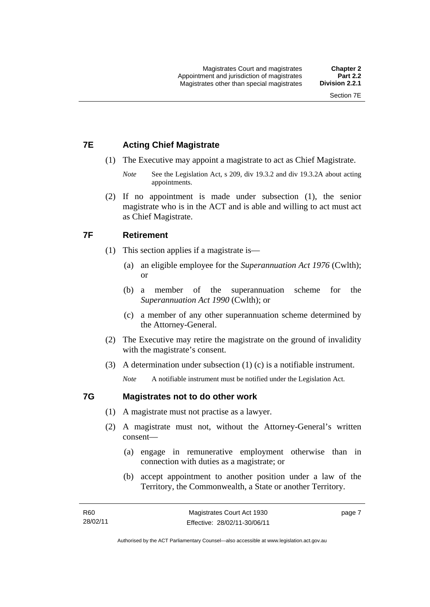### **7E Acting Chief Magistrate**

- (1) The Executive may appoint a magistrate to act as Chief Magistrate.
	- *Note* See the Legislation Act, s 209, div 19.3.2 and div 19.3.2A about acting appointments.
- (2) If no appointment is made under subsection (1), the senior magistrate who is in the ACT and is able and willing to act must act as Chief Magistrate.

### **7F Retirement**

- (1) This section applies if a magistrate is—
	- (a) an eligible employee for the *Superannuation Act 1976* (Cwlth); or
	- (b) a member of the superannuation scheme for the *Superannuation Act 1990* (Cwlth); or
	- (c) a member of any other superannuation scheme determined by the Attorney-General.
- (2) The Executive may retire the magistrate on the ground of invalidity with the magistrate's consent.
- (3) A determination under subsection (1) (c) is a notifiable instrument.

*Note* A notifiable instrument must be notified under the Legislation Act.

### **7G Magistrates not to do other work**

- (1) A magistrate must not practise as a lawyer.
- (2) A magistrate must not, without the Attorney-General's written consent—
	- (a) engage in remunerative employment otherwise than in connection with duties as a magistrate; or
	- (b) accept appointment to another position under a law of the Territory, the Commonwealth, a State or another Territory.

page 7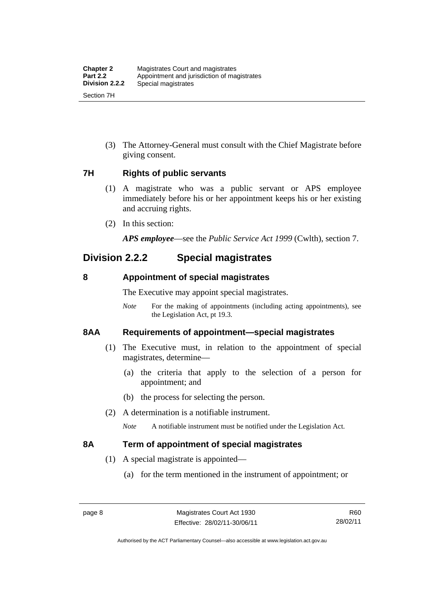(3) The Attorney-General must consult with the Chief Magistrate before giving consent.

### **7H Rights of public servants**

- (1) A magistrate who was a public servant or APS employee immediately before his or her appointment keeps his or her existing and accruing rights.
- (2) In this section:

*APS employee*—see the *Public Service Act 1999* (Cwlth), section 7.

### **Division 2.2.2 Special magistrates**

### **8 Appointment of special magistrates**

The Executive may appoint special magistrates.

*Note* For the making of appointments (including acting appointments), see the Legislation Act, pt 19.3.

### **8AA Requirements of appointment—special magistrates**

- (1) The Executive must, in relation to the appointment of special magistrates, determine—
	- (a) the criteria that apply to the selection of a person for appointment; and
	- (b) the process for selecting the person.
- (2) A determination is a notifiable instrument.

*Note* A notifiable instrument must be notified under the Legislation Act.

### **8A Term of appointment of special magistrates**

- (1) A special magistrate is appointed—
	- (a) for the term mentioned in the instrument of appointment; or

R60 28/02/11

Authorised by the ACT Parliamentary Counsel—also accessible at www.legislation.act.gov.au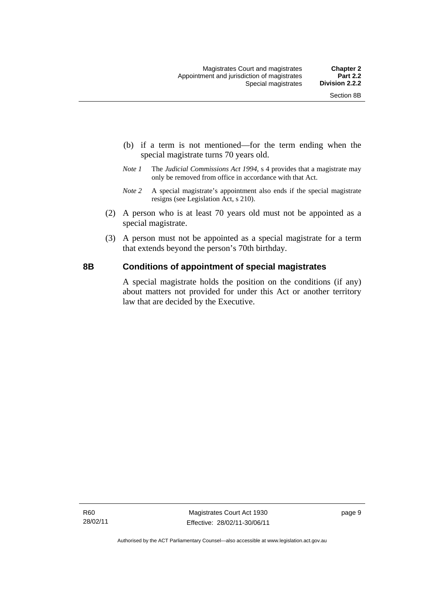- (b) if a term is not mentioned—for the term ending when the special magistrate turns 70 years old.
- *Note 1* The *Judicial Commissions Act 1994*, s 4 provides that a magistrate may only be removed from office in accordance with that Act.
- *Note 2* A special magistrate's appointment also ends if the special magistrate resigns (see Legislation Act, s 210).
- (2) A person who is at least 70 years old must not be appointed as a special magistrate.
- (3) A person must not be appointed as a special magistrate for a term that extends beyond the person's 70th birthday.

### **8B Conditions of appointment of special magistrates**

A special magistrate holds the position on the conditions (if any) about matters not provided for under this Act or another territory law that are decided by the Executive.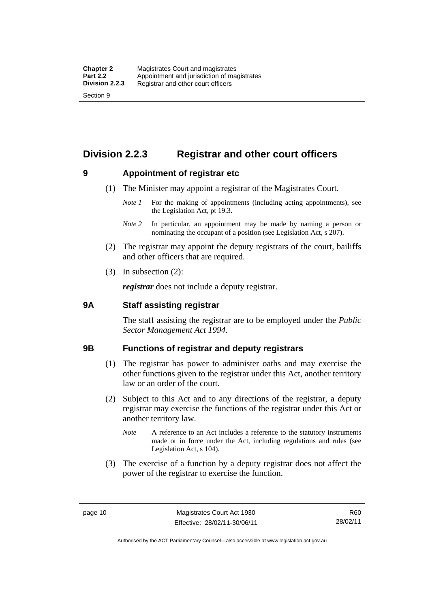### **Division 2.2.3 Registrar and other court officers**

### **9 Appointment of registrar etc**

- (1) The Minister may appoint a registrar of the Magistrates Court.
	- *Note 1* For the making of appointments (including acting appointments), see the Legislation Act, pt 19.3.
	- *Note 2* In particular, an appointment may be made by naming a person or nominating the occupant of a position (see Legislation Act, s 207).
- (2) The registrar may appoint the deputy registrars of the court, bailiffs and other officers that are required.
- (3) In subsection (2):

*registrar* does not include a deputy registrar.

### **9A Staff assisting registrar**

The staff assisting the registrar are to be employed under the *Public Sector Management Act 1994*.

### **9B Functions of registrar and deputy registrars**

- (1) The registrar has power to administer oaths and may exercise the other functions given to the registrar under this Act, another territory law or an order of the court.
- (2) Subject to this Act and to any directions of the registrar, a deputy registrar may exercise the functions of the registrar under this Act or another territory law.
	- *Note* A reference to an Act includes a reference to the statutory instruments made or in force under the Act, including regulations and rules (see Legislation Act, s 104).
- (3) The exercise of a function by a deputy registrar does not affect the power of the registrar to exercise the function.

R60 28/02/11

Authorised by the ACT Parliamentary Counsel—also accessible at www.legislation.act.gov.au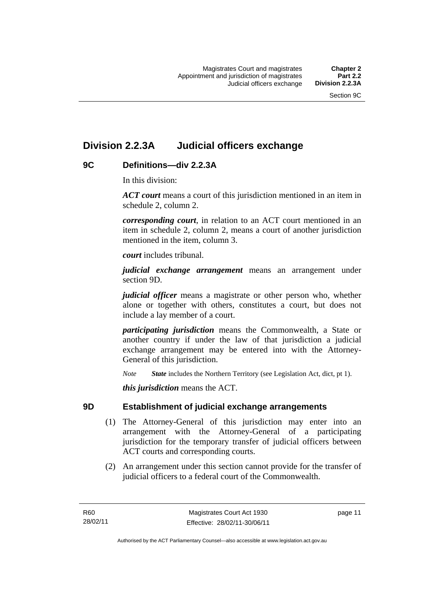### **Division 2.2.3A Judicial officers exchange**

### **9C Definitions—div 2.2.3A**

In this division:

*ACT court* means a court of this jurisdiction mentioned in an item in schedule 2, column 2.

*corresponding court*, in relation to an ACT court mentioned in an item in schedule 2, column 2, means a court of another jurisdiction mentioned in the item, column 3.

*court* includes tribunal.

*judicial exchange arrangement* means an arrangement under section 9D.

*judicial officer* means a magistrate or other person who, whether alone or together with others, constitutes a court, but does not include a lay member of a court.

*participating jurisdiction* means the Commonwealth, a State or another country if under the law of that jurisdiction a judicial exchange arrangement may be entered into with the Attorney-General of this jurisdiction.

*Note State* includes the Northern Territory (see Legislation Act, dict, pt 1).

*this jurisdiction* means the ACT.

### **9D Establishment of judicial exchange arrangements**

- (1) The Attorney-General of this jurisdiction may enter into an arrangement with the Attorney-General of a participating jurisdiction for the temporary transfer of judicial officers between ACT courts and corresponding courts.
- (2) An arrangement under this section cannot provide for the transfer of judicial officers to a federal court of the Commonwealth.

page 11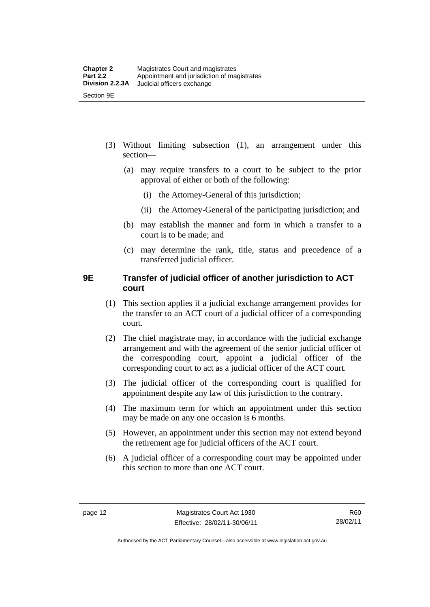- (3) Without limiting subsection (1), an arrangement under this section—
	- (a) may require transfers to a court to be subject to the prior approval of either or both of the following:
		- (i) the Attorney-General of this jurisdiction;
		- (ii) the Attorney-General of the participating jurisdiction; and
	- (b) may establish the manner and form in which a transfer to a court is to be made; and
	- (c) may determine the rank, title, status and precedence of a transferred judicial officer.

### **9E Transfer of judicial officer of another jurisdiction to ACT court**

- (1) This section applies if a judicial exchange arrangement provides for the transfer to an ACT court of a judicial officer of a corresponding court.
- (2) The chief magistrate may, in accordance with the judicial exchange arrangement and with the agreement of the senior judicial officer of the corresponding court, appoint a judicial officer of the corresponding court to act as a judicial officer of the ACT court.
- (3) The judicial officer of the corresponding court is qualified for appointment despite any law of this jurisdiction to the contrary.
- (4) The maximum term for which an appointment under this section may be made on any one occasion is 6 months.
- (5) However, an appointment under this section may not extend beyond the retirement age for judicial officers of the ACT court.
- (6) A judicial officer of a corresponding court may be appointed under this section to more than one ACT court.

R60 28/02/11

Authorised by the ACT Parliamentary Counsel—also accessible at www.legislation.act.gov.au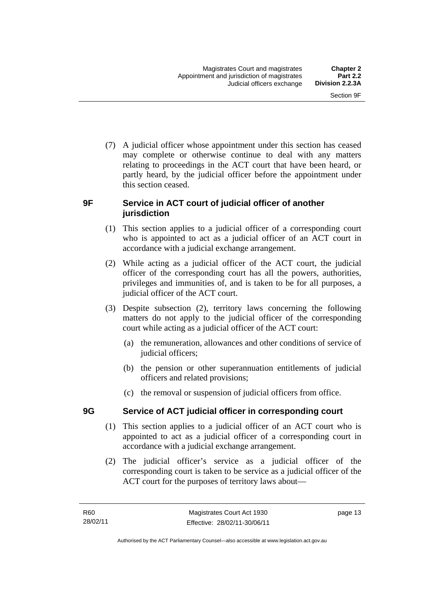(7) A judicial officer whose appointment under this section has ceased may complete or otherwise continue to deal with any matters relating to proceedings in the ACT court that have been heard, or partly heard, by the judicial officer before the appointment under this section ceased.

### **9F Service in ACT court of judicial officer of another jurisdiction**

- (1) This section applies to a judicial officer of a corresponding court who is appointed to act as a judicial officer of an ACT court in accordance with a judicial exchange arrangement.
- (2) While acting as a judicial officer of the ACT court, the judicial officer of the corresponding court has all the powers, authorities, privileges and immunities of, and is taken to be for all purposes, a judicial officer of the ACT court.
- (3) Despite subsection (2), territory laws concerning the following matters do not apply to the judicial officer of the corresponding court while acting as a judicial officer of the ACT court:
	- (a) the remuneration, allowances and other conditions of service of judicial officers;
	- (b) the pension or other superannuation entitlements of judicial officers and related provisions;
	- (c) the removal or suspension of judicial officers from office.

### **9G Service of ACT judicial officer in corresponding court**

- (1) This section applies to a judicial officer of an ACT court who is appointed to act as a judicial officer of a corresponding court in accordance with a judicial exchange arrangement.
- (2) The judicial officer's service as a judicial officer of the corresponding court is taken to be service as a judicial officer of the ACT court for the purposes of territory laws about—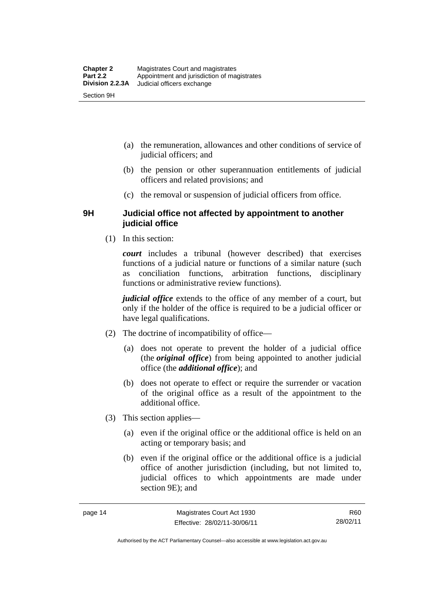- (a) the remuneration, allowances and other conditions of service of judicial officers; and
- (b) the pension or other superannuation entitlements of judicial officers and related provisions; and
- (c) the removal or suspension of judicial officers from office.

### **9H Judicial office not affected by appointment to another judicial office**

(1) In this section:

*court* includes a tribunal (however described) that exercises functions of a judicial nature or functions of a similar nature (such as conciliation functions, arbitration functions, disciplinary functions or administrative review functions).

*judicial office* extends to the office of any member of a court, but only if the holder of the office is required to be a judicial officer or have legal qualifications.

- (2) The doctrine of incompatibility of office—
	- (a) does not operate to prevent the holder of a judicial office (the *original office*) from being appointed to another judicial office (the *additional office*); and
	- (b) does not operate to effect or require the surrender or vacation of the original office as a result of the appointment to the additional office.
- (3) This section applies—
	- (a) even if the original office or the additional office is held on an acting or temporary basis; and
	- (b) even if the original office or the additional office is a judicial office of another jurisdiction (including, but not limited to, judicial offices to which appointments are made under section 9E); and

Authorised by the ACT Parliamentary Counsel—also accessible at www.legislation.act.gov.au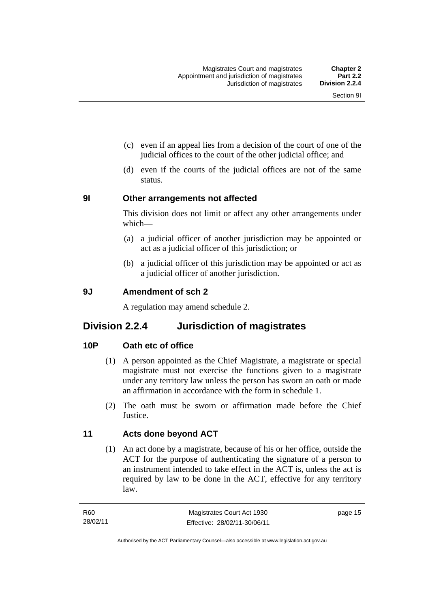- (c) even if an appeal lies from a decision of the court of one of the judicial offices to the court of the other judicial office; and
- (d) even if the courts of the judicial offices are not of the same status.

### **9I Other arrangements not affected**

This division does not limit or affect any other arrangements under which—

- (a) a judicial officer of another jurisdiction may be appointed or act as a judicial officer of this jurisdiction; or
- (b) a judicial officer of this jurisdiction may be appointed or act as a judicial officer of another jurisdiction.

### **9J Amendment of sch 2**

A regulation may amend schedule 2.

### **Division 2.2.4 Jurisdiction of magistrates**

### **10P Oath etc of office**

- (1) A person appointed as the Chief Magistrate, a magistrate or special magistrate must not exercise the functions given to a magistrate under any territory law unless the person has sworn an oath or made an affirmation in accordance with the form in schedule 1.
- (2) The oath must be sworn or affirmation made before the Chief **Justice**

### **11 Acts done beyond ACT**

(1) An act done by a magistrate, because of his or her office, outside the ACT for the purpose of authenticating the signature of a person to an instrument intended to take effect in the ACT is, unless the act is required by law to be done in the ACT, effective for any territory law.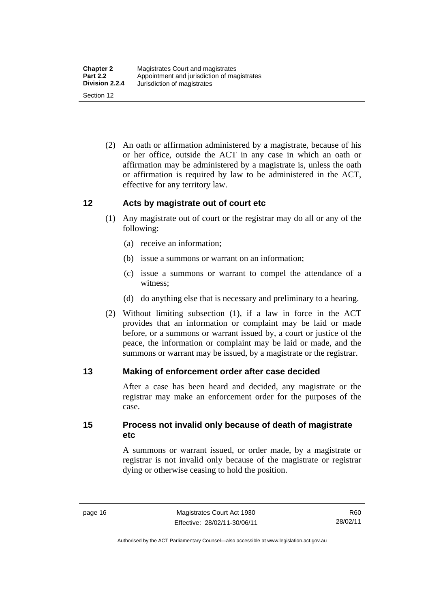(2) An oath or affirmation administered by a magistrate, because of his or her office, outside the ACT in any case in which an oath or affirmation may be administered by a magistrate is, unless the oath or affirmation is required by law to be administered in the ACT, effective for any territory law.

### **12 Acts by magistrate out of court etc**

- (1) Any magistrate out of court or the registrar may do all or any of the following:
	- (a) receive an information;
	- (b) issue a summons or warrant on an information;
	- (c) issue a summons or warrant to compel the attendance of a witness;
	- (d) do anything else that is necessary and preliminary to a hearing.
- (2) Without limiting subsection (1), if a law in force in the ACT provides that an information or complaint may be laid or made before, or a summons or warrant issued by, a court or justice of the peace, the information or complaint may be laid or made, and the summons or warrant may be issued, by a magistrate or the registrar.

### **13 Making of enforcement order after case decided**

After a case has been heard and decided, any magistrate or the registrar may make an enforcement order for the purposes of the case.

**15 Process not invalid only because of death of magistrate etc** 

> A summons or warrant issued, or order made, by a magistrate or registrar is not invalid only because of the magistrate or registrar dying or otherwise ceasing to hold the position.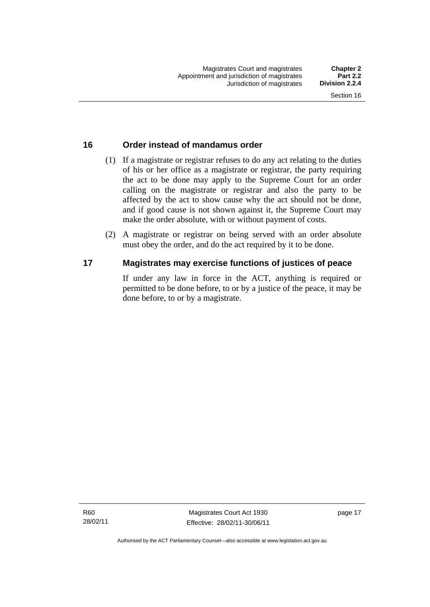### **16 Order instead of mandamus order**

- (1) If a magistrate or registrar refuses to do any act relating to the duties of his or her office as a magistrate or registrar, the party requiring the act to be done may apply to the Supreme Court for an order calling on the magistrate or registrar and also the party to be affected by the act to show cause why the act should not be done, and if good cause is not shown against it, the Supreme Court may make the order absolute, with or without payment of costs.
- (2) A magistrate or registrar on being served with an order absolute must obey the order, and do the act required by it to be done.

### **17 Magistrates may exercise functions of justices of peace**

If under any law in force in the ACT, anything is required or permitted to be done before, to or by a justice of the peace, it may be done before, to or by a magistrate.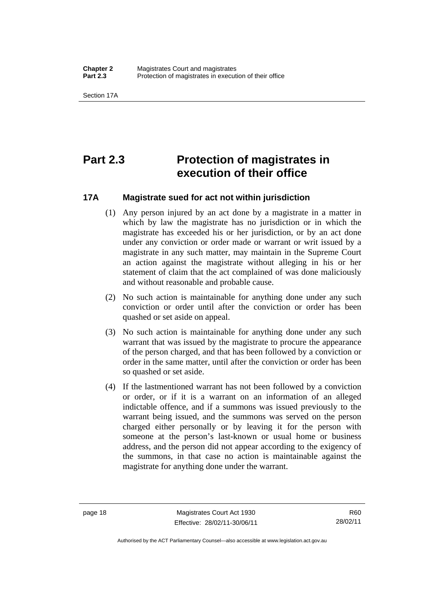Section 17A

### **Part 2.3 Protection of magistrates in execution of their office**

### **17A Magistrate sued for act not within jurisdiction**

- (1) Any person injured by an act done by a magistrate in a matter in which by law the magistrate has no jurisdiction or in which the magistrate has exceeded his or her jurisdiction, or by an act done under any conviction or order made or warrant or writ issued by a magistrate in any such matter, may maintain in the Supreme Court an action against the magistrate without alleging in his or her statement of claim that the act complained of was done maliciously and without reasonable and probable cause.
- (2) No such action is maintainable for anything done under any such conviction or order until after the conviction or order has been quashed or set aside on appeal.
- (3) No such action is maintainable for anything done under any such warrant that was issued by the magistrate to procure the appearance of the person charged, and that has been followed by a conviction or order in the same matter, until after the conviction or order has been so quashed or set aside.
- (4) If the lastmentioned warrant has not been followed by a conviction or order, or if it is a warrant on an information of an alleged indictable offence, and if a summons was issued previously to the warrant being issued, and the summons was served on the person charged either personally or by leaving it for the person with someone at the person's last-known or usual home or business address, and the person did not appear according to the exigency of the summons, in that case no action is maintainable against the magistrate for anything done under the warrant.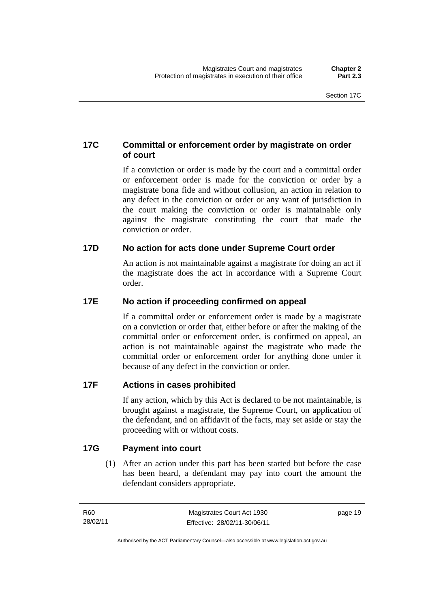### **17C Committal or enforcement order by magistrate on order of court**

If a conviction or order is made by the court and a committal order or enforcement order is made for the conviction or order by a magistrate bona fide and without collusion, an action in relation to any defect in the conviction or order or any want of jurisdiction in the court making the conviction or order is maintainable only against the magistrate constituting the court that made the conviction or order.

### **17D No action for acts done under Supreme Court order**

An action is not maintainable against a magistrate for doing an act if the magistrate does the act in accordance with a Supreme Court order.

### **17E No action if proceeding confirmed on appeal**

If a committal order or enforcement order is made by a magistrate on a conviction or order that, either before or after the making of the committal order or enforcement order, is confirmed on appeal, an action is not maintainable against the magistrate who made the committal order or enforcement order for anything done under it because of any defect in the conviction or order.

### **17F Actions in cases prohibited**

If any action, which by this Act is declared to be not maintainable, is brought against a magistrate, the Supreme Court, on application of the defendant, and on affidavit of the facts, may set aside or stay the proceeding with or without costs.

### **17G Payment into court**

(1) After an action under this part has been started but before the case has been heard, a defendant may pay into court the amount the defendant considers appropriate.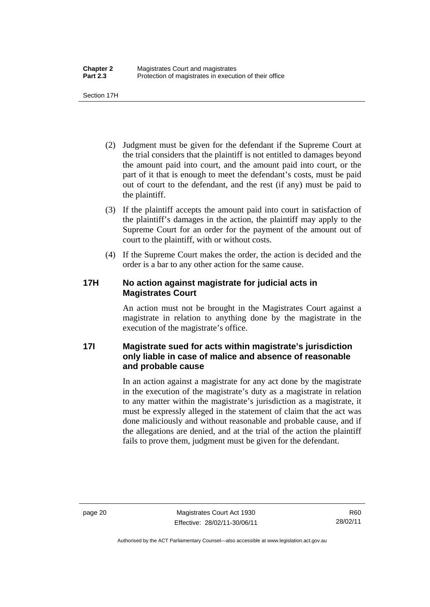Section 17H

- (2) Judgment must be given for the defendant if the Supreme Court at the trial considers that the plaintiff is not entitled to damages beyond the amount paid into court, and the amount paid into court, or the part of it that is enough to meet the defendant's costs, must be paid out of court to the defendant, and the rest (if any) must be paid to the plaintiff.
- (3) If the plaintiff accepts the amount paid into court in satisfaction of the plaintiff's damages in the action, the plaintiff may apply to the Supreme Court for an order for the payment of the amount out of court to the plaintiff, with or without costs.
- (4) If the Supreme Court makes the order, the action is decided and the order is a bar to any other action for the same cause.

### **17H No action against magistrate for judicial acts in Magistrates Court**

An action must not be brought in the Magistrates Court against a magistrate in relation to anything done by the magistrate in the execution of the magistrate's office.

### **17I Magistrate sued for acts within magistrate's jurisdiction only liable in case of malice and absence of reasonable and probable cause**

In an action against a magistrate for any act done by the magistrate in the execution of the magistrate's duty as a magistrate in relation to any matter within the magistrate's jurisdiction as a magistrate, it must be expressly alleged in the statement of claim that the act was done maliciously and without reasonable and probable cause, and if the allegations are denied, and at the trial of the action the plaintiff fails to prove them, judgment must be given for the defendant.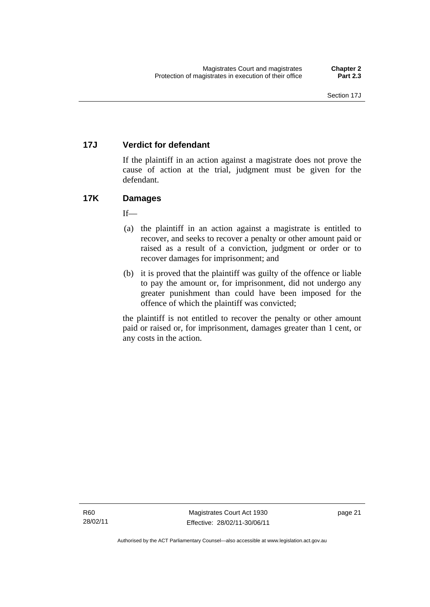# **17J Verdict for defendant**

If the plaintiff in an action against a magistrate does not prove the cause of action at the trial, judgment must be given for the defendant.

# **17K Damages**

 $If$ —

- (a) the plaintiff in an action against a magistrate is entitled to recover, and seeks to recover a penalty or other amount paid or raised as a result of a conviction, judgment or order or to recover damages for imprisonment; and
- (b) it is proved that the plaintiff was guilty of the offence or liable to pay the amount or, for imprisonment, did not undergo any greater punishment than could have been imposed for the offence of which the plaintiff was convicted;

the plaintiff is not entitled to recover the penalty or other amount paid or raised or, for imprisonment, damages greater than 1 cent, or any costs in the action.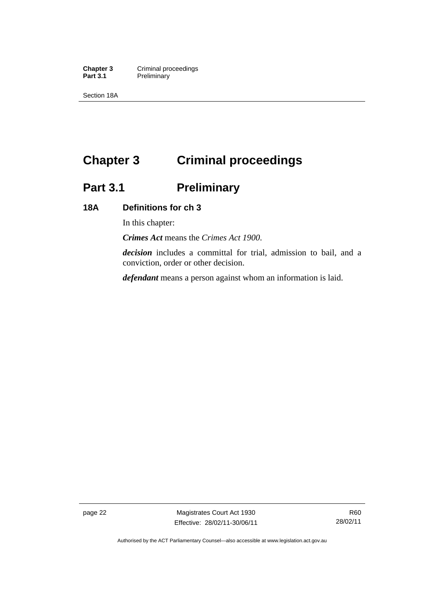**Chapter 3 Criminal proceedings**<br> **Part 3.1 Preliminary Preliminary** 

Section 18A

# **Chapter 3 Criminal proceedings**

# **Part 3.1 Preliminary**

## **18A Definitions for ch 3**

In this chapter:

*Crimes Act* means the *Crimes Act 1900*.

*decision* includes a committal for trial, admission to bail, and a conviction, order or other decision.

*defendant* means a person against whom an information is laid.

page 22 Magistrates Court Act 1930 Effective: 28/02/11-30/06/11

Authorised by the ACT Parliamentary Counsel—also accessible at www.legislation.act.gov.au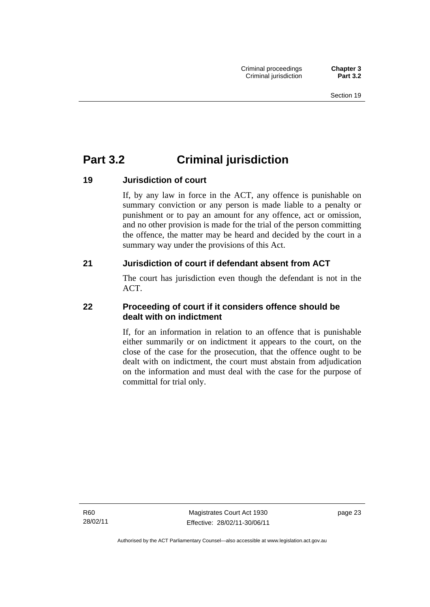# **Part 3.2 Criminal jurisdiction**

# **19 Jurisdiction of court**

If, by any law in force in the ACT, any offence is punishable on summary conviction or any person is made liable to a penalty or punishment or to pay an amount for any offence, act or omission, and no other provision is made for the trial of the person committing the offence, the matter may be heard and decided by the court in a summary way under the provisions of this Act.

# **21 Jurisdiction of court if defendant absent from ACT**

The court has jurisdiction even though the defendant is not in the ACT.

# **22 Proceeding of court if it considers offence should be dealt with on indictment**

If, for an information in relation to an offence that is punishable either summarily or on indictment it appears to the court, on the close of the case for the prosecution, that the offence ought to be dealt with on indictment, the court must abstain from adjudication on the information and must deal with the case for the purpose of committal for trial only.

R60 28/02/11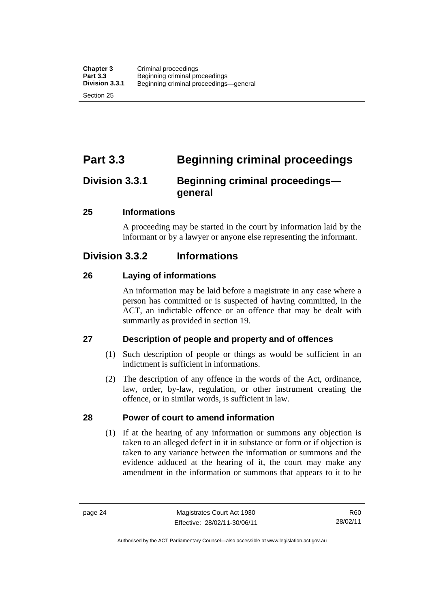# **Part 3.3 Beginning criminal proceedings**

# **Division 3.3.1 Beginning criminal proceedings general**

#### **25 Informations**

A proceeding may be started in the court by information laid by the informant or by a lawyer or anyone else representing the informant.

# **Division 3.3.2 Informations**

#### **26 Laying of informations**

An information may be laid before a magistrate in any case where a person has committed or is suspected of having committed, in the ACT, an indictable offence or an offence that may be dealt with summarily as provided in section 19.

# **27 Description of people and property and of offences**

- (1) Such description of people or things as would be sufficient in an indictment is sufficient in informations.
- (2) The description of any offence in the words of the Act, ordinance, law, order, by-law, regulation, or other instrument creating the offence, or in similar words, is sufficient in law.

#### **28 Power of court to amend information**

(1) If at the hearing of any information or summons any objection is taken to an alleged defect in it in substance or form or if objection is taken to any variance between the information or summons and the evidence adduced at the hearing of it, the court may make any amendment in the information or summons that appears to it to be

R60 28/02/11

Authorised by the ACT Parliamentary Counsel—also accessible at www.legislation.act.gov.au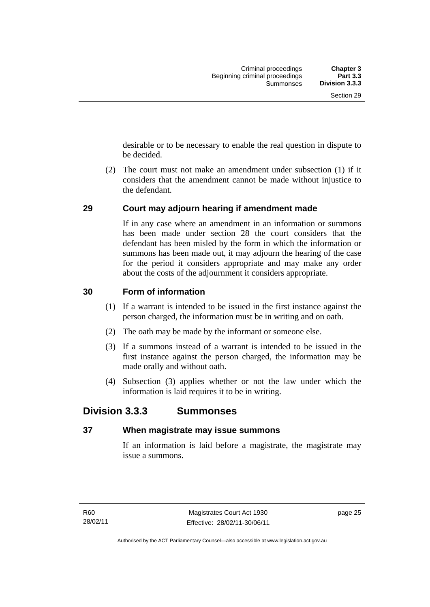desirable or to be necessary to enable the real question in dispute to be decided.

 (2) The court must not make an amendment under subsection (1) if it considers that the amendment cannot be made without injustice to the defendant.

# **29 Court may adjourn hearing if amendment made**

If in any case where an amendment in an information or summons has been made under section 28 the court considers that the defendant has been misled by the form in which the information or summons has been made out, it may adjourn the hearing of the case for the period it considers appropriate and may make any order about the costs of the adjournment it considers appropriate.

#### **30 Form of information**

- (1) If a warrant is intended to be issued in the first instance against the person charged, the information must be in writing and on oath.
- (2) The oath may be made by the informant or someone else.
- (3) If a summons instead of a warrant is intended to be issued in the first instance against the person charged, the information may be made orally and without oath.
- (4) Subsection (3) applies whether or not the law under which the information is laid requires it to be in writing.

# **Division 3.3.3 Summonses**

#### **37 When magistrate may issue summons**

If an information is laid before a magistrate, the magistrate may issue a summons.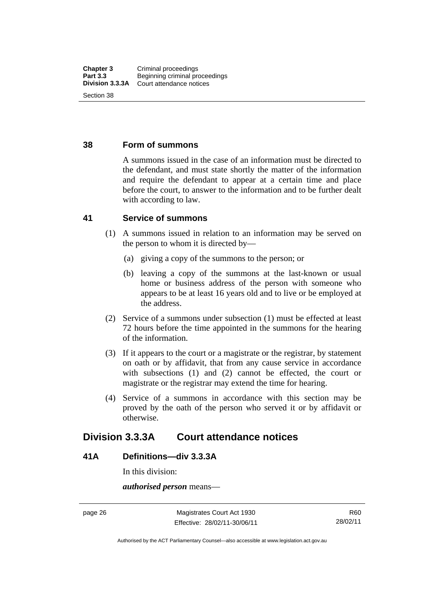#### **38 Form of summons**

A summons issued in the case of an information must be directed to the defendant, and must state shortly the matter of the information and require the defendant to appear at a certain time and place before the court, to answer to the information and to be further dealt with according to law.

#### **41 Service of summons**

- (1) A summons issued in relation to an information may be served on the person to whom it is directed by—
	- (a) giving a copy of the summons to the person; or
	- (b) leaving a copy of the summons at the last-known or usual home or business address of the person with someone who appears to be at least 16 years old and to live or be employed at the address.
- (2) Service of a summons under subsection (1) must be effected at least 72 hours before the time appointed in the summons for the hearing of the information.
- (3) If it appears to the court or a magistrate or the registrar, by statement on oath or by affidavit, that from any cause service in accordance with subsections (1) and (2) cannot be effected, the court or magistrate or the registrar may extend the time for hearing.
- (4) Service of a summons in accordance with this section may be proved by the oath of the person who served it or by affidavit or otherwise.

# **Division 3.3.3A Court attendance notices**

#### **41A Definitions—div 3.3.3A**

In this division:

*authorised person* means—

page 26 Magistrates Court Act 1930 Effective: 28/02/11-30/06/11

Authorised by the ACT Parliamentary Counsel—also accessible at www.legislation.act.gov.au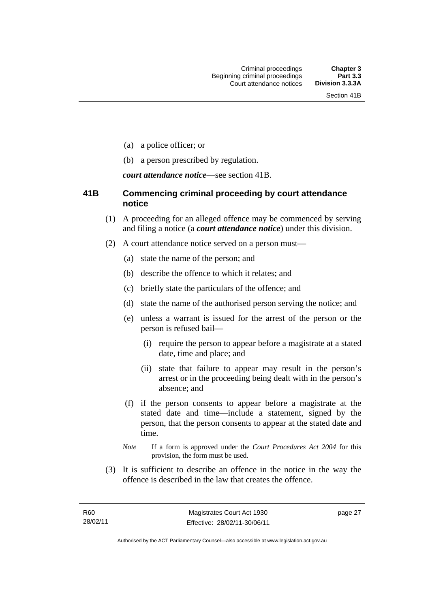- (a) a police officer; or
- (b) a person prescribed by regulation.

*court attendance notice*—see section 41B.

### **41B Commencing criminal proceeding by court attendance notice**

- (1) A proceeding for an alleged offence may be commenced by serving and filing a notice (a *court attendance notice*) under this division.
- (2) A court attendance notice served on a person must––
	- (a) state the name of the person; and
	- (b) describe the offence to which it relates; and
	- (c) briefly state the particulars of the offence; and
	- (d) state the name of the authorised person serving the notice; and
	- (e) unless a warrant is issued for the arrest of the person or the person is refused bail—
		- (i) require the person to appear before a magistrate at a stated date, time and place; and
		- (ii) state that failure to appear may result in the person's arrest or in the proceeding being dealt with in the person's absence; and
	- (f) if the person consents to appear before a magistrate at the stated date and time—include a statement, signed by the person, that the person consents to appear at the stated date and time.
	- *Note* If a form is approved under the *Court Procedures Act 2004* for this provision, the form must be used.
- (3) It is sufficient to describe an offence in the notice in the way the offence is described in the law that creates the offence.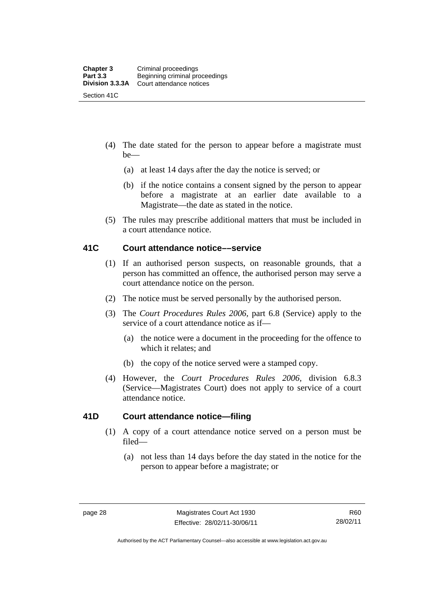- (4) The date stated for the person to appear before a magistrate must be—
	- (a) at least 14 days after the day the notice is served; or
	- (b) if the notice contains a consent signed by the person to appear before a magistrate at an earlier date available to a Magistrate—the date as stated in the notice.
- (5) The rules may prescribe additional matters that must be included in a court attendance notice.

#### **41C Court attendance notice––service**

- (1) If an authorised person suspects, on reasonable grounds, that a person has committed an offence, the authorised person may serve a court attendance notice on the person.
- (2) The notice must be served personally by the authorised person.
- (3) The *Court Procedures Rules 2006,* part 6.8 (Service) apply to the service of a court attendance notice as if—
	- (a) the notice were a document in the proceeding for the offence to which it relates; and
	- (b) the copy of the notice served were a stamped copy.
- (4) However, the *Court Procedures Rules 2006,* division 6.8.3 (Service—Magistrates Court) does not apply to service of a court attendance notice.

# **41D Court attendance notice—filing**

- (1) A copy of a court attendance notice served on a person must be filed—
	- (a) not less than 14 days before the day stated in the notice for the person to appear before a magistrate; or

Authorised by the ACT Parliamentary Counsel—also accessible at www.legislation.act.gov.au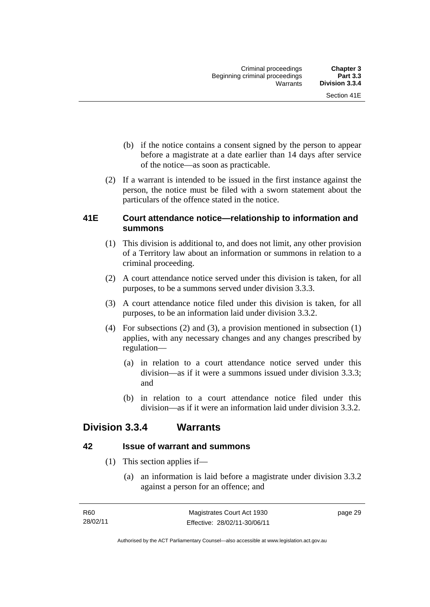- (b) if the notice contains a consent signed by the person to appear before a magistrate at a date earlier than 14 days after service of the notice—as soon as practicable.
- (2) If a warrant is intended to be issued in the first instance against the person, the notice must be filed with a sworn statement about the particulars of the offence stated in the notice.

# **41E Court attendance notice—relationship to information and summons**

- (1) This division is additional to, and does not limit, any other provision of a Territory law about an information or summons in relation to a criminal proceeding.
- (2) A court attendance notice served under this division is taken, for all purposes, to be a summons served under division 3.3.3.
- (3) A court attendance notice filed under this division is taken, for all purposes, to be an information laid under division 3.3.2.
- (4) For subsections (2) and (3), a provision mentioned in subsection (1) applies, with any necessary changes and any changes prescribed by regulation—
	- (a) in relation to a court attendance notice served under this division—as if it were a summons issued under division 3.3.3; and
	- (b) in relation to a court attendance notice filed under this division—as if it were an information laid under division 3.3.2.

# **Division 3.3.4 Warrants**

# **42 Issue of warrant and summons**

- (1) This section applies if—
	- (a) an information is laid before a magistrate under division 3.3.2 against a person for an offence; and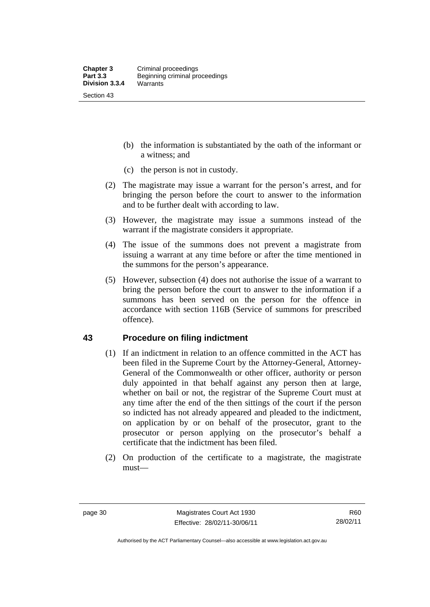- (b) the information is substantiated by the oath of the informant or a witness; and
- (c) the person is not in custody.
- (2) The magistrate may issue a warrant for the person's arrest, and for bringing the person before the court to answer to the information and to be further dealt with according to law.
- (3) However, the magistrate may issue a summons instead of the warrant if the magistrate considers it appropriate.
- (4) The issue of the summons does not prevent a magistrate from issuing a warrant at any time before or after the time mentioned in the summons for the person's appearance.
- (5) However, subsection (4) does not authorise the issue of a warrant to bring the person before the court to answer to the information if a summons has been served on the person for the offence in accordance with section 116B (Service of summons for prescribed offence).

#### **43 Procedure on filing indictment**

- (1) If an indictment in relation to an offence committed in the ACT has been filed in the Supreme Court by the Attorney-General, Attorney-General of the Commonwealth or other officer, authority or person duly appointed in that behalf against any person then at large, whether on bail or not, the registrar of the Supreme Court must at any time after the end of the then sittings of the court if the person so indicted has not already appeared and pleaded to the indictment, on application by or on behalf of the prosecutor, grant to the prosecutor or person applying on the prosecutor's behalf a certificate that the indictment has been filed.
- (2) On production of the certificate to a magistrate, the magistrate must—

Authorised by the ACT Parliamentary Counsel—also accessible at www.legislation.act.gov.au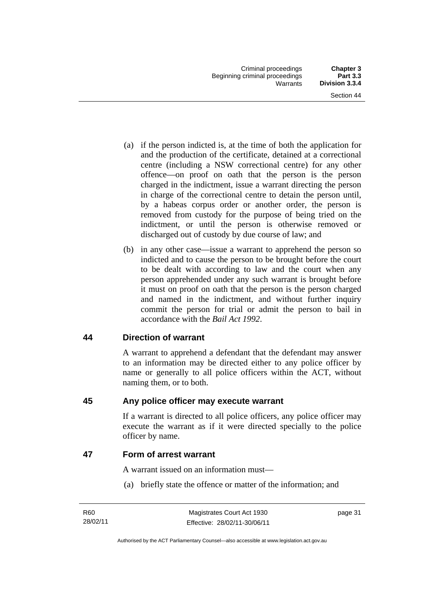- (a) if the person indicted is, at the time of both the application for and the production of the certificate, detained at a correctional centre (including a NSW correctional centre) for any other offence—on proof on oath that the person is the person charged in the indictment, issue a warrant directing the person in charge of the correctional centre to detain the person until, by a habeas corpus order or another order, the person is removed from custody for the purpose of being tried on the indictment, or until the person is otherwise removed or discharged out of custody by due course of law; and
- (b) in any other case—issue a warrant to apprehend the person so indicted and to cause the person to be brought before the court to be dealt with according to law and the court when any person apprehended under any such warrant is brought before it must on proof on oath that the person is the person charged and named in the indictment, and without further inquiry commit the person for trial or admit the person to bail in accordance with the *Bail Act 1992*.

# **44 Direction of warrant**

A warrant to apprehend a defendant that the defendant may answer to an information may be directed either to any police officer by name or generally to all police officers within the ACT, without naming them, or to both.

# **45 Any police officer may execute warrant**

If a warrant is directed to all police officers, any police officer may execute the warrant as if it were directed specially to the police officer by name.

# **47 Form of arrest warrant**

A warrant issued on an information must—

(a) briefly state the offence or matter of the information; and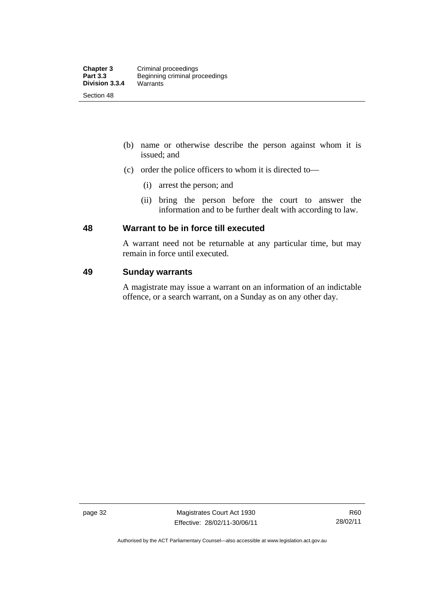- (b) name or otherwise describe the person against whom it is issued; and
- (c) order the police officers to whom it is directed to—
	- (i) arrest the person; and
	- (ii) bring the person before the court to answer the information and to be further dealt with according to law.

#### **48 Warrant to be in force till executed**

A warrant need not be returnable at any particular time, but may remain in force until executed.

## **49 Sunday warrants**

A magistrate may issue a warrant on an information of an indictable offence, or a search warrant, on a Sunday as on any other day.

page 32 Magistrates Court Act 1930 Effective: 28/02/11-30/06/11

Authorised by the ACT Parliamentary Counsel—also accessible at www.legislation.act.gov.au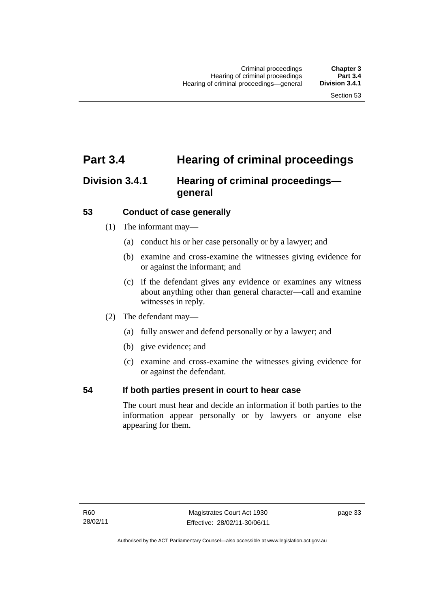# **Part 3.4 Hearing of criminal proceedings**

# **Division 3.4.1 Hearing of criminal proceedings general**

#### **53 Conduct of case generally**

- (1) The informant may—
	- (a) conduct his or her case personally or by a lawyer; and
	- (b) examine and cross-examine the witnesses giving evidence for or against the informant; and
	- (c) if the defendant gives any evidence or examines any witness about anything other than general character—call and examine witnesses in reply.
- (2) The defendant may—
	- (a) fully answer and defend personally or by a lawyer; and
	- (b) give evidence; and
	- (c) examine and cross-examine the witnesses giving evidence for or against the defendant.

#### **54 If both parties present in court to hear case**

The court must hear and decide an information if both parties to the information appear personally or by lawyers or anyone else appearing for them.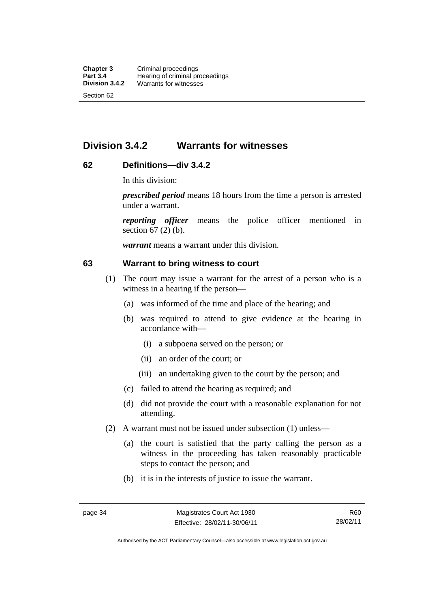# **Division 3.4.2 Warrants for witnesses**

# **62 Definitions—div 3.4.2**

In this division:

*prescribed period* means 18 hours from the time a person is arrested under a warrant.

*reporting officer* means the police officer mentioned in section 67 (2) (b).

*warrant* means a warrant under this division.

#### **63 Warrant to bring witness to court**

- (1) The court may issue a warrant for the arrest of a person who is a witness in a hearing if the person—
	- (a) was informed of the time and place of the hearing; and
	- (b) was required to attend to give evidence at the hearing in accordance with—
		- (i) a subpoena served on the person; or
		- (ii) an order of the court; or
		- (iii) an undertaking given to the court by the person; and
	- (c) failed to attend the hearing as required; and
	- (d) did not provide the court with a reasonable explanation for not attending.
- (2) A warrant must not be issued under subsection (1) unless—
	- (a) the court is satisfied that the party calling the person as a witness in the proceeding has taken reasonably practicable steps to contact the person; and
	- (b) it is in the interests of justice to issue the warrant.

Authorised by the ACT Parliamentary Counsel—also accessible at www.legislation.act.gov.au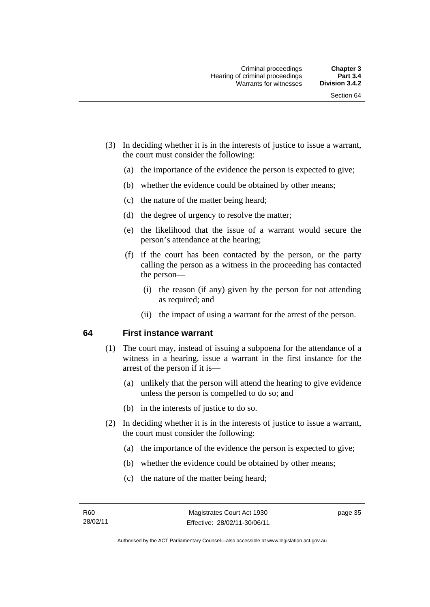- (3) In deciding whether it is in the interests of justice to issue a warrant, the court must consider the following:
	- (a) the importance of the evidence the person is expected to give;
	- (b) whether the evidence could be obtained by other means;
	- (c) the nature of the matter being heard;
	- (d) the degree of urgency to resolve the matter;
	- (e) the likelihood that the issue of a warrant would secure the person's attendance at the hearing;
	- (f) if the court has been contacted by the person, or the party calling the person as a witness in the proceeding has contacted the person—
		- (i) the reason (if any) given by the person for not attending as required; and
		- (ii) the impact of using a warrant for the arrest of the person.

#### **64 First instance warrant**

- (1) The court may, instead of issuing a subpoena for the attendance of a witness in a hearing, issue a warrant in the first instance for the arrest of the person if it is—
	- (a) unlikely that the person will attend the hearing to give evidence unless the person is compelled to do so; and
	- (b) in the interests of justice to do so.
- (2) In deciding whether it is in the interests of justice to issue a warrant, the court must consider the following:
	- (a) the importance of the evidence the person is expected to give;
	- (b) whether the evidence could be obtained by other means;
	- (c) the nature of the matter being heard;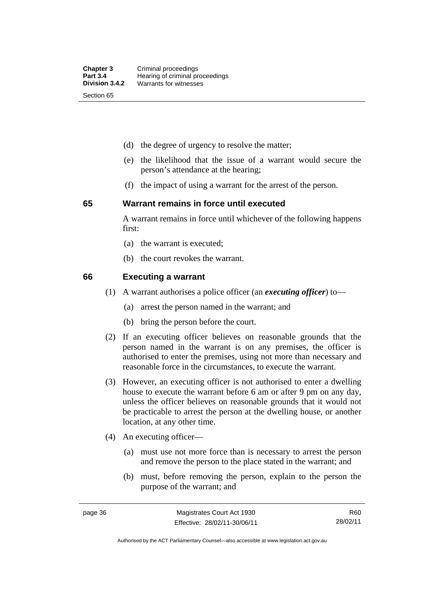- (d) the degree of urgency to resolve the matter;
- (e) the likelihood that the issue of a warrant would secure the person's attendance at the hearing;
- (f) the impact of using a warrant for the arrest of the person.

#### **65 Warrant remains in force until executed**

A warrant remains in force until whichever of the following happens first:

- (a) the warrant is executed;
- (b) the court revokes the warrant.

#### **66 Executing a warrant**

- (1) A warrant authorises a police officer (an *executing officer*) to—
	- (a) arrest the person named in the warrant; and
	- (b) bring the person before the court.
- (2) If an executing officer believes on reasonable grounds that the person named in the warrant is on any premises, the officer is authorised to enter the premises, using not more than necessary and reasonable force in the circumstances, to execute the warrant.
- (3) However, an executing officer is not authorised to enter a dwelling house to execute the warrant before 6 am or after 9 pm on any day, unless the officer believes on reasonable grounds that it would not be practicable to arrest the person at the dwelling house, or another location, at any other time.
- (4) An executing officer—
	- (a) must use not more force than is necessary to arrest the person and remove the person to the place stated in the warrant; and
	- (b) must, before removing the person, explain to the person the purpose of the warrant; and

R60 28/02/11

Authorised by the ACT Parliamentary Counsel—also accessible at www.legislation.act.gov.au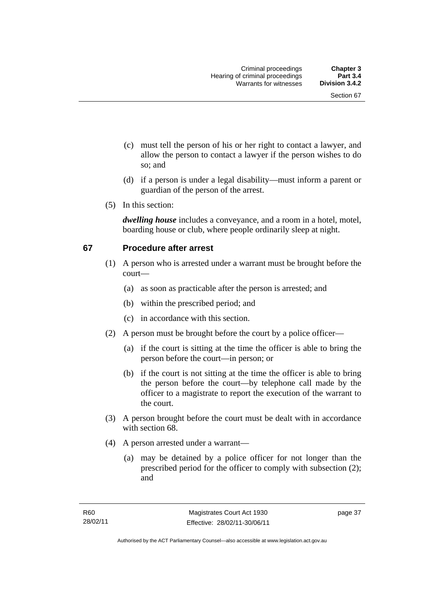- (c) must tell the person of his or her right to contact a lawyer, and allow the person to contact a lawyer if the person wishes to do so; and
- (d) if a person is under a legal disability—must inform a parent or guardian of the person of the arrest.
- (5) In this section:

*dwelling house* includes a conveyance, and a room in a hotel, motel, boarding house or club, where people ordinarily sleep at night.

# **67 Procedure after arrest**

- (1) A person who is arrested under a warrant must be brought before the court—
	- (a) as soon as practicable after the person is arrested; and
	- (b) within the prescribed period; and
	- (c) in accordance with this section.
- (2) A person must be brought before the court by a police officer—
	- (a) if the court is sitting at the time the officer is able to bring the person before the court—in person; or
	- (b) if the court is not sitting at the time the officer is able to bring the person before the court—by telephone call made by the officer to a magistrate to report the execution of the warrant to the court.
- (3) A person brought before the court must be dealt with in accordance with section 68.
- (4) A person arrested under a warrant—
	- (a) may be detained by a police officer for not longer than the prescribed period for the officer to comply with subsection (2); and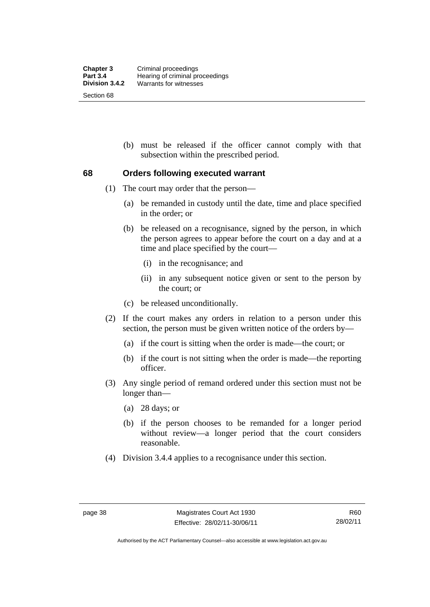(b) must be released if the officer cannot comply with that subsection within the prescribed period.

#### **68 Orders following executed warrant**

- (1) The court may order that the person—
	- (a) be remanded in custody until the date, time and place specified in the order; or
	- (b) be released on a recognisance, signed by the person, in which the person agrees to appear before the court on a day and at a time and place specified by the court—
		- (i) in the recognisance; and
		- (ii) in any subsequent notice given or sent to the person by the court; or
	- (c) be released unconditionally.
- (2) If the court makes any orders in relation to a person under this section, the person must be given written notice of the orders by—
	- (a) if the court is sitting when the order is made—the court; or
	- (b) if the court is not sitting when the order is made—the reporting officer.
- (3) Any single period of remand ordered under this section must not be longer than—
	- (a) 28 days; or
	- (b) if the person chooses to be remanded for a longer period without review—a longer period that the court considers reasonable.
- (4) Division 3.4.4 applies to a recognisance under this section.

Authorised by the ACT Parliamentary Counsel—also accessible at www.legislation.act.gov.au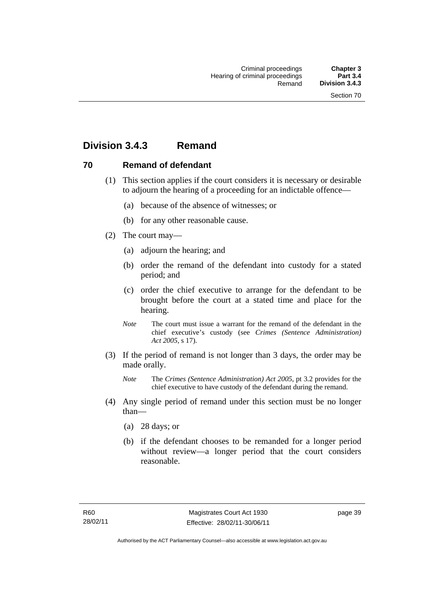# **Division 3.4.3 Remand**

#### **70 Remand of defendant**

- (1) This section applies if the court considers it is necessary or desirable to adjourn the hearing of a proceeding for an indictable offence—
	- (a) because of the absence of witnesses; or
	- (b) for any other reasonable cause.
- (2) The court may—
	- (a) adjourn the hearing; and
	- (b) order the remand of the defendant into custody for a stated period; and
	- (c) order the chief executive to arrange for the defendant to be brought before the court at a stated time and place for the hearing.
	- *Note* The court must issue a warrant for the remand of the defendant in the chief executive's custody (see *Crimes (Sentence Administration) Act 2005*, s 17).
- (3) If the period of remand is not longer than 3 days, the order may be made orally.
	- *Note* The *Crimes (Sentence Administration) Act 2005*, pt 3.2 provides for the chief executive to have custody of the defendant during the remand.
- (4) Any single period of remand under this section must be no longer than—
	- (a) 28 days; or
	- (b) if the defendant chooses to be remanded for a longer period without review—a longer period that the court considers reasonable.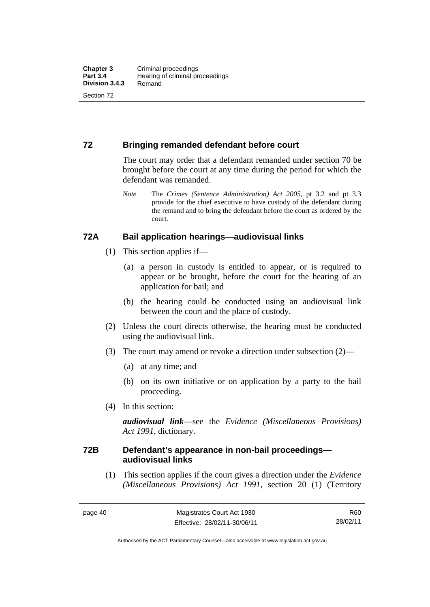### **72 Bringing remanded defendant before court**

The court may order that a defendant remanded under section 70 be brought before the court at any time during the period for which the defendant was remanded.

*Note* The *Crimes (Sentence Administration) Act 2005*, pt 3.2 and pt 3.3 provide for the chief executive to have custody of the defendant during the remand and to bring the defendant before the court as ordered by the court.

#### **72A Bail application hearings—audiovisual links**

- (1) This section applies if—
	- (a) a person in custody is entitled to appear, or is required to appear or be brought, before the court for the hearing of an application for bail; and
	- (b) the hearing could be conducted using an audiovisual link between the court and the place of custody.
- (2) Unless the court directs otherwise, the hearing must be conducted using the audiovisual link.
- (3) The court may amend or revoke a direction under subsection (2)—
	- (a) at any time; and
	- (b) on its own initiative or on application by a party to the bail proceeding.
- (4) In this section:

*audiovisual link*—see the *Evidence (Miscellaneous Provisions) Act 1991*, dictionary.

#### **72B Defendant's appearance in non-bail proceedings audiovisual links**

(1) This section applies if the court gives a direction under the *Evidence (Miscellaneous Provisions) Act 1991*, section 20 (1) (Territory

R60 28/02/11

Authorised by the ACT Parliamentary Counsel—also accessible at www.legislation.act.gov.au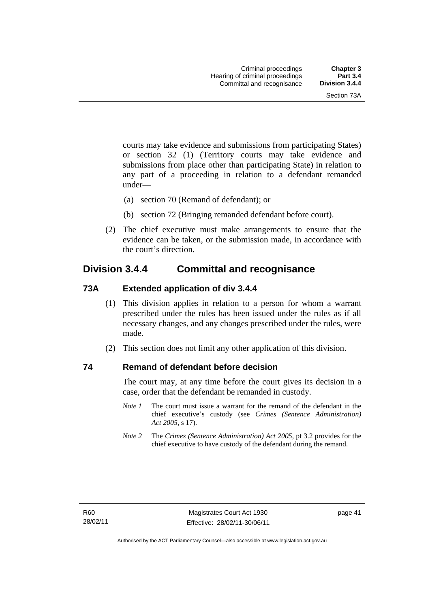courts may take evidence and submissions from participating States) or section 32 (1) (Territory courts may take evidence and submissions from place other than participating State) in relation to any part of a proceeding in relation to a defendant remanded under—

- (a) section 70 (Remand of defendant); or
- (b) section 72 (Bringing remanded defendant before court).
- (2) The chief executive must make arrangements to ensure that the evidence can be taken, or the submission made, in accordance with the court's direction.

# **Division 3.4.4 Committal and recognisance**

#### **73A Extended application of div 3.4.4**

- (1) This division applies in relation to a person for whom a warrant prescribed under the rules has been issued under the rules as if all necessary changes, and any changes prescribed under the rules, were made.
- (2) This section does not limit any other application of this division.

#### **74 Remand of defendant before decision**

The court may, at any time before the court gives its decision in a case, order that the defendant be remanded in custody.

- *Note 1* The court must issue a warrant for the remand of the defendant in the chief executive's custody (see *Crimes (Sentence Administration) Act 2005*, s 17).
- *Note 2* The *Crimes (Sentence Administration) Act 2005*, pt 3.2 provides for the chief executive to have custody of the defendant during the remand.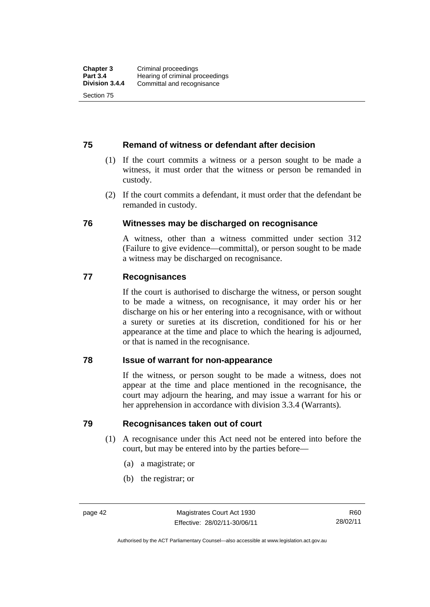#### **75 Remand of witness or defendant after decision**

- (1) If the court commits a witness or a person sought to be made a witness, it must order that the witness or person be remanded in custody.
- (2) If the court commits a defendant, it must order that the defendant be remanded in custody.

#### **76 Witnesses may be discharged on recognisance**

A witness, other than a witness committed under section 312 (Failure to give evidence—committal), or person sought to be made a witness may be discharged on recognisance.

#### **77 Recognisances**

If the court is authorised to discharge the witness, or person sought to be made a witness, on recognisance, it may order his or her discharge on his or her entering into a recognisance, with or without a surety or sureties at its discretion, conditioned for his or her appearance at the time and place to which the hearing is adjourned, or that is named in the recognisance.

#### **78 Issue of warrant for non-appearance**

If the witness, or person sought to be made a witness, does not appear at the time and place mentioned in the recognisance, the court may adjourn the hearing, and may issue a warrant for his or her apprehension in accordance with division 3.3.4 (Warrants).

#### **79 Recognisances taken out of court**

- (1) A recognisance under this Act need not be entered into before the court, but may be entered into by the parties before—
	- (a) a magistrate; or
	- (b) the registrar; or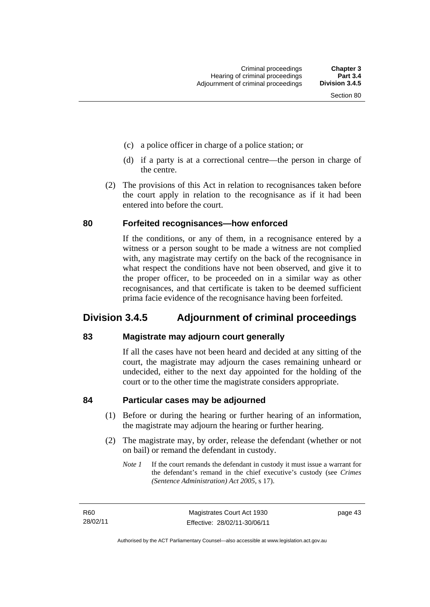- (c) a police officer in charge of a police station; or
- (d) if a party is at a correctional centre—the person in charge of the centre.
- (2) The provisions of this Act in relation to recognisances taken before the court apply in relation to the recognisance as if it had been entered into before the court.

#### **80 Forfeited recognisances—how enforced**

If the conditions, or any of them, in a recognisance entered by a witness or a person sought to be made a witness are not complied with, any magistrate may certify on the back of the recognisance in what respect the conditions have not been observed, and give it to the proper officer, to be proceeded on in a similar way as other recognisances, and that certificate is taken to be deemed sufficient prima facie evidence of the recognisance having been forfeited.

# **Division 3.4.5 Adjournment of criminal proceedings**

#### **83 Magistrate may adjourn court generally**

If all the cases have not been heard and decided at any sitting of the court, the magistrate may adjourn the cases remaining unheard or undecided, either to the next day appointed for the holding of the court or to the other time the magistrate considers appropriate.

#### **84 Particular cases may be adjourned**

- (1) Before or during the hearing or further hearing of an information, the magistrate may adjourn the hearing or further hearing.
- (2) The magistrate may, by order, release the defendant (whether or not on bail) or remand the defendant in custody.
	- *Note 1* If the court remands the defendant in custody it must issue a warrant for the defendant's remand in the chief executive's custody (see *Crimes (Sentence Administration) Act 2005*, s 17).

R60 28/02/11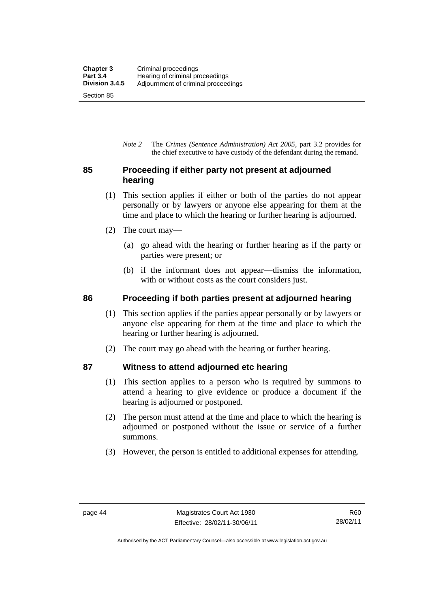*Note 2* The *Crimes (Sentence Administration) Act 2005*, part 3.2 provides for the chief executive to have custody of the defendant during the remand.

# **85 Proceeding if either party not present at adjourned hearing**

- (1) This section applies if either or both of the parties do not appear personally or by lawyers or anyone else appearing for them at the time and place to which the hearing or further hearing is adjourned.
- (2) The court may—
	- (a) go ahead with the hearing or further hearing as if the party or parties were present; or
	- (b) if the informant does not appear—dismiss the information, with or without costs as the court considers just.

# **86 Proceeding if both parties present at adjourned hearing**

- (1) This section applies if the parties appear personally or by lawyers or anyone else appearing for them at the time and place to which the hearing or further hearing is adjourned.
- (2) The court may go ahead with the hearing or further hearing.

# **87 Witness to attend adjourned etc hearing**

- (1) This section applies to a person who is required by summons to attend a hearing to give evidence or produce a document if the hearing is adjourned or postponed.
- (2) The person must attend at the time and place to which the hearing is adjourned or postponed without the issue or service of a further summons.
- (3) However, the person is entitled to additional expenses for attending.

Authorised by the ACT Parliamentary Counsel—also accessible at www.legislation.act.gov.au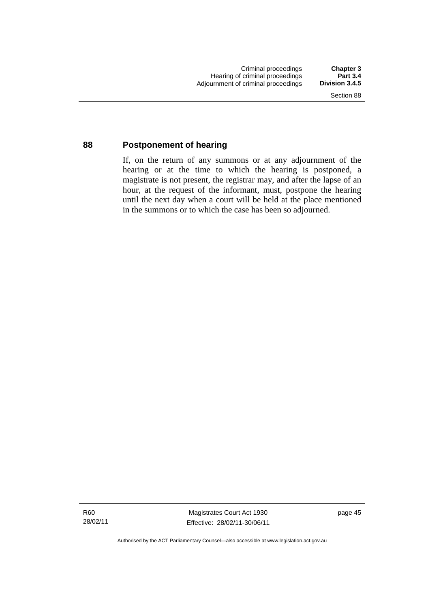#### **88 Postponement of hearing**

If, on the return of any summons or at any adjournment of the hearing or at the time to which the hearing is postponed, a magistrate is not present, the registrar may, and after the lapse of an hour, at the request of the informant, must, postpone the hearing until the next day when a court will be held at the place mentioned in the summons or to which the case has been so adjourned.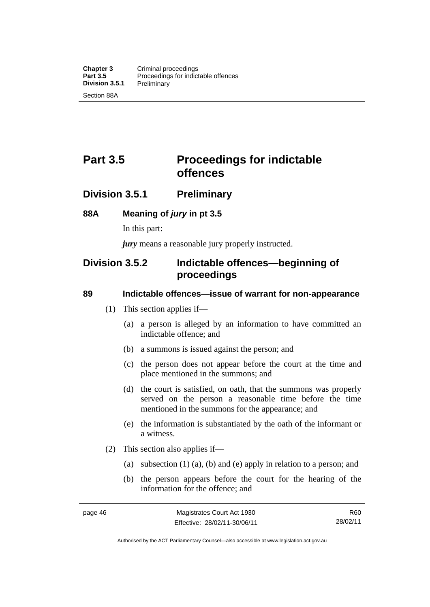# **Part 3.5** Proceedings for indictable **offences**

# **Division 3.5.1 Preliminary**

#### **88A Meaning of** *jury* **in pt 3.5**

In this part:

*jury* means a reasonable jury properly instructed.

# **Division 3.5.2 Indictable offences—beginning of proceedings**

#### **89 Indictable offences—issue of warrant for non-appearance**

- (1) This section applies if—
	- (a) a person is alleged by an information to have committed an indictable offence; and
	- (b) a summons is issued against the person; and
	- (c) the person does not appear before the court at the time and place mentioned in the summons; and
	- (d) the court is satisfied, on oath, that the summons was properly served on the person a reasonable time before the time mentioned in the summons for the appearance; and
	- (e) the information is substantiated by the oath of the informant or a witness.
- (2) This section also applies if—
	- (a) subsection (1) (a), (b) and (e) apply in relation to a person; and
	- (b) the person appears before the court for the hearing of the information for the offence; and

R60 28/02/11

Authorised by the ACT Parliamentary Counsel—also accessible at www.legislation.act.gov.au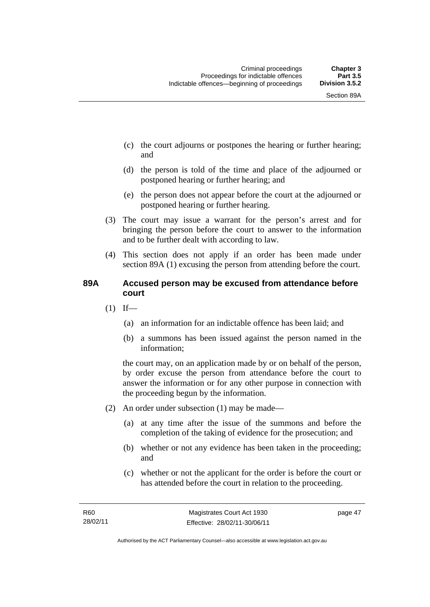- (c) the court adjourns or postpones the hearing or further hearing; and
- (d) the person is told of the time and place of the adjourned or postponed hearing or further hearing; and
- (e) the person does not appear before the court at the adjourned or postponed hearing or further hearing.
- (3) The court may issue a warrant for the person's arrest and for bringing the person before the court to answer to the information and to be further dealt with according to law.
- (4) This section does not apply if an order has been made under section 89A (1) excusing the person from attending before the court.

### **89A Accused person may be excused from attendance before court**

- $(1)$  If—
	- (a) an information for an indictable offence has been laid; and
	- (b) a summons has been issued against the person named in the information;

the court may, on an application made by or on behalf of the person, by order excuse the person from attendance before the court to answer the information or for any other purpose in connection with the proceeding begun by the information.

- (2) An order under subsection (1) may be made—
	- (a) at any time after the issue of the summons and before the completion of the taking of evidence for the prosecution; and
	- (b) whether or not any evidence has been taken in the proceeding; and
	- (c) whether or not the applicant for the order is before the court or has attended before the court in relation to the proceeding.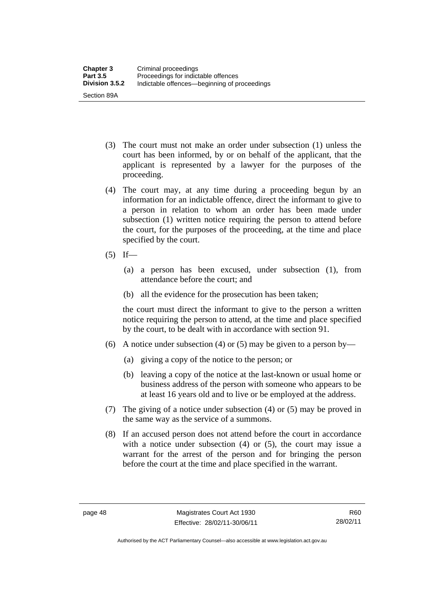- (3) The court must not make an order under subsection (1) unless the court has been informed, by or on behalf of the applicant, that the applicant is represented by a lawyer for the purposes of the proceeding.
- (4) The court may, at any time during a proceeding begun by an information for an indictable offence, direct the informant to give to a person in relation to whom an order has been made under subsection (1) written notice requiring the person to attend before the court, for the purposes of the proceeding, at the time and place specified by the court.
- $(5)$  If—
	- (a) a person has been excused, under subsection (1), from attendance before the court; and
	- (b) all the evidence for the prosecution has been taken;

the court must direct the informant to give to the person a written notice requiring the person to attend, at the time and place specified by the court, to be dealt with in accordance with section 91.

- (6) A notice under subsection (4) or (5) may be given to a person by—
	- (a) giving a copy of the notice to the person; or
	- (b) leaving a copy of the notice at the last-known or usual home or business address of the person with someone who appears to be at least 16 years old and to live or be employed at the address.
- (7) The giving of a notice under subsection (4) or (5) may be proved in the same way as the service of a summons.
- (8) If an accused person does not attend before the court in accordance with a notice under subsection (4) or (5), the court may issue a warrant for the arrest of the person and for bringing the person before the court at the time and place specified in the warrant.

Authorised by the ACT Parliamentary Counsel—also accessible at www.legislation.act.gov.au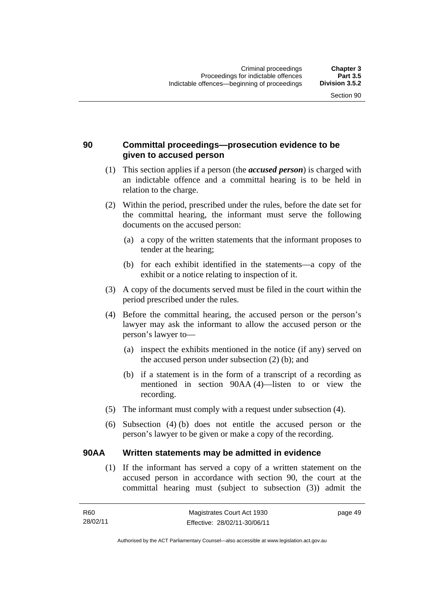# **90 Committal proceedings—prosecution evidence to be given to accused person**

- (1) This section applies if a person (the *accused person*) is charged with an indictable offence and a committal hearing is to be held in relation to the charge.
- (2) Within the period, prescribed under the rules, before the date set for the committal hearing, the informant must serve the following documents on the accused person:
	- (a) a copy of the written statements that the informant proposes to tender at the hearing;
	- (b) for each exhibit identified in the statements—a copy of the exhibit or a notice relating to inspection of it.
- (3) A copy of the documents served must be filed in the court within the period prescribed under the rules.
- (4) Before the committal hearing, the accused person or the person's lawyer may ask the informant to allow the accused person or the person's lawyer to—
	- (a) inspect the exhibits mentioned in the notice (if any) served on the accused person under subsection (2) (b); and
	- (b) if a statement is in the form of a transcript of a recording as mentioned in section 90AA (4)—listen to or view the recording.
- (5) The informant must comply with a request under subsection (4).
- (6) Subsection (4) (b) does not entitle the accused person or the person's lawyer to be given or make a copy of the recording.

#### **90AA Written statements may be admitted in evidence**

 (1) If the informant has served a copy of a written statement on the accused person in accordance with section 90, the court at the committal hearing must (subject to subsection (3)) admit the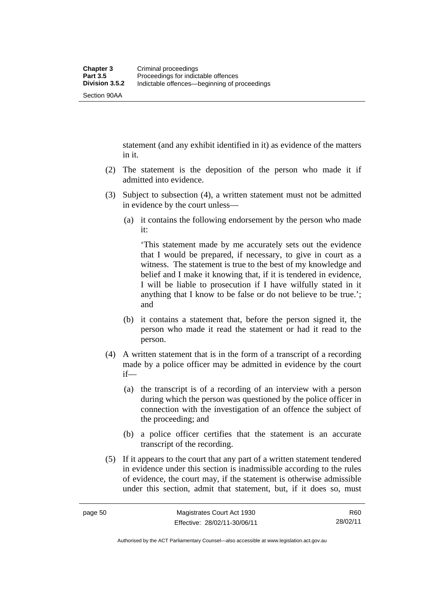Section 90AA

statement (and any exhibit identified in it) as evidence of the matters in it.

- (2) The statement is the deposition of the person who made it if admitted into evidence.
- (3) Subject to subsection (4), a written statement must not be admitted in evidence by the court unless—
	- (a) it contains the following endorsement by the person who made it:

'This statement made by me accurately sets out the evidence that I would be prepared, if necessary, to give in court as a witness. The statement is true to the best of my knowledge and belief and I make it knowing that, if it is tendered in evidence, I will be liable to prosecution if I have wilfully stated in it anything that I know to be false or do not believe to be true.'; and

- (b) it contains a statement that, before the person signed it, the person who made it read the statement or had it read to the person.
- (4) A written statement that is in the form of a transcript of a recording made by a police officer may be admitted in evidence by the court if—
	- (a) the transcript is of a recording of an interview with a person during which the person was questioned by the police officer in connection with the investigation of an offence the subject of the proceeding; and
	- (b) a police officer certifies that the statement is an accurate transcript of the recording.
- (5) If it appears to the court that any part of a written statement tendered in evidence under this section is inadmissible according to the rules of evidence, the court may, if the statement is otherwise admissible under this section, admit that statement, but, if it does so, must

Authorised by the ACT Parliamentary Counsel—also accessible at www.legislation.act.gov.au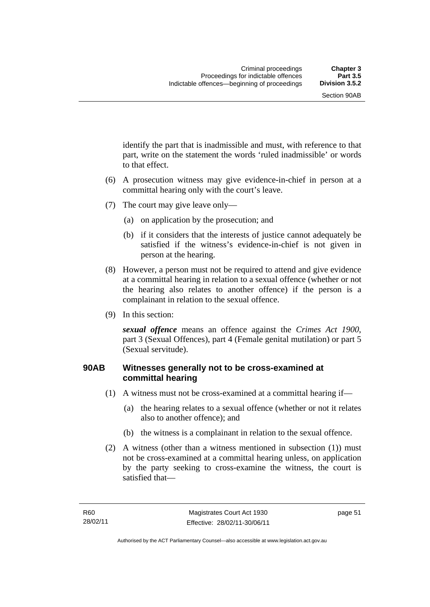identify the part that is inadmissible and must, with reference to that part, write on the statement the words 'ruled inadmissible' or words to that effect.

- (6) A prosecution witness may give evidence-in-chief in person at a committal hearing only with the court's leave.
- (7) The court may give leave only—
	- (a) on application by the prosecution; and
	- (b) if it considers that the interests of justice cannot adequately be satisfied if the witness's evidence-in-chief is not given in person at the hearing.
- (8) However, a person must not be required to attend and give evidence at a committal hearing in relation to a sexual offence (whether or not the hearing also relates to another offence) if the person is a complainant in relation to the sexual offence.
- (9) In this section:

*sexual offence* means an offence against the *Crimes Act 1900*, part 3 (Sexual Offences), part 4 (Female genital mutilation) or part 5 (Sexual servitude).

# **90AB Witnesses generally not to be cross-examined at committal hearing**

- (1) A witness must not be cross-examined at a committal hearing if—
	- (a) the hearing relates to a sexual offence (whether or not it relates also to another offence); and
	- (b) the witness is a complainant in relation to the sexual offence.
- (2) A witness (other than a witness mentioned in subsection (1)) must not be cross-examined at a committal hearing unless, on application by the party seeking to cross-examine the witness, the court is satisfied that—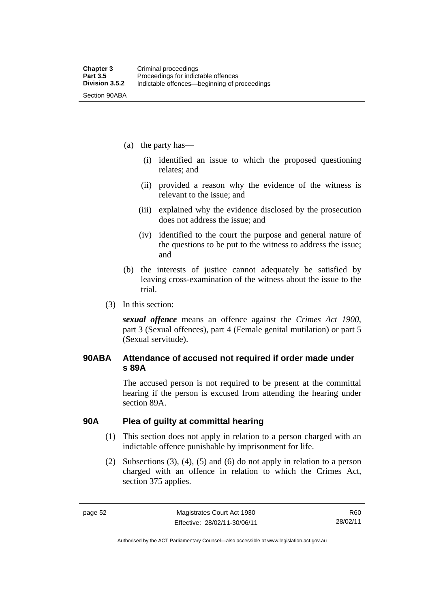- (a) the party has—
	- (i) identified an issue to which the proposed questioning relates; and
	- (ii) provided a reason why the evidence of the witness is relevant to the issue; and
	- (iii) explained why the evidence disclosed by the prosecution does not address the issue; and
	- (iv) identified to the court the purpose and general nature of the questions to be put to the witness to address the issue; and
- (b) the interests of justice cannot adequately be satisfied by leaving cross-examination of the witness about the issue to the trial.
- (3) In this section:

*sexual offence* means an offence against the *Crimes Act 1900*, part 3 (Sexual offences), part 4 (Female genital mutilation) or part 5 (Sexual servitude).

#### **90ABA Attendance of accused not required if order made under s 89A**

The accused person is not required to be present at the committal hearing if the person is excused from attending the hearing under section 89A.

#### **90A Plea of guilty at committal hearing**

- (1) This section does not apply in relation to a person charged with an indictable offence punishable by imprisonment for life.
- (2) Subsections (3), (4), (5) and (6) do not apply in relation to a person charged with an offence in relation to which the Crimes Act, section 375 applies.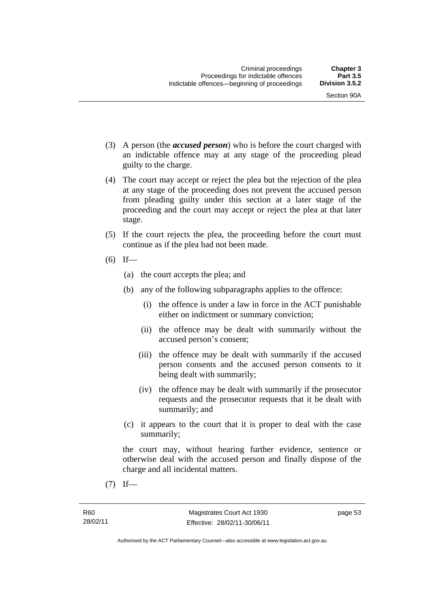Section 90A

- (3) A person (the *accused person*) who is before the court charged with an indictable offence may at any stage of the proceeding plead guilty to the charge.
- (4) The court may accept or reject the plea but the rejection of the plea at any stage of the proceeding does not prevent the accused person from pleading guilty under this section at a later stage of the proceeding and the court may accept or reject the plea at that later stage.
- (5) If the court rejects the plea, the proceeding before the court must continue as if the plea had not been made.
- $(6)$  If—
	- (a) the court accepts the plea; and
	- (b) any of the following subparagraphs applies to the offence:
		- (i) the offence is under a law in force in the ACT punishable either on indictment or summary conviction;
		- (ii) the offence may be dealt with summarily without the accused person's consent;
		- (iii) the offence may be dealt with summarily if the accused person consents and the accused person consents to it being dealt with summarily;
		- (iv) the offence may be dealt with summarily if the prosecutor requests and the prosecutor requests that it be dealt with summarily; and
	- (c) it appears to the court that it is proper to deal with the case summarily;

the court may, without hearing further evidence, sentence or otherwise deal with the accused person and finally dispose of the charge and all incidental matters.

 $(7)$  If—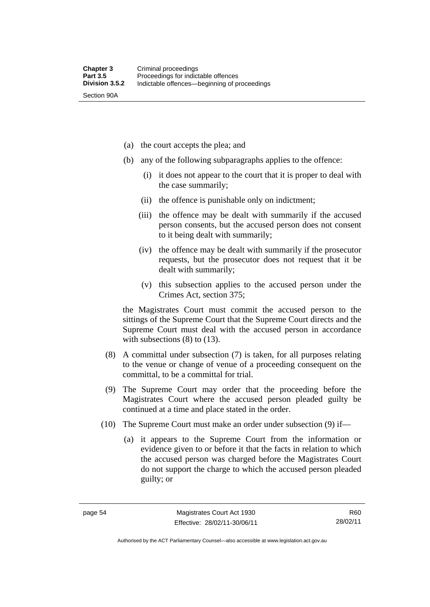Section 90A

(a) the court accepts the plea; and

- (b) any of the following subparagraphs applies to the offence:
	- (i) it does not appear to the court that it is proper to deal with the case summarily;
	- (ii) the offence is punishable only on indictment;
	- (iii) the offence may be dealt with summarily if the accused person consents, but the accused person does not consent to it being dealt with summarily;
	- (iv) the offence may be dealt with summarily if the prosecutor requests, but the prosecutor does not request that it be dealt with summarily;
	- (v) this subsection applies to the accused person under the Crimes Act, section 375;

the Magistrates Court must commit the accused person to the sittings of the Supreme Court that the Supreme Court directs and the Supreme Court must deal with the accused person in accordance with subsections (8) to (13).

- (8) A committal under subsection (7) is taken, for all purposes relating to the venue or change of venue of a proceeding consequent on the committal, to be a committal for trial.
- (9) The Supreme Court may order that the proceeding before the Magistrates Court where the accused person pleaded guilty be continued at a time and place stated in the order.
- (10) The Supreme Court must make an order under subsection (9) if—
	- (a) it appears to the Supreme Court from the information or evidence given to or before it that the facts in relation to which the accused person was charged before the Magistrates Court do not support the charge to which the accused person pleaded guilty; or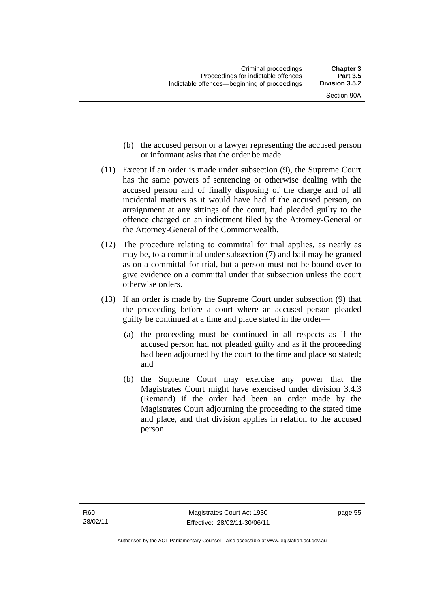- (b) the accused person or a lawyer representing the accused person or informant asks that the order be made.
- (11) Except if an order is made under subsection (9), the Supreme Court has the same powers of sentencing or otherwise dealing with the accused person and of finally disposing of the charge and of all incidental matters as it would have had if the accused person, on arraignment at any sittings of the court, had pleaded guilty to the offence charged on an indictment filed by the Attorney-General or the Attorney-General of the Commonwealth.
- (12) The procedure relating to committal for trial applies, as nearly as may be, to a committal under subsection (7) and bail may be granted as on a committal for trial, but a person must not be bound over to give evidence on a committal under that subsection unless the court otherwise orders.
- (13) If an order is made by the Supreme Court under subsection (9) that the proceeding before a court where an accused person pleaded guilty be continued at a time and place stated in the order—
	- (a) the proceeding must be continued in all respects as if the accused person had not pleaded guilty and as if the proceeding had been adjourned by the court to the time and place so stated; and
	- (b) the Supreme Court may exercise any power that the Magistrates Court might have exercised under division 3.4.3 (Remand) if the order had been an order made by the Magistrates Court adjourning the proceeding to the stated time and place, and that division applies in relation to the accused person.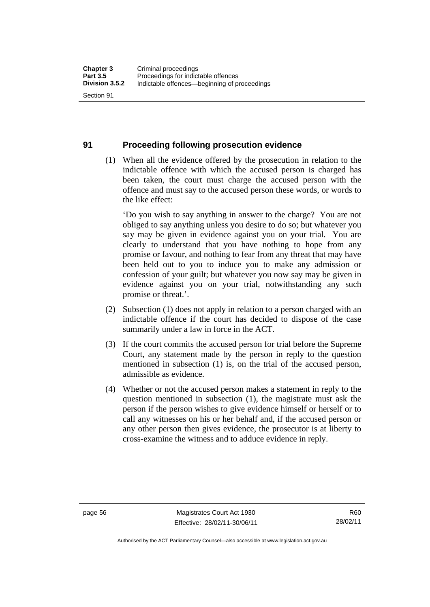#### **91 Proceeding following prosecution evidence**

 (1) When all the evidence offered by the prosecution in relation to the indictable offence with which the accused person is charged has been taken, the court must charge the accused person with the offence and must say to the accused person these words, or words to the like effect:

'Do you wish to say anything in answer to the charge? You are not obliged to say anything unless you desire to do so; but whatever you say may be given in evidence against you on your trial. You are clearly to understand that you have nothing to hope from any promise or favour, and nothing to fear from any threat that may have been held out to you to induce you to make any admission or confession of your guilt; but whatever you now say may be given in evidence against you on your trial, notwithstanding any such promise or threat.'.

- (2) Subsection (1) does not apply in relation to a person charged with an indictable offence if the court has decided to dispose of the case summarily under a law in force in the ACT.
- (3) If the court commits the accused person for trial before the Supreme Court, any statement made by the person in reply to the question mentioned in subsection (1) is, on the trial of the accused person, admissible as evidence.
- (4) Whether or not the accused person makes a statement in reply to the question mentioned in subsection (1), the magistrate must ask the person if the person wishes to give evidence himself or herself or to call any witnesses on his or her behalf and, if the accused person or any other person then gives evidence, the prosecutor is at liberty to cross-examine the witness and to adduce evidence in reply.

R60 28/02/11

Authorised by the ACT Parliamentary Counsel—also accessible at www.legislation.act.gov.au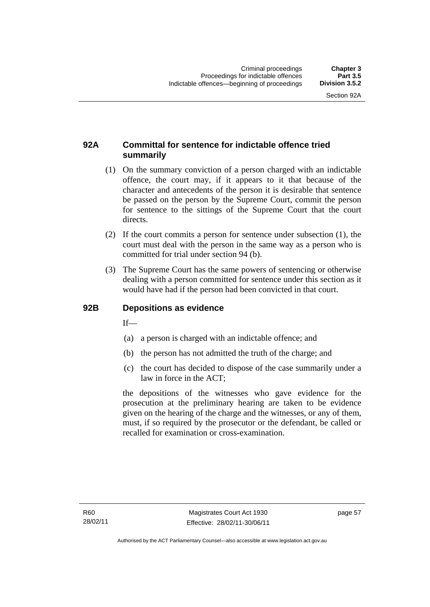# **92A Committal for sentence for indictable offence tried summarily**

- (1) On the summary conviction of a person charged with an indictable offence, the court may, if it appears to it that because of the character and antecedents of the person it is desirable that sentence be passed on the person by the Supreme Court, commit the person for sentence to the sittings of the Supreme Court that the court directs.
- (2) If the court commits a person for sentence under subsection (1), the court must deal with the person in the same way as a person who is committed for trial under section 94 (b).
- (3) The Supreme Court has the same powers of sentencing or otherwise dealing with a person committed for sentence under this section as it would have had if the person had been convicted in that court.

#### **92B Depositions as evidence**

 $If$ <sub>—</sub>

- (a) a person is charged with an indictable offence; and
- (b) the person has not admitted the truth of the charge; and
- (c) the court has decided to dispose of the case summarily under a law in force in the ACT;

the depositions of the witnesses who gave evidence for the prosecution at the preliminary hearing are taken to be evidence given on the hearing of the charge and the witnesses, or any of them, must, if so required by the prosecutor or the defendant, be called or recalled for examination or cross-examination.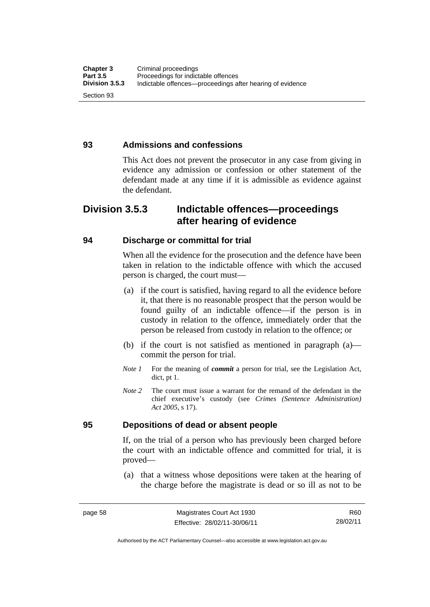#### **93 Admissions and confessions**

This Act does not prevent the prosecutor in any case from giving in evidence any admission or confession or other statement of the defendant made at any time if it is admissible as evidence against the defendant.

# **Division 3.5.3 Indictable offences—proceedings after hearing of evidence**

#### **94 Discharge or committal for trial**

When all the evidence for the prosecution and the defence have been taken in relation to the indictable offence with which the accused person is charged, the court must—

- (a) if the court is satisfied, having regard to all the evidence before it, that there is no reasonable prospect that the person would be found guilty of an indictable offence—if the person is in custody in relation to the offence, immediately order that the person be released from custody in relation to the offence; or
- (b) if the court is not satisfied as mentioned in paragraph (a) commit the person for trial.
- *Note 1* For the meaning of *commit* a person for trial, see the Legislation Act, dict, pt 1.
- *Note* 2 The court must issue a warrant for the remand of the defendant in the chief executive's custody (see *Crimes (Sentence Administration) Act 2005*, s 17).

#### **95 Depositions of dead or absent people**

If, on the trial of a person who has previously been charged before the court with an indictable offence and committed for trial, it is proved—

 (a) that a witness whose depositions were taken at the hearing of the charge before the magistrate is dead or so ill as not to be

Authorised by the ACT Parliamentary Counsel—also accessible at www.legislation.act.gov.au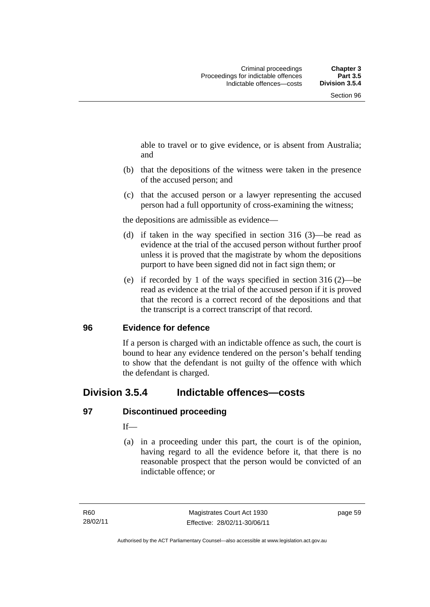able to travel or to give evidence, or is absent from Australia; and

- (b) that the depositions of the witness were taken in the presence of the accused person; and
- (c) that the accused person or a lawyer representing the accused person had a full opportunity of cross-examining the witness;

the depositions are admissible as evidence—

- (d) if taken in the way specified in section 316 (3)—be read as evidence at the trial of the accused person without further proof unless it is proved that the magistrate by whom the depositions purport to have been signed did not in fact sign them; or
- (e) if recorded by 1 of the ways specified in section 316 (2)—be read as evidence at the trial of the accused person if it is proved that the record is a correct record of the depositions and that the transcript is a correct transcript of that record.

#### **96 Evidence for defence**

If a person is charged with an indictable offence as such, the court is bound to hear any evidence tendered on the person's behalf tending to show that the defendant is not guilty of the offence with which the defendant is charged.

# **Division 3.5.4 Indictable offences—costs**

# **97 Discontinued proceeding**

If—

 (a) in a proceeding under this part, the court is of the opinion, having regard to all the evidence before it, that there is no reasonable prospect that the person would be convicted of an indictable offence; or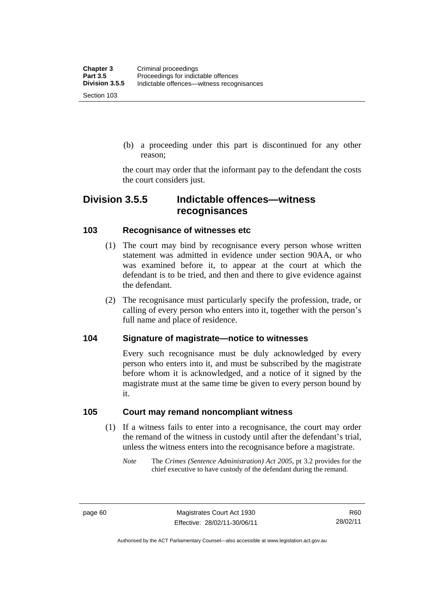(b) a proceeding under this part is discontinued for any other reason;

the court may order that the informant pay to the defendant the costs the court considers just.

# **Division 3.5.5 Indictable offences—witness recognisances**

#### **103 Recognisance of witnesses etc**

- (1) The court may bind by recognisance every person whose written statement was admitted in evidence under section 90AA, or who was examined before it, to appear at the court at which the defendant is to be tried, and then and there to give evidence against the defendant.
- (2) The recognisance must particularly specify the profession, trade, or calling of every person who enters into it, together with the person's full name and place of residence.

#### **104 Signature of magistrate—notice to witnesses**

Every such recognisance must be duly acknowledged by every person who enters into it, and must be subscribed by the magistrate before whom it is acknowledged, and a notice of it signed by the magistrate must at the same time be given to every person bound by it.

#### **105 Court may remand noncompliant witness**

- (1) If a witness fails to enter into a recognisance, the court may order the remand of the witness in custody until after the defendant's trial, unless the witness enters into the recognisance before a magistrate.
	- *Note* The *Crimes (Sentence Administration) Act 2005*, pt 3.2 provides for the chief executive to have custody of the defendant during the remand.

page 60 Magistrates Court Act 1930 Effective: 28/02/11-30/06/11

R60 28/02/11

Authorised by the ACT Parliamentary Counsel—also accessible at www.legislation.act.gov.au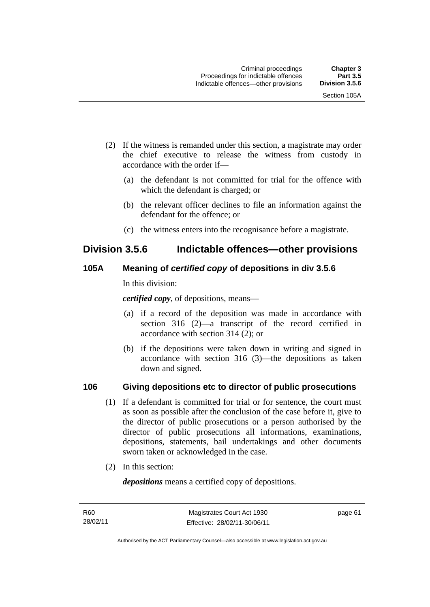- (2) If the witness is remanded under this section, a magistrate may order the chief executive to release the witness from custody in accordance with the order if—
	- (a) the defendant is not committed for trial for the offence with which the defendant is charged; or
	- (b) the relevant officer declines to file an information against the defendant for the offence; or
	- (c) the witness enters into the recognisance before a magistrate.

# **Division 3.5.6 Indictable offences—other provisions**

# **105A Meaning of** *certified copy* **of depositions in div 3.5.6**

In this division:

*certified copy*, of depositions, means—

- (a) if a record of the deposition was made in accordance with section 316 (2)—a transcript of the record certified in accordance with section 314 (2); or
- (b) if the depositions were taken down in writing and signed in accordance with section 316 (3)—the depositions as taken down and signed.

# **106 Giving depositions etc to director of public prosecutions**

- (1) If a defendant is committed for trial or for sentence, the court must as soon as possible after the conclusion of the case before it, give to the director of public prosecutions or a person authorised by the director of public prosecutions all informations, examinations, depositions, statements, bail undertakings and other documents sworn taken or acknowledged in the case.
- (2) In this section:

*depositions* means a certified copy of depositions.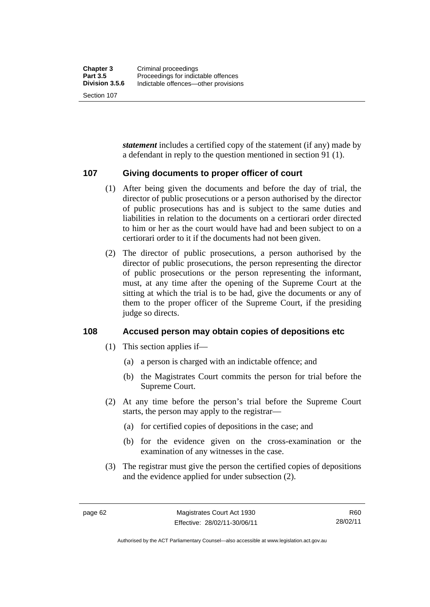Section 107

*statement* includes a certified copy of the statement (if any) made by a defendant in reply to the question mentioned in section 91 (1).

#### **107 Giving documents to proper officer of court**

- (1) After being given the documents and before the day of trial, the director of public prosecutions or a person authorised by the director of public prosecutions has and is subject to the same duties and liabilities in relation to the documents on a certiorari order directed to him or her as the court would have had and been subject to on a certiorari order to it if the documents had not been given.
- (2) The director of public prosecutions, a person authorised by the director of public prosecutions, the person representing the director of public prosecutions or the person representing the informant, must, at any time after the opening of the Supreme Court at the sitting at which the trial is to be had, give the documents or any of them to the proper officer of the Supreme Court, if the presiding judge so directs.

#### **108 Accused person may obtain copies of depositions etc**

- (1) This section applies if—
	- (a) a person is charged with an indictable offence; and
	- (b) the Magistrates Court commits the person for trial before the Supreme Court.
- (2) At any time before the person's trial before the Supreme Court starts, the person may apply to the registrar—
	- (a) for certified copies of depositions in the case; and
	- (b) for the evidence given on the cross-examination or the examination of any witnesses in the case.
- (3) The registrar must give the person the certified copies of depositions and the evidence applied for under subsection (2).

Authorised by the ACT Parliamentary Counsel—also accessible at www.legislation.act.gov.au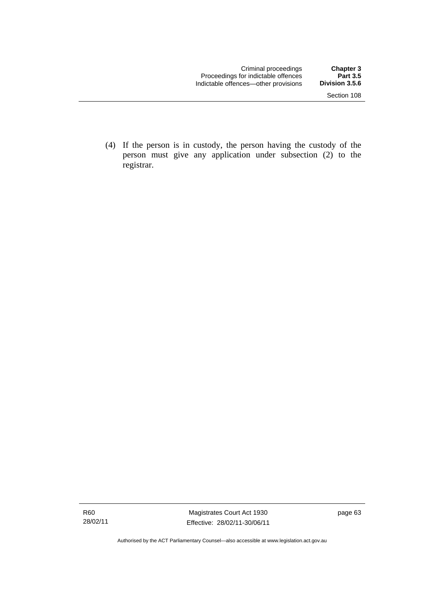(4) If the person is in custody, the person having the custody of the person must give any application under subsection (2) to the registrar.

Authorised by the ACT Parliamentary Counsel—also accessible at www.legislation.act.gov.au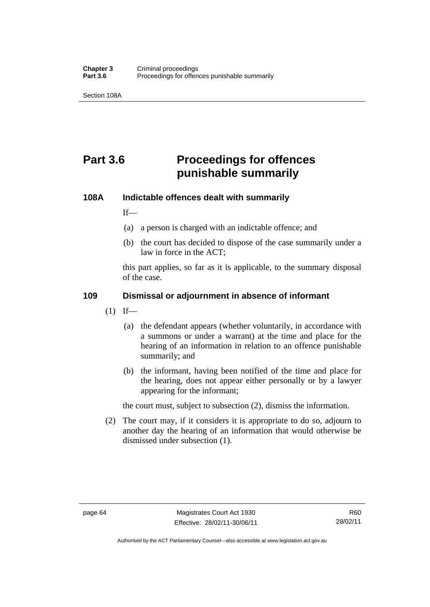Section 108A

# **Part 3.6 Proceedings for offences punishable summarily**

#### **108A Indictable offences dealt with summarily**

 $If$ <sub>—</sub>

- (a) a person is charged with an indictable offence; and
- (b) the court has decided to dispose of the case summarily under a law in force in the ACT;

this part applies, so far as it is applicable, to the summary disposal of the case.

#### **109 Dismissal or adjournment in absence of informant**

- $(1)$  If—
	- (a) the defendant appears (whether voluntarily, in accordance with a summons or under a warrant) at the time and place for the hearing of an information in relation to an offence punishable summarily; and
	- (b) the informant, having been notified of the time and place for the hearing, does not appear either personally or by a lawyer appearing for the informant;

the court must, subject to subsection (2), dismiss the information.

 (2) The court may, if it considers it is appropriate to do so, adjourn to another day the hearing of an information that would otherwise be dismissed under subsection (1).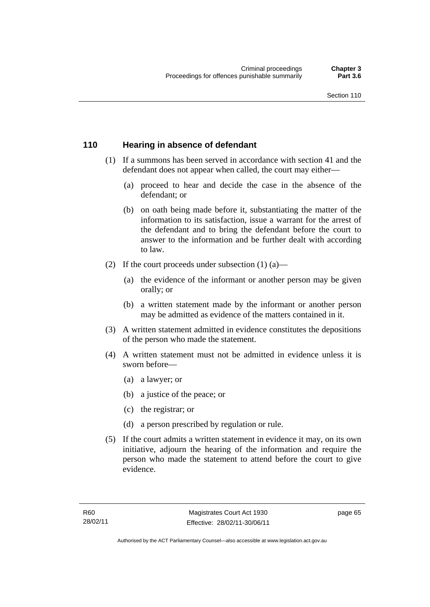## **110 Hearing in absence of defendant**

- (1) If a summons has been served in accordance with section 41 and the defendant does not appear when called, the court may either—
	- (a) proceed to hear and decide the case in the absence of the defendant; or
	- (b) on oath being made before it, substantiating the matter of the information to its satisfaction, issue a warrant for the arrest of the defendant and to bring the defendant before the court to answer to the information and be further dealt with according to law.
- (2) If the court proceeds under subsection  $(1)$   $(a)$ 
	- (a) the evidence of the informant or another person may be given orally; or
	- (b) a written statement made by the informant or another person may be admitted as evidence of the matters contained in it.
- (3) A written statement admitted in evidence constitutes the depositions of the person who made the statement.
- (4) A written statement must not be admitted in evidence unless it is sworn before—
	- (a) a lawyer; or
	- (b) a justice of the peace; or
	- (c) the registrar; or
	- (d) a person prescribed by regulation or rule.
- (5) If the court admits a written statement in evidence it may, on its own initiative, adjourn the hearing of the information and require the person who made the statement to attend before the court to give evidence.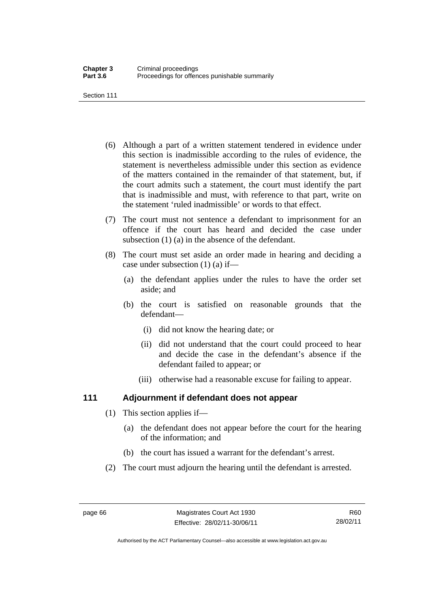Section 111

- (6) Although a part of a written statement tendered in evidence under this section is inadmissible according to the rules of evidence, the statement is nevertheless admissible under this section as evidence of the matters contained in the remainder of that statement, but, if the court admits such a statement, the court must identify the part that is inadmissible and must, with reference to that part, write on the statement 'ruled inadmissible' or words to that effect.
- (7) The court must not sentence a defendant to imprisonment for an offence if the court has heard and decided the case under subsection (1) (a) in the absence of the defendant.
- (8) The court must set aside an order made in hearing and deciding a case under subsection (1) (a) if—
	- (a) the defendant applies under the rules to have the order set aside; and
	- (b) the court is satisfied on reasonable grounds that the defendant—
		- (i) did not know the hearing date; or
		- (ii) did not understand that the court could proceed to hear and decide the case in the defendant's absence if the defendant failed to appear; or
		- (iii) otherwise had a reasonable excuse for failing to appear.

# **111 Adjournment if defendant does not appear**

- (1) This section applies if—
	- (a) the defendant does not appear before the court for the hearing of the information; and
	- (b) the court has issued a warrant for the defendant's arrest.
- (2) The court must adjourn the hearing until the defendant is arrested.

Authorised by the ACT Parliamentary Counsel—also accessible at www.legislation.act.gov.au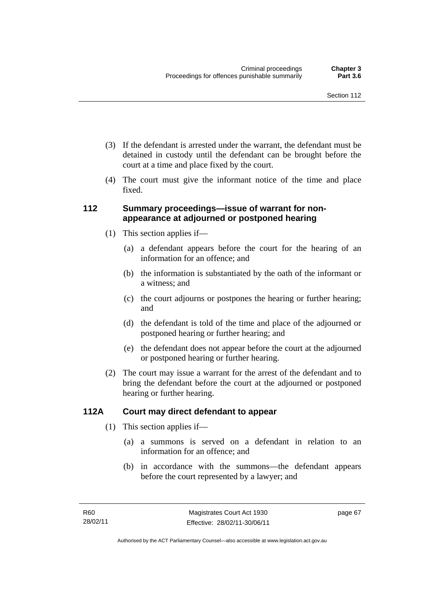- (3) If the defendant is arrested under the warrant, the defendant must be detained in custody until the defendant can be brought before the court at a time and place fixed by the court.
- (4) The court must give the informant notice of the time and place fixed.

## **112 Summary proceedings—issue of warrant for nonappearance at adjourned or postponed hearing**

- (1) This section applies if—
	- (a) a defendant appears before the court for the hearing of an information for an offence; and
	- (b) the information is substantiated by the oath of the informant or a witness; and
	- (c) the court adjourns or postpones the hearing or further hearing; and
	- (d) the defendant is told of the time and place of the adjourned or postponed hearing or further hearing; and
	- (e) the defendant does not appear before the court at the adjourned or postponed hearing or further hearing.
- (2) The court may issue a warrant for the arrest of the defendant and to bring the defendant before the court at the adjourned or postponed hearing or further hearing.

# **112A Court may direct defendant to appear**

- (1) This section applies if—
	- (a) a summons is served on a defendant in relation to an information for an offence; and
	- (b) in accordance with the summons—the defendant appears before the court represented by a lawyer; and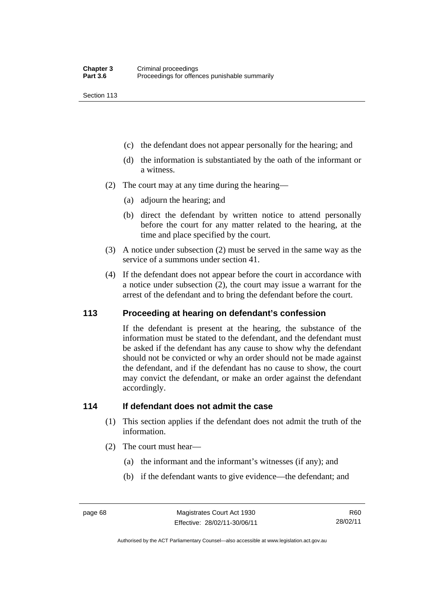Section 113

- (c) the defendant does not appear personally for the hearing; and
- (d) the information is substantiated by the oath of the informant or a witness.
- (2) The court may at any time during the hearing—
	- (a) adjourn the hearing; and
	- (b) direct the defendant by written notice to attend personally before the court for any matter related to the hearing, at the time and place specified by the court.
- (3) A notice under subsection (2) must be served in the same way as the service of a summons under section 41.
- (4) If the defendant does not appear before the court in accordance with a notice under subsection (2), the court may issue a warrant for the arrest of the defendant and to bring the defendant before the court.

#### **113 Proceeding at hearing on defendant's confession**

If the defendant is present at the hearing, the substance of the information must be stated to the defendant, and the defendant must be asked if the defendant has any cause to show why the defendant should not be convicted or why an order should not be made against the defendant, and if the defendant has no cause to show, the court may convict the defendant, or make an order against the defendant accordingly.

#### **114 If defendant does not admit the case**

- (1) This section applies if the defendant does not admit the truth of the information.
- (2) The court must hear—
	- (a) the informant and the informant's witnesses (if any); and
	- (b) if the defendant wants to give evidence—the defendant; and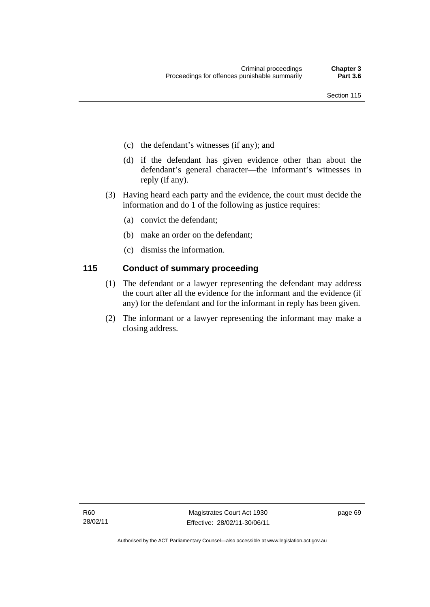- (c) the defendant's witnesses (if any); and
- (d) if the defendant has given evidence other than about the defendant's general character—the informant's witnesses in reply (if any).
- (3) Having heard each party and the evidence, the court must decide the information and do 1 of the following as justice requires:
	- (a) convict the defendant;
	- (b) make an order on the defendant;
	- (c) dismiss the information.

# **115 Conduct of summary proceeding**

- (1) The defendant or a lawyer representing the defendant may address the court after all the evidence for the informant and the evidence (if any) for the defendant and for the informant in reply has been given.
- (2) The informant or a lawyer representing the informant may make a closing address.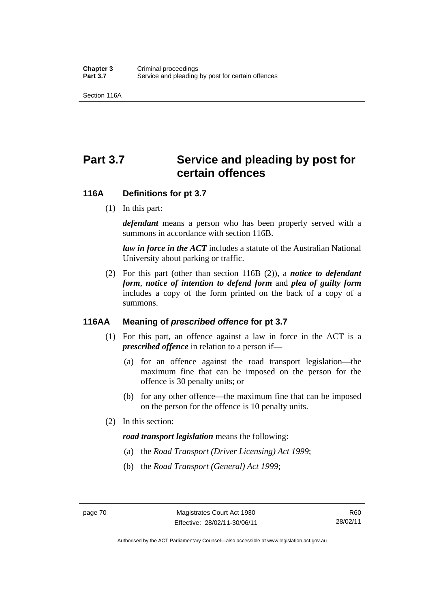Section 116A

# Part 3.7 Service and pleading by post for **certain offences**

#### **116A Definitions for pt 3.7**

(1) In this part:

*defendant* means a person who has been properly served with a summons in accordance with section 116B.

*law in force in the ACT* includes a statute of the Australian National University about parking or traffic.

 (2) For this part (other than section 116B (2)), a *notice to defendant form*, *notice of intention to defend form* and *plea of guilty form* includes a copy of the form printed on the back of a copy of a summons.

# **116AA Meaning of** *prescribed offence* **for pt 3.7**

- (1) For this part, an offence against a law in force in the ACT is a *prescribed offence* in relation to a person if—
	- (a) for an offence against the road transport legislation—the maximum fine that can be imposed on the person for the offence is 30 penalty units; or
	- (b) for any other offence—the maximum fine that can be imposed on the person for the offence is 10 penalty units.
- (2) In this section:

#### *road transport legislation* means the following:

- (a) the *Road Transport (Driver Licensing) Act 1999*;
- (b) the *Road Transport (General) Act 1999*;

Authorised by the ACT Parliamentary Counsel—also accessible at www.legislation.act.gov.au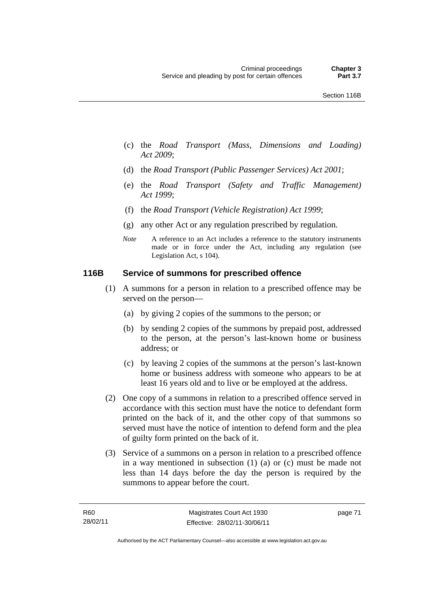- (c) the *Road Transport (Mass, Dimensions and Loading) Act 2009*;
- (d) the *Road Transport (Public Passenger Services) Act 2001*;
- (e) the *Road Transport (Safety and Traffic Management) Act 1999*;
- (f) the *Road Transport (Vehicle Registration) Act 1999*;
- (g) any other Act or any regulation prescribed by regulation.
- *Note* A reference to an Act includes a reference to the statutory instruments made or in force under the Act, including any regulation (see Legislation Act, s 104).

#### **116B Service of summons for prescribed offence**

- (1) A summons for a person in relation to a prescribed offence may be served on the person—
	- (a) by giving 2 copies of the summons to the person; or
	- (b) by sending 2 copies of the summons by prepaid post, addressed to the person, at the person's last-known home or business address; or
	- (c) by leaving 2 copies of the summons at the person's last-known home or business address with someone who appears to be at least 16 years old and to live or be employed at the address.
- (2) One copy of a summons in relation to a prescribed offence served in accordance with this section must have the notice to defendant form printed on the back of it, and the other copy of that summons so served must have the notice of intention to defend form and the plea of guilty form printed on the back of it.
- (3) Service of a summons on a person in relation to a prescribed offence in a way mentioned in subsection (1) (a) or (c) must be made not less than 14 days before the day the person is required by the summons to appear before the court.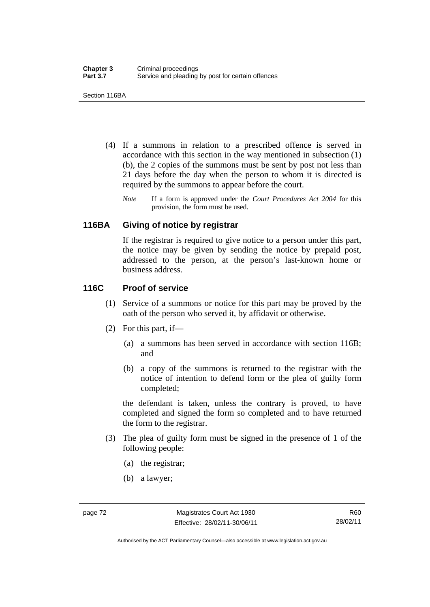Section 116BA

- (4) If a summons in relation to a prescribed offence is served in accordance with this section in the way mentioned in subsection (1) (b), the 2 copies of the summons must be sent by post not less than 21 days before the day when the person to whom it is directed is required by the summons to appear before the court.
	- *Note* If a form is approved under the *Court Procedures Act 2004* for this provision, the form must be used.

#### **116BA Giving of notice by registrar**

If the registrar is required to give notice to a person under this part, the notice may be given by sending the notice by prepaid post, addressed to the person, at the person's last-known home or business address.

## **116C Proof of service**

- (1) Service of a summons or notice for this part may be proved by the oath of the person who served it, by affidavit or otherwise.
- (2) For this part, if—
	- (a) a summons has been served in accordance with section 116B; and
	- (b) a copy of the summons is returned to the registrar with the notice of intention to defend form or the plea of guilty form completed;

the defendant is taken, unless the contrary is proved, to have completed and signed the form so completed and to have returned the form to the registrar.

- (3) The plea of guilty form must be signed in the presence of 1 of the following people:
	- (a) the registrar;
	- (b) a lawyer;

Authorised by the ACT Parliamentary Counsel—also accessible at www.legislation.act.gov.au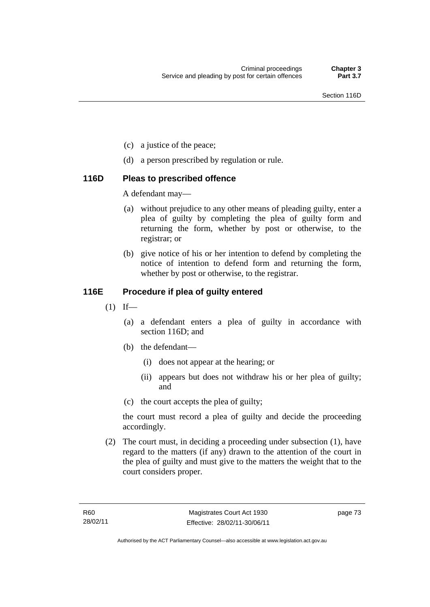- (c) a justice of the peace;
- (d) a person prescribed by regulation or rule.

## **116D Pleas to prescribed offence**

A defendant may—

- (a) without prejudice to any other means of pleading guilty, enter a plea of guilty by completing the plea of guilty form and returning the form, whether by post or otherwise, to the registrar; or
- (b) give notice of his or her intention to defend by completing the notice of intention to defend form and returning the form, whether by post or otherwise, to the registrar.

# **116E Procedure if plea of guilty entered**

- $(1)$  If—
	- (a) a defendant enters a plea of guilty in accordance with section 116D; and
	- (b) the defendant—
		- (i) does not appear at the hearing; or
		- (ii) appears but does not withdraw his or her plea of guilty; and
	- (c) the court accepts the plea of guilty;

the court must record a plea of guilty and decide the proceeding accordingly.

 (2) The court must, in deciding a proceeding under subsection (1), have regard to the matters (if any) drawn to the attention of the court in the plea of guilty and must give to the matters the weight that to the court considers proper.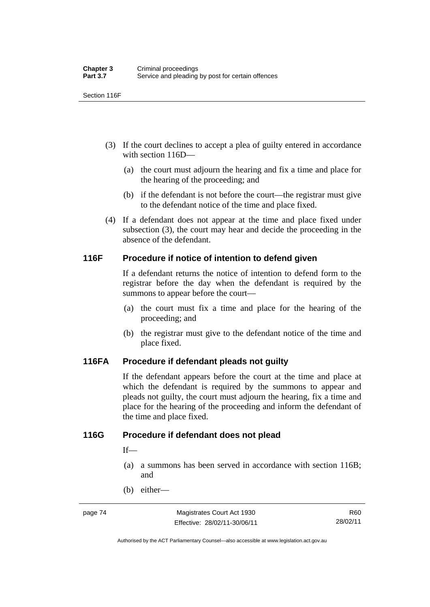Section 116F

- (3) If the court declines to accept a plea of guilty entered in accordance with section 116D—
	- (a) the court must adjourn the hearing and fix a time and place for the hearing of the proceeding; and
	- (b) if the defendant is not before the court—the registrar must give to the defendant notice of the time and place fixed.
- (4) If a defendant does not appear at the time and place fixed under subsection (3), the court may hear and decide the proceeding in the absence of the defendant.

## **116F Procedure if notice of intention to defend given**

If a defendant returns the notice of intention to defend form to the registrar before the day when the defendant is required by the summons to appear before the court—

- (a) the court must fix a time and place for the hearing of the proceeding; and
- (b) the registrar must give to the defendant notice of the time and place fixed.

#### **116FA Procedure if defendant pleads not guilty**

If the defendant appears before the court at the time and place at which the defendant is required by the summons to appear and pleads not guilty, the court must adjourn the hearing, fix a time and place for the hearing of the proceeding and inform the defendant of the time and place fixed.

#### **116G Procedure if defendant does not plead**

 $If$ —

- (a) a summons has been served in accordance with section 116B; and
- (b) either—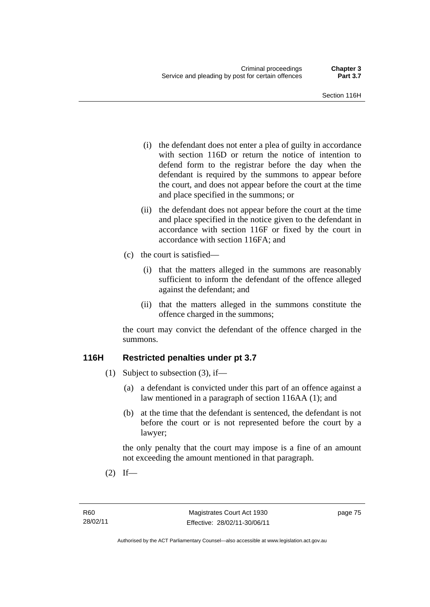- (i) the defendant does not enter a plea of guilty in accordance with section 116D or return the notice of intention to defend form to the registrar before the day when the defendant is required by the summons to appear before the court, and does not appear before the court at the time and place specified in the summons; or
- (ii) the defendant does not appear before the court at the time and place specified in the notice given to the defendant in accordance with section 116F or fixed by the court in accordance with section 116FA; and
- (c) the court is satisfied—
	- (i) that the matters alleged in the summons are reasonably sufficient to inform the defendant of the offence alleged against the defendant; and
	- (ii) that the matters alleged in the summons constitute the offence charged in the summons;

the court may convict the defendant of the offence charged in the summons.

# **116H Restricted penalties under pt 3.7**

- (1) Subject to subsection (3), if—
	- (a) a defendant is convicted under this part of an offence against a law mentioned in a paragraph of section 116AA (1); and
	- (b) at the time that the defendant is sentenced, the defendant is not before the court or is not represented before the court by a lawyer;

the only penalty that the court may impose is a fine of an amount not exceeding the amount mentioned in that paragraph.

 $(2)$  If—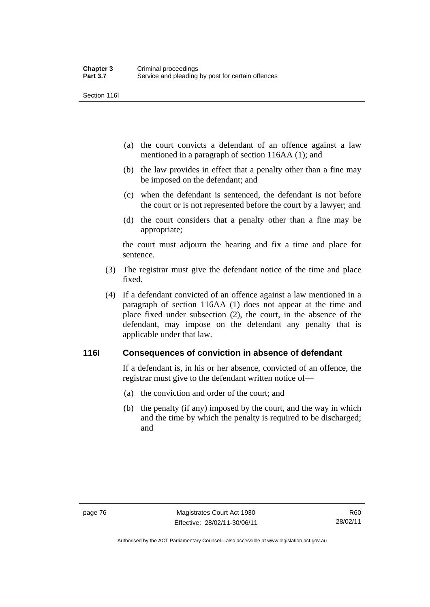Section 116I

- (a) the court convicts a defendant of an offence against a law mentioned in a paragraph of section 116AA (1); and
- (b) the law provides in effect that a penalty other than a fine may be imposed on the defendant; and
- (c) when the defendant is sentenced, the defendant is not before the court or is not represented before the court by a lawyer; and
- (d) the court considers that a penalty other than a fine may be appropriate;

the court must adjourn the hearing and fix a time and place for sentence.

- (3) The registrar must give the defendant notice of the time and place fixed.
- (4) If a defendant convicted of an offence against a law mentioned in a paragraph of section 116AA (1) does not appear at the time and place fixed under subsection (2), the court, in the absence of the defendant, may impose on the defendant any penalty that is applicable under that law.

# **116I Consequences of conviction in absence of defendant**

If a defendant is, in his or her absence, convicted of an offence, the registrar must give to the defendant written notice of—

- (a) the conviction and order of the court; and
- (b) the penalty (if any) imposed by the court, and the way in which and the time by which the penalty is required to be discharged; and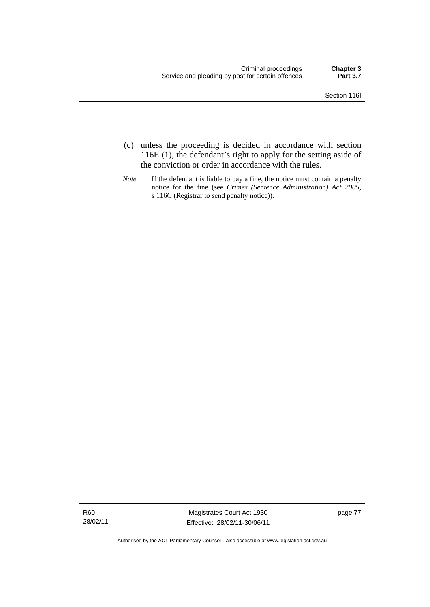- (c) unless the proceeding is decided in accordance with section 116E (1), the defendant's right to apply for the setting aside of the conviction or order in accordance with the rules.
- *Note* If the defendant is liable to pay a fine, the notice must contain a penalty notice for the fine (see *Crimes (Sentence Administration) Act 2005*, s 116C (Registrar to send penalty notice)).

R60 28/02/11

Magistrates Court Act 1930 Effective: 28/02/11-30/06/11 page 77

Authorised by the ACT Parliamentary Counsel—also accessible at www.legislation.act.gov.au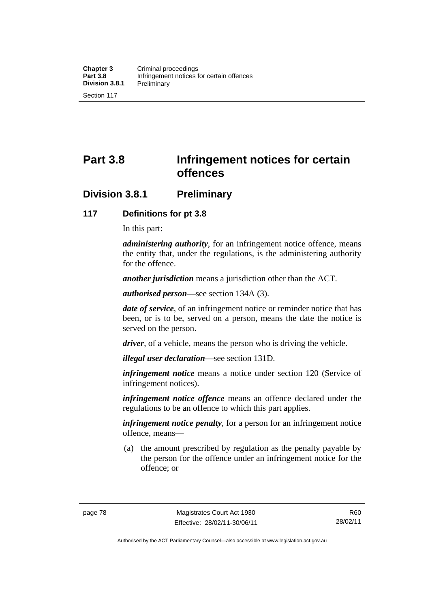**Part 3.8 Infringement notices for certain offences** 

# **Division 3.8.1 Preliminary**

## **117 Definitions for pt 3.8**

In this part:

*administering authority*, for an infringement notice offence, means the entity that, under the regulations, is the administering authority for the offence.

*another jurisdiction* means a jurisdiction other than the ACT.

*authorised person*—see section 134A (3).

*date of service*, of an infringement notice or reminder notice that has been, or is to be, served on a person, means the date the notice is served on the person.

*driver*, of a vehicle, means the person who is driving the vehicle.

*illegal user declaration*—see section 131D.

*infringement notice* means a notice under section 120 (Service of infringement notices).

*infringement notice offence* means an offence declared under the regulations to be an offence to which this part applies.

*infringement notice penalty*, for a person for an infringement notice offence, means—

 (a) the amount prescribed by regulation as the penalty payable by the person for the offence under an infringement notice for the offence; or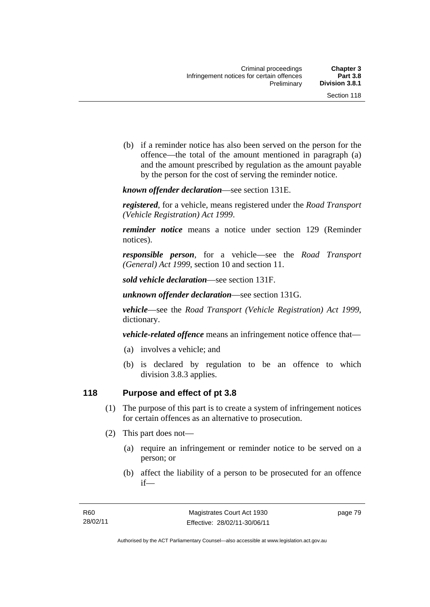(b) if a reminder notice has also been served on the person for the offence—the total of the amount mentioned in paragraph (a) and the amount prescribed by regulation as the amount payable by the person for the cost of serving the reminder notice.

*known offender declaration*—see section 131E.

*registered*, for a vehicle, means registered under the *Road Transport (Vehicle Registration) Act 1999*.

*reminder notice* means a notice under section 129 (Reminder notices).

*responsible person*, for a vehicle—see the *Road Transport (General) Act 1999*, section 10 and section 11.

*sold vehicle declaration*—see section 131F.

*unknown offender declaration*—see section 131G.

*vehicle*—see the *Road Transport (Vehicle Registration) Act 1999*, dictionary.

*vehicle-related offence* means an infringement notice offence that—

- (a) involves a vehicle; and
- (b) is declared by regulation to be an offence to which division 3.8.3 applies.

# **118 Purpose and effect of pt 3.8**

- (1) The purpose of this part is to create a system of infringement notices for certain offences as an alternative to prosecution.
- (2) This part does not—
	- (a) require an infringement or reminder notice to be served on a person; or
	- (b) affect the liability of a person to be prosecuted for an offence if—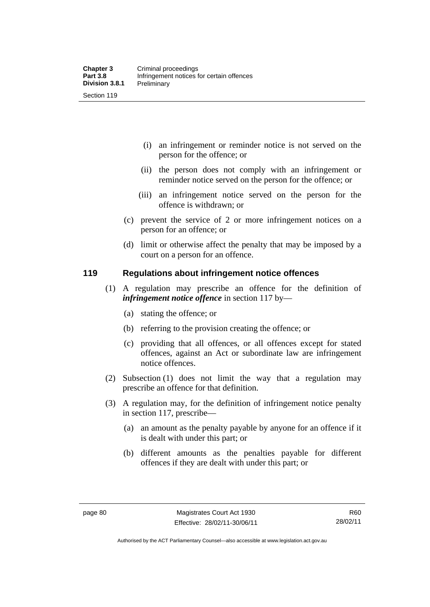- (i) an infringement or reminder notice is not served on the person for the offence; or
- (ii) the person does not comply with an infringement or reminder notice served on the person for the offence; or
- (iii) an infringement notice served on the person for the offence is withdrawn; or
- (c) prevent the service of 2 or more infringement notices on a person for an offence; or
- (d) limit or otherwise affect the penalty that may be imposed by a court on a person for an offence.

## **119 Regulations about infringement notice offences**

- (1) A regulation may prescribe an offence for the definition of *infringement notice offence* in section 117 by—
	- (a) stating the offence; or
	- (b) referring to the provision creating the offence; or
	- (c) providing that all offences, or all offences except for stated offences, against an Act or subordinate law are infringement notice offences.
- (2) Subsection (1) does not limit the way that a regulation may prescribe an offence for that definition.
- (3) A regulation may, for the definition of infringement notice penalty in section 117, prescribe—
	- (a) an amount as the penalty payable by anyone for an offence if it is dealt with under this part; or
	- (b) different amounts as the penalties payable for different offences if they are dealt with under this part; or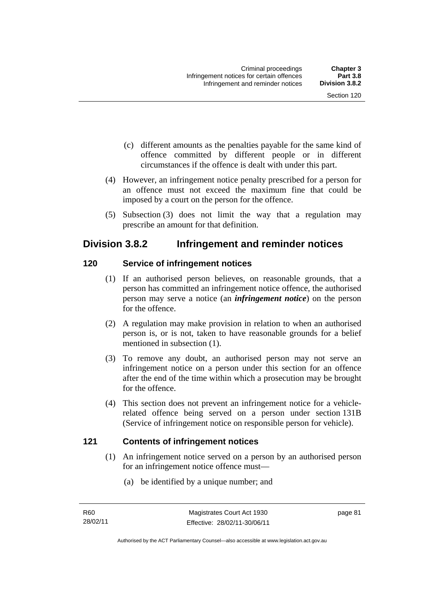- (c) different amounts as the penalties payable for the same kind of offence committed by different people or in different circumstances if the offence is dealt with under this part.
- (4) However, an infringement notice penalty prescribed for a person for an offence must not exceed the maximum fine that could be imposed by a court on the person for the offence.
- (5) Subsection (3) does not limit the way that a regulation may prescribe an amount for that definition.

# **Division 3.8.2 Infringement and reminder notices**

# **120 Service of infringement notices**

- (1) If an authorised person believes, on reasonable grounds, that a person has committed an infringement notice offence, the authorised person may serve a notice (an *infringement notice*) on the person for the offence.
- (2) A regulation may make provision in relation to when an authorised person is, or is not, taken to have reasonable grounds for a belief mentioned in subsection (1).
- (3) To remove any doubt, an authorised person may not serve an infringement notice on a person under this section for an offence after the end of the time within which a prosecution may be brought for the offence.
- (4) This section does not prevent an infringement notice for a vehiclerelated offence being served on a person under section 131B (Service of infringement notice on responsible person for vehicle).

# **121 Contents of infringement notices**

- (1) An infringement notice served on a person by an authorised person for an infringement notice offence must—
	- (a) be identified by a unique number; and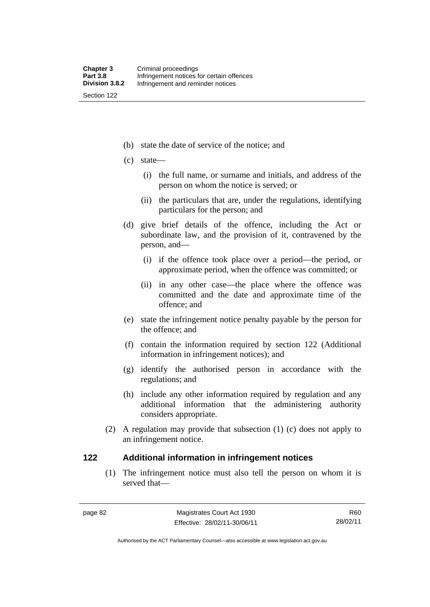Section 122

- (b) state the date of service of the notice; and
- (c) state—
	- (i) the full name, or surname and initials, and address of the person on whom the notice is served; or
	- (ii) the particulars that are, under the regulations, identifying particulars for the person; and
- (d) give brief details of the offence, including the Act or subordinate law, and the provision of it, contravened by the person, and—
	- (i) if the offence took place over a period—the period, or approximate period, when the offence was committed; or
	- (ii) in any other case—the place where the offence was committed and the date and approximate time of the offence; and
- (e) state the infringement notice penalty payable by the person for the offence; and
- (f) contain the information required by section 122 (Additional information in infringement notices); and
- (g) identify the authorised person in accordance with the regulations; and
- (h) include any other information required by regulation and any additional information that the administering authority considers appropriate.
- (2) A regulation may provide that subsection (1) (c) does not apply to an infringement notice.

#### **122 Additional information in infringement notices**

(1) The infringement notice must also tell the person on whom it is served that—

R60 28/02/11

Authorised by the ACT Parliamentary Counsel—also accessible at www.legislation.act.gov.au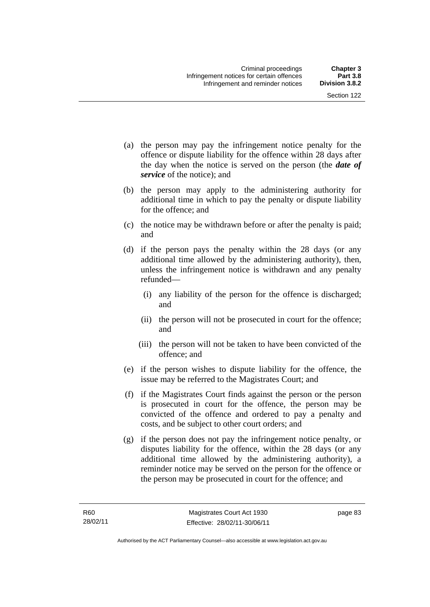- (a) the person may pay the infringement notice penalty for the offence or dispute liability for the offence within 28 days after the day when the notice is served on the person (the *date of service* of the notice); and
- (b) the person may apply to the administering authority for additional time in which to pay the penalty or dispute liability for the offence; and
- (c) the notice may be withdrawn before or after the penalty is paid; and
- (d) if the person pays the penalty within the 28 days (or any additional time allowed by the administering authority), then, unless the infringement notice is withdrawn and any penalty refunded—
	- (i) any liability of the person for the offence is discharged; and
	- (ii) the person will not be prosecuted in court for the offence; and
	- (iii) the person will not be taken to have been convicted of the offence; and
- (e) if the person wishes to dispute liability for the offence, the issue may be referred to the Magistrates Court; and
- (f) if the Magistrates Court finds against the person or the person is prosecuted in court for the offence, the person may be convicted of the offence and ordered to pay a penalty and costs, and be subject to other court orders; and
- (g) if the person does not pay the infringement notice penalty, or disputes liability for the offence, within the 28 days (or any additional time allowed by the administering authority), a reminder notice may be served on the person for the offence or the person may be prosecuted in court for the offence; and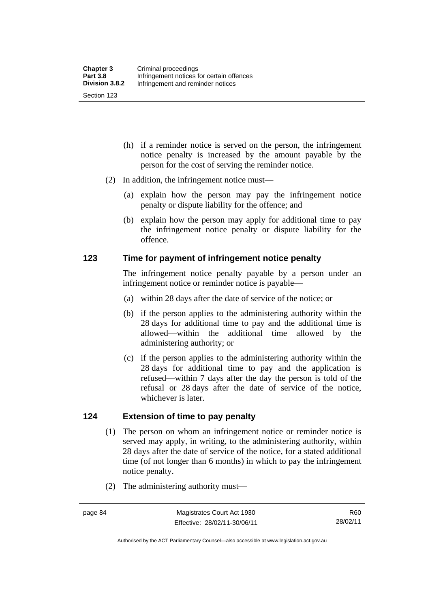- (h) if a reminder notice is served on the person, the infringement notice penalty is increased by the amount payable by the person for the cost of serving the reminder notice.
- (2) In addition, the infringement notice must—
	- (a) explain how the person may pay the infringement notice penalty or dispute liability for the offence; and
	- (b) explain how the person may apply for additional time to pay the infringement notice penalty or dispute liability for the offence.

#### **123 Time for payment of infringement notice penalty**

The infringement notice penalty payable by a person under an infringement notice or reminder notice is payable—

- (a) within 28 days after the date of service of the notice; or
- (b) if the person applies to the administering authority within the 28 days for additional time to pay and the additional time is allowed—within the additional time allowed by the administering authority; or
- (c) if the person applies to the administering authority within the 28 days for additional time to pay and the application is refused—within 7 days after the day the person is told of the refusal or 28 days after the date of service of the notice, whichever is later.

## **124 Extension of time to pay penalty**

- (1) The person on whom an infringement notice or reminder notice is served may apply, in writing, to the administering authority, within 28 days after the date of service of the notice, for a stated additional time (of not longer than 6 months) in which to pay the infringement notice penalty.
- (2) The administering authority must—

Authorised by the ACT Parliamentary Counsel—also accessible at www.legislation.act.gov.au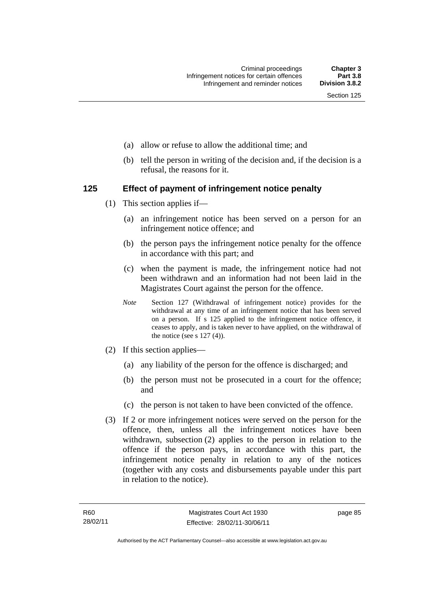- (a) allow or refuse to allow the additional time; and
- (b) tell the person in writing of the decision and, if the decision is a refusal, the reasons for it.

## **125 Effect of payment of infringement notice penalty**

- (1) This section applies if—
	- (a) an infringement notice has been served on a person for an infringement notice offence; and
	- (b) the person pays the infringement notice penalty for the offence in accordance with this part; and
	- (c) when the payment is made, the infringement notice had not been withdrawn and an information had not been laid in the Magistrates Court against the person for the offence.
	- *Note* Section 127 (Withdrawal of infringement notice) provides for the withdrawal at any time of an infringement notice that has been served on a person. If s 125 applied to the infringement notice offence, it ceases to apply, and is taken never to have applied, on the withdrawal of the notice (see s  $127(4)$ ).
- (2) If this section applies—
	- (a) any liability of the person for the offence is discharged; and
	- (b) the person must not be prosecuted in a court for the offence; and
	- (c) the person is not taken to have been convicted of the offence.
- (3) If 2 or more infringement notices were served on the person for the offence, then, unless all the infringement notices have been withdrawn, subsection (2) applies to the person in relation to the offence if the person pays, in accordance with this part, the infringement notice penalty in relation to any of the notices (together with any costs and disbursements payable under this part in relation to the notice).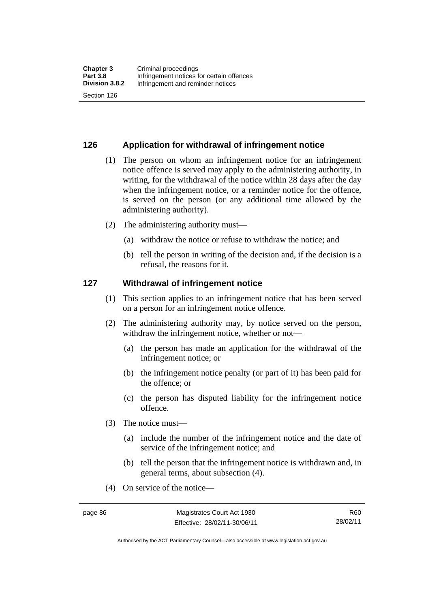#### **126 Application for withdrawal of infringement notice**

- (1) The person on whom an infringement notice for an infringement notice offence is served may apply to the administering authority, in writing, for the withdrawal of the notice within 28 days after the day when the infringement notice, or a reminder notice for the offence, is served on the person (or any additional time allowed by the administering authority).
- (2) The administering authority must—
	- (a) withdraw the notice or refuse to withdraw the notice; and
	- (b) tell the person in writing of the decision and, if the decision is a refusal, the reasons for it.

#### **127 Withdrawal of infringement notice**

- (1) This section applies to an infringement notice that has been served on a person for an infringement notice offence.
- (2) The administering authority may, by notice served on the person, withdraw the infringement notice, whether or not—
	- (a) the person has made an application for the withdrawal of the infringement notice; or
	- (b) the infringement notice penalty (or part of it) has been paid for the offence; or
	- (c) the person has disputed liability for the infringement notice offence.
- (3) The notice must—
	- (a) include the number of the infringement notice and the date of service of the infringement notice; and
	- (b) tell the person that the infringement notice is withdrawn and, in general terms, about subsection (4).
- (4) On service of the notice—

R60 28/02/11

Authorised by the ACT Parliamentary Counsel—also accessible at www.legislation.act.gov.au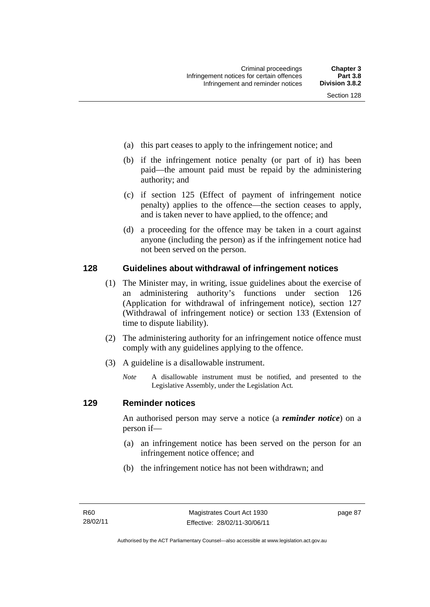- (a) this part ceases to apply to the infringement notice; and
- (b) if the infringement notice penalty (or part of it) has been paid—the amount paid must be repaid by the administering authority; and
- (c) if section 125 (Effect of payment of infringement notice penalty) applies to the offence—the section ceases to apply, and is taken never to have applied, to the offence; and
- (d) a proceeding for the offence may be taken in a court against anyone (including the person) as if the infringement notice had not been served on the person.

#### **128 Guidelines about withdrawal of infringement notices**

- (1) The Minister may, in writing, issue guidelines about the exercise of an administering authority's functions under section 126 (Application for withdrawal of infringement notice), section 127 (Withdrawal of infringement notice) or section 133 (Extension of time to dispute liability).
- (2) The administering authority for an infringement notice offence must comply with any guidelines applying to the offence.
- (3) A guideline is a disallowable instrument.
	- *Note* A disallowable instrument must be notified, and presented to the Legislative Assembly, under the Legislation Act*.*

#### **129 Reminder notices**

An authorised person may serve a notice (a *reminder notice*) on a person if—

- (a) an infringement notice has been served on the person for an infringement notice offence; and
- (b) the infringement notice has not been withdrawn; and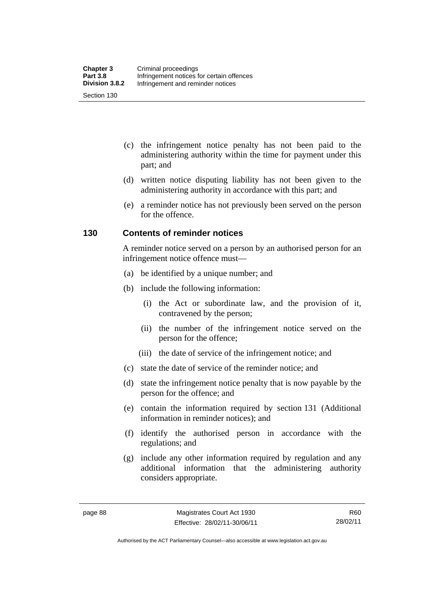- (c) the infringement notice penalty has not been paid to the administering authority within the time for payment under this part; and
- (d) written notice disputing liability has not been given to the administering authority in accordance with this part; and
- (e) a reminder notice has not previously been served on the person for the offence.

## **130 Contents of reminder notices**

A reminder notice served on a person by an authorised person for an infringement notice offence must—

- (a) be identified by a unique number; and
- (b) include the following information:
	- (i) the Act or subordinate law, and the provision of it, contravened by the person;
	- (ii) the number of the infringement notice served on the person for the offence;
	- (iii) the date of service of the infringement notice; and
- (c) state the date of service of the reminder notice; and
- (d) state the infringement notice penalty that is now payable by the person for the offence; and
- (e) contain the information required by section 131 (Additional information in reminder notices); and
- (f) identify the authorised person in accordance with the regulations; and
- (g) include any other information required by regulation and any additional information that the administering authority considers appropriate.

Authorised by the ACT Parliamentary Counsel—also accessible at www.legislation.act.gov.au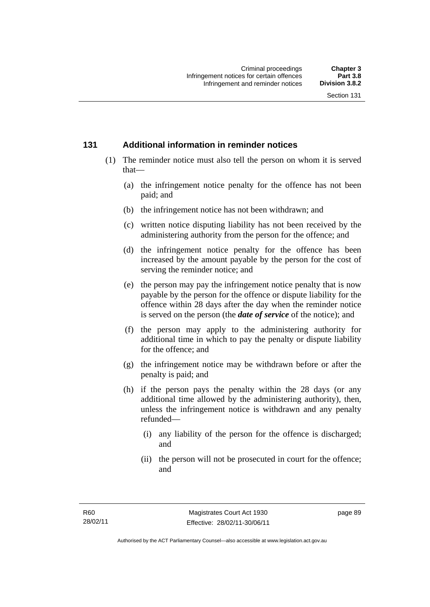## **131 Additional information in reminder notices**

- (1) The reminder notice must also tell the person on whom it is served that—
	- (a) the infringement notice penalty for the offence has not been paid; and
	- (b) the infringement notice has not been withdrawn; and
	- (c) written notice disputing liability has not been received by the administering authority from the person for the offence; and
	- (d) the infringement notice penalty for the offence has been increased by the amount payable by the person for the cost of serving the reminder notice; and
	- (e) the person may pay the infringement notice penalty that is now payable by the person for the offence or dispute liability for the offence within 28 days after the day when the reminder notice is served on the person (the *date of service* of the notice); and
	- (f) the person may apply to the administering authority for additional time in which to pay the penalty or dispute liability for the offence; and
	- (g) the infringement notice may be withdrawn before or after the penalty is paid; and
	- (h) if the person pays the penalty within the 28 days (or any additional time allowed by the administering authority), then, unless the infringement notice is withdrawn and any penalty refunded—
		- (i) any liability of the person for the offence is discharged; and
		- (ii) the person will not be prosecuted in court for the offence; and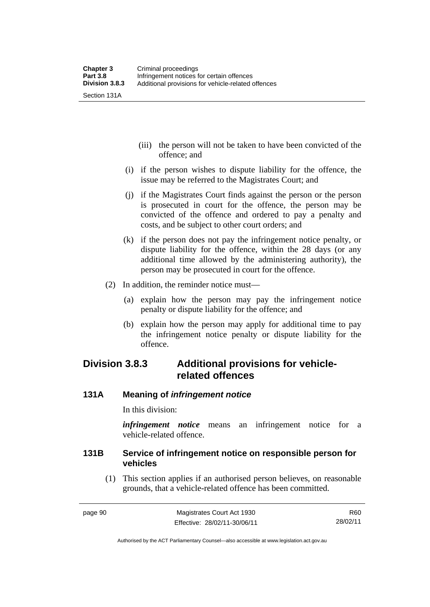- (iii) the person will not be taken to have been convicted of the offence; and
- (i) if the person wishes to dispute liability for the offence, the issue may be referred to the Magistrates Court; and
- (j) if the Magistrates Court finds against the person or the person is prosecuted in court for the offence, the person may be convicted of the offence and ordered to pay a penalty and costs, and be subject to other court orders; and
- (k) if the person does not pay the infringement notice penalty, or dispute liability for the offence, within the 28 days (or any additional time allowed by the administering authority), the person may be prosecuted in court for the offence.
- (2) In addition, the reminder notice must—
	- (a) explain how the person may pay the infringement notice penalty or dispute liability for the offence; and
	- (b) explain how the person may apply for additional time to pay the infringement notice penalty or dispute liability for the offence.

# **Division 3.8.3 Additional provisions for vehiclerelated offences**

# **131A Meaning of** *infringement notice*

In this division:

*infringement notice* means an infringement notice for a vehicle-related offence.

# **131B Service of infringement notice on responsible person for vehicles**

(1) This section applies if an authorised person believes, on reasonable grounds, that a vehicle-related offence has been committed.

R60 28/02/11

Authorised by the ACT Parliamentary Counsel—also accessible at www.legislation.act.gov.au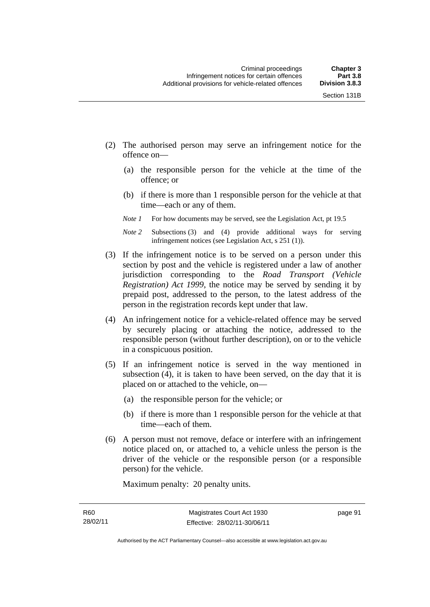- (2) The authorised person may serve an infringement notice for the offence on—
	- (a) the responsible person for the vehicle at the time of the offence; or
	- (b) if there is more than 1 responsible person for the vehicle at that time—each or any of them.
	- *Note 1* For how documents may be served, see the Legislation Act, pt 19.5
	- *Note 2* Subsections (3) and (4) provide additional ways for serving infringement notices (see Legislation Act, s 251 (1)).
- (3) If the infringement notice is to be served on a person under this section by post and the vehicle is registered under a law of another jurisdiction corresponding to the *Road Transport (Vehicle Registration) Act 1999*, the notice may be served by sending it by prepaid post, addressed to the person, to the latest address of the person in the registration records kept under that law.
- (4) An infringement notice for a vehicle-related offence may be served by securely placing or attaching the notice, addressed to the responsible person (without further description), on or to the vehicle in a conspicuous position.
- (5) If an infringement notice is served in the way mentioned in subsection (4), it is taken to have been served, on the day that it is placed on or attached to the vehicle, on—
	- (a) the responsible person for the vehicle; or
	- (b) if there is more than 1 responsible person for the vehicle at that time—each of them.
- (6) A person must not remove, deface or interfere with an infringement notice placed on, or attached to, a vehicle unless the person is the driver of the vehicle or the responsible person (or a responsible person) for the vehicle.

Maximum penalty: 20 penalty units.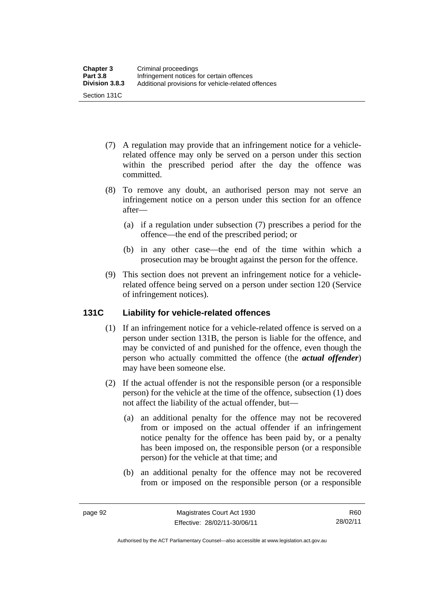- (7) A regulation may provide that an infringement notice for a vehiclerelated offence may only be served on a person under this section within the prescribed period after the day the offence was committed.
- (8) To remove any doubt, an authorised person may not serve an infringement notice on a person under this section for an offence after—
	- (a) if a regulation under subsection (7) prescribes a period for the offence—the end of the prescribed period; or
	- (b) in any other case—the end of the time within which a prosecution may be brought against the person for the offence.
- (9) This section does not prevent an infringement notice for a vehiclerelated offence being served on a person under section 120 (Service of infringement notices).

# **131C Liability for vehicle-related offences**

- (1) If an infringement notice for a vehicle-related offence is served on a person under section 131B, the person is liable for the offence, and may be convicted of and punished for the offence, even though the person who actually committed the offence (the *actual offender*) may have been someone else.
- (2) If the actual offender is not the responsible person (or a responsible person) for the vehicle at the time of the offence, subsection (1) does not affect the liability of the actual offender, but—
	- (a) an additional penalty for the offence may not be recovered from or imposed on the actual offender if an infringement notice penalty for the offence has been paid by, or a penalty has been imposed on, the responsible person (or a responsible person) for the vehicle at that time; and
	- (b) an additional penalty for the offence may not be recovered from or imposed on the responsible person (or a responsible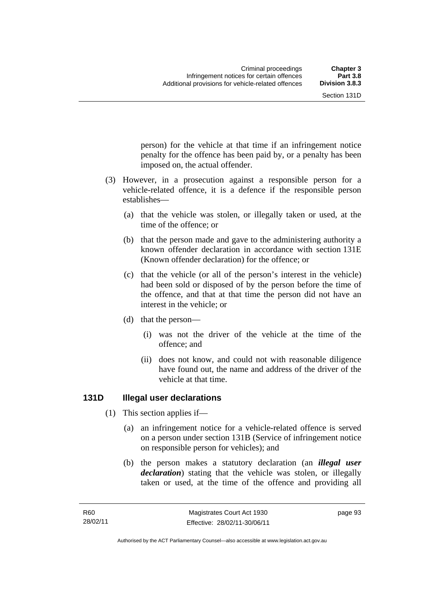person) for the vehicle at that time if an infringement notice penalty for the offence has been paid by, or a penalty has been

 (3) However, in a prosecution against a responsible person for a vehicle-related offence, it is a defence if the responsible person establishes—

imposed on, the actual offender.

- (a) that the vehicle was stolen, or illegally taken or used, at the time of the offence; or
- (b) that the person made and gave to the administering authority a known offender declaration in accordance with section 131E (Known offender declaration) for the offence; or
- (c) that the vehicle (or all of the person's interest in the vehicle) had been sold or disposed of by the person before the time of the offence, and that at that time the person did not have an interest in the vehicle; or
- (d) that the person—
	- (i) was not the driver of the vehicle at the time of the offence; and
	- (ii) does not know, and could not with reasonable diligence have found out, the name and address of the driver of the vehicle at that time.

# **131D Illegal user declarations**

- (1) This section applies if—
	- (a) an infringement notice for a vehicle-related offence is served on a person under section 131B (Service of infringement notice on responsible person for vehicles); and
	- (b) the person makes a statutory declaration (an *illegal user declaration*) stating that the vehicle was stolen, or illegally taken or used, at the time of the offence and providing all

page 93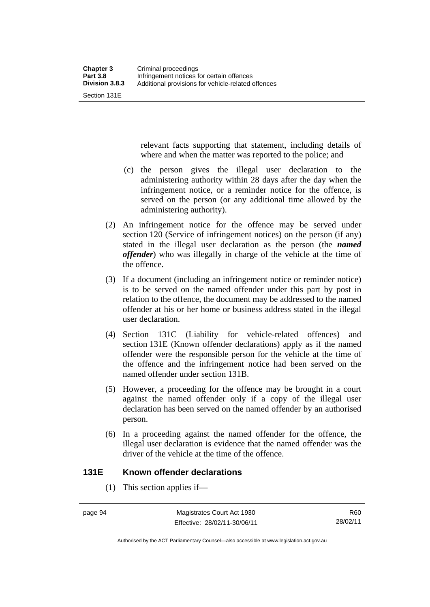Section 131E

relevant facts supporting that statement, including details of where and when the matter was reported to the police; and

- (c) the person gives the illegal user declaration to the administering authority within 28 days after the day when the infringement notice, or a reminder notice for the offence, is served on the person (or any additional time allowed by the administering authority).
- (2) An infringement notice for the offence may be served under section 120 (Service of infringement notices) on the person (if any) stated in the illegal user declaration as the person (the *named offender*) who was illegally in charge of the vehicle at the time of the offence.
- (3) If a document (including an infringement notice or reminder notice) is to be served on the named offender under this part by post in relation to the offence, the document may be addressed to the named offender at his or her home or business address stated in the illegal user declaration.
- (4) Section 131C (Liability for vehicle-related offences) and section 131E (Known offender declarations) apply as if the named offender were the responsible person for the vehicle at the time of the offence and the infringement notice had been served on the named offender under section 131B.
- (5) However, a proceeding for the offence may be brought in a court against the named offender only if a copy of the illegal user declaration has been served on the named offender by an authorised person.
- (6) In a proceeding against the named offender for the offence, the illegal user declaration is evidence that the named offender was the driver of the vehicle at the time of the offence.

# **131E Known offender declarations**

(1) This section applies if—

Authorised by the ACT Parliamentary Counsel—also accessible at www.legislation.act.gov.au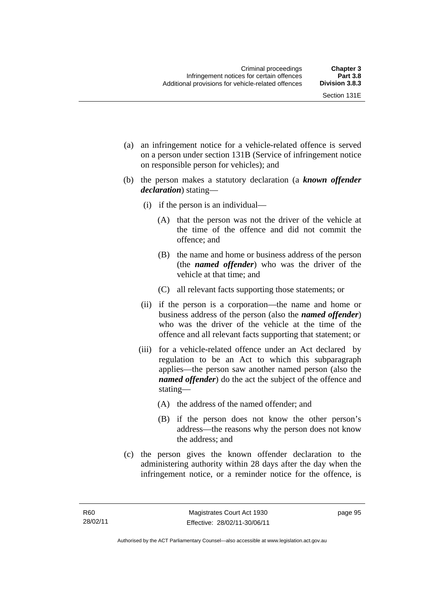- (a) an infringement notice for a vehicle-related offence is served on a person under section 131B (Service of infringement notice on responsible person for vehicles); and
- (b) the person makes a statutory declaration (a *known offender declaration*) stating—
	- (i) if the person is an individual—
		- (A) that the person was not the driver of the vehicle at the time of the offence and did not commit the offence; and
		- (B) the name and home or business address of the person (the *named offender*) who was the driver of the vehicle at that time; and
		- (C) all relevant facts supporting those statements; or
	- (ii) if the person is a corporation—the name and home or business address of the person (also the *named offender*) who was the driver of the vehicle at the time of the offence and all relevant facts supporting that statement; or
	- (iii) for a vehicle-related offence under an Act declared by regulation to be an Act to which this subparagraph applies—the person saw another named person (also the *named offender*) do the act the subject of the offence and stating—
		- (A) the address of the named offender; and
		- (B) if the person does not know the other person's address—the reasons why the person does not know the address; and
- (c) the person gives the known offender declaration to the administering authority within 28 days after the day when the infringement notice, or a reminder notice for the offence, is

page 95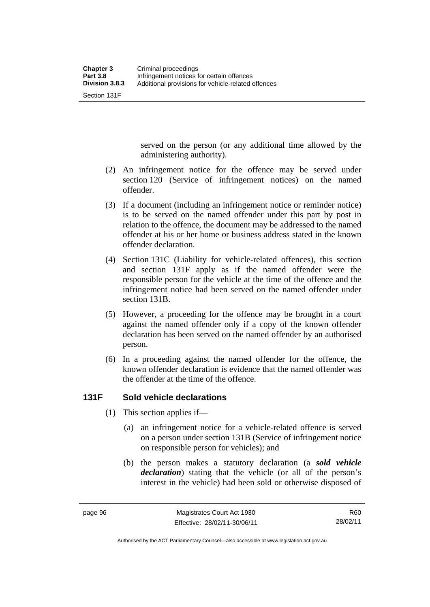Section 131F

served on the person (or any additional time allowed by the administering authority).

- (2) An infringement notice for the offence may be served under section 120 (Service of infringement notices) on the named offender.
- (3) If a document (including an infringement notice or reminder notice) is to be served on the named offender under this part by post in relation to the offence, the document may be addressed to the named offender at his or her home or business address stated in the known offender declaration.
- (4) Section 131C (Liability for vehicle-related offences), this section and section 131F apply as if the named offender were the responsible person for the vehicle at the time of the offence and the infringement notice had been served on the named offender under section 131B.
- (5) However, a proceeding for the offence may be brought in a court against the named offender only if a copy of the known offender declaration has been served on the named offender by an authorised person.
- (6) In a proceeding against the named offender for the offence, the known offender declaration is evidence that the named offender was the offender at the time of the offence.

# **131F Sold vehicle declarations**

- (1) This section applies if—
	- (a) an infringement notice for a vehicle-related offence is served on a person under section 131B (Service of infringement notice on responsible person for vehicles); and
	- (b) the person makes a statutory declaration (a *sold vehicle declaration*) stating that the vehicle (or all of the person's interest in the vehicle) had been sold or otherwise disposed of

Authorised by the ACT Parliamentary Counsel—also accessible at www.legislation.act.gov.au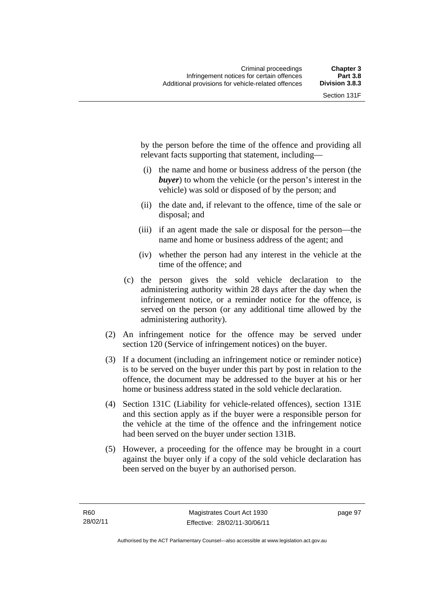by the person before the time of the offence and providing all relevant facts supporting that statement, including—

- (i) the name and home or business address of the person (the *buyer*) to whom the vehicle (or the person's interest in the vehicle) was sold or disposed of by the person; and
- (ii) the date and, if relevant to the offence, time of the sale or disposal; and
- (iii) if an agent made the sale or disposal for the person—the name and home or business address of the agent; and
- (iv) whether the person had any interest in the vehicle at the time of the offence; and
- (c) the person gives the sold vehicle declaration to the administering authority within 28 days after the day when the infringement notice, or a reminder notice for the offence, is served on the person (or any additional time allowed by the administering authority).
- (2) An infringement notice for the offence may be served under section 120 (Service of infringement notices) on the buyer.
- (3) If a document (including an infringement notice or reminder notice) is to be served on the buyer under this part by post in relation to the offence, the document may be addressed to the buyer at his or her home or business address stated in the sold vehicle declaration.
- (4) Section 131C (Liability for vehicle-related offences), section 131E and this section apply as if the buyer were a responsible person for the vehicle at the time of the offence and the infringement notice had been served on the buyer under section 131B.
- (5) However, a proceeding for the offence may be brought in a court against the buyer only if a copy of the sold vehicle declaration has been served on the buyer by an authorised person.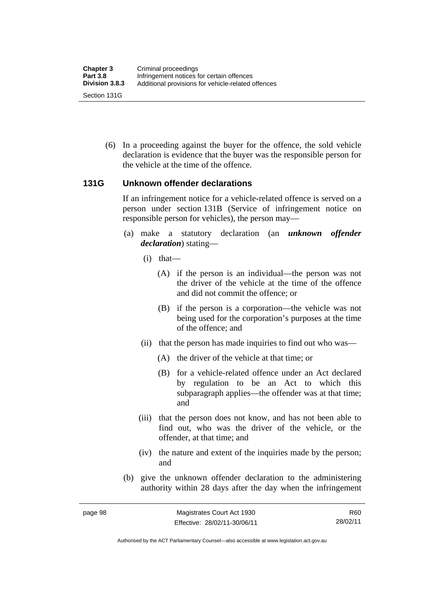(6) In a proceeding against the buyer for the offence, the sold vehicle declaration is evidence that the buyer was the responsible person for the vehicle at the time of the offence.

#### **131G Unknown offender declarations**

If an infringement notice for a vehicle-related offence is served on a person under section 131B (Service of infringement notice on responsible person for vehicles), the person may—

- (a) make a statutory declaration (an *unknown offender declaration*) stating—
	- (i) that—
		- (A) if the person is an individual—the person was not the driver of the vehicle at the time of the offence and did not commit the offence; or
		- (B) if the person is a corporation—the vehicle was not being used for the corporation's purposes at the time of the offence; and
	- (ii) that the person has made inquiries to find out who was—
		- (A) the driver of the vehicle at that time; or
		- (B) for a vehicle-related offence under an Act declared by regulation to be an Act to which this subparagraph applies—the offender was at that time; and
	- (iii) that the person does not know, and has not been able to find out, who was the driver of the vehicle, or the offender, at that time; and
	- (iv) the nature and extent of the inquiries made by the person; and
- (b) give the unknown offender declaration to the administering authority within 28 days after the day when the infringement

Authorised by the ACT Parliamentary Counsel—also accessible at www.legislation.act.gov.au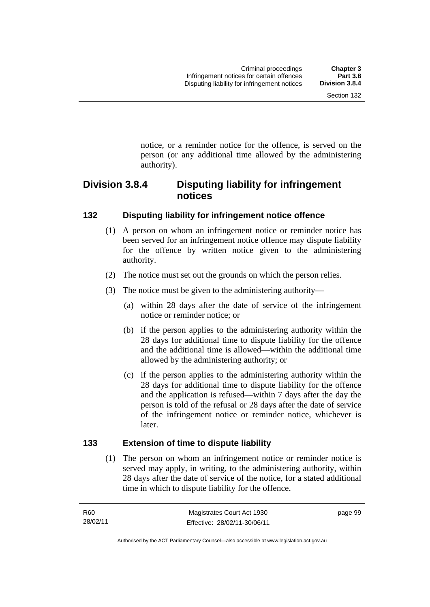notice, or a reminder notice for the offence, is served on the person (or any additional time allowed by the administering

# **Division 3.8.4 Disputing liability for infringement notices**

# **132 Disputing liability for infringement notice offence**

authority).

- (1) A person on whom an infringement notice or reminder notice has been served for an infringement notice offence may dispute liability for the offence by written notice given to the administering authority.
- (2) The notice must set out the grounds on which the person relies.
- (3) The notice must be given to the administering authority—
	- (a) within 28 days after the date of service of the infringement notice or reminder notice; or
	- (b) if the person applies to the administering authority within the 28 days for additional time to dispute liability for the offence and the additional time is allowed—within the additional time allowed by the administering authority; or
	- (c) if the person applies to the administering authority within the 28 days for additional time to dispute liability for the offence and the application is refused—within 7 days after the day the person is told of the refusal or 28 days after the date of service of the infringement notice or reminder notice, whichever is later.

# **133 Extension of time to dispute liability**

(1) The person on whom an infringement notice or reminder notice is served may apply, in writing, to the administering authority, within 28 days after the date of service of the notice, for a stated additional time in which to dispute liability for the offence.

page 99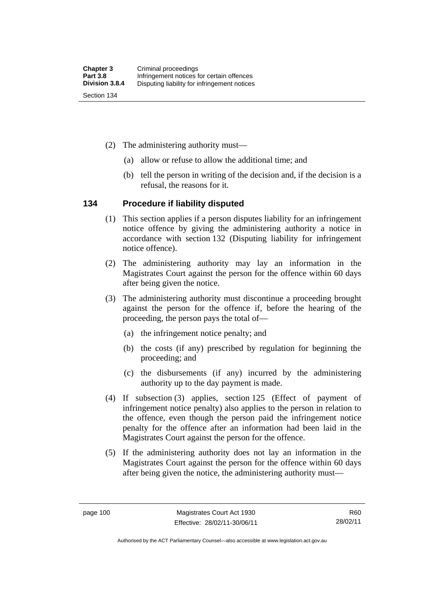- (2) The administering authority must—
	- (a) allow or refuse to allow the additional time; and
	- (b) tell the person in writing of the decision and, if the decision is a refusal, the reasons for it.

#### **134 Procedure if liability disputed**

- (1) This section applies if a person disputes liability for an infringement notice offence by giving the administering authority a notice in accordance with section 132 (Disputing liability for infringement notice offence).
- (2) The administering authority may lay an information in the Magistrates Court against the person for the offence within 60 days after being given the notice.
- (3) The administering authority must discontinue a proceeding brought against the person for the offence if, before the hearing of the proceeding, the person pays the total of—
	- (a) the infringement notice penalty; and
	- (b) the costs (if any) prescribed by regulation for beginning the proceeding; and
	- (c) the disbursements (if any) incurred by the administering authority up to the day payment is made.
- (4) If subsection (3) applies, section 125 (Effect of payment of infringement notice penalty) also applies to the person in relation to the offence, even though the person paid the infringement notice penalty for the offence after an information had been laid in the Magistrates Court against the person for the offence.
- (5) If the administering authority does not lay an information in the Magistrates Court against the person for the offence within 60 days after being given the notice, the administering authority must—

R60 28/02/11

Authorised by the ACT Parliamentary Counsel—also accessible at www.legislation.act.gov.au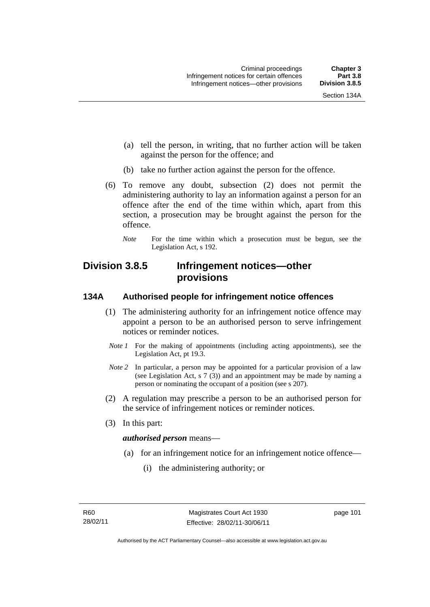- (a) tell the person, in writing, that no further action will be taken against the person for the offence; and
- (b) take no further action against the person for the offence.
- (6) To remove any doubt, subsection (2) does not permit the administering authority to lay an information against a person for an offence after the end of the time within which, apart from this section, a prosecution may be brought against the person for the offence.
	- *Note* For the time within which a prosecution must be begun, see the Legislation Act, s 192.

# **Division 3.8.5 Infringement notices—other provisions**

# **134A Authorised people for infringement notice offences**

- (1) The administering authority for an infringement notice offence may appoint a person to be an authorised person to serve infringement notices or reminder notices.
- *Note 1* For the making of appointments (including acting appointments), see the Legislation Act, pt 19.3.
- *Note 2* In particular, a person may be appointed for a particular provision of a law (see Legislation Act, s 7 (3)) and an appointment may be made by naming a person or nominating the occupant of a position (see s 207).
- (2) A regulation may prescribe a person to be an authorised person for the service of infringement notices or reminder notices.
- (3) In this part:

#### *authorised person* means—

- (a) for an infringement notice for an infringement notice offence—
	- (i) the administering authority; or

page 101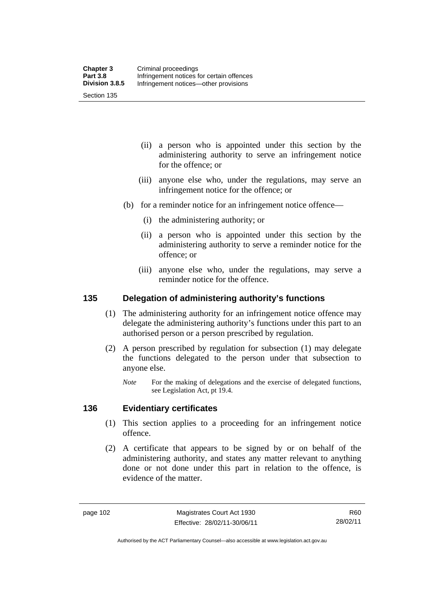Section 135

- (ii) a person who is appointed under this section by the administering authority to serve an infringement notice for the offence; or
- (iii) anyone else who, under the regulations, may serve an infringement notice for the offence; or
- (b) for a reminder notice for an infringement notice offence—
	- (i) the administering authority; or
	- (ii) a person who is appointed under this section by the administering authority to serve a reminder notice for the offence; or
	- (iii) anyone else who, under the regulations, may serve a reminder notice for the offence.

#### **135 Delegation of administering authority's functions**

- (1) The administering authority for an infringement notice offence may delegate the administering authority's functions under this part to an authorised person or a person prescribed by regulation.
- (2) A person prescribed by regulation for subsection (1) may delegate the functions delegated to the person under that subsection to anyone else.
	- *Note* For the making of delegations and the exercise of delegated functions, see Legislation Act, pt 19.4.

#### **136 Evidentiary certificates**

- (1) This section applies to a proceeding for an infringement notice offence.
- (2) A certificate that appears to be signed by or on behalf of the administering authority, and states any matter relevant to anything done or not done under this part in relation to the offence, is evidence of the matter.

R60 28/02/11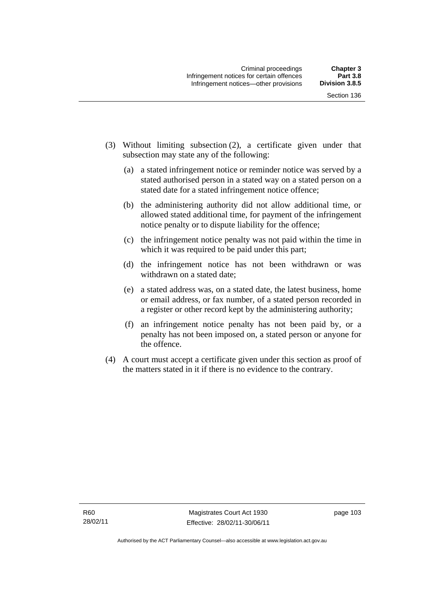- (3) Without limiting subsection (2), a certificate given under that subsection may state any of the following:
	- (a) a stated infringement notice or reminder notice was served by a stated authorised person in a stated way on a stated person on a stated date for a stated infringement notice offence;
	- (b) the administering authority did not allow additional time, or allowed stated additional time, for payment of the infringement notice penalty or to dispute liability for the offence;
	- (c) the infringement notice penalty was not paid within the time in which it was required to be paid under this part;
	- (d) the infringement notice has not been withdrawn or was withdrawn on a stated date;
	- (e) a stated address was, on a stated date, the latest business, home or email address, or fax number, of a stated person recorded in a register or other record kept by the administering authority;
	- (f) an infringement notice penalty has not been paid by, or a penalty has not been imposed on, a stated person or anyone for the offence.
- (4) A court must accept a certificate given under this section as proof of the matters stated in it if there is no evidence to the contrary.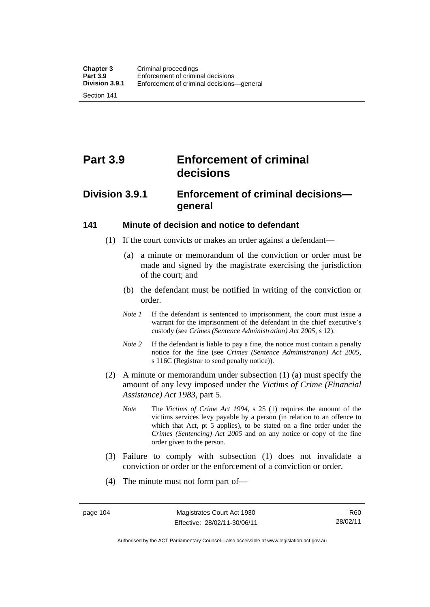Section 141

# **Part 3.9 Enforcement of criminal decisions**

# **Division 3.9.1 Enforcement of criminal decisions general**

#### **141 Minute of decision and notice to defendant**

- (1) If the court convicts or makes an order against a defendant—
	- (a) a minute or memorandum of the conviction or order must be made and signed by the magistrate exercising the jurisdiction of the court; and
	- (b) the defendant must be notified in writing of the conviction or order.
	- *Note 1* If the defendant is sentenced to imprisonment, the court must issue a warrant for the imprisonment of the defendant in the chief executive's custody (see *Crimes (Sentence Administration) Act 2005*, s 12).
	- *Note* 2 If the defendant is liable to pay a fine, the notice must contain a penalty notice for the fine (see *Crimes (Sentence Administration) Act 2005*, s 116C (Registrar to send penalty notice)).
- (2) A minute or memorandum under subsection (1) (a) must specify the amount of any levy imposed under the *Victims of Crime (Financial Assistance) Act 1983*, part 5.
	- *Note* The *Victims of Crime Act 1994*, s 25 (1) requires the amount of the victims services levy payable by a person (in relation to an offence to which that Act, pt 5 applies), to be stated on a fine order under the *Crimes (Sentencing) Act 2005* and on any notice or copy of the fine order given to the person.
- (3) Failure to comply with subsection (1) does not invalidate a conviction or order or the enforcement of a conviction or order.
- (4) The minute must not form part of—

Authorised by the ACT Parliamentary Counsel—also accessible at www.legislation.act.gov.au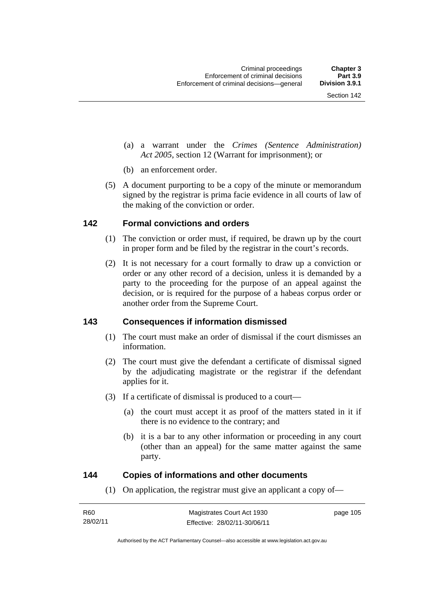- (a) a warrant under the *Crimes (Sentence Administration) Act 2005*, section 12 (Warrant for imprisonment); or
- (b) an enforcement order.
- (5) A document purporting to be a copy of the minute or memorandum signed by the registrar is prima facie evidence in all courts of law of the making of the conviction or order.

#### **142 Formal convictions and orders**

- (1) The conviction or order must, if required, be drawn up by the court in proper form and be filed by the registrar in the court's records.
- (2) It is not necessary for a court formally to draw up a conviction or order or any other record of a decision, unless it is demanded by a party to the proceeding for the purpose of an appeal against the decision, or is required for the purpose of a habeas corpus order or another order from the Supreme Court.

#### **143 Consequences if information dismissed**

- (1) The court must make an order of dismissal if the court dismisses an information.
- (2) The court must give the defendant a certificate of dismissal signed by the adjudicating magistrate or the registrar if the defendant applies for it.
- (3) If a certificate of dismissal is produced to a court—
	- (a) the court must accept it as proof of the matters stated in it if there is no evidence to the contrary; and
	- (b) it is a bar to any other information or proceeding in any court (other than an appeal) for the same matter against the same party.

#### **144 Copies of informations and other documents**

(1) On application, the registrar must give an applicant a copy of—

| R60      | Magistrates Court Act 1930   | page 105 |
|----------|------------------------------|----------|
| 28/02/11 | Effective: 28/02/11-30/06/11 |          |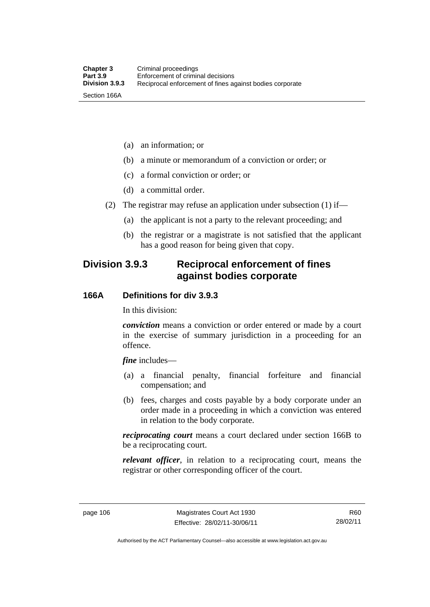- (a) an information; or
- (b) a minute or memorandum of a conviction or order; or
- (c) a formal conviction or order; or
- (d) a committal order.
- (2) The registrar may refuse an application under subsection (1) if—
	- (a) the applicant is not a party to the relevant proceeding; and
	- (b) the registrar or a magistrate is not satisfied that the applicant has a good reason for being given that copy.

# **Division 3.9.3 Reciprocal enforcement of fines against bodies corporate**

#### **166A Definitions for div 3.9.3**

In this division:

*conviction* means a conviction or order entered or made by a court in the exercise of summary jurisdiction in a proceeding for an offence.

*fine* includes—

- (a) a financial penalty, financial forfeiture and financial compensation; and
- (b) fees, charges and costs payable by a body corporate under an order made in a proceeding in which a conviction was entered in relation to the body corporate.

*reciprocating court* means a court declared under section 166B to be a reciprocating court.

*relevant officer*, in relation to a reciprocating court, means the registrar or other corresponding officer of the court.

R60 28/02/11

Authorised by the ACT Parliamentary Counsel—also accessible at www.legislation.act.gov.au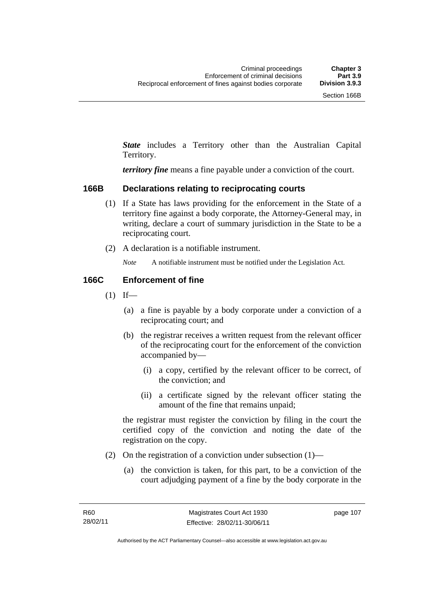*State* includes a Territory other than the Australian Capital Territory.

*territory fine* means a fine payable under a conviction of the court.

#### **166B Declarations relating to reciprocating courts**

- (1) If a State has laws providing for the enforcement in the State of a territory fine against a body corporate, the Attorney-General may, in writing, declare a court of summary jurisdiction in the State to be a reciprocating court.
- (2) A declaration is a notifiable instrument.

*Note* A notifiable instrument must be notified under the Legislation Act.

### **166C Enforcement of fine**

- $(1)$  If—
	- (a) a fine is payable by a body corporate under a conviction of a reciprocating court; and
	- (b) the registrar receives a written request from the relevant officer of the reciprocating court for the enforcement of the conviction accompanied by—
		- (i) a copy, certified by the relevant officer to be correct, of the conviction; and
		- (ii) a certificate signed by the relevant officer stating the amount of the fine that remains unpaid;

the registrar must register the conviction by filing in the court the certified copy of the conviction and noting the date of the registration on the copy.

- (2) On the registration of a conviction under subsection  $(1)$ 
	- (a) the conviction is taken, for this part, to be a conviction of the court adjudging payment of a fine by the body corporate in the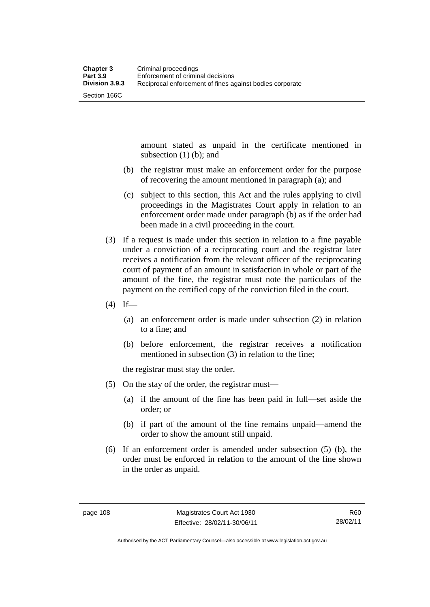amount stated as unpaid in the certificate mentioned in subsection (1) (b); and

- (b) the registrar must make an enforcement order for the purpose of recovering the amount mentioned in paragraph (a); and
- (c) subject to this section, this Act and the rules applying to civil proceedings in the Magistrates Court apply in relation to an enforcement order made under paragraph (b) as if the order had been made in a civil proceeding in the court.
- (3) If a request is made under this section in relation to a fine payable under a conviction of a reciprocating court and the registrar later receives a notification from the relevant officer of the reciprocating court of payment of an amount in satisfaction in whole or part of the amount of the fine, the registrar must note the particulars of the payment on the certified copy of the conviction filed in the court.
- $(4)$  If—
	- (a) an enforcement order is made under subsection (2) in relation to a fine; and
	- (b) before enforcement, the registrar receives a notification mentioned in subsection (3) in relation to the fine;

the registrar must stay the order.

- (5) On the stay of the order, the registrar must—
	- (a) if the amount of the fine has been paid in full—set aside the order; or
	- (b) if part of the amount of the fine remains unpaid—amend the order to show the amount still unpaid.
- (6) If an enforcement order is amended under subsection (5) (b), the order must be enforced in relation to the amount of the fine shown in the order as unpaid.

Authorised by the ACT Parliamentary Counsel—also accessible at www.legislation.act.gov.au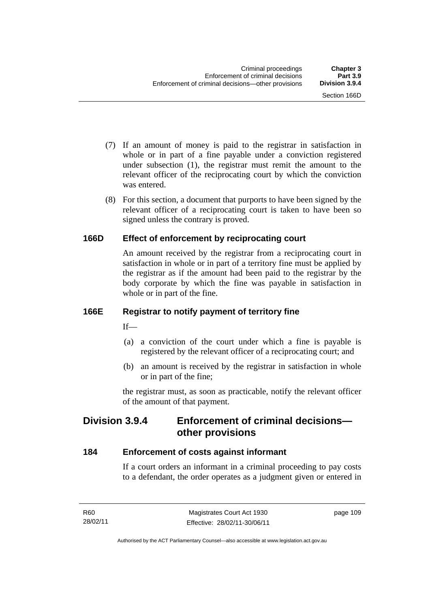- (7) If an amount of money is paid to the registrar in satisfaction in whole or in part of a fine payable under a conviction registered under subsection (1), the registrar must remit the amount to the relevant officer of the reciprocating court by which the conviction was entered.
- (8) For this section, a document that purports to have been signed by the relevant officer of a reciprocating court is taken to have been so signed unless the contrary is proved.

# **166D Effect of enforcement by reciprocating court**

An amount received by the registrar from a reciprocating court in satisfaction in whole or in part of a territory fine must be applied by the registrar as if the amount had been paid to the registrar by the body corporate by which the fine was payable in satisfaction in whole or in part of the fine.

# **166E Registrar to notify payment of territory fine**

 $If$ —

- (a) a conviction of the court under which a fine is payable is registered by the relevant officer of a reciprocating court; and
- (b) an amount is received by the registrar in satisfaction in whole or in part of the fine;

the registrar must, as soon as practicable, notify the relevant officer of the amount of that payment.

# **Division 3.9.4 Enforcement of criminal decisions other provisions**

# **184 Enforcement of costs against informant**

If a court orders an informant in a criminal proceeding to pay costs to a defendant, the order operates as a judgment given or entered in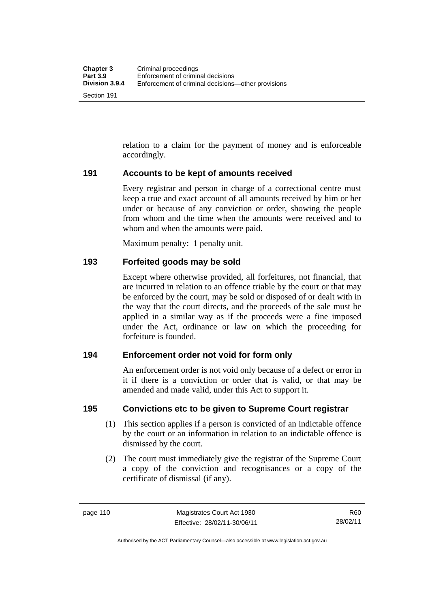Section 191

relation to a claim for the payment of money and is enforceable accordingly.

#### **191 Accounts to be kept of amounts received**

Every registrar and person in charge of a correctional centre must keep a true and exact account of all amounts received by him or her under or because of any conviction or order, showing the people from whom and the time when the amounts were received and to whom and when the amounts were paid.

Maximum penalty: 1 penalty unit.

#### **193 Forfeited goods may be sold**

Except where otherwise provided, all forfeitures, not financial, that are incurred in relation to an offence triable by the court or that may be enforced by the court, may be sold or disposed of or dealt with in the way that the court directs, and the proceeds of the sale must be applied in a similar way as if the proceeds were a fine imposed under the Act, ordinance or law on which the proceeding for forfeiture is founded.

#### **194 Enforcement order not void for form only**

An enforcement order is not void only because of a defect or error in it if there is a conviction or order that is valid, or that may be amended and made valid, under this Act to support it.

#### **195 Convictions etc to be given to Supreme Court registrar**

- (1) This section applies if a person is convicted of an indictable offence by the court or an information in relation to an indictable offence is dismissed by the court.
- (2) The court must immediately give the registrar of the Supreme Court a copy of the conviction and recognisances or a copy of the certificate of dismissal (if any).

Authorised by the ACT Parliamentary Counsel—also accessible at www.legislation.act.gov.au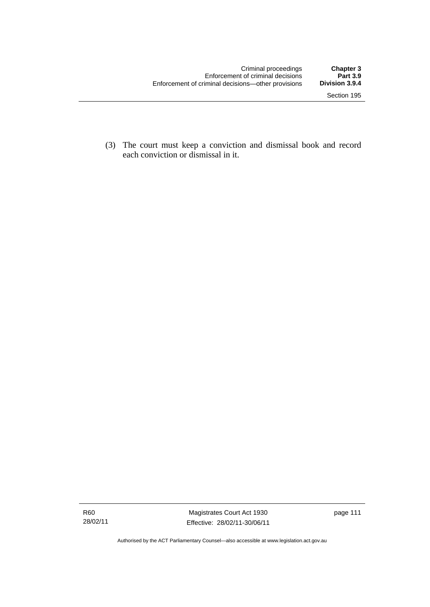(3) The court must keep a conviction and dismissal book and record each conviction or dismissal in it.

Magistrates Court Act 1930 Effective: 28/02/11-30/06/11 page 111

Authorised by the ACT Parliamentary Counsel—also accessible at www.legislation.act.gov.au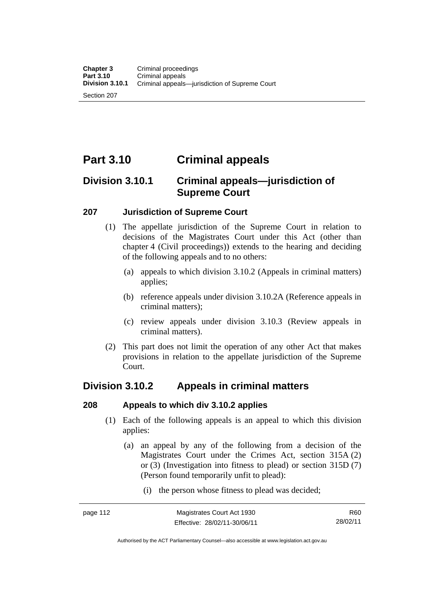Section 207

# **Part 3.10 Criminal appeals**

# **Division 3.10.1 Criminal appeals—jurisdiction of Supreme Court**

#### **207 Jurisdiction of Supreme Court**

- (1) The appellate jurisdiction of the Supreme Court in relation to decisions of the Magistrates Court under this Act (other than chapter 4 (Civil proceedings)) extends to the hearing and deciding of the following appeals and to no others:
	- (a) appeals to which division 3.10.2 (Appeals in criminal matters) applies;
	- (b) reference appeals under division 3.10.2A (Reference appeals in criminal matters);
	- (c) review appeals under division 3.10.3 (Review appeals in criminal matters).
- (2) This part does not limit the operation of any other Act that makes provisions in relation to the appellate jurisdiction of the Supreme Court.

# **Division 3.10.2 Appeals in criminal matters**

# **208 Appeals to which div 3.10.2 applies**

- (1) Each of the following appeals is an appeal to which this division applies:
	- (a) an appeal by any of the following from a decision of the Magistrates Court under the Crimes Act, section 315A (2) or (3) (Investigation into fitness to plead) or section 315D (7) (Person found temporarily unfit to plead):
		- (i) the person whose fitness to plead was decided;

Authorised by the ACT Parliamentary Counsel—also accessible at www.legislation.act.gov.au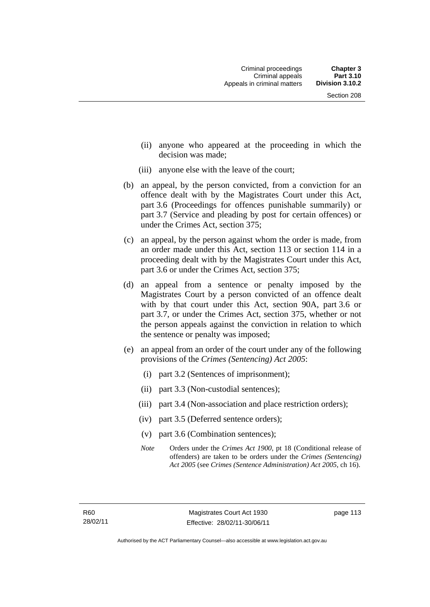- (ii) anyone who appeared at the proceeding in which the decision was made;
- (iii) anyone else with the leave of the court;
- (b) an appeal, by the person convicted, from a conviction for an offence dealt with by the Magistrates Court under this Act, part 3.6 (Proceedings for offences punishable summarily) or part 3.7 (Service and pleading by post for certain offences) or under the Crimes Act, section 375;
- (c) an appeal, by the person against whom the order is made, from an order made under this Act, section 113 or section 114 in a proceeding dealt with by the Magistrates Court under this Act, part 3.6 or under the Crimes Act, section 375;
- (d) an appeal from a sentence or penalty imposed by the Magistrates Court by a person convicted of an offence dealt with by that court under this Act, section 90A, part 3.6 or part 3.7, or under the Crimes Act, section 375, whether or not the person appeals against the conviction in relation to which the sentence or penalty was imposed;
- (e) an appeal from an order of the court under any of the following provisions of the *Crimes (Sentencing) Act 2005*:
	- (i) part 3.2 (Sentences of imprisonment);
	- (ii) part 3.3 (Non-custodial sentences);
	- (iii) part 3.4 (Non-association and place restriction orders);
	- (iv) part 3.5 (Deferred sentence orders);
	- (v) part 3.6 (Combination sentences);
	- *Note* Orders under the *Crimes Act 1900*, pt 18 (Conditional release of offenders) are taken to be orders under the *Crimes (Sentencing) Act 2005* (see *Crimes (Sentence Administration) Act 2005*, ch 16).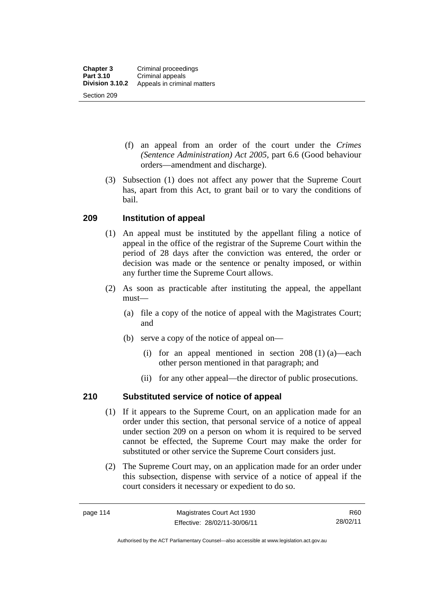- (f) an appeal from an order of the court under the *Crimes (Sentence Administration) Act 2005,* part 6.6 (Good behaviour orders—amendment and discharge).
- (3) Subsection (1) does not affect any power that the Supreme Court has, apart from this Act, to grant bail or to vary the conditions of bail.

# **209 Institution of appeal**

- (1) An appeal must be instituted by the appellant filing a notice of appeal in the office of the registrar of the Supreme Court within the period of 28 days after the conviction was entered, the order or decision was made or the sentence or penalty imposed, or within any further time the Supreme Court allows.
- (2) As soon as practicable after instituting the appeal, the appellant must—
	- (a) file a copy of the notice of appeal with the Magistrates Court; and
	- (b) serve a copy of the notice of appeal on—
		- (i) for an appeal mentioned in section 208 (1) (a)—each other person mentioned in that paragraph; and
		- (ii) for any other appeal—the director of public prosecutions.

# **210 Substituted service of notice of appeal**

- (1) If it appears to the Supreme Court, on an application made for an order under this section, that personal service of a notice of appeal under section 209 on a person on whom it is required to be served cannot be effected, the Supreme Court may make the order for substituted or other service the Supreme Court considers just.
- (2) The Supreme Court may, on an application made for an order under this subsection, dispense with service of a notice of appeal if the court considers it necessary or expedient to do so.

R60 28/02/11

Authorised by the ACT Parliamentary Counsel—also accessible at www.legislation.act.gov.au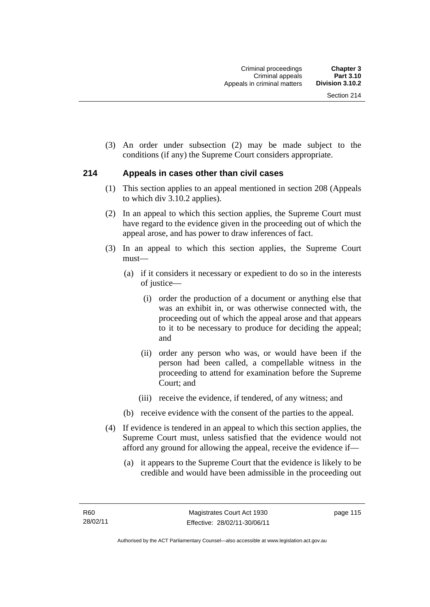(3) An order under subsection (2) may be made subject to the conditions (if any) the Supreme Court considers appropriate.

#### **214 Appeals in cases other than civil cases**

- (1) This section applies to an appeal mentioned in section 208 (Appeals to which div 3.10.2 applies).
- (2) In an appeal to which this section applies, the Supreme Court must have regard to the evidence given in the proceeding out of which the appeal arose, and has power to draw inferences of fact.
- (3) In an appeal to which this section applies, the Supreme Court must—
	- (a) if it considers it necessary or expedient to do so in the interests of justice—
		- (i) order the production of a document or anything else that was an exhibit in, or was otherwise connected with, the proceeding out of which the appeal arose and that appears to it to be necessary to produce for deciding the appeal; and
		- (ii) order any person who was, or would have been if the person had been called, a compellable witness in the proceeding to attend for examination before the Supreme Court; and
		- (iii) receive the evidence, if tendered, of any witness; and
	- (b) receive evidence with the consent of the parties to the appeal.
- (4) If evidence is tendered in an appeal to which this section applies, the Supreme Court must, unless satisfied that the evidence would not afford any ground for allowing the appeal, receive the evidence if—
	- (a) it appears to the Supreme Court that the evidence is likely to be credible and would have been admissible in the proceeding out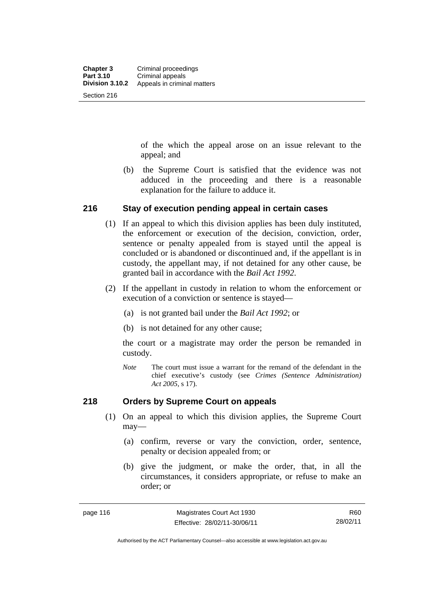of the which the appeal arose on an issue relevant to the appeal; and

 (b) the Supreme Court is satisfied that the evidence was not adduced in the proceeding and there is a reasonable explanation for the failure to adduce it.

#### **216 Stay of execution pending appeal in certain cases**

- (1) If an appeal to which this division applies has been duly instituted, the enforcement or execution of the decision, conviction, order, sentence or penalty appealed from is stayed until the appeal is concluded or is abandoned or discontinued and, if the appellant is in custody, the appellant may, if not detained for any other cause, be granted bail in accordance with the *Bail Act 1992*.
- (2) If the appellant in custody in relation to whom the enforcement or execution of a conviction or sentence is stayed—
	- (a) is not granted bail under the *Bail Act 1992*; or
	- (b) is not detained for any other cause;

the court or a magistrate may order the person be remanded in custody.

*Note* The court must issue a warrant for the remand of the defendant in the chief executive's custody (see *Crimes (Sentence Administration) Act 2005*, s 17).

#### **218 Orders by Supreme Court on appeals**

- (1) On an appeal to which this division applies, the Supreme Court may—
	- (a) confirm, reverse or vary the conviction, order, sentence, penalty or decision appealed from; or
	- (b) give the judgment, or make the order, that, in all the circumstances, it considers appropriate, or refuse to make an order; or

R60 28/02/11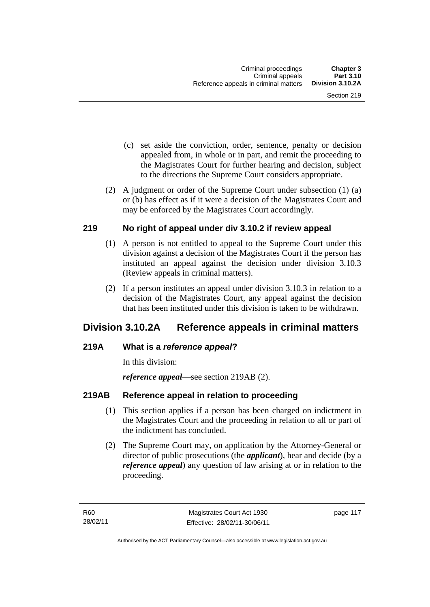- (c) set aside the conviction, order, sentence, penalty or decision appealed from, in whole or in part, and remit the proceeding to the Magistrates Court for further hearing and decision, subject to the directions the Supreme Court considers appropriate.
- (2) A judgment or order of the Supreme Court under subsection (1) (a) or (b) has effect as if it were a decision of the Magistrates Court and may be enforced by the Magistrates Court accordingly.

#### **219 No right of appeal under div 3.10.2 if review appeal**

- (1) A person is not entitled to appeal to the Supreme Court under this division against a decision of the Magistrates Court if the person has instituted an appeal against the decision under division 3.10.3 (Review appeals in criminal matters).
- (2) If a person institutes an appeal under division 3.10.3 in relation to a decision of the Magistrates Court, any appeal against the decision that has been instituted under this division is taken to be withdrawn.

# **Division 3.10.2A Reference appeals in criminal matters**

# **219A What is a** *reference appeal***?**

In this division:

*reference appeal*—see section 219AB (2).

# **219AB Reference appeal in relation to proceeding**

- (1) This section applies if a person has been charged on indictment in the Magistrates Court and the proceeding in relation to all or part of the indictment has concluded.
- (2) The Supreme Court may, on application by the Attorney-General or director of public prosecutions (the *applicant*), hear and decide (by a *reference appeal*) any question of law arising at or in relation to the proceeding.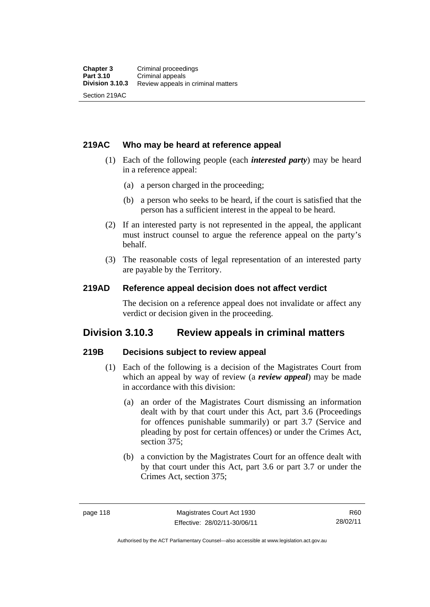#### **219AC Who may be heard at reference appeal**

- (1) Each of the following people (each *interested party*) may be heard in a reference appeal:
	- (a) a person charged in the proceeding;
	- (b) a person who seeks to be heard, if the court is satisfied that the person has a sufficient interest in the appeal to be heard.
- (2) If an interested party is not represented in the appeal, the applicant must instruct counsel to argue the reference appeal on the party's behalf.
- (3) The reasonable costs of legal representation of an interested party are payable by the Territory.

#### **219AD Reference appeal decision does not affect verdict**

The decision on a reference appeal does not invalidate or affect any verdict or decision given in the proceeding.

# **Division 3.10.3 Review appeals in criminal matters**

#### **219B Decisions subject to review appeal**

- (1) Each of the following is a decision of the Magistrates Court from which an appeal by way of review (a *review appeal*) may be made in accordance with this division:
	- (a) an order of the Magistrates Court dismissing an information dealt with by that court under this Act, part 3.6 (Proceedings for offences punishable summarily) or part 3.7 (Service and pleading by post for certain offences) or under the Crimes Act, section 375;
	- (b) a conviction by the Magistrates Court for an offence dealt with by that court under this Act, part 3.6 or part 3.7 or under the Crimes Act, section 375;

R60 28/02/11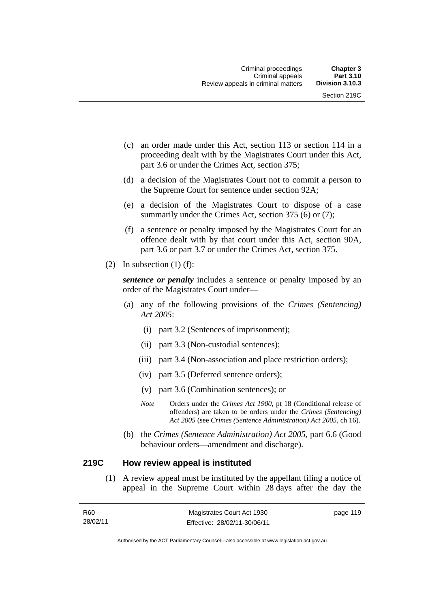- (c) an order made under this Act, section 113 or section 114 in a proceeding dealt with by the Magistrates Court under this Act, part 3.6 or under the Crimes Act, section 375;
- (d) a decision of the Magistrates Court not to commit a person to the Supreme Court for sentence under section 92A;
- (e) a decision of the Magistrates Court to dispose of a case summarily under the Crimes Act, section 375 (6) or (7);
- (f) a sentence or penalty imposed by the Magistrates Court for an offence dealt with by that court under this Act, section 90A, part 3.6 or part 3.7 or under the Crimes Act, section 375.
- (2) In subsection  $(1)$  (f):

*sentence or penalty* includes a sentence or penalty imposed by an order of the Magistrates Court under—

- (a) any of the following provisions of the *Crimes (Sentencing) Act 2005*:
	- (i) part 3.2 (Sentences of imprisonment);
	- (ii) part 3.3 (Non-custodial sentences);
	- (iii) part 3.4 (Non-association and place restriction orders);
	- (iv) part 3.5 (Deferred sentence orders);
	- (v) part 3.6 (Combination sentences); or
	- *Note* Orders under the *Crimes Act 1900*, pt 18 (Conditional release of offenders) are taken to be orders under the *Crimes (Sentencing) Act 2005* (see *Crimes (Sentence Administration) Act 2005*, ch 16).
- (b) the *Crimes (Sentence Administration) Act 2005,* part 6.6 (Good behaviour orders—amendment and discharge).

#### **219C How review appeal is instituted**

(1) A review appeal must be instituted by the appellant filing a notice of appeal in the Supreme Court within 28 days after the day the

| R60      | Magistrates Court Act 1930   | page 119 |
|----------|------------------------------|----------|
| 28/02/11 | Effective: 28/02/11-30/06/11 |          |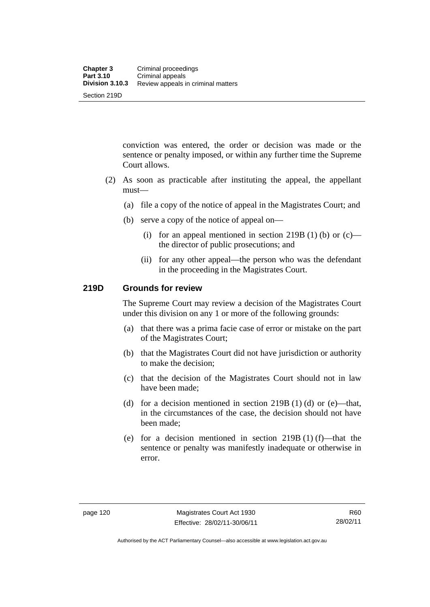conviction was entered, the order or decision was made or the sentence or penalty imposed, or within any further time the Supreme Court allows.

- (2) As soon as practicable after instituting the appeal, the appellant must—
	- (a) file a copy of the notice of appeal in the Magistrates Court; and
	- (b) serve a copy of the notice of appeal on—
		- (i) for an appeal mentioned in section 219B (1) (b) or  $(c)$  the director of public prosecutions; and
		- (ii) for any other appeal—the person who was the defendant in the proceeding in the Magistrates Court.

#### **219D Grounds for review**

The Supreme Court may review a decision of the Magistrates Court under this division on any 1 or more of the following grounds:

- (a) that there was a prima facie case of error or mistake on the part of the Magistrates Court;
- (b) that the Magistrates Court did not have jurisdiction or authority to make the decision;
- (c) that the decision of the Magistrates Court should not in law have been made;
- (d) for a decision mentioned in section  $219B(1)$  (d) or (e)—that, in the circumstances of the case, the decision should not have been made;
- (e) for a decision mentioned in section  $219B(1)$  (f)—that the sentence or penalty was manifestly inadequate or otherwise in error.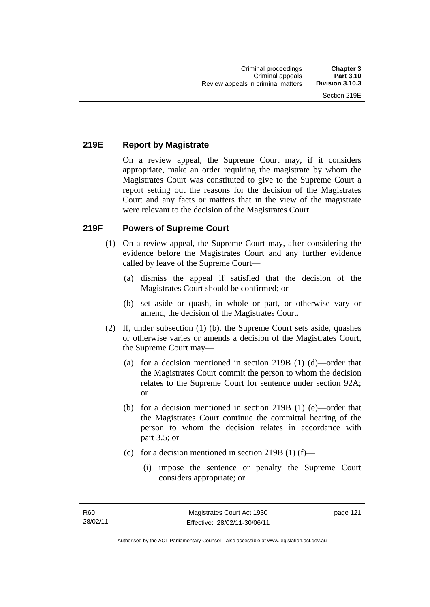# **219E Report by Magistrate**

On a review appeal, the Supreme Court may, if it considers appropriate, make an order requiring the magistrate by whom the Magistrates Court was constituted to give to the Supreme Court a report setting out the reasons for the decision of the Magistrates Court and any facts or matters that in the view of the magistrate were relevant to the decision of the Magistrates Court.

# **219F Powers of Supreme Court**

- (1) On a review appeal, the Supreme Court may, after considering the evidence before the Magistrates Court and any further evidence called by leave of the Supreme Court—
	- (a) dismiss the appeal if satisfied that the decision of the Magistrates Court should be confirmed; or
	- (b) set aside or quash, in whole or part, or otherwise vary or amend, the decision of the Magistrates Court.
- (2) If, under subsection (1) (b), the Supreme Court sets aside, quashes or otherwise varies or amends a decision of the Magistrates Court, the Supreme Court may—
	- (a) for a decision mentioned in section 219B (1) (d)—order that the Magistrates Court commit the person to whom the decision relates to the Supreme Court for sentence under section 92A; or
	- (b) for a decision mentioned in section 219B (1) (e)—order that the Magistrates Court continue the committal hearing of the person to whom the decision relates in accordance with part 3.5; or
	- (c) for a decision mentioned in section 219B (1) (f)—
		- (i) impose the sentence or penalty the Supreme Court considers appropriate; or

page 121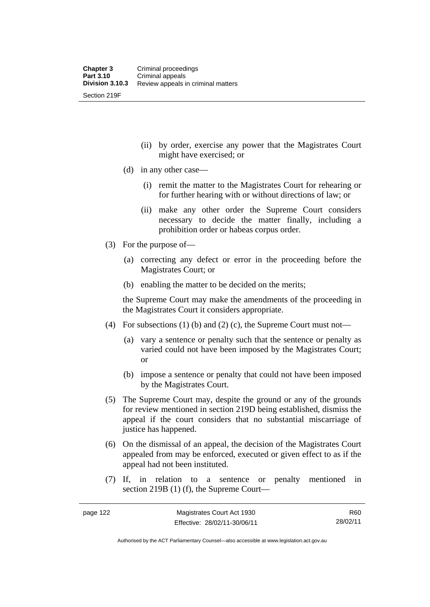(ii) by order, exercise any power that the Magistrates Court might have exercised; or

- (d) in any other case—
	- (i) remit the matter to the Magistrates Court for rehearing or for further hearing with or without directions of law; or
	- (ii) make any other order the Supreme Court considers necessary to decide the matter finally, including a prohibition order or habeas corpus order.
- (3) For the purpose of—
	- (a) correcting any defect or error in the proceeding before the Magistrates Court; or
	- (b) enabling the matter to be decided on the merits;

the Supreme Court may make the amendments of the proceeding in the Magistrates Court it considers appropriate.

- (4) For subsections (1) (b) and (2) (c), the Supreme Court must not—
	- (a) vary a sentence or penalty such that the sentence or penalty as varied could not have been imposed by the Magistrates Court; or
	- (b) impose a sentence or penalty that could not have been imposed by the Magistrates Court.
- (5) The Supreme Court may, despite the ground or any of the grounds for review mentioned in section 219D being established, dismiss the appeal if the court considers that no substantial miscarriage of justice has happened.
- (6) On the dismissal of an appeal, the decision of the Magistrates Court appealed from may be enforced, executed or given effect to as if the appeal had not been instituted.
- (7) If, in relation to a sentence or penalty mentioned in section 219B (1) (f), the Supreme Court—

R60 28/02/11

Authorised by the ACT Parliamentary Counsel—also accessible at www.legislation.act.gov.au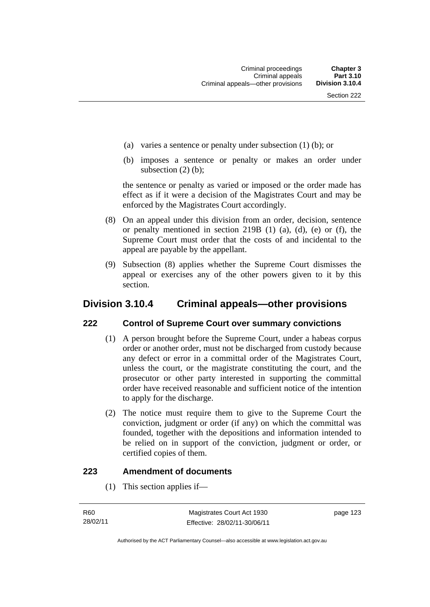- (a) varies a sentence or penalty under subsection (1) (b); or
- (b) imposes a sentence or penalty or makes an order under subsection (2) (b);

the sentence or penalty as varied or imposed or the order made has effect as if it were a decision of the Magistrates Court and may be enforced by the Magistrates Court accordingly.

- (8) On an appeal under this division from an order, decision, sentence or penalty mentioned in section 219B (1) (a), (d), (e) or (f), the Supreme Court must order that the costs of and incidental to the appeal are payable by the appellant.
- (9) Subsection (8) applies whether the Supreme Court dismisses the appeal or exercises any of the other powers given to it by this section.

# **Division 3.10.4 Criminal appeals—other provisions**

#### **222 Control of Supreme Court over summary convictions**

- (1) A person brought before the Supreme Court, under a habeas corpus order or another order, must not be discharged from custody because any defect or error in a committal order of the Magistrates Court, unless the court, or the magistrate constituting the court, and the prosecutor or other party interested in supporting the committal order have received reasonable and sufficient notice of the intention to apply for the discharge.
- (2) The notice must require them to give to the Supreme Court the conviction, judgment or order (if any) on which the committal was founded, together with the depositions and information intended to be relied on in support of the conviction, judgment or order, or certified copies of them.

#### **223 Amendment of documents**

(1) This section applies if—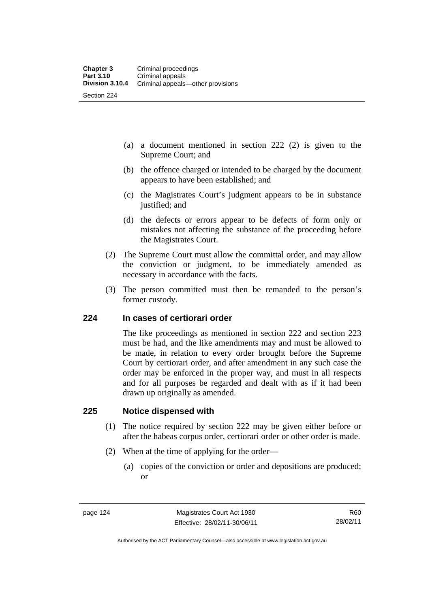- (a) a document mentioned in section 222 (2) is given to the Supreme Court; and
- (b) the offence charged or intended to be charged by the document appears to have been established; and
- (c) the Magistrates Court's judgment appears to be in substance justified; and
- (d) the defects or errors appear to be defects of form only or mistakes not affecting the substance of the proceeding before the Magistrates Court.
- (2) The Supreme Court must allow the committal order, and may allow the conviction or judgment, to be immediately amended as necessary in accordance with the facts.
- (3) The person committed must then be remanded to the person's former custody.

#### **224 In cases of certiorari order**

The like proceedings as mentioned in section 222 and section 223 must be had, and the like amendments may and must be allowed to be made, in relation to every order brought before the Supreme Court by certiorari order, and after amendment in any such case the order may be enforced in the proper way, and must in all respects and for all purposes be regarded and dealt with as if it had been drawn up originally as amended.

#### **225 Notice dispensed with**

- (1) The notice required by section 222 may be given either before or after the habeas corpus order, certiorari order or other order is made.
- (2) When at the time of applying for the order—
	- (a) copies of the conviction or order and depositions are produced; or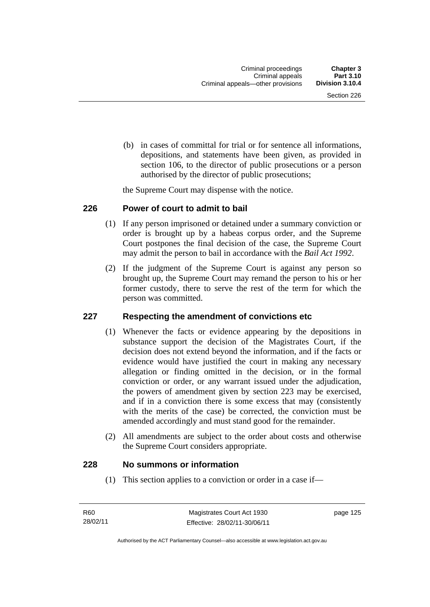(b) in cases of committal for trial or for sentence all informations, depositions, and statements have been given, as provided in section 106, to the director of public prosecutions or a person authorised by the director of public prosecutions;

the Supreme Court may dispense with the notice.

#### **226 Power of court to admit to bail**

- (1) If any person imprisoned or detained under a summary conviction or order is brought up by a habeas corpus order, and the Supreme Court postpones the final decision of the case, the Supreme Court may admit the person to bail in accordance with the *Bail Act 1992*.
- (2) If the judgment of the Supreme Court is against any person so brought up, the Supreme Court may remand the person to his or her former custody, there to serve the rest of the term for which the person was committed.

#### **227 Respecting the amendment of convictions etc**

- (1) Whenever the facts or evidence appearing by the depositions in substance support the decision of the Magistrates Court, if the decision does not extend beyond the information, and if the facts or evidence would have justified the court in making any necessary allegation or finding omitted in the decision, or in the formal conviction or order, or any warrant issued under the adjudication, the powers of amendment given by section 223 may be exercised, and if in a conviction there is some excess that may (consistently with the merits of the case) be corrected, the conviction must be amended accordingly and must stand good for the remainder.
- (2) All amendments are subject to the order about costs and otherwise the Supreme Court considers appropriate.

#### **228 No summons or information**

(1) This section applies to a conviction or order in a case if—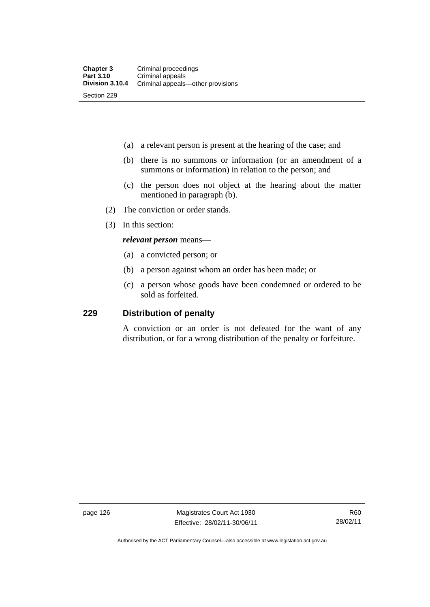- (a) a relevant person is present at the hearing of the case; and
- (b) there is no summons or information (or an amendment of a summons or information) in relation to the person; and
- (c) the person does not object at the hearing about the matter mentioned in paragraph (b).
- (2) The conviction or order stands.
- (3) In this section:

#### *relevant person* means—

- (a) a convicted person; or
- (b) a person against whom an order has been made; or
- (c) a person whose goods have been condemned or ordered to be sold as forfeited.

#### **229 Distribution of penalty**

A conviction or an order is not defeated for the want of any distribution, or for a wrong distribution of the penalty or forfeiture.

page 126 Magistrates Court Act 1930 Effective: 28/02/11-30/06/11

Authorised by the ACT Parliamentary Counsel—also accessible at www.legislation.act.gov.au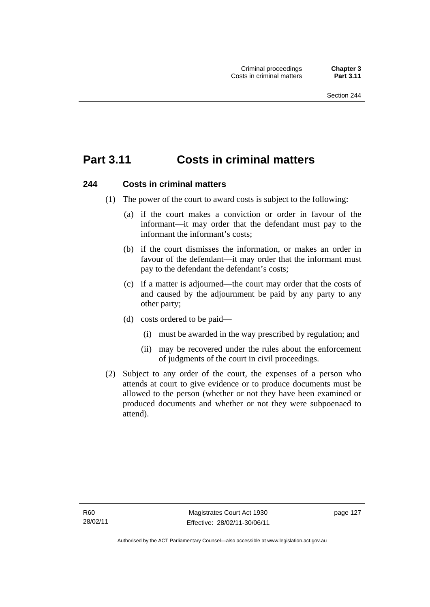# **Part 3.11 Costs in criminal matters**

#### **244 Costs in criminal matters**

- (1) The power of the court to award costs is subject to the following:
	- (a) if the court makes a conviction or order in favour of the informant—it may order that the defendant must pay to the informant the informant's costs;
	- (b) if the court dismisses the information, or makes an order in favour of the defendant—it may order that the informant must pay to the defendant the defendant's costs;
	- (c) if a matter is adjourned—the court may order that the costs of and caused by the adjournment be paid by any party to any other party;
	- (d) costs ordered to be paid—
		- (i) must be awarded in the way prescribed by regulation; and
		- (ii) may be recovered under the rules about the enforcement of judgments of the court in civil proceedings.
- (2) Subject to any order of the court, the expenses of a person who attends at court to give evidence or to produce documents must be allowed to the person (whether or not they have been examined or produced documents and whether or not they were subpoenaed to attend).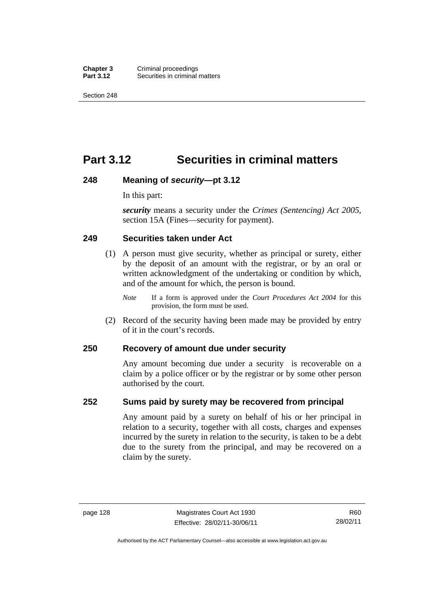**Chapter 3** Criminal proceedings<br>**Part 3.12** Securities in criminal **Securities in criminal matters** 

Section 248

# **Part 3.12 Securities in criminal matters**

#### **248 Meaning of** *security***—pt 3.12**

In this part:

*security* means a security under the *Crimes (Sentencing) Act 2005*, section 15A (Fines—security for payment).

#### **249 Securities taken under Act**

- (1) A person must give security, whether as principal or surety, either by the deposit of an amount with the registrar, or by an oral or written acknowledgment of the undertaking or condition by which, and of the amount for which, the person is bound.
	- *Note* If a form is approved under the *Court Procedures Act 2004* for this provision, the form must be used.
- (2) Record of the security having been made may be provided by entry of it in the court's records.

#### **250 Recovery of amount due under security**

Any amount becoming due under a security is recoverable on a claim by a police officer or by the registrar or by some other person authorised by the court.

### **252 Sums paid by surety may be recovered from principal**

Any amount paid by a surety on behalf of his or her principal in relation to a security, together with all costs, charges and expenses incurred by the surety in relation to the security, is taken to be a debt due to the surety from the principal, and may be recovered on a claim by the surety.

R60 28/02/11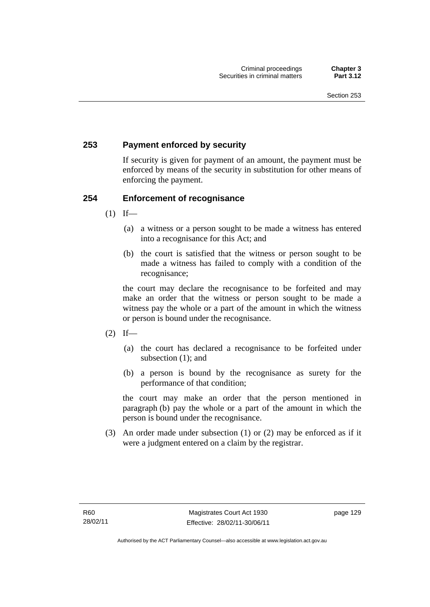# **253 Payment enforced by security**

If security is given for payment of an amount, the payment must be enforced by means of the security in substitution for other means of enforcing the payment.

# **254 Enforcement of recognisance**

- $(1)$  If—
	- (a) a witness or a person sought to be made a witness has entered into a recognisance for this Act; and
	- (b) the court is satisfied that the witness or person sought to be made a witness has failed to comply with a condition of the recognisance;

the court may declare the recognisance to be forfeited and may make an order that the witness or person sought to be made a witness pay the whole or a part of the amount in which the witness or person is bound under the recognisance.

- $(2)$  If—
	- (a) the court has declared a recognisance to be forfeited under subsection (1); and
	- (b) a person is bound by the recognisance as surety for the performance of that condition;

the court may make an order that the person mentioned in paragraph (b) pay the whole or a part of the amount in which the person is bound under the recognisance.

 (3) An order made under subsection (1) or (2) may be enforced as if it were a judgment entered on a claim by the registrar.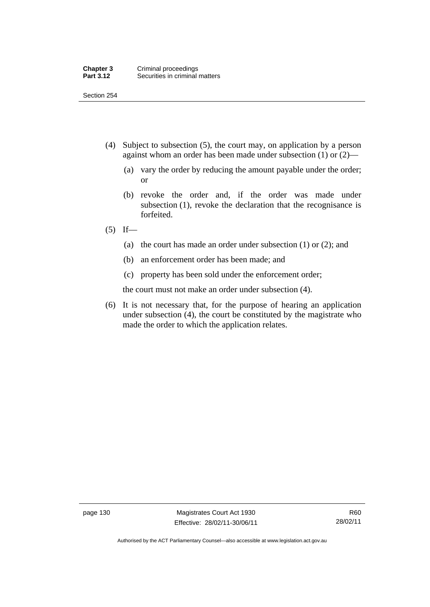- (4) Subject to subsection (5), the court may, on application by a person against whom an order has been made under subsection (1) or (2)—
	- (a) vary the order by reducing the amount payable under the order; or
	- (b) revoke the order and, if the order was made under subsection (1), revoke the declaration that the recognisance is forfeited.
- $(5)$  If—
	- (a) the court has made an order under subsection (1) or (2); and
	- (b) an enforcement order has been made; and
	- (c) property has been sold under the enforcement order;

the court must not make an order under subsection (4).

 (6) It is not necessary that, for the purpose of hearing an application under subsection (4), the court be constituted by the magistrate who made the order to which the application relates.

page 130 Magistrates Court Act 1930 Effective: 28/02/11-30/06/11

Authorised by the ACT Parliamentary Counsel—also accessible at www.legislation.act.gov.au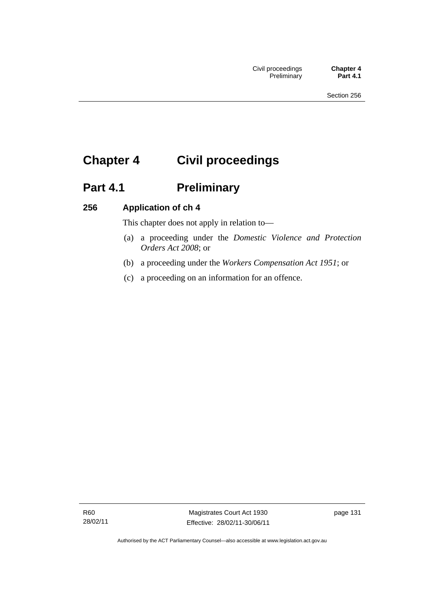# **Chapter 4 Civil proceedings**

# Part 4.1 **Preliminary**

# **256 Application of ch 4**

This chapter does not apply in relation to—

- (a) a proceeding under the *Domestic Violence and Protection Orders Act 2008*; or
- (b) a proceeding under the *Workers Compensation Act 1951*; or
- (c) a proceeding on an information for an offence.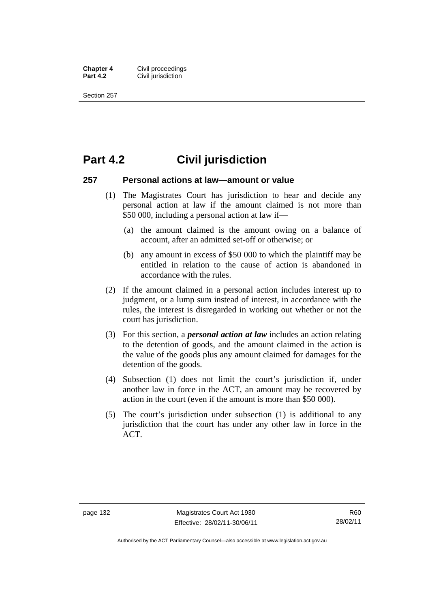**Chapter 4 Civil proceedings**<br>**Part 4.2 Civil iurisdiction Civil jurisdiction** 

Section 257

# **Part 4.2 Civil jurisdiction**

#### **257 Personal actions at law—amount or value**

- (1) The Magistrates Court has jurisdiction to hear and decide any personal action at law if the amount claimed is not more than \$50 000, including a personal action at law if—
	- (a) the amount claimed is the amount owing on a balance of account, after an admitted set-off or otherwise; or
	- (b) any amount in excess of \$50 000 to which the plaintiff may be entitled in relation to the cause of action is abandoned in accordance with the rules.
- (2) If the amount claimed in a personal action includes interest up to judgment, or a lump sum instead of interest, in accordance with the rules, the interest is disregarded in working out whether or not the court has jurisdiction.
- (3) For this section, a *personal action at law* includes an action relating to the detention of goods, and the amount claimed in the action is the value of the goods plus any amount claimed for damages for the detention of the goods.
- (4) Subsection (1) does not limit the court's jurisdiction if, under another law in force in the ACT, an amount may be recovered by action in the court (even if the amount is more than \$50 000).
- (5) The court's jurisdiction under subsection (1) is additional to any jurisdiction that the court has under any other law in force in the ACT.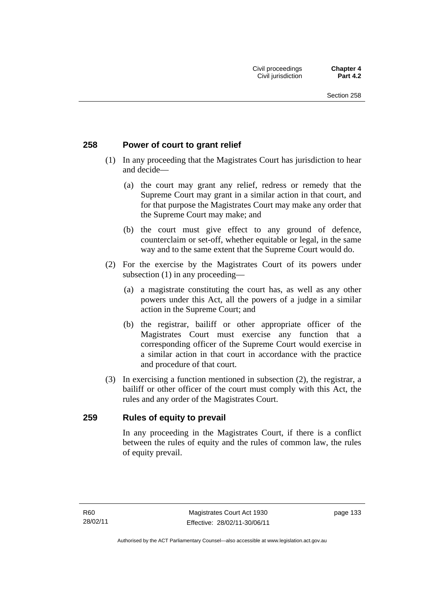# **258 Power of court to grant relief**

- (1) In any proceeding that the Magistrates Court has jurisdiction to hear and decide—
	- (a) the court may grant any relief, redress or remedy that the Supreme Court may grant in a similar action in that court, and for that purpose the Magistrates Court may make any order that the Supreme Court may make; and
	- (b) the court must give effect to any ground of defence, counterclaim or set-off, whether equitable or legal, in the same way and to the same extent that the Supreme Court would do.
- (2) For the exercise by the Magistrates Court of its powers under subsection (1) in any proceeding—
	- (a) a magistrate constituting the court has, as well as any other powers under this Act, all the powers of a judge in a similar action in the Supreme Court; and
	- (b) the registrar, bailiff or other appropriate officer of the Magistrates Court must exercise any function that a corresponding officer of the Supreme Court would exercise in a similar action in that court in accordance with the practice and procedure of that court.
- (3) In exercising a function mentioned in subsection (2), the registrar, a bailiff or other officer of the court must comply with this Act, the rules and any order of the Magistrates Court.

### **259 Rules of equity to prevail**

In any proceeding in the Magistrates Court, if there is a conflict between the rules of equity and the rules of common law, the rules of equity prevail.

page 133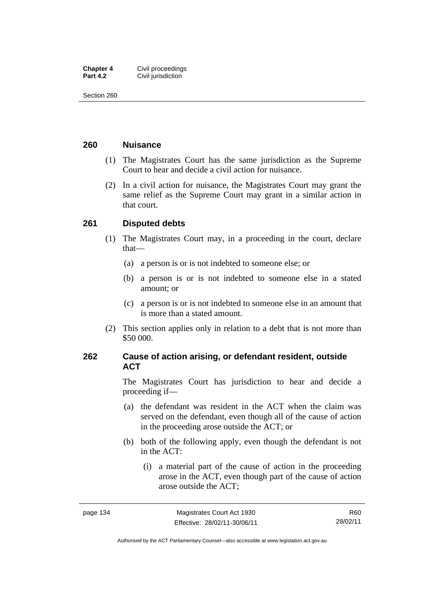| <b>Chapter 4</b> | Civil proceedings  |
|------------------|--------------------|
| <b>Part 4.2</b>  | Civil jurisdiction |

### **260 Nuisance**

- (1) The Magistrates Court has the same jurisdiction as the Supreme Court to hear and decide a civil action for nuisance.
- (2) In a civil action for nuisance, the Magistrates Court may grant the same relief as the Supreme Court may grant in a similar action in that court.

## **261 Disputed debts**

- (1) The Magistrates Court may, in a proceeding in the court, declare that—
	- (a) a person is or is not indebted to someone else; or
	- (b) a person is or is not indebted to someone else in a stated amount; or
	- (c) a person is or is not indebted to someone else in an amount that is more than a stated amount.
- (2) This section applies only in relation to a debt that is not more than \$50 000.

# **262 Cause of action arising, or defendant resident, outside ACT**

The Magistrates Court has jurisdiction to hear and decide a proceeding if—

- (a) the defendant was resident in the ACT when the claim was served on the defendant, even though all of the cause of action in the proceeding arose outside the ACT; or
- (b) both of the following apply, even though the defendant is not in the ACT:
	- (i) a material part of the cause of action in the proceeding arose in the ACT, even though part of the cause of action arose outside the ACT;

R60 28/02/11

Authorised by the ACT Parliamentary Counsel—also accessible at www.legislation.act.gov.au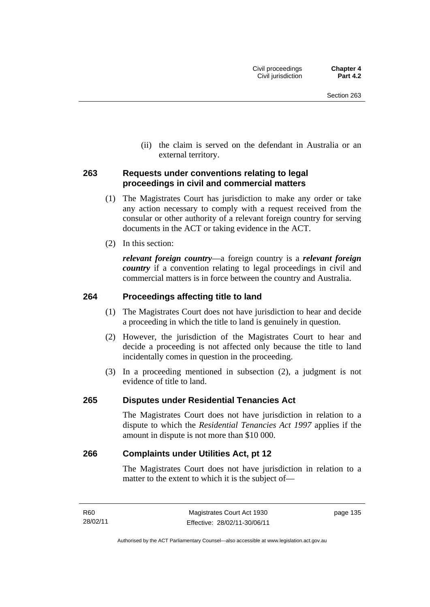(ii) the claim is served on the defendant in Australia or an external territory.

## **263 Requests under conventions relating to legal proceedings in civil and commercial matters**

- (1) The Magistrates Court has jurisdiction to make any order or take any action necessary to comply with a request received from the consular or other authority of a relevant foreign country for serving documents in the ACT or taking evidence in the ACT.
- (2) In this section:

*relevant foreign country*—a foreign country is a *relevant foreign country* if a convention relating to legal proceedings in civil and commercial matters is in force between the country and Australia.

# **264 Proceedings affecting title to land**

- (1) The Magistrates Court does not have jurisdiction to hear and decide a proceeding in which the title to land is genuinely in question.
- (2) However, the jurisdiction of the Magistrates Court to hear and decide a proceeding is not affected only because the title to land incidentally comes in question in the proceeding.
- (3) In a proceeding mentioned in subsection (2), a judgment is not evidence of title to land.

### **265 Disputes under Residential Tenancies Act**

The Magistrates Court does not have jurisdiction in relation to a dispute to which the *Residential Tenancies Act 1997* applies if the amount in dispute is not more than \$10 000.

### **266 Complaints under Utilities Act, pt 12**

The Magistrates Court does not have jurisdiction in relation to a matter to the extent to which it is the subject of—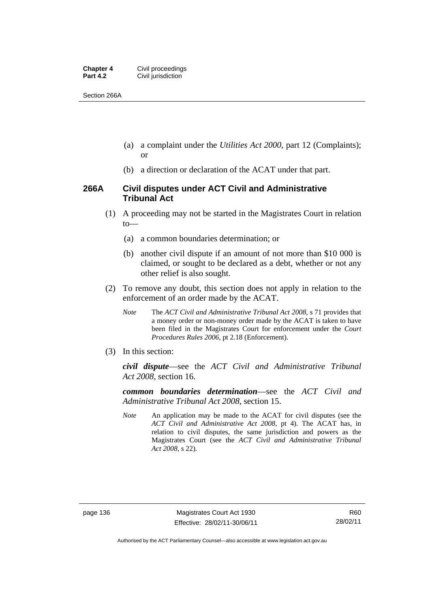| <b>Chapter 4</b> | Civil proceedings  |
|------------------|--------------------|
| <b>Part 4.2</b>  | Civil jurisdiction |

Section 266A

- (a) a complaint under the *Utilities Act 2000*, part 12 (Complaints); or
- (b) a direction or declaration of the ACAT under that part.

### **266A Civil disputes under ACT Civil and Administrative Tribunal Act**

- (1) A proceeding may not be started in the Magistrates Court in relation to—
	- (a) a common boundaries determination; or
	- (b) another civil dispute if an amount of not more than \$10 000 is claimed, or sought to be declared as a debt, whether or not any other relief is also sought.
- (2) To remove any doubt, this section does not apply in relation to the enforcement of an order made by the ACAT.
	- *Note* The *ACT Civil and Administrative Tribunal Act 2008*, s 71 provides that a money order or non-money order made by the ACAT is taken to have been filed in the Magistrates Court for enforcement under the *Court Procedures Rules 2006*, pt 2.18 (Enforcement).
- (3) In this section:

*civil dispute*—see the *ACT Civil and Administrative Tribunal Act 2008*, section 16.

*common boundaries determination*—see the *ACT Civil and Administrative Tribunal Act 2008*, section 15.

*Note* An application may be made to the ACAT for civil disputes (see the *ACT Civil and Administrative Act 2008*, pt 4). The ACAT has, in relation to civil disputes, the same jurisdiction and powers as the Magistrates Court (see the *ACT Civil and Administrative Tribunal Act 2008*, s 22).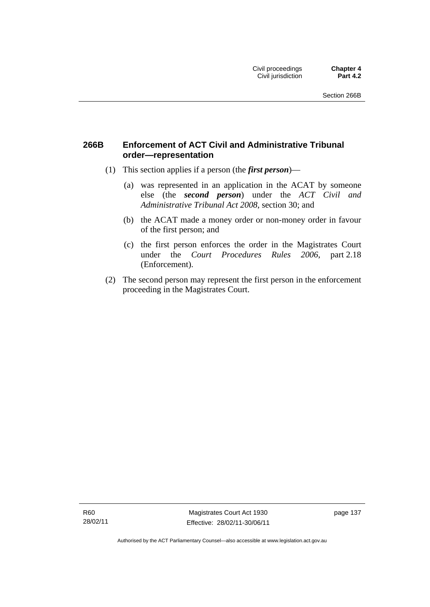# **266B Enforcement of ACT Civil and Administrative Tribunal order—representation**

- (1) This section applies if a person (the *first person*)—
	- (a) was represented in an application in the ACAT by someone else (the *second person*) under the *ACT Civil and Administrative Tribunal Act 2008*, section 30; and
	- (b) the ACAT made a money order or non-money order in favour of the first person; and
	- (c) the first person enforces the order in the Magistrates Court under the *Court Procedures Rules 2006*, part 2.18 (Enforcement).
- (2) The second person may represent the first person in the enforcement proceeding in the Magistrates Court.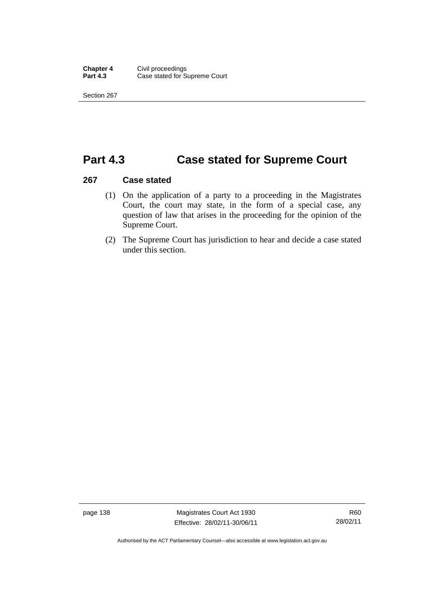# **Part 4.3 Case stated for Supreme Court**

### **267 Case stated**

- (1) On the application of a party to a proceeding in the Magistrates Court, the court may state, in the form of a special case, any question of law that arises in the proceeding for the opinion of the Supreme Court.
- (2) The Supreme Court has jurisdiction to hear and decide a case stated under this section.

page 138 Magistrates Court Act 1930 Effective: 28/02/11-30/06/11

Authorised by the ACT Parliamentary Counsel—also accessible at www.legislation.act.gov.au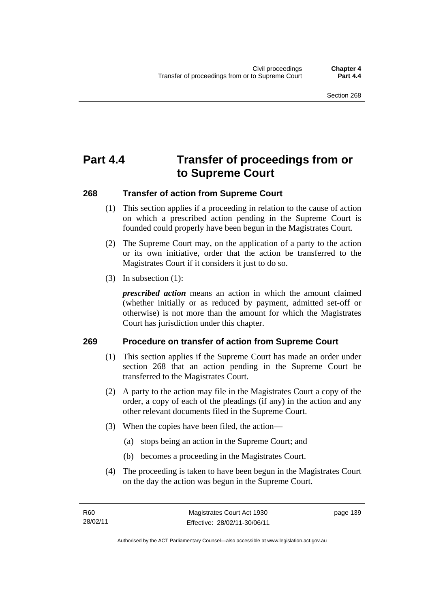# **Part 4.4 Transfer of proceedings from or to Supreme Court**

## **268 Transfer of action from Supreme Court**

- (1) This section applies if a proceeding in relation to the cause of action on which a prescribed action pending in the Supreme Court is founded could properly have been begun in the Magistrates Court.
- (2) The Supreme Court may, on the application of a party to the action or its own initiative, order that the action be transferred to the Magistrates Court if it considers it just to do so.
- (3) In subsection (1):

*prescribed action* means an action in which the amount claimed (whether initially or as reduced by payment, admitted set-off or otherwise) is not more than the amount for which the Magistrates Court has jurisdiction under this chapter.

### **269 Procedure on transfer of action from Supreme Court**

- (1) This section applies if the Supreme Court has made an order under section 268 that an action pending in the Supreme Court be transferred to the Magistrates Court.
- (2) A party to the action may file in the Magistrates Court a copy of the order, a copy of each of the pleadings (if any) in the action and any other relevant documents filed in the Supreme Court.
- (3) When the copies have been filed, the action—
	- (a) stops being an action in the Supreme Court; and
	- (b) becomes a proceeding in the Magistrates Court.
- (4) The proceeding is taken to have been begun in the Magistrates Court on the day the action was begun in the Supreme Court.

page 139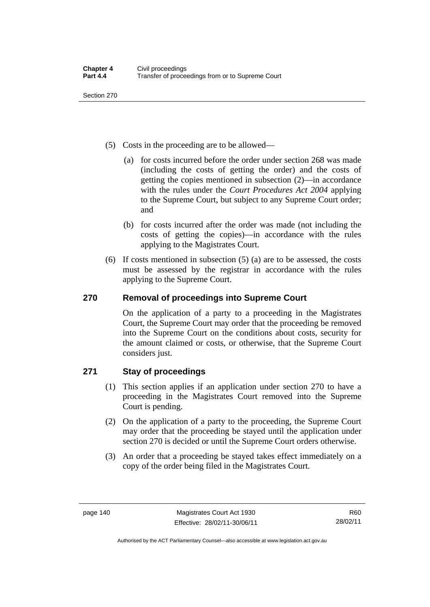- (5) Costs in the proceeding are to be allowed—
	- (a) for costs incurred before the order under section 268 was made (including the costs of getting the order) and the costs of getting the copies mentioned in subsection (2)—in accordance with the rules under the *Court Procedures Act 2004* applying to the Supreme Court, but subject to any Supreme Court order; and
	- (b) for costs incurred after the order was made (not including the costs of getting the copies)—in accordance with the rules applying to the Magistrates Court.
- (6) If costs mentioned in subsection (5) (a) are to be assessed, the costs must be assessed by the registrar in accordance with the rules applying to the Supreme Court.

# **270 Removal of proceedings into Supreme Court**

On the application of a party to a proceeding in the Magistrates Court, the Supreme Court may order that the proceeding be removed into the Supreme Court on the conditions about costs, security for the amount claimed or costs, or otherwise, that the Supreme Court considers just.

# **271 Stay of proceedings**

- (1) This section applies if an application under section 270 to have a proceeding in the Magistrates Court removed into the Supreme Court is pending.
- (2) On the application of a party to the proceeding, the Supreme Court may order that the proceeding be stayed until the application under section 270 is decided or until the Supreme Court orders otherwise.
- (3) An order that a proceeding be stayed takes effect immediately on a copy of the order being filed in the Magistrates Court.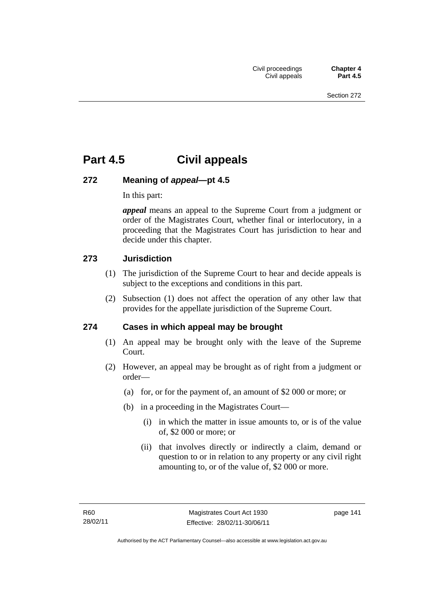# **Part 4.5 Civil appeals**

# **272 Meaning of** *appeal***—pt 4.5**

In this part:

*appeal* means an appeal to the Supreme Court from a judgment or order of the Magistrates Court, whether final or interlocutory, in a proceeding that the Magistrates Court has jurisdiction to hear and decide under this chapter.

# **273 Jurisdiction**

- (1) The jurisdiction of the Supreme Court to hear and decide appeals is subject to the exceptions and conditions in this part.
- (2) Subsection (1) does not affect the operation of any other law that provides for the appellate jurisdiction of the Supreme Court.

# **274 Cases in which appeal may be brought**

- (1) An appeal may be brought only with the leave of the Supreme Court.
- (2) However, an appeal may be brought as of right from a judgment or order—
	- (a) for, or for the payment of, an amount of \$2 000 or more; or
	- (b) in a proceeding in the Magistrates Court—
		- (i) in which the matter in issue amounts to, or is of the value of, \$2 000 or more; or
		- (ii) that involves directly or indirectly a claim, demand or question to or in relation to any property or any civil right amounting to, or of the value of, \$2 000 or more.

page 141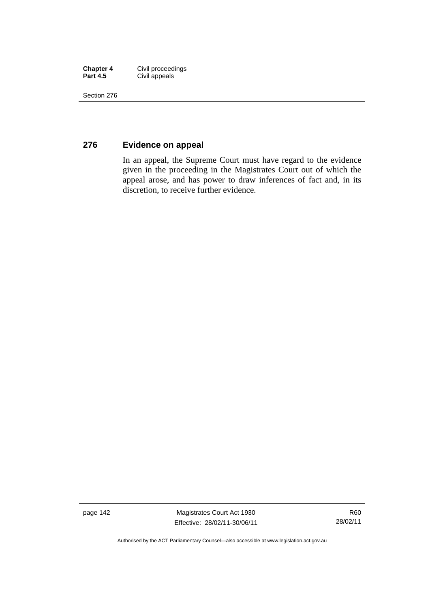| <b>Chapter 4</b> | Civil proceedings |
|------------------|-------------------|
| <b>Part 4.5</b>  | Civil appeals     |

# **276 Evidence on appeal**

In an appeal, the Supreme Court must have regard to the evidence given in the proceeding in the Magistrates Court out of which the appeal arose, and has power to draw inferences of fact and, in its discretion, to receive further evidence.

page 142 Magistrates Court Act 1930 Effective: 28/02/11-30/06/11

R60 28/02/11

Authorised by the ACT Parliamentary Counsel—also accessible at www.legislation.act.gov.au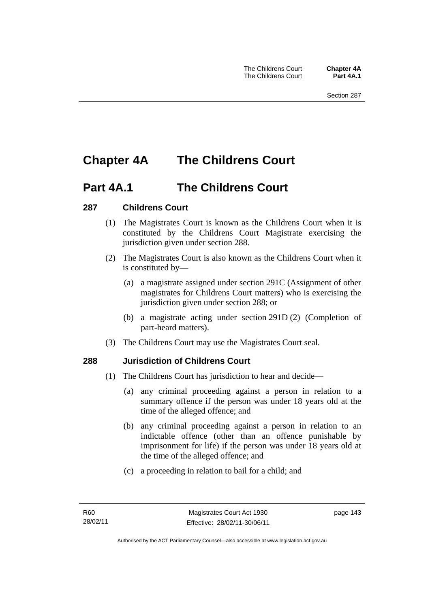# **Chapter 4A The Childrens Court**

# **Part 4A.1 The Childrens Court**

# **287 Childrens Court**

- (1) The Magistrates Court is known as the Childrens Court when it is constituted by the Childrens Court Magistrate exercising the jurisdiction given under section 288.
- (2) The Magistrates Court is also known as the Childrens Court when it is constituted by—
	- (a) a magistrate assigned under section 291C (Assignment of other magistrates for Childrens Court matters) who is exercising the jurisdiction given under section 288; or
	- (b) a magistrate acting under section 291D (2) (Completion of part-heard matters).
- (3) The Childrens Court may use the Magistrates Court seal.

# **288 Jurisdiction of Childrens Court**

- (1) The Childrens Court has jurisdiction to hear and decide—
	- (a) any criminal proceeding against a person in relation to a summary offence if the person was under 18 years old at the time of the alleged offence; and
	- (b) any criminal proceeding against a person in relation to an indictable offence (other than an offence punishable by imprisonment for life) if the person was under 18 years old at the time of the alleged offence; and
	- (c) a proceeding in relation to bail for a child; and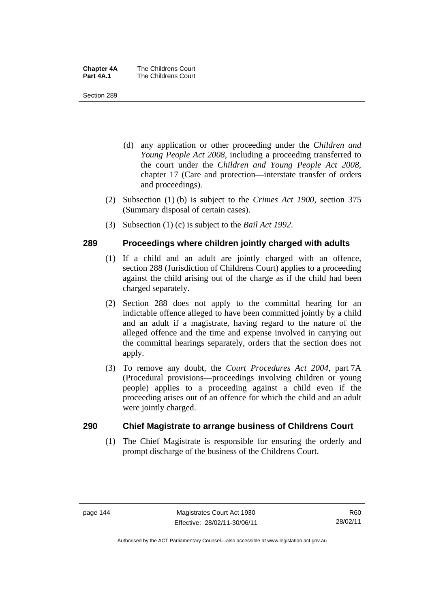| <b>Chapter 4A</b> | The Childrens Court |
|-------------------|---------------------|
| Part 4A.1         | The Childrens Court |

- (d) any application or other proceeding under the *Children and Young People Act 2008*, including a proceeding transferred to the court under the *Children and Young People Act 2008*, chapter 17 (Care and protection—interstate transfer of orders and proceedings).
- (2) Subsection (1) (b) is subject to the *Crimes Act 1900*, section 375 (Summary disposal of certain cases).
- (3) Subsection (1) (c) is subject to the *Bail Act 1992*.

## **289 Proceedings where children jointly charged with adults**

- (1) If a child and an adult are jointly charged with an offence, section 288 (Jurisdiction of Childrens Court) applies to a proceeding against the child arising out of the charge as if the child had been charged separately.
- (2) Section 288 does not apply to the committal hearing for an indictable offence alleged to have been committed jointly by a child and an adult if a magistrate, having regard to the nature of the alleged offence and the time and expense involved in carrying out the committal hearings separately, orders that the section does not apply.
- (3) To remove any doubt, the *Court Procedures Act 2004*, part 7A (Procedural provisions—proceedings involving children or young people) applies to a proceeding against a child even if the proceeding arises out of an offence for which the child and an adult were jointly charged.

### **290 Chief Magistrate to arrange business of Childrens Court**

(1) The Chief Magistrate is responsible for ensuring the orderly and prompt discharge of the business of the Childrens Court.

Authorised by the ACT Parliamentary Counsel—also accessible at www.legislation.act.gov.au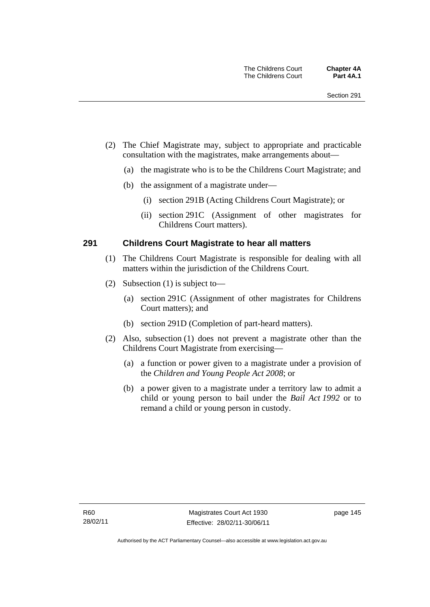- (2) The Chief Magistrate may, subject to appropriate and practicable consultation with the magistrates, make arrangements about—
	- (a) the magistrate who is to be the Childrens Court Magistrate; and
	- (b) the assignment of a magistrate under—
		- (i) section 291B (Acting Childrens Court Magistrate); or
		- (ii) section 291C (Assignment of other magistrates for Childrens Court matters).

### **291 Childrens Court Magistrate to hear all matters**

- (1) The Childrens Court Magistrate is responsible for dealing with all matters within the jurisdiction of the Childrens Court.
- (2) Subsection (1) is subject to—
	- (a) section 291C (Assignment of other magistrates for Childrens Court matters); and
	- (b) section 291D (Completion of part-heard matters).
- (2) Also, subsection (1) does not prevent a magistrate other than the Childrens Court Magistrate from exercising—
	- (a) a function or power given to a magistrate under a provision of the *Children and Young People Act 2008*; or
	- (b) a power given to a magistrate under a territory law to admit a child or young person to bail under the *Bail Act 1992* or to remand a child or young person in custody.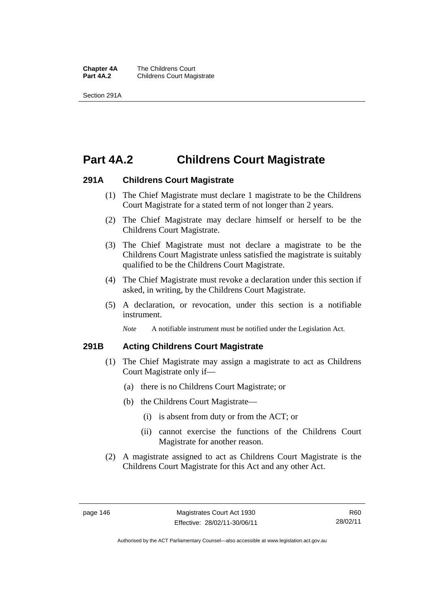**Chapter 4A** The Childrens Court<br>**Part 4A.2** Childrens Court Mag **Childrens Court Magistrate** 

Section 291A

# **Part 4A.2 Childrens Court Magistrate**

### **291A Childrens Court Magistrate**

- (1) The Chief Magistrate must declare 1 magistrate to be the Childrens Court Magistrate for a stated term of not longer than 2 years.
- (2) The Chief Magistrate may declare himself or herself to be the Childrens Court Magistrate.
- (3) The Chief Magistrate must not declare a magistrate to be the Childrens Court Magistrate unless satisfied the magistrate is suitably qualified to be the Childrens Court Magistrate.
- (4) The Chief Magistrate must revoke a declaration under this section if asked, in writing, by the Childrens Court Magistrate.
- (5) A declaration, or revocation, under this section is a notifiable instrument.

*Note* A notifiable instrument must be notified under the Legislation Act.

### **291B Acting Childrens Court Magistrate**

- (1) The Chief Magistrate may assign a magistrate to act as Childrens Court Magistrate only if—
	- (a) there is no Childrens Court Magistrate; or
	- (b) the Childrens Court Magistrate—
		- (i) is absent from duty or from the ACT; or
		- (ii) cannot exercise the functions of the Childrens Court Magistrate for another reason.
- (2) A magistrate assigned to act as Childrens Court Magistrate is the Childrens Court Magistrate for this Act and any other Act.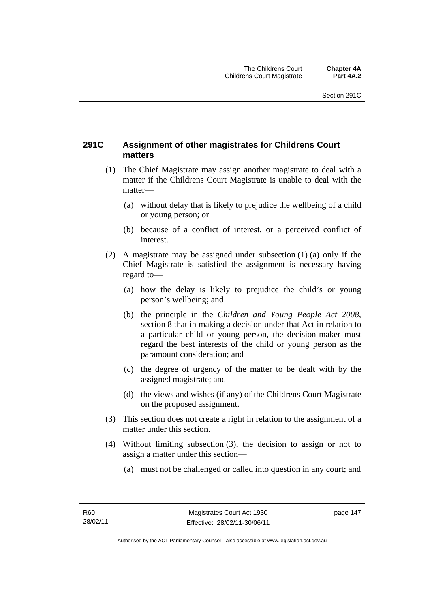# **291C Assignment of other magistrates for Childrens Court matters**

- (1) The Chief Magistrate may assign another magistrate to deal with a matter if the Childrens Court Magistrate is unable to deal with the matter—
	- (a) without delay that is likely to prejudice the wellbeing of a child or young person; or
	- (b) because of a conflict of interest, or a perceived conflict of interest.
- (2) A magistrate may be assigned under subsection (1) (a) only if the Chief Magistrate is satisfied the assignment is necessary having regard to—
	- (a) how the delay is likely to prejudice the child's or young person's wellbeing; and
	- (b) the principle in the *Children and Young People Act 2008*, section 8 that in making a decision under that Act in relation to a particular child or young person, the decision-maker must regard the best interests of the child or young person as the paramount consideration; and
	- (c) the degree of urgency of the matter to be dealt with by the assigned magistrate; and
	- (d) the views and wishes (if any) of the Childrens Court Magistrate on the proposed assignment.
- (3) This section does not create a right in relation to the assignment of a matter under this section.
- (4) Without limiting subsection (3), the decision to assign or not to assign a matter under this section—
	- (a) must not be challenged or called into question in any court; and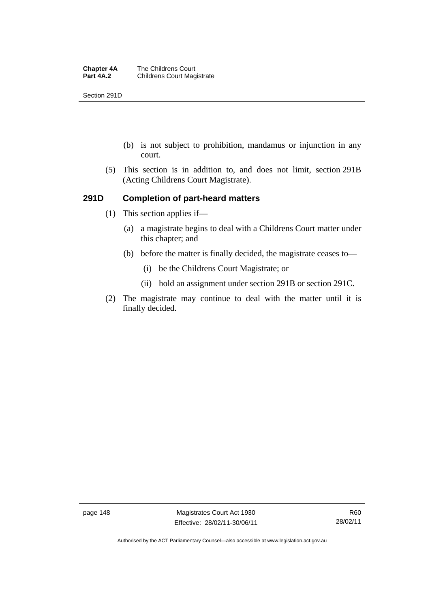Section 291D

- (b) is not subject to prohibition, mandamus or injunction in any court.
- (5) This section is in addition to, and does not limit, section 291B (Acting Childrens Court Magistrate).

## **291D Completion of part-heard matters**

- (1) This section applies if—
	- (a) a magistrate begins to deal with a Childrens Court matter under this chapter; and
	- (b) before the matter is finally decided, the magistrate ceases to—
		- (i) be the Childrens Court Magistrate; or
		- (ii) hold an assignment under section 291B or section 291C.
- (2) The magistrate may continue to deal with the matter until it is finally decided.

page 148 Magistrates Court Act 1930 Effective: 28/02/11-30/06/11

Authorised by the ACT Parliamentary Counsel—also accessible at www.legislation.act.gov.au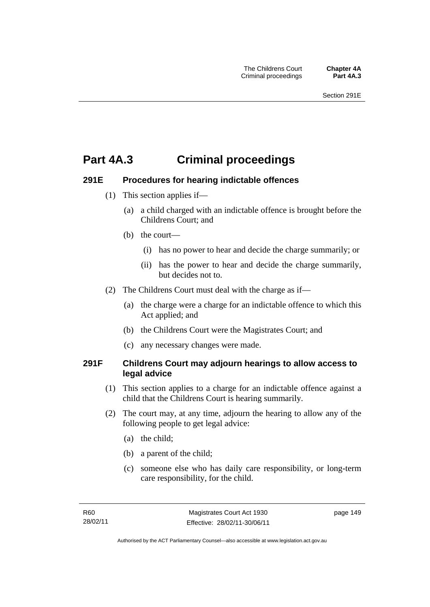# **Part 4A.3 Criminal proceedings**

# **291E Procedures for hearing indictable offences**

- (1) This section applies if—
	- (a) a child charged with an indictable offence is brought before the Childrens Court; and
	- (b) the court—
		- (i) has no power to hear and decide the charge summarily; or
		- (ii) has the power to hear and decide the charge summarily, but decides not to.
- (2) The Childrens Court must deal with the charge as if—
	- (a) the charge were a charge for an indictable offence to which this Act applied; and
	- (b) the Childrens Court were the Magistrates Court; and
	- (c) any necessary changes were made.

## **291F Childrens Court may adjourn hearings to allow access to legal advice**

- (1) This section applies to a charge for an indictable offence against a child that the Childrens Court is hearing summarily.
- (2) The court may, at any time, adjourn the hearing to allow any of the following people to get legal advice:
	- (a) the child;
	- (b) a parent of the child;
	- (c) someone else who has daily care responsibility, or long-term care responsibility, for the child.

page 149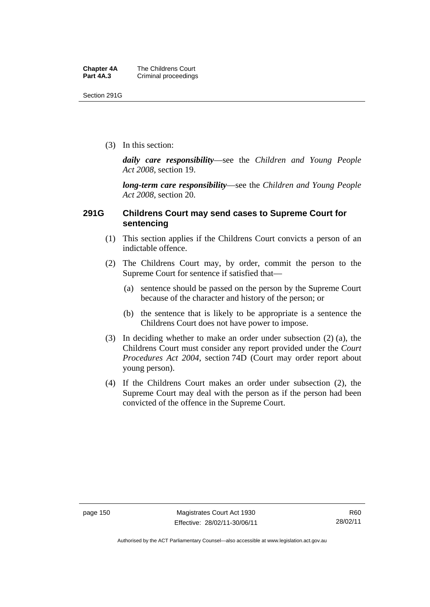Section 291G

(3) In this section:

*daily care responsibility*—see the *Children and Young People Act 2008*, section 19.

*long-term care responsibility*—see the *Children and Young People Act 2008*, section 20.

## **291G Childrens Court may send cases to Supreme Court for sentencing**

- (1) This section applies if the Childrens Court convicts a person of an indictable offence.
- (2) The Childrens Court may, by order, commit the person to the Supreme Court for sentence if satisfied that—
	- (a) sentence should be passed on the person by the Supreme Court because of the character and history of the person; or
	- (b) the sentence that is likely to be appropriate is a sentence the Childrens Court does not have power to impose.
- (3) In deciding whether to make an order under subsection (2) (a), the Childrens Court must consider any report provided under the *Court Procedures Act 2004*, section 74D (Court may order report about young person).
- (4) If the Childrens Court makes an order under subsection (2), the Supreme Court may deal with the person as if the person had been convicted of the offence in the Supreme Court.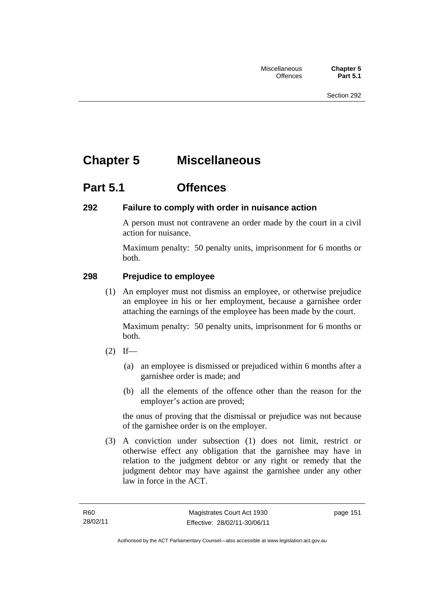# **Chapter 5 Miscellaneous**

# **Part 5.1 Offences**

# **292 Failure to comply with order in nuisance action**

A person must not contravene an order made by the court in a civil action for nuisance.

Maximum penalty: 50 penalty units, imprisonment for 6 months or both.

# **298 Prejudice to employee**

(1) An employer must not dismiss an employee, or otherwise prejudice an employee in his or her employment, because a garnishee order attaching the earnings of the employee has been made by the court.

Maximum penalty: 50 penalty units, imprisonment for 6 months or both.

- $(2)$  If—
	- (a) an employee is dismissed or prejudiced within 6 months after a garnishee order is made; and
	- (b) all the elements of the offence other than the reason for the employer's action are proved;

the onus of proving that the dismissal or prejudice was not because of the garnishee order is on the employer.

 (3) A conviction under subsection (1) does not limit, restrict or otherwise effect any obligation that the garnishee may have in relation to the judgment debtor or any right or remedy that the judgment debtor may have against the garnishee under any other law in force in the ACT.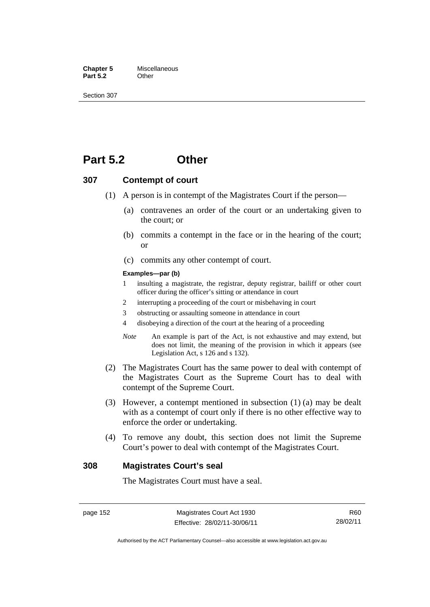**Chapter 5** Miscellaneous<br>**Part 5.2** Other **Part 5.2** 

Section 307

# **Part 5.2 Other**

#### **307 Contempt of court**

- (1) A person is in contempt of the Magistrates Court if the person—
	- (a) contravenes an order of the court or an undertaking given to the court; or
	- (b) commits a contempt in the face or in the hearing of the court; or
	- (c) commits any other contempt of court.

#### **Examples—par (b)**

- 1 insulting a magistrate, the registrar, deputy registrar, bailiff or other court officer during the officer's sitting or attendance in court
- 2 interrupting a proceeding of the court or misbehaving in court
- 3 obstructing or assaulting someone in attendance in court
- 4 disobeying a direction of the court at the hearing of a proceeding
- *Note* An example is part of the Act, is not exhaustive and may extend, but does not limit, the meaning of the provision in which it appears (see Legislation Act, s 126 and s 132).
- (2) The Magistrates Court has the same power to deal with contempt of the Magistrates Court as the Supreme Court has to deal with contempt of the Supreme Court.
- (3) However, a contempt mentioned in subsection (1) (a) may be dealt with as a contempt of court only if there is no other effective way to enforce the order or undertaking.
- (4) To remove any doubt, this section does not limit the Supreme Court's power to deal with contempt of the Magistrates Court.

#### **308 Magistrates Court's seal**

The Magistrates Court must have a seal.

Authorised by the ACT Parliamentary Counsel—also accessible at www.legislation.act.gov.au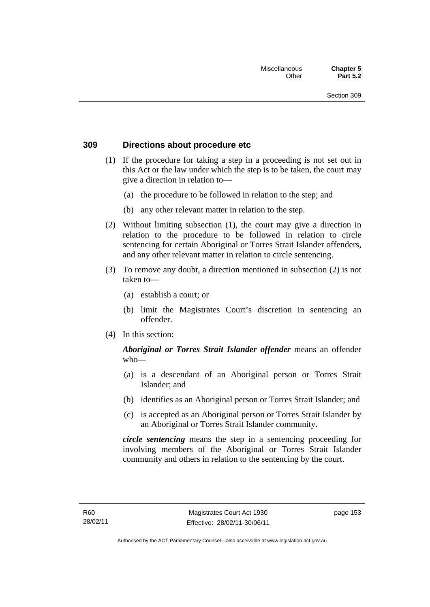### **309 Directions about procedure etc**

- (1) If the procedure for taking a step in a proceeding is not set out in this Act or the law under which the step is to be taken, the court may give a direction in relation to—
	- (a) the procedure to be followed in relation to the step; and
	- (b) any other relevant matter in relation to the step.
- (2) Without limiting subsection (1), the court may give a direction in relation to the procedure to be followed in relation to circle sentencing for certain Aboriginal or Torres Strait Islander offenders, and any other relevant matter in relation to circle sentencing.
- (3) To remove any doubt, a direction mentioned in subsection (2) is not taken to—
	- (a) establish a court; or
	- (b) limit the Magistrates Court's discretion in sentencing an offender.
- (4) In this section:

## *Aboriginal or Torres Strait Islander offender* means an offender who—

- (a) is a descendant of an Aboriginal person or Torres Strait Islander; and
- (b) identifies as an Aboriginal person or Torres Strait Islander; and
- (c) is accepted as an Aboriginal person or Torres Strait Islander by an Aboriginal or Torres Strait Islander community.

*circle sentencing* means the step in a sentencing proceeding for involving members of the Aboriginal or Torres Strait Islander community and others in relation to the sentencing by the court.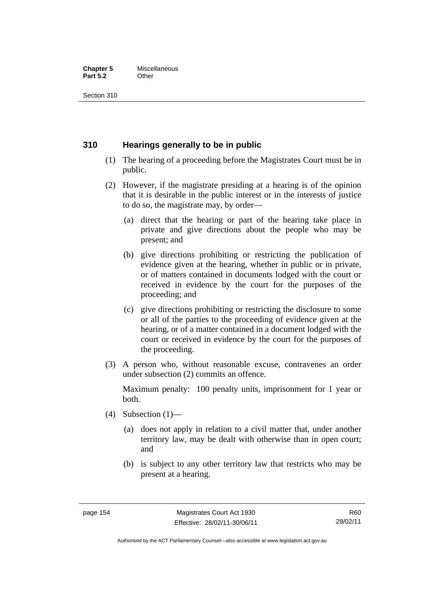#### **Chapter 5** Miscellaneous<br>**Part 5.2** Other **Part 5.2**

Section 310

## **310 Hearings generally to be in public**

- (1) The hearing of a proceeding before the Magistrates Court must be in public.
- (2) However, if the magistrate presiding at a hearing is of the opinion that it is desirable in the public interest or in the interests of justice to do so, the magistrate may, by order—
	- (a) direct that the hearing or part of the hearing take place in private and give directions about the people who may be present; and
	- (b) give directions prohibiting or restricting the publication of evidence given at the hearing, whether in public or in private, or of matters contained in documents lodged with the court or received in evidence by the court for the purposes of the proceeding; and
	- (c) give directions prohibiting or restricting the disclosure to some or all of the parties to the proceeding of evidence given at the hearing, or of a matter contained in a document lodged with the court or received in evidence by the court for the purposes of the proceeding.
- (3) A person who, without reasonable excuse, contravenes an order under subsection (2) commits an offence.

Maximum penalty: 100 penalty units, imprisonment for 1 year or both.

- (4) Subsection  $(1)$ 
	- (a) does not apply in relation to a civil matter that, under another territory law, may be dealt with otherwise than in open court; and
	- (b) is subject to any other territory law that restricts who may be present at a hearing.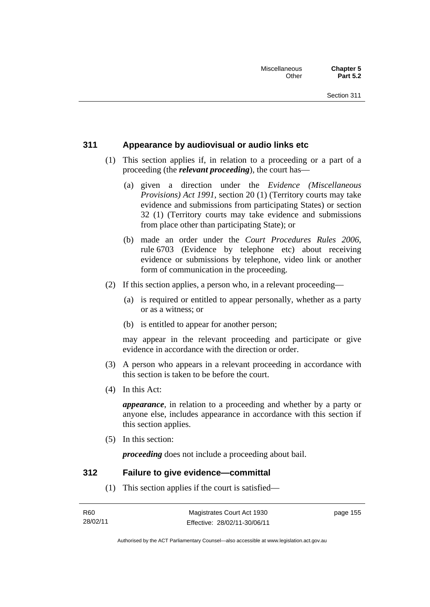## **311 Appearance by audiovisual or audio links etc**

- (1) This section applies if, in relation to a proceeding or a part of a proceeding (the *relevant proceeding*), the court has—
	- (a) given a direction under the *Evidence (Miscellaneous Provisions) Act 1991*, section 20 (1) (Territory courts may take evidence and submissions from participating States) or section 32 (1) (Territory courts may take evidence and submissions from place other than participating State); or
	- (b) made an order under the *Court Procedures Rules 2006*, rule 6703 (Evidence by telephone etc) about receiving evidence or submissions by telephone, video link or another form of communication in the proceeding.
- (2) If this section applies, a person who, in a relevant proceeding—
	- (a) is required or entitled to appear personally, whether as a party or as a witness; or
	- (b) is entitled to appear for another person;

may appear in the relevant proceeding and participate or give evidence in accordance with the direction or order.

- (3) A person who appears in a relevant proceeding in accordance with this section is taken to be before the court.
- (4) In this Act:

*appearance*, in relation to a proceeding and whether by a party or anyone else, includes appearance in accordance with this section if this section applies.

(5) In this section:

*proceeding* does not include a proceeding about bail.

### **312 Failure to give evidence—committal**

(1) This section applies if the court is satisfied—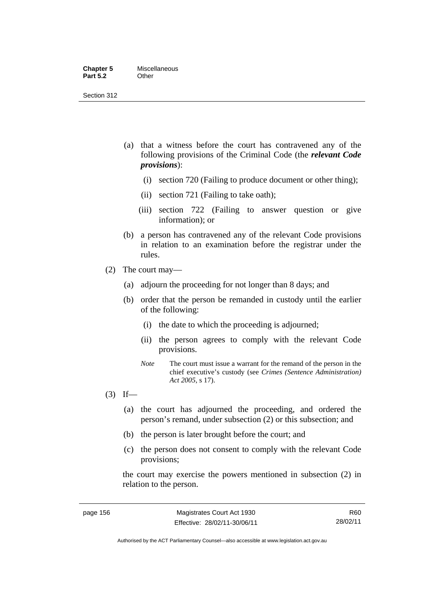- (a) that a witness before the court has contravened any of the following provisions of the Criminal Code (the *relevant Code provisions*):
	- (i) section 720 (Failing to produce document or other thing);
	- (ii) section 721 (Failing to take oath);
	- (iii) section 722 (Failing to answer question or give information); or
- (b) a person has contravened any of the relevant Code provisions in relation to an examination before the registrar under the rules.
- (2) The court may—
	- (a) adjourn the proceeding for not longer than 8 days; and
	- (b) order that the person be remanded in custody until the earlier of the following:
		- (i) the date to which the proceeding is adjourned;
		- (ii) the person agrees to comply with the relevant Code provisions.
		- *Note* The court must issue a warrant for the remand of the person in the chief executive's custody (see *Crimes (Sentence Administration) Act 2005*, s 17).
- $(3)$  If—
	- (a) the court has adjourned the proceeding, and ordered the person's remand, under subsection (2) or this subsection; and
	- (b) the person is later brought before the court; and
	- (c) the person does not consent to comply with the relevant Code provisions;

the court may exercise the powers mentioned in subsection (2) in relation to the person.

R60 28/02/11

Authorised by the ACT Parliamentary Counsel—also accessible at www.legislation.act.gov.au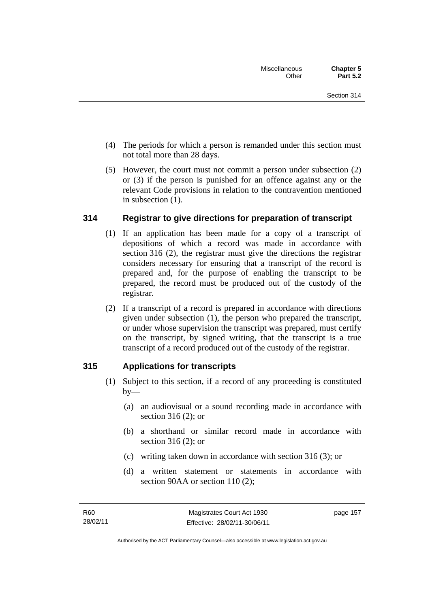- (4) The periods for which a person is remanded under this section must not total more than 28 days.
- (5) However, the court must not commit a person under subsection (2) or (3) if the person is punished for an offence against any or the relevant Code provisions in relation to the contravention mentioned in subsection (1).

# **314 Registrar to give directions for preparation of transcript**

- (1) If an application has been made for a copy of a transcript of depositions of which a record was made in accordance with section 316 (2), the registrar must give the directions the registrar considers necessary for ensuring that a transcript of the record is prepared and, for the purpose of enabling the transcript to be prepared, the record must be produced out of the custody of the registrar.
- (2) If a transcript of a record is prepared in accordance with directions given under subsection (1), the person who prepared the transcript, or under whose supervision the transcript was prepared, must certify on the transcript, by signed writing, that the transcript is a true transcript of a record produced out of the custody of the registrar.

# **315 Applications for transcripts**

- (1) Subject to this section, if a record of any proceeding is constituted  $by-$ 
	- (a) an audiovisual or a sound recording made in accordance with section 316 (2); or
	- (b) a shorthand or similar record made in accordance with section 316 (2); or
	- (c) writing taken down in accordance with section 316 (3); or
	- (d) a written statement or statements in accordance with section 90AA or section 110 (2):

page 157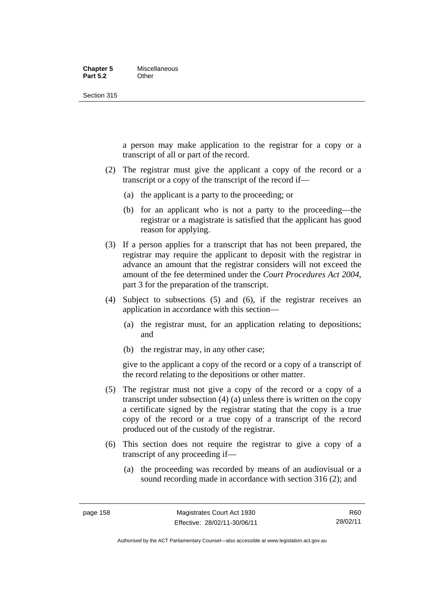#### **Chapter 5** Miscellaneous **Part 5.2** Other

Section 315

a person may make application to the registrar for a copy or a transcript of all or part of the record.

- (2) The registrar must give the applicant a copy of the record or a transcript or a copy of the transcript of the record if—
	- (a) the applicant is a party to the proceeding; or
	- (b) for an applicant who is not a party to the proceeding—the registrar or a magistrate is satisfied that the applicant has good reason for applying.
- (3) If a person applies for a transcript that has not been prepared, the registrar may require the applicant to deposit with the registrar in advance an amount that the registrar considers will not exceed the amount of the fee determined under the *Court Procedures Act 2004*, part 3 for the preparation of the transcript.
- (4) Subject to subsections (5) and (6), if the registrar receives an application in accordance with this section—
	- (a) the registrar must, for an application relating to depositions; and
	- (b) the registrar may, in any other case;

give to the applicant a copy of the record or a copy of a transcript of the record relating to the depositions or other matter.

- (5) The registrar must not give a copy of the record or a copy of a transcript under subsection (4) (a) unless there is written on the copy a certificate signed by the registrar stating that the copy is a true copy of the record or a true copy of a transcript of the record produced out of the custody of the registrar.
- (6) This section does not require the registrar to give a copy of a transcript of any proceeding if—
	- (a) the proceeding was recorded by means of an audiovisual or a sound recording made in accordance with section 316 (2); and

R60 28/02/11

Authorised by the ACT Parliamentary Counsel—also accessible at www.legislation.act.gov.au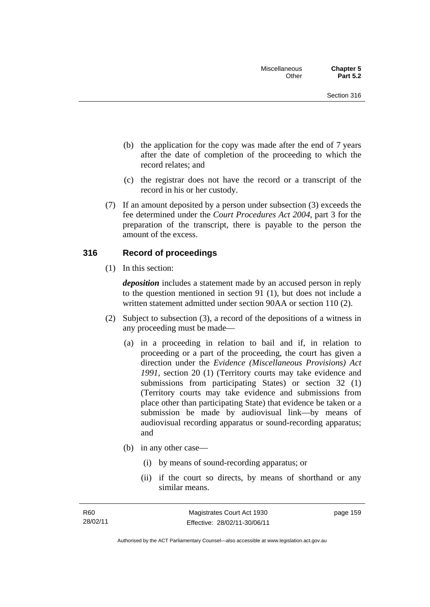- (b) the application for the copy was made after the end of 7 years after the date of completion of the proceeding to which the record relates; and
- (c) the registrar does not have the record or a transcript of the record in his or her custody.
- (7) If an amount deposited by a person under subsection (3) exceeds the fee determined under the *Court Procedures Act 2004*, part 3 for the preparation of the transcript, there is payable to the person the amount of the excess.

### **316 Record of proceedings**

(1) In this section:

*deposition* includes a statement made by an accused person in reply to the question mentioned in section 91 (1), but does not include a written statement admitted under section 90AA or section 110 (2).

- (2) Subject to subsection (3), a record of the depositions of a witness in any proceeding must be made—
	- (a) in a proceeding in relation to bail and if, in relation to proceeding or a part of the proceeding, the court has given a direction under the *Evidence (Miscellaneous Provisions) Act 1991*, section 20 (1) (Territory courts may take evidence and submissions from participating States) or section 32 (1) (Territory courts may take evidence and submissions from place other than participating State) that evidence be taken or a submission be made by audiovisual link—by means of audiovisual recording apparatus or sound-recording apparatus; and
	- (b) in any other case—
		- (i) by means of sound-recording apparatus; or
		- (ii) if the court so directs, by means of shorthand or any similar means.

page 159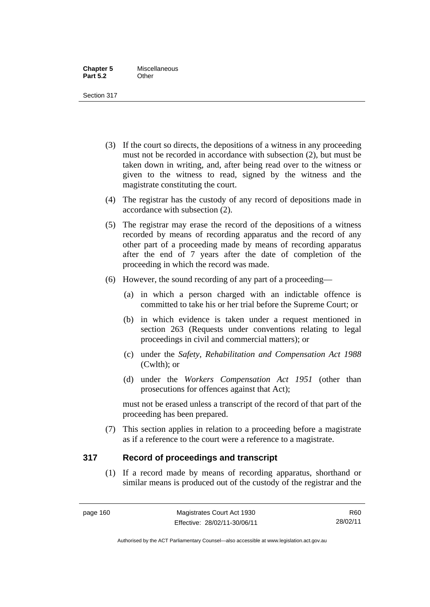- (3) If the court so directs, the depositions of a witness in any proceeding must not be recorded in accordance with subsection (2), but must be taken down in writing, and, after being read over to the witness or given to the witness to read, signed by the witness and the magistrate constituting the court.
- (4) The registrar has the custody of any record of depositions made in accordance with subsection (2).
- (5) The registrar may erase the record of the depositions of a witness recorded by means of recording apparatus and the record of any other part of a proceeding made by means of recording apparatus after the end of 7 years after the date of completion of the proceeding in which the record was made.
- (6) However, the sound recording of any part of a proceeding—
	- (a) in which a person charged with an indictable offence is committed to take his or her trial before the Supreme Court; or
	- (b) in which evidence is taken under a request mentioned in section 263 (Requests under conventions relating to legal proceedings in civil and commercial matters); or
	- (c) under the *Safety, Rehabilitation and Compensation Act 1988* (Cwlth); or
	- (d) under the *Workers Compensation Act 1951* (other than prosecutions for offences against that Act);

must not be erased unless a transcript of the record of that part of the proceeding has been prepared.

 (7) This section applies in relation to a proceeding before a magistrate as if a reference to the court were a reference to a magistrate.

# **317 Record of proceedings and transcript**

(1) If a record made by means of recording apparatus, shorthand or similar means is produced out of the custody of the registrar and the

Authorised by the ACT Parliamentary Counsel—also accessible at www.legislation.act.gov.au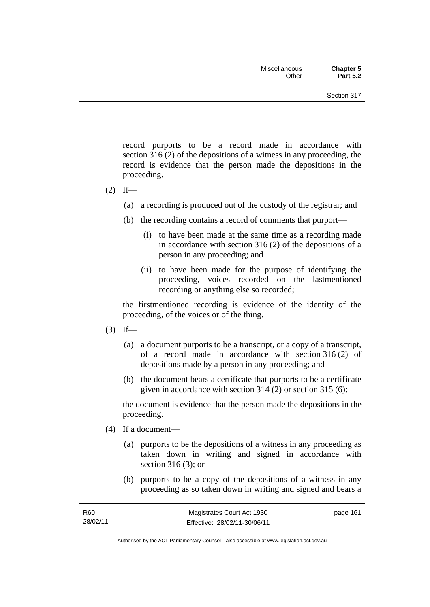record purports to be a record made in accordance with section 316 (2) of the depositions of a witness in any proceeding, the record is evidence that the person made the depositions in the proceeding.

- $(2)$  If—
	- (a) a recording is produced out of the custody of the registrar; and
	- (b) the recording contains a record of comments that purport—
		- (i) to have been made at the same time as a recording made in accordance with section 316 (2) of the depositions of a person in any proceeding; and
		- (ii) to have been made for the purpose of identifying the proceeding, voices recorded on the lastmentioned recording or anything else so recorded;

the firstmentioned recording is evidence of the identity of the proceeding, of the voices or of the thing.

- $(3)$  If—
	- (a) a document purports to be a transcript, or a copy of a transcript, of a record made in accordance with section 316 (2) of depositions made by a person in any proceeding; and
	- (b) the document bears a certificate that purports to be a certificate given in accordance with section 314 (2) or section 315 (6);

the document is evidence that the person made the depositions in the proceeding.

- (4) If a document—
	- (a) purports to be the depositions of a witness in any proceeding as taken down in writing and signed in accordance with section 316 (3); or
	- (b) purports to be a copy of the depositions of a witness in any proceeding as so taken down in writing and signed and bears a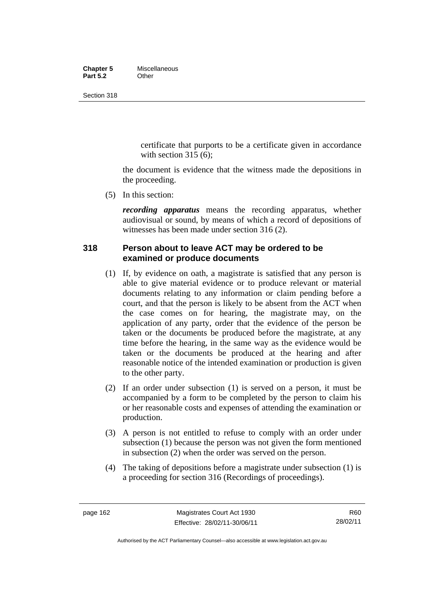#### **Chapter 5** Miscellaneous<br>**Part 5.2** Other **Part 5.2**

Section 318

certificate that purports to be a certificate given in accordance with section  $315(6)$ :

the document is evidence that the witness made the depositions in the proceeding.

(5) In this section:

*recording apparatus* means the recording apparatus, whether audiovisual or sound, by means of which a record of depositions of witnesses has been made under section 316 (2).

# **318 Person about to leave ACT may be ordered to be examined or produce documents**

- (1) If, by evidence on oath, a magistrate is satisfied that any person is able to give material evidence or to produce relevant or material documents relating to any information or claim pending before a court, and that the person is likely to be absent from the ACT when the case comes on for hearing, the magistrate may, on the application of any party, order that the evidence of the person be taken or the documents be produced before the magistrate, at any time before the hearing, in the same way as the evidence would be taken or the documents be produced at the hearing and after reasonable notice of the intended examination or production is given to the other party.
- (2) If an order under subsection (1) is served on a person, it must be accompanied by a form to be completed by the person to claim his or her reasonable costs and expenses of attending the examination or production.
- (3) A person is not entitled to refuse to comply with an order under subsection (1) because the person was not given the form mentioned in subsection (2) when the order was served on the person.
- (4) The taking of depositions before a magistrate under subsection (1) is a proceeding for section 316 (Recordings of proceedings).

Authorised by the ACT Parliamentary Counsel—also accessible at www.legislation.act.gov.au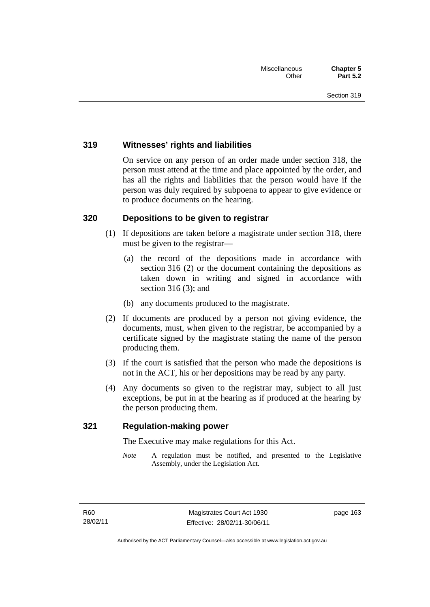## **319 Witnesses' rights and liabilities**

On service on any person of an order made under section 318, the person must attend at the time and place appointed by the order, and has all the rights and liabilities that the person would have if the person was duly required by subpoena to appear to give evidence or to produce documents on the hearing.

## **320 Depositions to be given to registrar**

- (1) If depositions are taken before a magistrate under section 318, there must be given to the registrar—
	- (a) the record of the depositions made in accordance with section 316 (2) or the document containing the depositions as taken down in writing and signed in accordance with section 316 (3); and
	- (b) any documents produced to the magistrate.
- (2) If documents are produced by a person not giving evidence, the documents, must, when given to the registrar, be accompanied by a certificate signed by the magistrate stating the name of the person producing them.
- (3) If the court is satisfied that the person who made the depositions is not in the ACT, his or her depositions may be read by any party.
- (4) Any documents so given to the registrar may, subject to all just exceptions, be put in at the hearing as if produced at the hearing by the person producing them.

### **321 Regulation-making power**

The Executive may make regulations for this Act.

*Note* A regulation must be notified, and presented to the Legislative Assembly, under the Legislation Act.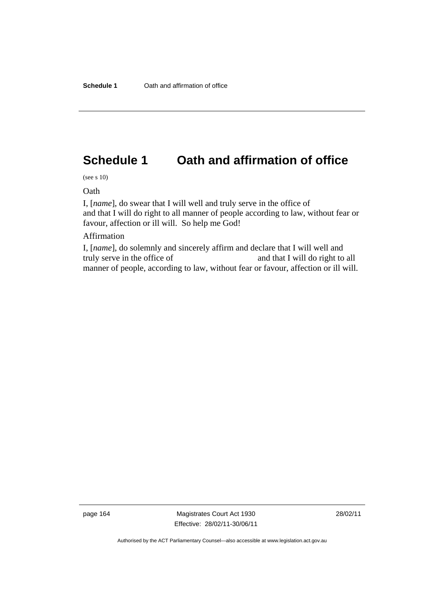# **Schedule 1 Oath and affirmation of office**

(see s 10)

Oath

I, [*name*], do swear that I will well and truly serve in the office of and that I will do right to all manner of people according to law, without fear or favour, affection or ill will. So help me God!

#### Affirmation

I, [*name*], do solemnly and sincerely affirm and declare that I will well and truly serve in the office of and that I will do right to all manner of people, according to law, without fear or favour, affection or ill will.

page 164 Magistrates Court Act 1930 Effective: 28/02/11-30/06/11

Authorised by the ACT Parliamentary Counsel—also accessible at www.legislation.act.gov.au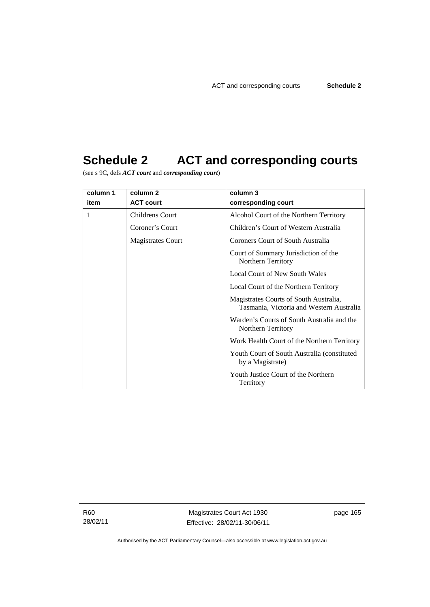# **Schedule 2 ACT and corresponding courts**

(see s 9C, defs *ACT court* and *corresponding court*)

| column 1 | column 2          | column 3                                                                           |  |
|----------|-------------------|------------------------------------------------------------------------------------|--|
| item     | <b>ACT court</b>  | corresponding court                                                                |  |
| 1        | Childrens Court   | Alcohol Court of the Northern Territory                                            |  |
|          | Coroner's Court   | Children's Court of Western Australia                                              |  |
|          | Magistrates Court | Coroners Court of South Australia                                                  |  |
|          |                   | Court of Summary Jurisdiction of the<br>Northern Territory                         |  |
|          |                   | <b>Local Court of New South Wales</b>                                              |  |
|          |                   | Local Court of the Northern Territory                                              |  |
|          |                   | Magistrates Courts of South Australia,<br>Tasmania, Victoria and Western Australia |  |
|          |                   | Warden's Courts of South Australia and the<br>Northern Territory                   |  |
|          |                   | Work Health Court of the Northern Territory                                        |  |
|          |                   | Youth Court of South Australia (constituted)<br>by a Magistrate)                   |  |
|          |                   | Youth Justice Court of the Northern<br>Territory                                   |  |

R60 28/02/11

Magistrates Court Act 1930 Effective: 28/02/11-30/06/11 page 165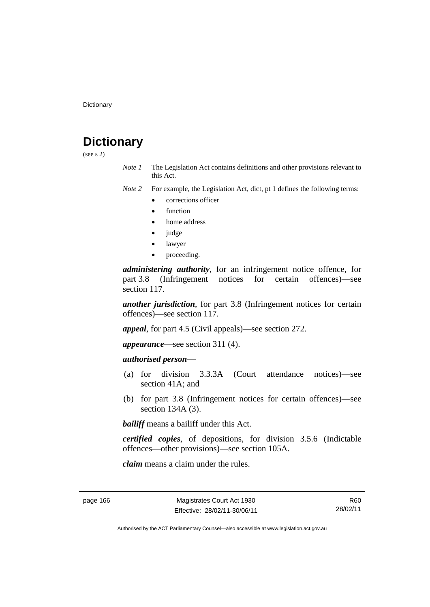# **Dictionary**

(see s 2)

*Note 1* The Legislation Act contains definitions and other provisions relevant to this Act.

*Note 2* For example, the Legislation Act, dict, pt 1 defines the following terms:

- corrections officer
- function
- home address
- judge
- lawyer
- proceeding.

*administering authority*, for an infringement notice offence, for part 3.8 (Infringement notices for certain offences)—see section 117.

*another jurisdiction*, for part 3.8 (Infringement notices for certain offences)—see section 117.

*appeal*, for part 4.5 (Civil appeals)—see section 272.

*appearance*—see section 311 (4).

## *authorised person*—

- (a) for division 3.3.3A (Court attendance notices)—see section 41A; and
- (b) for part 3.8 (Infringement notices for certain offences)—see section 134A (3).

*bailiff* means a bailiff under this Act.

*certified copies*, of depositions, for division 3.5.6 (Indictable offences—other provisions)—see section 105A.

*claim* means a claim under the rules.

R60 28/02/11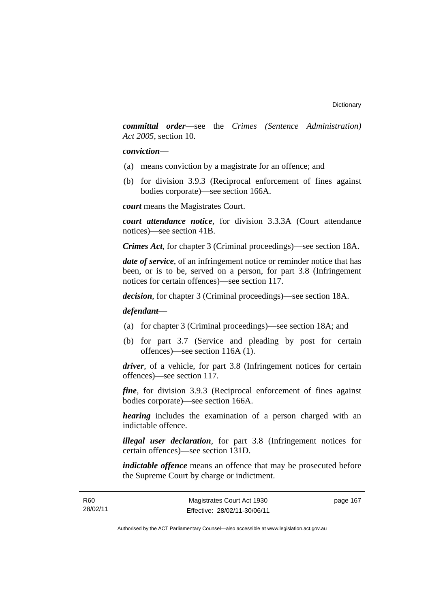*committal order*—see the *Crimes (Sentence Administration) Act 2005*, section 10.

#### *conviction*—

- (a) means conviction by a magistrate for an offence; and
- (b) for division 3.9.3 (Reciprocal enforcement of fines against bodies corporate)—see section 166A.

*court* means the Magistrates Court.

*court attendance notice*, for division 3.3.3A (Court attendance notices)—see section 41B.

*Crimes Act*, for chapter 3 (Criminal proceedings)—see section 18A.

*date of service*, of an infringement notice or reminder notice that has been, or is to be, served on a person, for part 3.8 (Infringement notices for certain offences)—see section 117.

*decision*, for chapter 3 (Criminal proceedings)—see section 18A.

## *defendant*—

- (a) for chapter 3 (Criminal proceedings)—see section 18A; and
- (b) for part 3.7 (Service and pleading by post for certain offences)—see section 116A (1).

*driver*, of a vehicle, for part 3.8 (Infringement notices for certain offences)—see section 117.

*fine*, for division 3.9.3 (Reciprocal enforcement of fines against bodies corporate)—see section 166A.

*hearing* includes the examination of a person charged with an indictable offence.

*illegal user declaration*, for part 3.8 (Infringement notices for certain offences)—see section 131D.

*indictable offence* means an offence that may be prosecuted before the Supreme Court by charge or indictment.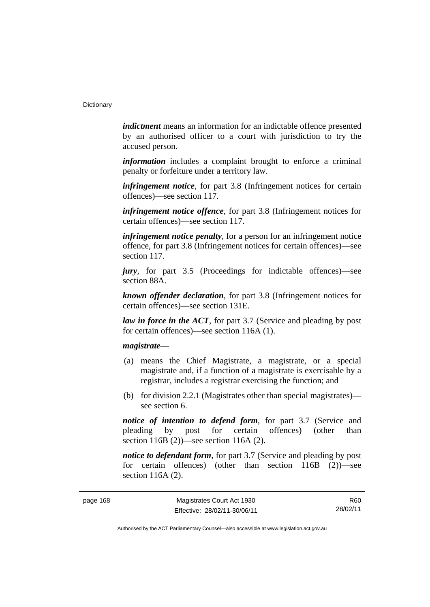*indictment* means an information for an indictable offence presented by an authorised officer to a court with jurisdiction to try the accused person.

*information* includes a complaint brought to enforce a criminal penalty or forfeiture under a territory law.

*infringement notice*, for part 3.8 (Infringement notices for certain offences)—see section 117.

*infringement notice offence*, for part 3.8 (Infringement notices for certain offences)—see section 117.

*infringement notice penalty*, for a person for an infringement notice offence, for part 3.8 (Infringement notices for certain offences)—see section 117.

*jury*, for part 3.5 (Proceedings for indictable offences)—see section 88A.

*known offender declaration*, for part 3.8 (Infringement notices for certain offences)—see section 131E.

*law in force in the ACT*, for part 3.7 (Service and pleading by post for certain offences)—see section 116A (1).

#### *magistrate*—

- (a) means the Chief Magistrate, a magistrate, or a special magistrate and, if a function of a magistrate is exercisable by a registrar, includes a registrar exercising the function; and
- (b) for division 2.2.1 (Magistrates other than special magistrates) see section 6.

*notice of intention to defend form*, for part 3.7 (Service and pleading by post for certain offences) (other than section 116B (2))—see section 116A (2).

*notice to defendant form*, for part 3.7 (Service and pleading by post) for certain offences) (other than section 116B (2))—see section 116A (2).

R60 28/02/11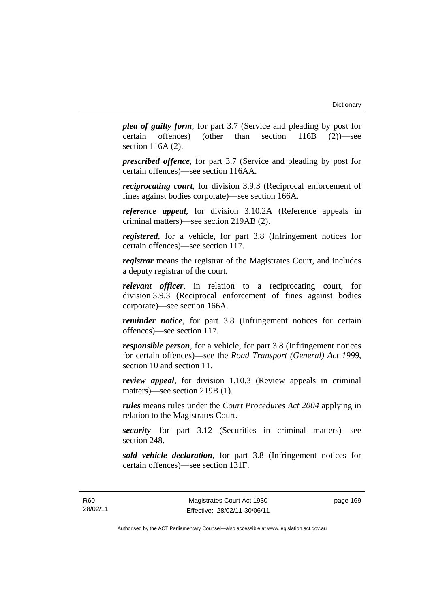*plea of guilty form*, for part 3.7 (Service and pleading by post for certain offences) (other than section 116B (2))—see section 116A (2).

*prescribed offence*, for part 3.7 (Service and pleading by post for certain offences)—see section 116AA.

*reciprocating court*, for division 3.9.3 (Reciprocal enforcement of fines against bodies corporate)—see section 166A.

*reference appeal*, for division 3.10.2A (Reference appeals in criminal matters)—see section 219AB (2).

*registered*, for a vehicle, for part 3.8 (Infringement notices for certain offences)—see section 117.

*registrar* means the registrar of the Magistrates Court, and includes a deputy registrar of the court.

*relevant officer*, in relation to a reciprocating court, for division 3.9.3 (Reciprocal enforcement of fines against bodies corporate)—see section 166A.

*reminder notice*, for part 3.8 (Infringement notices for certain offences)—see section 117.

*responsible person*, for a vehicle, for part 3.8 (Infringement notices for certain offences)—see the *Road Transport (General) Act 1999*, section 10 and section 11.

*review appeal*, for division 1.10.3 (Review appeals in criminal matters)—see section 219B (1).

*rules* means rules under the *Court Procedures Act 2004* applying in relation to the Magistrates Court.

*security*—for part 3.12 (Securities in criminal matters)—see section 248.

*sold vehicle declaration*, for part 3.8 (Infringement notices for certain offences)—see section 131F.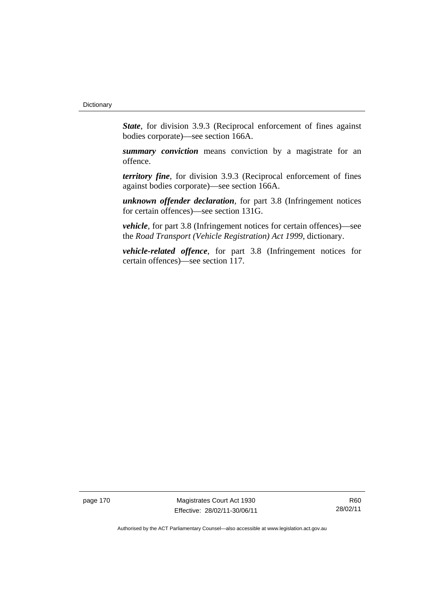*State*, for division 3.9.3 (Reciprocal enforcement of fines against bodies corporate)—see section 166A.

*summary conviction* means conviction by a magistrate for an offence.

*territory fine*, for division 3.9.3 (Reciprocal enforcement of fines against bodies corporate)—see section 166A.

*unknown offender declaration*, for part 3.8 (Infringement notices for certain offences)—see section 131G.

*vehicle*, for part 3.8 (Infringement notices for certain offences)—see the *Road Transport (Vehicle Registration) Act 1999*, dictionary.

*vehicle-related offence*, for part 3.8 (Infringement notices for certain offences)—see section 117.

page 170 Magistrates Court Act 1930 Effective: 28/02/11-30/06/11

R60 28/02/11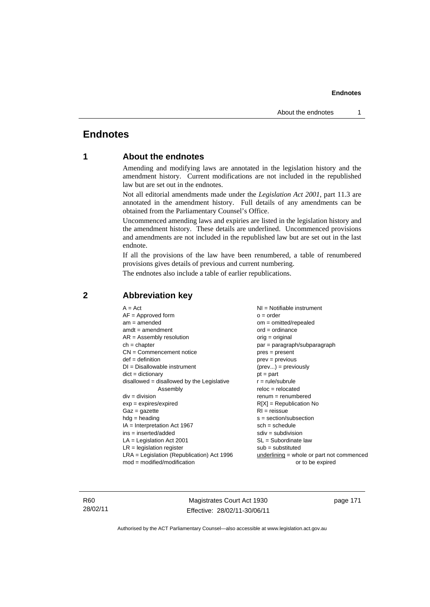## **Endnotes**

## **1 About the endnotes**

Amending and modifying laws are annotated in the legislation history and the amendment history. Current modifications are not included in the republished law but are set out in the endnotes.

Not all editorial amendments made under the *Legislation Act 2001*, part 11.3 are annotated in the amendment history. Full details of any amendments can be obtained from the Parliamentary Counsel's Office.

Uncommenced amending laws and expiries are listed in the legislation history and the amendment history. These details are underlined. Uncommenced provisions and amendments are not included in the republished law but are set out in the last endnote.

If all the provisions of the law have been renumbered, a table of renumbered provisions gives details of previous and current numbering.

The endnotes also include a table of earlier republications.

| $A = Act$                                    | $NI = Notifiable$ instrument              |
|----------------------------------------------|-------------------------------------------|
| $AF =$ Approved form                         | $o = order$                               |
| $am = amended$                               | $om = omitted/repealed$                   |
| $amdt = amendment$                           | $ord = ordinance$                         |
| $AR = Assembly resolution$                   | $orig = original$                         |
| $ch = chapter$                               | $par = paragraph/subparagraph$            |
| $CN =$ Commencement notice                   | $pres = present$                          |
| $def = definition$                           | $prev = previous$                         |
| $DI = Disallowable instrument$               | $(\text{prev}) = \text{previously}$       |
| $dict = dictionary$                          | $pt = part$                               |
| disallowed = disallowed by the Legislative   | $r = rule/subrule$                        |
| Assembly                                     | $reloc = relocated$                       |
| $div = division$                             | $remum = renumbered$                      |
| $exp = expires/expired$                      | $R[X]$ = Republication No                 |
| $Gaz = gazette$                              | $RI = reissue$                            |
| $h dq =$ heading                             | $s = section/subsection$                  |
| $IA = Interpretation Act 1967$               | $sch = schedule$                          |
| $ins = inserted/added$                       | $sdiv = subdivision$                      |
| $LA =$ Legislation Act 2001                  | $SL = Subordinate$ law                    |
| $LR =$ legislation register                  | $sub =$ substituted                       |
| $LRA =$ Legislation (Republication) Act 1996 | underlining = whole or part not commenced |
| $mod = modified/mol$                         | or to be expired                          |
|                                              |                                           |

## **2 Abbreviation key**

R60 28/02/11

Magistrates Court Act 1930 Effective: 28/02/11-30/06/11 page 171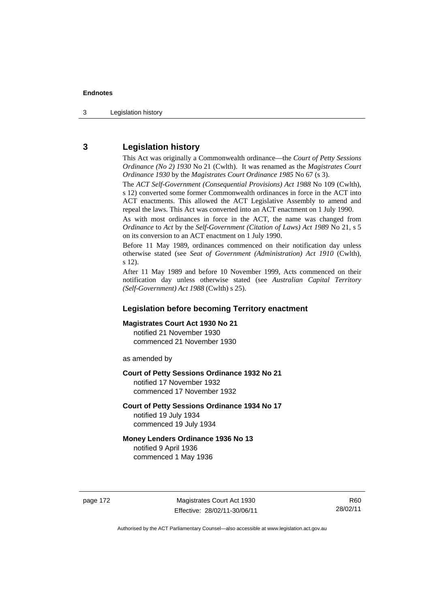3 Legislation history

## **3 Legislation history**

This Act was originally a Commonwealth ordinance—the *Court of Petty Sessions Ordinance (No 2) 1930* No 21 (Cwlth). It was renamed as the *Magistrates Court Ordinance 1930* by the *Magistrates Court Ordinance 1985* No 67 (s 3).

The *ACT Self-Government (Consequential Provisions) Act 1988* No 109 (Cwlth), s 12) converted some former Commonwealth ordinances in force in the ACT into ACT enactments. This allowed the ACT Legislative Assembly to amend and repeal the laws. This Act was converted into an ACT enactment on 1 July 1990.

As with most ordinances in force in the ACT, the name was changed from *Ordinance* to *Act* by the *Self-Government (Citation of Laws) Act 1989* No 21, s 5 on its conversion to an ACT enactment on 1 July 1990.

Before 11 May 1989, ordinances commenced on their notification day unless otherwise stated (see *Seat of Government (Administration) Act 1910* (Cwlth), s 12).

After 11 May 1989 and before 10 November 1999, Acts commenced on their notification day unless otherwise stated (see *Australian Capital Territory (Self-Government) Act 1988* (Cwlth) s 25).

## **Legislation before becoming Territory enactment**

### **Magistrates Court Act 1930 No 21**

notified 21 November 1930 commenced 21 November 1930

as amended by

#### **Court of Petty Sessions Ordinance 1932 No 21**

notified 17 November 1932 commenced 17 November 1932

#### **Court of Petty Sessions Ordinance 1934 No 17**

notified 19 July 1934 commenced 19 July 1934

#### **Money Lenders Ordinance 1936 No 13**  notified 9 April 1936

commenced 1 May 1936

page 172 Magistrates Court Act 1930 Effective: 28/02/11-30/06/11

R60 28/02/11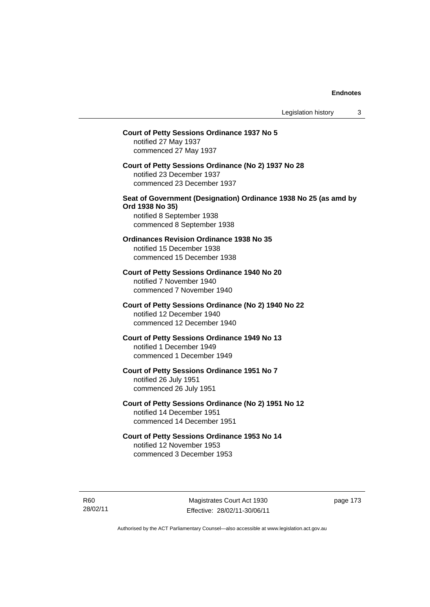## **Court of Petty Sessions Ordinance 1937 No 5**  notified 27 May 1937 commenced 27 May 1937 **Court of Petty Sessions Ordinance (No 2) 1937 No 28**  notified 23 December 1937 commenced 23 December 1937 **Seat of Government (Designation) Ordinance 1938 No 25 (as amd by Ord 1938 No 35)**  notified 8 September 1938 commenced 8 September 1938 **Ordinances Revision Ordinance 1938 No 35**  notified 15 December 1938 commenced 15 December 1938 **Court of Petty Sessions Ordinance 1940 No 20**  notified 7 November 1940 commenced 7 November 1940 **Court of Petty Sessions Ordinance (No 2) 1940 No 22**  notified 12 December 1940 commenced 12 December 1940 **Court of Petty Sessions Ordinance 1949 No 13**  notified 1 December 1949 commenced 1 December 1949 **Court of Petty Sessions Ordinance 1951 No 7**  notified 26 July 1951 commenced 26 July 1951 **Court of Petty Sessions Ordinance (No 2) 1951 No 12**  notified 14 December 1951 commenced 14 December 1951 **Court of Petty Sessions Ordinance 1953 No 14**  notified 12 November 1953 commenced 3 December 1953

R60 28/02/11

Magistrates Court Act 1930 Effective: 28/02/11-30/06/11 page 173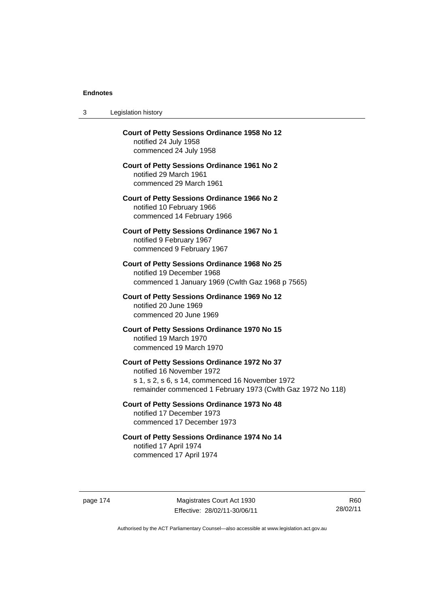| 3 | Legislation history |  |
|---|---------------------|--|
|   |                     |  |

| Court of Petty Sessions Ordinance 1958 No 12<br>notified 24 July 1958<br>commenced 24 July 1958                                                                                             |
|---------------------------------------------------------------------------------------------------------------------------------------------------------------------------------------------|
| Court of Petty Sessions Ordinance 1961 No 2<br>notified 29 March 1961<br>commenced 29 March 1961                                                                                            |
| <b>Court of Petty Sessions Ordinance 1966 No 2</b><br>notified 10 February 1966<br>commenced 14 February 1966                                                                               |
| Court of Petty Sessions Ordinance 1967 No 1<br>notified 9 February 1967<br>commenced 9 February 1967                                                                                        |
| Court of Petty Sessions Ordinance 1968 No 25<br>notified 19 December 1968<br>commenced 1 January 1969 (Cwlth Gaz 1968 p 7565)                                                               |
| Court of Petty Sessions Ordinance 1969 No 12<br>notified 20 June 1969<br>commenced 20 June 1969                                                                                             |
| Court of Petty Sessions Ordinance 1970 No 15<br>notified 19 March 1970<br>commenced 19 March 1970                                                                                           |
| Court of Petty Sessions Ordinance 1972 No 37<br>notified 16 November 1972<br>s 1, s 2, s 6, s 14, commenced 16 November 1972<br>remainder commenced 1 February 1973 (Cwlth Gaz 1972 No 118) |
| <b>Court of Petty Sessions Ordinance 1973 No 48</b><br>notified 17 December 1973<br>commenced 17 December 1973                                                                              |
| Court of Petty Sessions Ordinance 1974 No 14<br>notified 17 April 1974                                                                                                                      |

commenced 17 April 1974

page 174 Magistrates Court Act 1930 Effective: 28/02/11-30/06/11

R60 28/02/11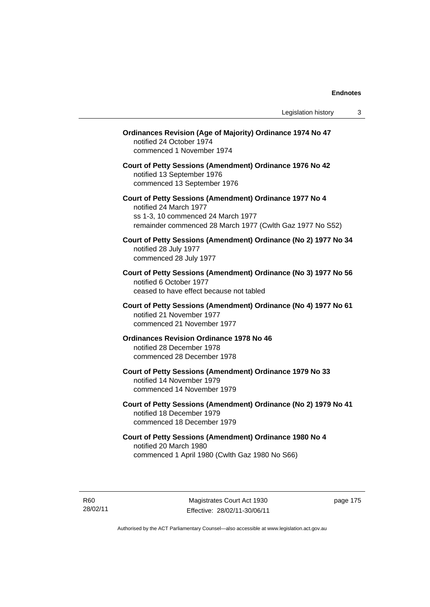| <b>Ordinances Revision (Age of Majority) Ordinance 1974 No 47</b><br>notified 24 October 1974<br>commenced 1 November 1974                                                           |
|--------------------------------------------------------------------------------------------------------------------------------------------------------------------------------------|
| Court of Petty Sessions (Amendment) Ordinance 1976 No 42<br>notified 13 September 1976<br>commenced 13 September 1976                                                                |
| Court of Petty Sessions (Amendment) Ordinance 1977 No 4<br>notified 24 March 1977<br>ss 1-3, 10 commenced 24 March 1977<br>remainder commenced 28 March 1977 (Cwlth Gaz 1977 No S52) |
| Court of Petty Sessions (Amendment) Ordinance (No 2) 1977 No 34<br>notified 28 July 1977<br>commenced 28 July 1977                                                                   |
| Court of Petty Sessions (Amendment) Ordinance (No 3) 1977 No 56<br>notified 6 October 1977<br>ceased to have effect because not tabled                                               |
| Court of Petty Sessions (Amendment) Ordinance (No 4) 1977 No 61<br>notified 21 November 1977<br>commenced 21 November 1977                                                           |
| <b>Ordinances Revision Ordinance 1978 No 46</b><br>notified 28 December 1978<br>commenced 28 December 1978                                                                           |
| Court of Petty Sessions (Amendment) Ordinance 1979 No 33<br>notified 14 November 1979<br>commenced 14 November 1979                                                                  |
| Court of Petty Sessions (Amendment) Ordinance (No 2) 1979 No 41<br>notified 18 December 1979<br>commenced 18 December 1979                                                           |
| Court of Petty Sessions (Amendment) Ordinance 1980 No 4<br>notified 20 March 1980<br>commenced 1 April 1980 (Cwlth Gaz 1980 No S66)                                                  |

R60 28/02/11

Magistrates Court Act 1930 Effective: 28/02/11-30/06/11 page 175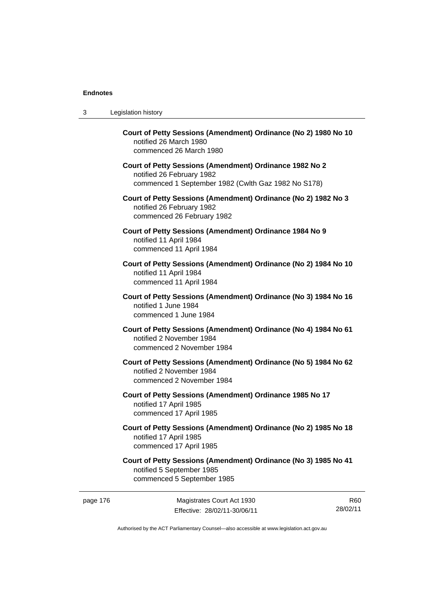3 Legislation history

| Court of Petty Sessions (Amendment) Ordinance (No 2) 1980 No 10<br>notified 26 March 1980<br>commenced 26 March 1980                        |
|---------------------------------------------------------------------------------------------------------------------------------------------|
| Court of Petty Sessions (Amendment) Ordinance 1982 No 2<br>notified 26 February 1982<br>commenced 1 September 1982 (Cwlth Gaz 1982 No S178) |
| Court of Petty Sessions (Amendment) Ordinance (No 2) 1982 No 3<br>notified 26 February 1982<br>commenced 26 February 1982                   |
| Court of Petty Sessions (Amendment) Ordinance 1984 No 9<br>notified 11 April 1984<br>commenced 11 April 1984                                |
| Court of Petty Sessions (Amendment) Ordinance (No 2) 1984 No 10<br>notified 11 April 1984<br>commenced 11 April 1984                        |
| Court of Petty Sessions (Amendment) Ordinance (No 3) 1984 No 16<br>notified 1 June 1984<br>commenced 1 June 1984                            |
| Court of Petty Sessions (Amendment) Ordinance (No 4) 1984 No 61<br>notified 2 November 1984<br>commenced 2 November 1984                    |
| Court of Petty Sessions (Amendment) Ordinance (No 5) 1984 No 62<br>notified 2 November 1984<br>commenced 2 November 1984                    |
| Court of Petty Sessions (Amendment) Ordinance 1985 No 17<br>notified 17 April 1985<br>commenced 17 April 1985                               |
| Court of Petty Sessions (Amendment) Ordinance (No 2) 1985 No 18<br>notified 17 April 1985<br>commenced 17 April 1985                        |
| Court of Petty Sessions (Amendment) Ordinance (No 3) 1985 No 41<br>notified 5 September 1985<br>commenced 5 September 1985                  |
|                                                                                                                                             |

Effective: 28/02/11-30/06/11

page 176 Magistrates Court Act 1930

R60 28/02/11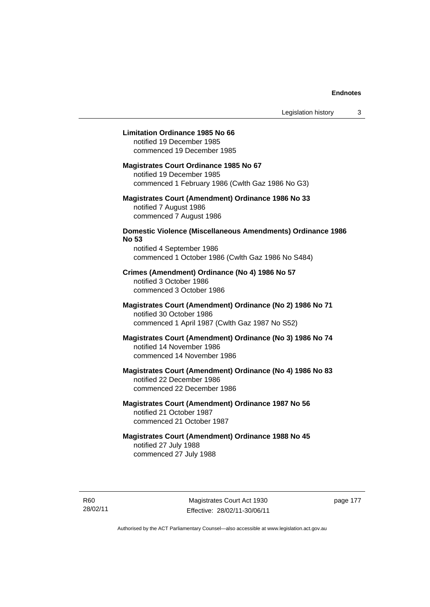#### **Limitation Ordinance 1985 No 66**

notified 19 December 1985 commenced 19 December 1985

#### **Magistrates Court Ordinance 1985 No 67**

notified 19 December 1985 commenced 1 February 1986 (Cwlth Gaz 1986 No G3)

## **Magistrates Court (Amendment) Ordinance 1986 No 33**  notified 7 August 1986 commenced 7 August 1986

## **Domestic Violence (Miscellaneous Amendments) Ordinance 1986 No 53**

notified 4 September 1986 commenced 1 October 1986 (Cwlth Gaz 1986 No S484)

## **Crimes (Amendment) Ordinance (No 4) 1986 No 57**  notified 3 October 1986 commenced 3 October 1986

## **Magistrates Court (Amendment) Ordinance (No 2) 1986 No 71**  notified 30 October 1986 commenced 1 April 1987 (Cwlth Gaz 1987 No S52)

## **Magistrates Court (Amendment) Ordinance (No 3) 1986 No 74**  notified 14 November 1986 commenced 14 November 1986

## **Magistrates Court (Amendment) Ordinance (No 4) 1986 No 83**  notified 22 December 1986 commenced 22 December 1986

## **Magistrates Court (Amendment) Ordinance 1987 No 56**  notified 21 October 1987 commenced 21 October 1987

## **Magistrates Court (Amendment) Ordinance 1988 No 45**  notified 27 July 1988 commenced 27 July 1988

R60 28/02/11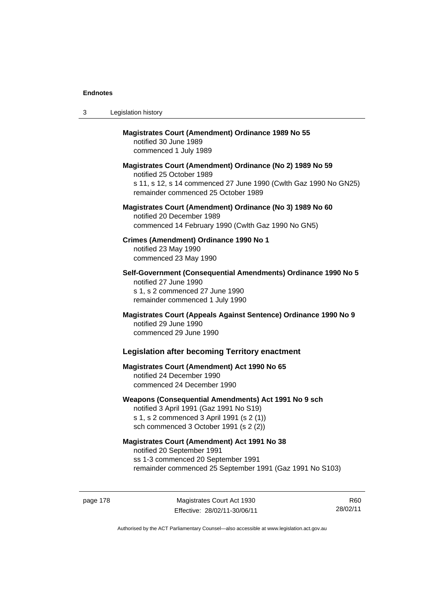| 3 | Legislation history                                                                                                                                                                              |
|---|--------------------------------------------------------------------------------------------------------------------------------------------------------------------------------------------------|
|   | <b>Magistrates Court (Amendment) Ordinance 1989 No 55</b><br>notified 30 June 1989<br>commenced 1 July 1989                                                                                      |
|   | Magistrates Court (Amendment) Ordinance (No 2) 1989 No 59<br>notified 25 October 1989<br>s 11, s 12, s 14 commenced 27 June 1990 (Cwlth Gaz 1990 No GN25)<br>remainder commenced 25 October 1989 |
|   | Magistrates Court (Amendment) Ordinance (No 3) 1989 No 60<br>notified 20 December 1989<br>commenced 14 February 1990 (Cwlth Gaz 1990 No GN5)                                                     |
|   | Crimes (Amendment) Ordinance 1990 No 1<br>notified 23 May 1990<br>commenced 23 May 1990                                                                                                          |
|   | Self-Government (Consequential Amendments) Ordinance 1990 No 5<br>notified 27 June 1990<br>s 1, s 2 commenced 27 June 1990<br>remainder commenced 1 July 1990                                    |
|   | Magistrates Court (Appeals Against Sentence) Ordinance 1990 No 9<br>notified 29 June 1990<br>commenced 29 June 1990                                                                              |
|   | <b>Legislation after becoming Territory enactment</b>                                                                                                                                            |
|   | <b>Magistrates Court (Amendment) Act 1990 No 65</b><br>notified 24 December 1990<br>commenced 24 December 1990                                                                                   |
|   | Weapons (Consequential Amendments) Act 1991 No 9 sch<br>notified 3 April 1991 (Gaz 1991 No S19)<br>s 1, s 2 commenced 3 April 1991 (s 2 (1))<br>sch commenced 3 October 1991 (s 2 (2))           |
|   | <b>Magistrates Court (Amendment) Act 1991 No 38</b><br>notified 20 September 1991<br>ss 1-3 commenced 20 September 1991<br>remainder commenced 25 September 1991 (Gaz 1991 No S103)              |

page 178 Magistrates Court Act 1930 Effective: 28/02/11-30/06/11

R60 28/02/11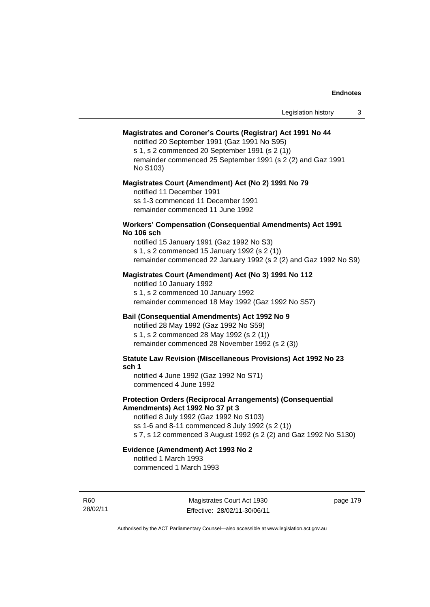#### **Magistrates and Coroner's Courts (Registrar) Act 1991 No 44**

notified 20 September 1991 (Gaz 1991 No S95)

s 1, s 2 commenced 20 September 1991 (s 2 (1)) remainder commenced 25 September 1991 (s 2 (2) and Gaz 1991 No S103)

#### **Magistrates Court (Amendment) Act (No 2) 1991 No 79**

notified 11 December 1991 ss 1-3 commenced 11 December 1991 remainder commenced 11 June 1992

#### **Workers' Compensation (Consequential Amendments) Act 1991 No 106 sch**

notified 15 January 1991 (Gaz 1992 No S3) s 1, s 2 commenced 15 January 1992 (s 2 (1)) remainder commenced 22 January 1992 (s 2 (2) and Gaz 1992 No S9)

## **Magistrates Court (Amendment) Act (No 3) 1991 No 112**

notified 10 January 1992 s 1, s 2 commenced 10 January 1992 remainder commenced 18 May 1992 (Gaz 1992 No S57)

## **Bail (Consequential Amendments) Act 1992 No 9**

notified 28 May 1992 (Gaz 1992 No S59) s 1, s 2 commenced 28 May 1992 (s 2 (1)) remainder commenced 28 November 1992 (s 2 (3))

**Statute Law Revision (Miscellaneous Provisions) Act 1992 No 23 sch 1** 

notified 4 June 1992 (Gaz 1992 No S71) commenced 4 June 1992

#### **Protection Orders (Reciprocal Arrangements) (Consequential Amendments) Act 1992 No 37 pt 3**

notified 8 July 1992 (Gaz 1992 No S103) ss 1-6 and 8-11 commenced 8 July 1992 (s 2 (1)) s 7, s 12 commenced 3 August 1992 (s 2 (2) and Gaz 1992 No S130)

#### **Evidence (Amendment) Act 1993 No 2**  notified 1 March 1993

commenced 1 March 1993

R60 28/02/11

Magistrates Court Act 1930 Effective: 28/02/11-30/06/11 page 179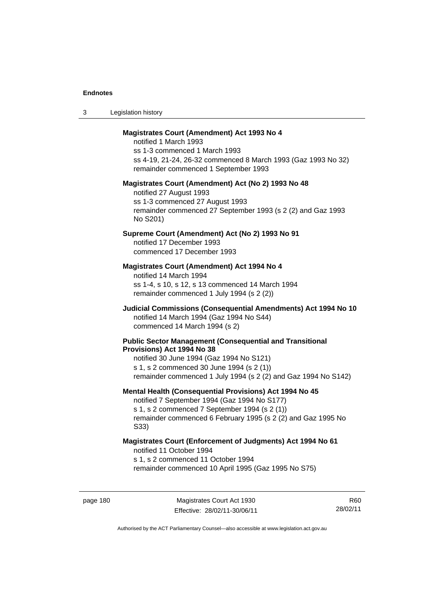| -3 | Legislation history |  |
|----|---------------------|--|
|----|---------------------|--|

#### **Magistrates Court (Amendment) Act 1993 No 4**

notified 1 March 1993 ss 1-3 commenced 1 March 1993 ss 4-19, 21-24, 26-32 commenced 8 March 1993 (Gaz 1993 No 32) remainder commenced 1 September 1993

#### **Magistrates Court (Amendment) Act (No 2) 1993 No 48**

notified 27 August 1993 ss 1-3 commenced 27 August 1993 remainder commenced 27 September 1993 (s 2 (2) and Gaz 1993 No S201)

#### **Supreme Court (Amendment) Act (No 2) 1993 No 91**

notified 17 December 1993 commenced 17 December 1993

#### **Magistrates Court (Amendment) Act 1994 No 4**

notified 14 March 1994 ss 1-4, s 10, s 12, s 13 commenced 14 March 1994 remainder commenced 1 July 1994 (s 2 (2))

## **Judicial Commissions (Consequential Amendments) Act 1994 No 10**  notified 14 March 1994 (Gaz 1994 No S44) commenced 14 March 1994 (s 2)

#### **Public Sector Management (Consequential and Transitional Provisions) Act 1994 No 38**

notified 30 June 1994 (Gaz 1994 No S121) s 1, s 2 commenced 30 June 1994 (s 2 (1)) remainder commenced 1 July 1994 (s 2 (2) and Gaz 1994 No S142)

#### **Mental Health (Consequential Provisions) Act 1994 No 45**

notified 7 September 1994 (Gaz 1994 No S177)

s 1, s 2 commenced 7 September 1994 (s 2 (1)) remainder commenced 6 February 1995 (s 2 (2) and Gaz 1995 No S33)

#### **Magistrates Court (Enforcement of Judgments) Act 1994 No 61**  notified 11 October 1994

s 1, s 2 commenced 11 October 1994

remainder commenced 10 April 1995 (Gaz 1995 No S75)

R60 28/02/11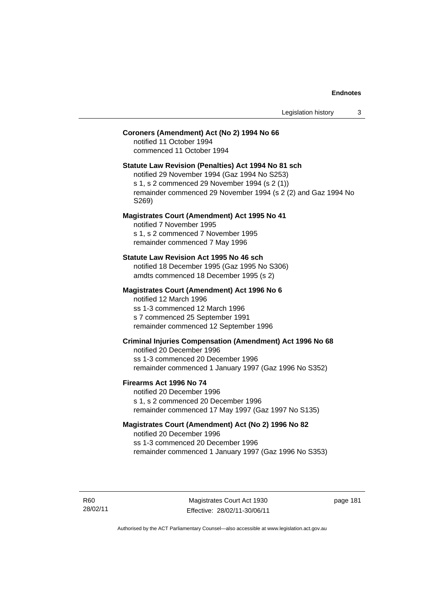## **Coroners (Amendment) Act (No 2) 1994 No 66**

notified 11 October 1994 commenced 11 October 1994

#### **Statute Law Revision (Penalties) Act 1994 No 81 sch**

notified 29 November 1994 (Gaz 1994 No S253) s 1, s 2 commenced 29 November 1994 (s 2 (1)) remainder commenced 29 November 1994 (s 2 (2) and Gaz 1994 No S269)

#### **Magistrates Court (Amendment) Act 1995 No 41**

notified 7 November 1995 s 1, s 2 commenced 7 November 1995 remainder commenced 7 May 1996

#### **Statute Law Revision Act 1995 No 46 sch**

notified 18 December 1995 (Gaz 1995 No S306) amdts commenced 18 December 1995 (s 2)

## **Magistrates Court (Amendment) Act 1996 No 6**

notified 12 March 1996 ss 1-3 commenced 12 March 1996 s 7 commenced 25 September 1991 remainder commenced 12 September 1996

## **Criminal Injuries Compensation (Amendment) Act 1996 No 68**

notified 20 December 1996 ss 1-3 commenced 20 December 1996 remainder commenced 1 January 1997 (Gaz 1996 No S352)

#### **Firearms Act 1996 No 74**

notified 20 December 1996 s 1, s 2 commenced 20 December 1996 remainder commenced 17 May 1997 (Gaz 1997 No S135)

## **Magistrates Court (Amendment) Act (No 2) 1996 No 82**

notified 20 December 1996 ss 1-3 commenced 20 December 1996 remainder commenced 1 January 1997 (Gaz 1996 No S353)

R60 28/02/11

Magistrates Court Act 1930 Effective: 28/02/11-30/06/11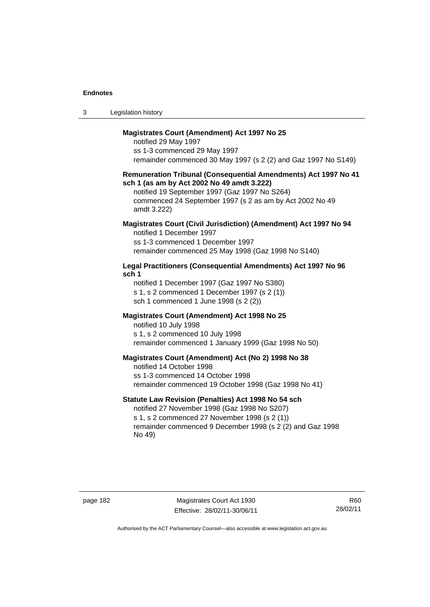| -3 | Legislation history |  |
|----|---------------------|--|
|----|---------------------|--|

#### **Magistrates Court (Amendment) Act 1997 No 25**

notified 29 May 1997 ss 1-3 commenced 29 May 1997 remainder commenced 30 May 1997 (s 2 (2) and Gaz 1997 No S149)

#### **Remuneration Tribunal (Consequential Amendments) Act 1997 No 41 sch 1 (as am by Act 2002 No 49 amdt 3.222)**

notified 19 September 1997 (Gaz 1997 No S264) commenced 24 September 1997 (s 2 as am by Act 2002 No 49 amdt 3.222)

## **Magistrates Court (Civil Jurisdiction) (Amendment) Act 1997 No 94**

notified 1 December 1997 ss 1-3 commenced 1 December 1997 remainder commenced 25 May 1998 (Gaz 1998 No S140)

### **Legal Practitioners (Consequential Amendments) Act 1997 No 96 sch 1**

notified 1 December 1997 (Gaz 1997 No S380) s 1, s 2 commenced 1 December 1997 (s 2 (1)) sch 1 commenced 1 June 1998 (s 2 (2))

## **Magistrates Court (Amendment) Act 1998 No 25**

notified 10 July 1998 s 1, s 2 commenced 10 July 1998 remainder commenced 1 January 1999 (Gaz 1998 No 50)

#### **Magistrates Court (Amendment) Act (No 2) 1998 No 38**

notified 14 October 1998 ss 1-3 commenced 14 October 1998 remainder commenced 19 October 1998 (Gaz 1998 No 41)

## **Statute Law Revision (Penalties) Act 1998 No 54 sch**

notified 27 November 1998 (Gaz 1998 No S207) s 1, s 2 commenced 27 November 1998 (s 2 (1)) remainder commenced 9 December 1998 (s 2 (2) and Gaz 1998 No 49)

page 182 Magistrates Court Act 1930 Effective: 28/02/11-30/06/11

R60 28/02/11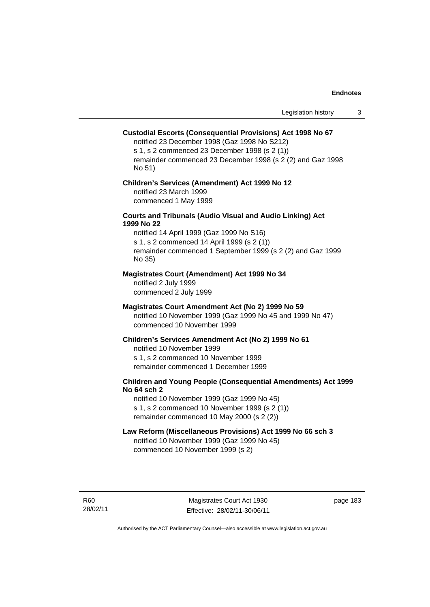#### **Custodial Escorts (Consequential Provisions) Act 1998 No 67**

notified 23 December 1998 (Gaz 1998 No S212) s 1, s 2 commenced 23 December 1998 (s 2 (1)) remainder commenced 23 December 1998 (s 2 (2) and Gaz 1998 No 51)

## **Children's Services (Amendment) Act 1999 No 12**  notified 23 March 1999

commenced 1 May 1999

## **Courts and Tribunals (Audio Visual and Audio Linking) Act 1999 No 22**

notified 14 April 1999 (Gaz 1999 No S16) s 1, s 2 commenced 14 April 1999 (s 2 (1)) remainder commenced 1 September 1999 (s 2 (2) and Gaz 1999 No 35)

#### **Magistrates Court (Amendment) Act 1999 No 34**

notified 2 July 1999 commenced 2 July 1999

#### **Magistrates Court Amendment Act (No 2) 1999 No 59**

notified 10 November 1999 (Gaz 1999 No 45 and 1999 No 47) commenced 10 November 1999

#### **Children's Services Amendment Act (No 2) 1999 No 61**

notified 10 November 1999 s 1, s 2 commenced 10 November 1999 remainder commenced 1 December 1999

#### **Children and Young People (Consequential Amendments) Act 1999 No 64 sch 2**

notified 10 November 1999 (Gaz 1999 No 45) s 1, s 2 commenced 10 November 1999 (s 2 (1)) remainder commenced 10 May 2000 (s 2 (2))

#### **Law Reform (Miscellaneous Provisions) Act 1999 No 66 sch 3**

notified 10 November 1999 (Gaz 1999 No 45) commenced 10 November 1999 (s 2)

R60 28/02/11

Magistrates Court Act 1930 Effective: 28/02/11-30/06/11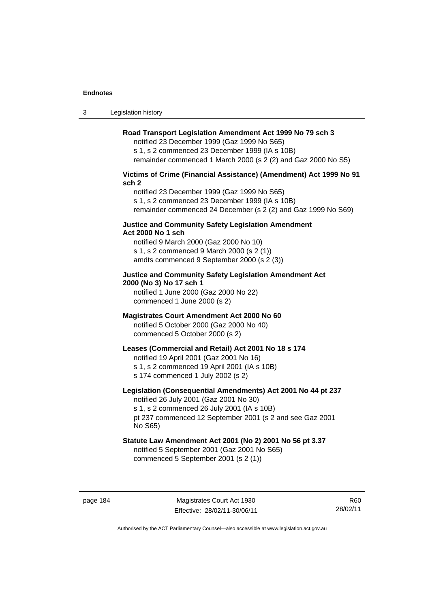3 Legislation history

#### **Road Transport Legislation Amendment Act 1999 No 79 sch 3**

notified 23 December 1999 (Gaz 1999 No S65) s 1, s 2 commenced 23 December 1999 (IA s 10B) remainder commenced 1 March 2000 (s 2 (2) and Gaz 2000 No S5)

## **Victims of Crime (Financial Assistance) (Amendment) Act 1999 No 91 sch 2**

notified 23 December 1999 (Gaz 1999 No S65) s 1, s 2 commenced 23 December 1999 (IA s 10B) remainder commenced 24 December (s 2 (2) and Gaz 1999 No S69)

#### **Justice and Community Safety Legislation Amendment Act 2000 No 1 sch**

notified 9 March 2000 (Gaz 2000 No 10) s 1, s 2 commenced 9 March 2000 (s 2 (1)) amdts commenced 9 September 2000 (s 2 (3))

## **Justice and Community Safety Legislation Amendment Act 2000 (No 3) No 17 sch 1**

notified 1 June 2000 (Gaz 2000 No 22) commenced 1 June 2000 (s 2)

## **Magistrates Court Amendment Act 2000 No 60**

notified 5 October 2000 (Gaz 2000 No 40) commenced 5 October 2000 (s 2)

## **Leases (Commercial and Retail) Act 2001 No 18 s 174**

notified 19 April 2001 (Gaz 2001 No 16)

s 1, s 2 commenced 19 April 2001 (IA s 10B)

s 174 commenced 1 July 2002 (s 2)

## **Legislation (Consequential Amendments) Act 2001 No 44 pt 237**

notified 26 July 2001 (Gaz 2001 No 30) s 1, s 2 commenced 26 July 2001 (IA s 10B) pt 237 commenced 12 September 2001 (s 2 and see Gaz 2001

No S65)

## **Statute Law Amendment Act 2001 (No 2) 2001 No 56 pt 3.37**

notified 5 September 2001 (Gaz 2001 No S65) commenced 5 September 2001 (s 2 (1))

R60 28/02/11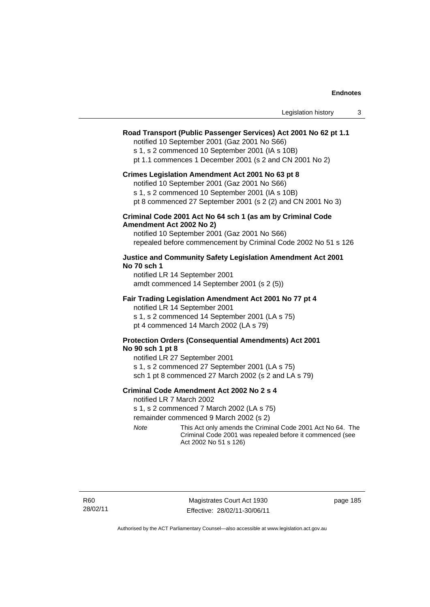| Legislation history |  |  |
|---------------------|--|--|
|---------------------|--|--|

#### **Road Transport (Public Passenger Services) Act 2001 No 62 pt 1.1**

notified 10 September 2001 (Gaz 2001 No S66)

s 1, s 2 commenced 10 September 2001 (IA s 10B)

pt 1.1 commences 1 December 2001 (s 2 and CN 2001 No 2)

#### **Crimes Legislation Amendment Act 2001 No 63 pt 8**

notified 10 September 2001 (Gaz 2001 No S66)

s 1, s 2 commenced 10 September 2001 (IA s 10B)

pt 8 commenced 27 September 2001 (s 2 (2) and CN 2001 No 3)

#### **Criminal Code 2001 Act No 64 sch 1 (as am by Criminal Code Amendment Act 2002 No 2)**

notified 10 September 2001 (Gaz 2001 No S66) repealed before commencement by Criminal Code 2002 No 51 s 126

#### **Justice and Community Safety Legislation Amendment Act 2001 No 70 sch 1**

notified LR 14 September 2001 amdt commenced 14 September 2001 (s 2 (5))

#### **Fair Trading Legislation Amendment Act 2001 No 77 pt 4**

notified LR 14 September 2001 s 1, s 2 commenced 14 September 2001 (LA s 75) pt 4 commenced 14 March 2002 (LA s 79)

## **Protection Orders (Consequential Amendments) Act 2001 No 90 sch 1 pt 8**

notified LR 27 September 2001 s 1, s 2 commenced 27 September 2001 (LA s 75) sch 1 pt 8 commenced 27 March 2002 (s 2 and LA s 79)

#### **Criminal Code Amendment Act 2002 No 2 s 4**

notified LR 7 March 2002

s 1, s 2 commenced 7 March 2002 (LA s 75)

remainder commenced 9 March 2002 (s 2)

*Note* This Act only amends the Criminal Code 2001 Act No 64. The Criminal Code 2001 was repealed before it commenced (see Act 2002 No 51 s 126)

R60 28/02/11

Magistrates Court Act 1930 Effective: 28/02/11-30/06/11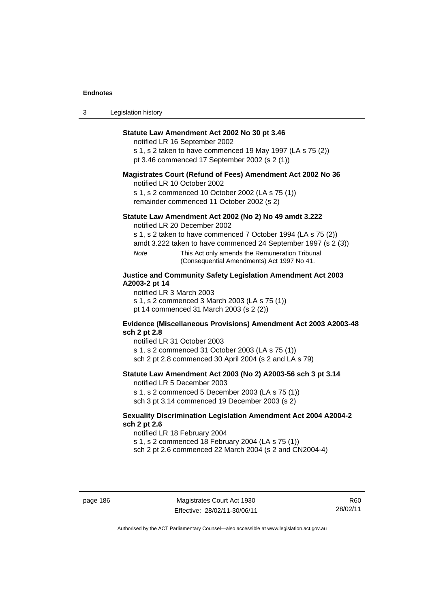| $\sim$<br>- 3 | Legislation history |  |
|---------------|---------------------|--|
|---------------|---------------------|--|

## **Statute Law Amendment Act 2002 No 30 pt 3.46**

notified LR 16 September 2002

s 1, s 2 taken to have commenced 19 May 1997 (LA s 75 (2)) pt 3.46 commenced 17 September 2002 (s 2 (1))

### **Magistrates Court (Refund of Fees) Amendment Act 2002 No 36**

notified LR 10 October 2002

s 1, s 2 commenced 10 October 2002 (LA s 75 (1)) remainder commenced 11 October 2002 (s 2)

## **Statute Law Amendment Act 2002 (No 2) No 49 amdt 3.222**

notified LR 20 December 2002

s 1, s 2 taken to have commenced 7 October 1994 (LA s 75 (2))

amdt 3.222 taken to have commenced 24 September 1997 (s 2 (3))

*Note* This Act only amends the Remuneration Tribunal (Consequential Amendments) Act 1997 No 41.

## **Justice and Community Safety Legislation Amendment Act 2003 A2003-2 pt 14**

notified LR 3 March 2003

s 1, s 2 commenced 3 March 2003 (LA s 75 (1))

pt 14 commenced 31 March 2003 (s 2 (2))

#### **Evidence (Miscellaneous Provisions) Amendment Act 2003 A2003-48 sch 2 pt 2.8**

notified LR 31 October 2003

s 1, s 2 commenced 31 October 2003 (LA s 75 (1)) sch 2 pt 2.8 commenced 30 April 2004 (s 2 and LA s 79)

## **Statute Law Amendment Act 2003 (No 2) A2003-56 sch 3 pt 3.14**

notified LR 5 December 2003

s 1, s 2 commenced 5 December 2003 (LA s 75 (1)) sch 3 pt 3.14 commenced 19 December 2003 (s 2)

### **Sexuality Discrimination Legislation Amendment Act 2004 A2004-2 sch 2 pt 2.6**

notified LR 18 February 2004 s 1, s 2 commenced 18 February 2004 (LA s 75 (1)) sch 2 pt 2.6 commenced 22 March 2004 (s 2 and CN2004-4)

page 186 Magistrates Court Act 1930 Effective: 28/02/11-30/06/11

R60 28/02/11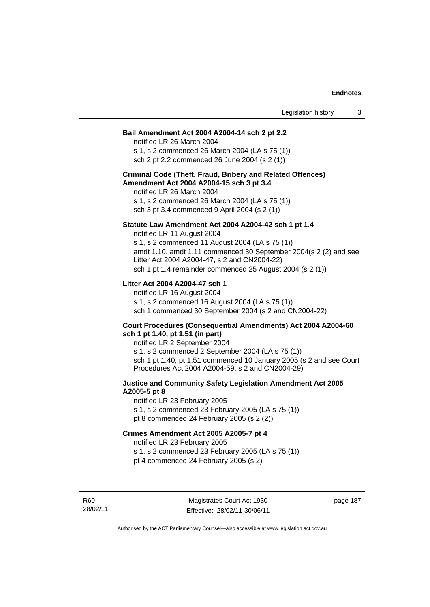#### **Bail Amendment Act 2004 A2004-14 sch 2 pt 2.2**

notified LR 26 March 2004 s 1, s 2 commenced 26 March 2004 (LA s 75 (1)) sch 2 pt 2.2 commenced 26 June 2004 (s 2 (1))

#### **Criminal Code (Theft, Fraud, Bribery and Related Offences) Amendment Act 2004 A2004-15 sch 3 pt 3.4**

notified LR 26 March 2004 s 1, s 2 commenced 26 March 2004 (LA s 75 (1)) sch 3 pt 3.4 commenced 9 April 2004 (s 2 (1))

#### **Statute Law Amendment Act 2004 A2004-42 sch 1 pt 1.4**

notified LR 11 August 2004 s 1, s 2 commenced 11 August 2004 (LA s 75 (1)) amdt 1.10, amdt 1.11 commenced 30 September 2004(s 2 (2) and see Litter Act 2004 A2004-47, s 2 and CN2004-22) sch 1 pt 1.4 remainder commenced 25 August 2004 (s 2 (1))

## **Litter Act 2004 A2004-47 sch 1**

notified LR 16 August 2004 s 1, s 2 commenced 16 August 2004 (LA s 75 (1)) sch 1 commenced 30 September 2004 (s 2 and CN2004-22)

#### **Court Procedures (Consequential Amendments) Act 2004 A2004-60 sch 1 pt 1.40, pt 1.51 (in part)**

notified LR 2 September 2004 s 1, s 2 commenced 2 September 2004 (LA s 75 (1)) sch 1 pt 1.40, pt 1.51 commenced 10 January 2005 (s 2 and see Court Procedures Act 2004 A2004-59, s 2 and CN2004-29)

## **Justice and Community Safety Legislation Amendment Act 2005 A2005-5 pt 8**

notified LR 23 February 2005 s 1, s 2 commenced 23 February 2005 (LA s 75 (1)) pt 8 commenced 24 February 2005 (s 2 (2))

#### **Crimes Amendment Act 2005 A2005-7 pt 4**

notified LR 23 February 2005

s 1, s 2 commenced 23 February 2005 (LA s 75 (1))

pt 4 commenced 24 February 2005 (s 2)

R60 28/02/11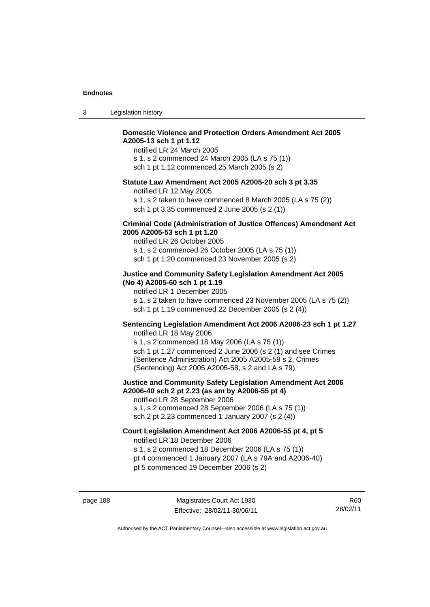| -3 | Legislation history |  |
|----|---------------------|--|
|----|---------------------|--|

## **Domestic Violence and Protection Orders Amendment Act 2005 A2005-13 sch 1 pt 1.12**

notified LR 24 March 2005 s 1, s 2 commenced 24 March 2005 (LA s 75 (1)) sch 1 pt 1.12 commenced 25 March 2005 (s 2)

#### **Statute Law Amendment Act 2005 A2005-20 sch 3 pt 3.35**

notified LR 12 May 2005

s 1, s 2 taken to have commenced 8 March 2005 (LA s 75 (2)) sch 1 pt 3.35 commenced 2 June 2005 (s 2 (1))

#### **Criminal Code (Administration of Justice Offences) Amendment Act 2005 A2005-53 sch 1 pt 1.20**

notified LR 26 October 2005 s 1, s 2 commenced 26 October 2005 (LA s 75 (1)) sch 1 pt 1.20 commenced 23 November 2005 (s 2)

## **Justice and Community Safety Legislation Amendment Act 2005 (No 4) A2005-60 sch 1 pt 1.19**

notified LR 1 December 2005 s 1, s 2 taken to have commenced 23 November 2005 (LA s 75 (2)) sch 1 pt 1.19 commenced 22 December 2005 (s 2 (4))

## **Sentencing Legislation Amendment Act 2006 A2006-23 sch 1 pt 1.27**

notified LR 18 May 2006 s 1, s 2 commenced 18 May 2006 (LA s 75 (1)) sch 1 pt 1.27 commenced 2 June 2006 (s 2 (1) and see Crimes (Sentence Administration) Act 2005 A2005-59 s 2, Crimes (Sentencing) Act 2005 A2005-58, s 2 and LA s 79)

#### **Justice and Community Safety Legislation Amendment Act 2006 A2006-40 sch 2 pt 2.23 (as am by A2006-55 pt 4)**  notified LR 28 September 2006

s 1, s 2 commenced 28 September 2006 (LA s 75 (1)) sch 2 pt 2.23 commenced 1 January 2007 (s 2 (4))

#### **Court Legislation Amendment Act 2006 A2006-55 pt 4, pt 5**  notified LR 18 December 2006

s 1, s 2 commenced 18 December 2006 (LA s 75 (1))

- pt 4 commenced 1 January 2007 (LA s 79A and A2006-40)
- pt 5 commenced 19 December 2006 (s 2)

R60 28/02/11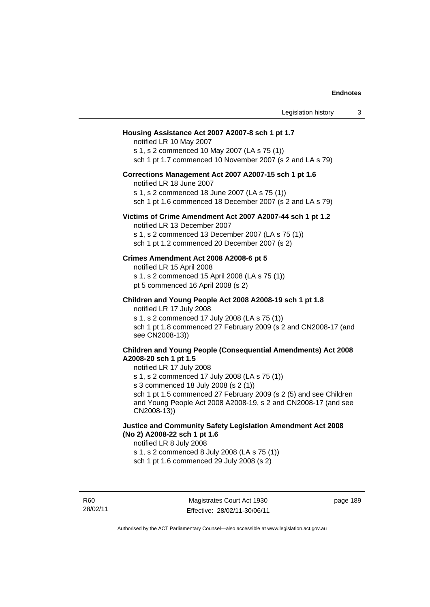| Legislation history                                                                                                                                                                                                                                                                                                                                                      | 3 |
|--------------------------------------------------------------------------------------------------------------------------------------------------------------------------------------------------------------------------------------------------------------------------------------------------------------------------------------------------------------------------|---|
| Housing Assistance Act 2007 A2007-8 sch 1 pt 1.7<br>notified LR 10 May 2007<br>s 1, s 2 commenced 10 May 2007 (LA s 75 (1))<br>sch 1 pt 1.7 commenced 10 November 2007 (s 2 and LA s 79)                                                                                                                                                                                 |   |
| Corrections Management Act 2007 A2007-15 sch 1 pt 1.6<br>notified LR 18 June 2007<br>s 1, s 2 commenced 18 June 2007 (LA s 75 (1))<br>sch 1 pt 1.6 commenced 18 December 2007 (s 2 and LA s 79)                                                                                                                                                                          |   |
| Victims of Crime Amendment Act 2007 A2007-44 sch 1 pt 1.2<br>notified LR 13 December 2007<br>s 1, s 2 commenced 13 December 2007 (LA s 75 (1))<br>sch 1 pt 1.2 commenced 20 December 2007 (s 2)                                                                                                                                                                          |   |
| Crimes Amendment Act 2008 A2008-6 pt 5<br>notified LR 15 April 2008<br>s 1, s 2 commenced 15 April 2008 (LA s 75 (1))<br>pt 5 commenced 16 April 2008 (s 2)                                                                                                                                                                                                              |   |
| Children and Young People Act 2008 A2008-19 sch 1 pt 1.8<br>notified LR 17 July 2008<br>s 1, s 2 commenced 17 July 2008 (LA s 75 (1))<br>sch 1 pt 1.8 commenced 27 February 2009 (s 2 and CN2008-17 (and<br>see CN2008-13))                                                                                                                                              |   |
| <b>Children and Young People (Consequential Amendments) Act 2008</b><br>A2008-20 sch 1 pt 1.5<br>notified LR 17 July 2008<br>s 1, s 2 commenced 17 July 2008 (LA s 75 (1))<br>s 3 commenced 18 July 2008 (s 2 (1))<br>sch 1 pt 1.5 commenced 27 February 2009 (s 2 (5) and see Children<br>and Young People Act 2008 A2008-19, s 2 and CN2008-17 (and see<br>CN2008-13)) |   |
| Justice and Community Safety Legislation Amendment Act 2008<br>(No 2) A2008-22 sch 1 pt 1.6<br>notified LR 8 July 2008<br>s 1, s 2 commenced 8 July 2008 (LA s 75 (1))<br>sch 1 pt 1.6 commenced 29 July 2008 (s 2)                                                                                                                                                      |   |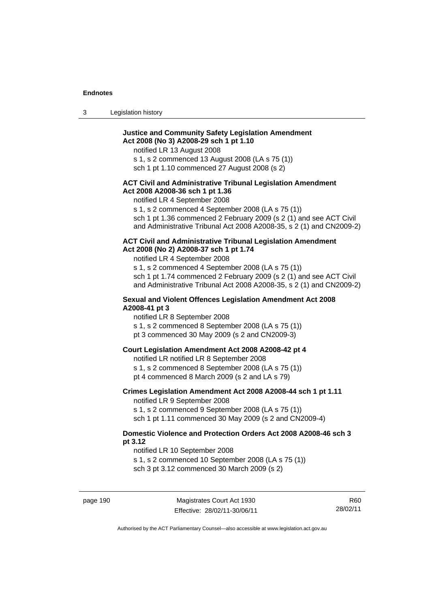| -3 | Legislation history |  |
|----|---------------------|--|
|    |                     |  |

## **Justice and Community Safety Legislation Amendment Act 2008 (No 3) A2008-29 sch 1 pt 1.10**

notified LR 13 August 2008

s 1, s 2 commenced 13 August 2008 (LA s 75 (1))

sch 1 pt 1.10 commenced 27 August 2008 (s 2)

### **ACT Civil and Administrative Tribunal Legislation Amendment Act 2008 A2008-36 sch 1 pt 1.36**

notified LR 4 September 2008

s 1, s 2 commenced 4 September 2008 (LA s 75 (1))

sch 1 pt 1.36 commenced 2 February 2009 (s 2 (1) and see ACT Civil and Administrative Tribunal Act 2008 A2008-35, s 2 (1) and CN2009-2)

#### **ACT Civil and Administrative Tribunal Legislation Amendment Act 2008 (No 2) A2008-37 sch 1 pt 1.74**

notified LR 4 September 2008

s 1, s 2 commenced 4 September 2008 (LA s 75 (1)) sch 1 pt 1.74 commenced 2 February 2009 (s 2 (1) and see ACT Civil and Administrative Tribunal Act 2008 A2008-35, s 2 (1) and CN2009-2)

#### **Sexual and Violent Offences Legislation Amendment Act 2008 A2008-41 pt 3**

notified LR 8 September 2008

s 1, s 2 commenced 8 September 2008 (LA s 75 (1))

pt 3 commenced 30 May 2009 (s 2 and CN2009-3)

#### **Court Legislation Amendment Act 2008 A2008-42 pt 4**

notified LR notified LR 8 September 2008

- s 1, s 2 commenced 8 September 2008 (LA s 75 (1))
- pt 4 commenced 8 March 2009 (s 2 and LA s 79)

## **Crimes Legislation Amendment Act 2008 A2008-44 sch 1 pt 1.11**

notified LR 9 September 2008

s 1, s 2 commenced 9 September 2008 (LA s 75 (1))

sch 1 pt 1.11 commenced 30 May 2009 (s 2 and CN2009-4)

### **Domestic Violence and Protection Orders Act 2008 A2008-46 sch 3 pt 3.12**

notified LR 10 September 2008

s 1, s 2 commenced 10 September 2008 (LA s 75 (1))

sch 3 pt 3.12 commenced 30 March 2009 (s 2)

R60 28/02/11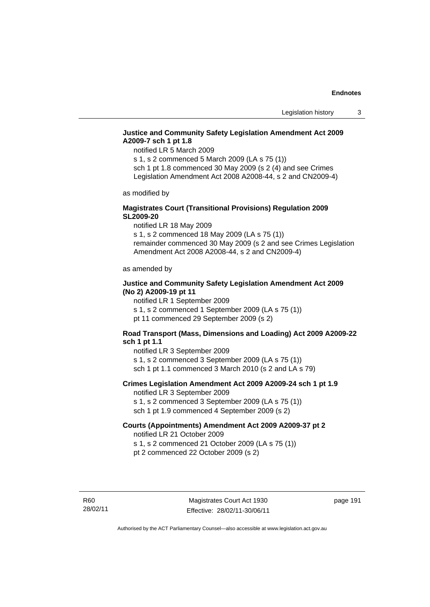## **Justice and Community Safety Legislation Amendment Act 2009 A2009-7 sch 1 pt 1.8**

notified LR 5 March 2009

s 1, s 2 commenced 5 March 2009 (LA s 75 (1)) sch 1 pt 1.8 commenced 30 May 2009 (s 2 (4) and see Crimes

Legislation Amendment Act 2008 A2008-44, s 2 and CN2009-4)

as modified by

## **Magistrates Court (Transitional Provisions) Regulation 2009 SL2009-20**

notified LR 18 May 2009

s 1, s 2 commenced 18 May 2009 (LA s 75 (1)) remainder commenced 30 May 2009 (s 2 and see Crimes Legislation Amendment Act 2008 A2008-44, s 2 and CN2009-4)

as amended by

## **Justice and Community Safety Legislation Amendment Act 2009 (No 2) A2009-19 pt 11**

notified LR 1 September 2009 s 1, s 2 commenced 1 September 2009 (LA s 75 (1))

pt 11 commenced 29 September 2009 (s 2)

## **Road Transport (Mass, Dimensions and Loading) Act 2009 A2009-22 sch 1 pt 1.1**

notified LR 3 September 2009 s 1, s 2 commenced 3 September 2009 (LA s 75 (1)) sch 1 pt 1.1 commenced 3 March 2010 (s 2 and LA s 79)

## **Crimes Legislation Amendment Act 2009 A2009-24 sch 1 pt 1.9**

notified LR 3 September 2009

s 1, s 2 commenced 3 September 2009 (LA s 75 (1))

sch 1 pt 1.9 commenced 4 September 2009 (s 2)

#### **Courts (Appointments) Amendment Act 2009 A2009-37 pt 2**  notified LR 21 October 2009

s 1, s 2 commenced 21 October 2009 (LA s 75 (1)) pt 2 commenced 22 October 2009 (s 2)

R60 28/02/11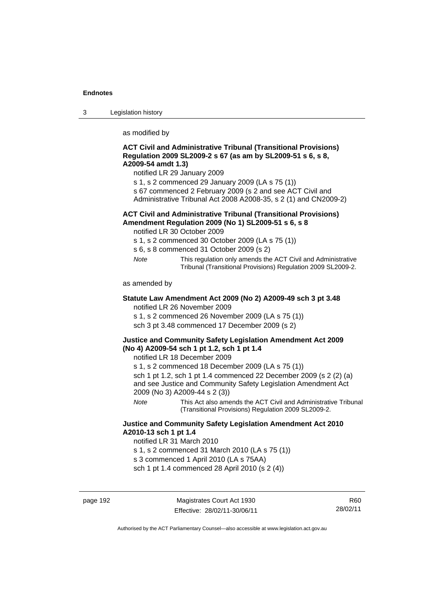3 Legislation history

as modified by

## **ACT Civil and Administrative Tribunal (Transitional Provisions) Regulation 2009 SL2009-2 s 67 (as am by SL2009-51 s 6, s 8, A2009-54 amdt 1.3)**

notified LR 29 January 2009

- s 1, s 2 commenced 29 January 2009 (LA s 75 (1))
- s 67 commenced 2 February 2009 (s 2 and see ACT Civil and
- Administrative Tribunal Act 2008 A2008-35, s 2 (1) and CN2009-2)

## **ACT Civil and Administrative Tribunal (Transitional Provisions) Amendment Regulation 2009 (No 1) SL2009-51 s 6, s 8**

notified LR 30 October 2009

- s 1, s 2 commenced 30 October 2009 (LA s 75 (1))
- s 6, s 8 commenced 31 October 2009 (s 2)
- *Note* This regulation only amends the ACT Civil and Administrative Tribunal (Transitional Provisions) Regulation 2009 SL2009-2.

as amended by

#### **Statute Law Amendment Act 2009 (No 2) A2009-49 sch 3 pt 3.48**  notified LR 26 November 2009

s 1, s 2 commenced 26 November 2009 (LA s 75 (1))

sch 3 pt 3.48 commenced 17 December 2009 (s 2)

## **Justice and Community Safety Legislation Amendment Act 2009 (No 4) A2009-54 sch 1 pt 1.2, sch 1 pt 1.4**

notified LR 18 December 2009

s 1, s 2 commenced 18 December 2009 (LA s 75 (1))

sch 1 pt 1.2, sch 1 pt 1.4 commenced 22 December 2009 (s 2 (2) (a) and see Justice and Community Safety Legislation Amendment Act 2009 (No 3) A2009-44 s 2 (3))

*Note* This Act also amends the ACT Civil and Administrative Tribunal (Transitional Provisions) Regulation 2009 SL2009-2.

## **Justice and Community Safety Legislation Amendment Act 2010 A2010-13 sch 1 pt 1.4**

notified LR 31 March 2010

s 1, s 2 commenced 31 March 2010 (LA s 75 (1))

s 3 commenced 1 April 2010 (LA s 75AA)

sch 1 pt 1.4 commenced 28 April 2010 (s 2 (4))

page 192 Magistrates Court Act 1930 Effective: 28/02/11-30/06/11

R60 28/02/11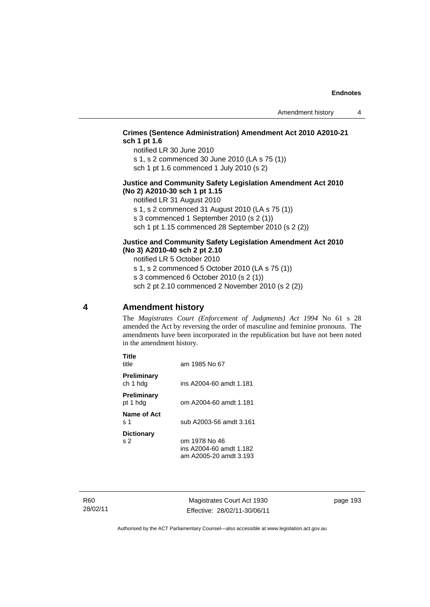## **Crimes (Sentence Administration) Amendment Act 2010 A2010-21 sch 1 pt 1.6**

notified LR 30 June 2010

s 1, s 2 commenced 30 June 2010 (LA s 75 (1))

sch 1 pt 1.6 commenced 1 July 2010 (s 2)

### **Justice and Community Safety Legislation Amendment Act 2010 (No 2) A2010-30 sch 1 pt 1.15**

notified LR 31 August 2010

s 1, s 2 commenced 31 August 2010 (LA s 75 (1))

s 3 commenced 1 September 2010 (s 2 (1))

sch 1 pt 1.15 commenced 28 September 2010 (s 2 (2))

## **Justice and Community Safety Legislation Amendment Act 2010 (No 3) A2010-40 sch 2 pt 2.10**

notified LR 5 October 2010

s 1, s 2 commenced 5 October 2010 (LA s 75 (1))

s 3 commenced 6 October 2010 (s 2 (1))

sch 2 pt 2.10 commenced 2 November 2010 (s 2 (2))

## **4 Amendment history**

The *Magistrates Court (Enforcement of Judgments) Act 1994* No 61 s 28 amended the Act by reversing the order of masculine and feminine pronouns. The amendments have been incorporated in the republication but have not been noted in the amendment history.

| Title<br>title           | am 1985 No 67                                                      |
|--------------------------|--------------------------------------------------------------------|
| Preliminary<br>ch 1 hdg  | ins A2004-60 amdt 1.181                                            |
| Preliminary<br>pt 1 hdg  | om A2004-60 amdt 1.181                                             |
| Name of Act<br>ร 1       | sub A2003-56 amdt 3.161                                            |
| <b>Dictionary</b><br>s 2 | om 1978 No 46<br>ins A2004-60 amdt 1.182<br>am A2005-20 amdt 3.193 |

R60 28/02/11

Magistrates Court Act 1930 Effective: 28/02/11-30/06/11 page 193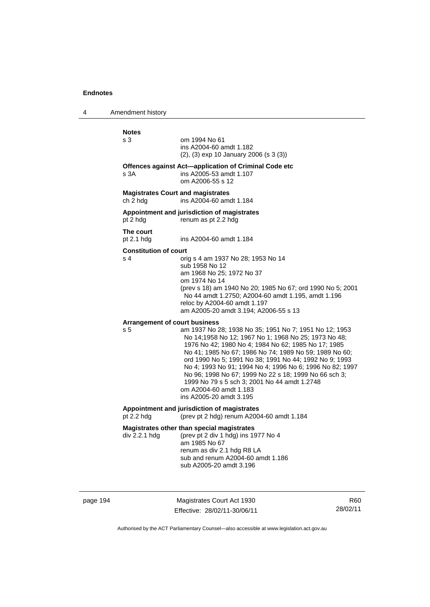4 Amendment history

| <b>Notes</b>                                         |                                                                                                                                                                                                                                                                                                                                                                                                                                                                                                                     |
|------------------------------------------------------|---------------------------------------------------------------------------------------------------------------------------------------------------------------------------------------------------------------------------------------------------------------------------------------------------------------------------------------------------------------------------------------------------------------------------------------------------------------------------------------------------------------------|
| s 3                                                  | om 1994 No 61<br>ins A2004-60 amdt 1.182<br>$(2)$ , $(3)$ exp 10 January 2006 (s 3 $(3)$ )                                                                                                                                                                                                                                                                                                                                                                                                                          |
| s <sub>3A</sub>                                      | Offences against Act-application of Criminal Code etc<br>ins A2005-53 amdt 1.107<br>om A2006-55 s 12                                                                                                                                                                                                                                                                                                                                                                                                                |
| <b>Magistrates Court and magistrates</b><br>ch 2 hdg | ins A2004-60 amdt 1.184                                                                                                                                                                                                                                                                                                                                                                                                                                                                                             |
| pt 2 hdg                                             | Appointment and jurisdiction of magistrates<br>renum as pt 2.2 hdg                                                                                                                                                                                                                                                                                                                                                                                                                                                  |
| The court<br>pt 2.1 hdg                              | ins A2004-60 amdt 1.184                                                                                                                                                                                                                                                                                                                                                                                                                                                                                             |
| <b>Constitution of court</b><br>s <sub>4</sub>       | orig s 4 am 1937 No 28; 1953 No 14<br>sub 1958 No 12<br>am 1968 No 25; 1972 No 37<br>om 1974 No 14<br>(prev s 18) am 1940 No 20; 1985 No 67; ord 1990 No 5; 2001<br>No 44 amdt 1.2750; A2004-60 amdt 1.195, amdt 1.196<br>reloc by A2004-60 amdt 1.197<br>am A2005-20 amdt 3.194; A2006-55 s 13                                                                                                                                                                                                                     |
| <b>Arrangement of court business</b>                 |                                                                                                                                                                                                                                                                                                                                                                                                                                                                                                                     |
| s <sub>5</sub>                                       | am 1937 No 28; 1938 No 35; 1951 No 7; 1951 No 12; 1953<br>No 14;1958 No 12; 1967 No 1; 1968 No 25; 1973 No 48;<br>1976 No 42; 1980 No 4; 1984 No 62; 1985 No 17; 1985<br>No 41; 1985 No 67; 1986 No 74; 1989 No 59; 1989 No 60;<br>ord 1990 No 5; 1991 No 38; 1991 No 44; 1992 No 9; 1993<br>No 4; 1993 No 91; 1994 No 4; 1996 No 6; 1996 No 82; 1997<br>No 96; 1998 No 67; 1999 No 22 s 18; 1999 No 66 sch 3;<br>1999 No 79 s 5 sch 3; 2001 No 44 amdt 1.2748<br>om A2004-60 amdt 1.183<br>ins A2005-20 amdt 3.195 |
| pt 2.2 hdg                                           | Appointment and jurisdiction of magistrates<br>(prev pt 2 hdg) renum A2004-60 amdt 1.184                                                                                                                                                                                                                                                                                                                                                                                                                            |
| div 2.2.1 hdg                                        | Magistrates other than special magistrates<br>(prev pt 2 div 1 hdg) ins 1977 No 4<br>am 1985 No 67<br>renum as div 2.1 hdg R8 LA<br>sub and renum A2004-60 amdt 1.186<br>sub A2005-20 amdt 3.196                                                                                                                                                                                                                                                                                                                    |

page 194 Magistrates Court Act 1930 Effective: 28/02/11-30/06/11

R60 28/02/11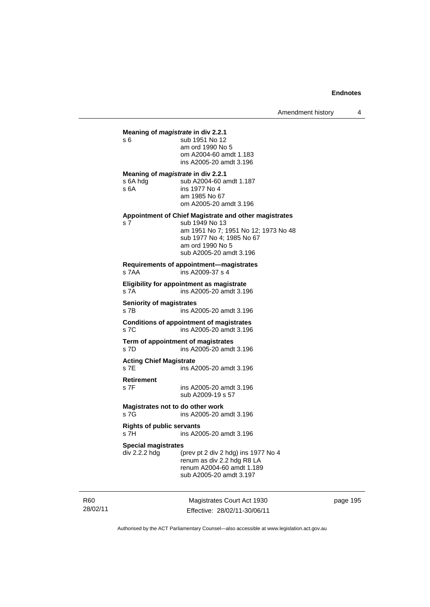## **Meaning of** *magistrate* **in div 2.2.1**  s 6 sub 1951 No 12 am ord 1990 No 5 om A2004-60 amdt 1.183 ins A2005-20 amdt 3.196 **Meaning of** *magistrate* **in div 2.2.1**  s 6A hdg sub A2004-60 amdt 1.187<br>s 6A ins 1977 No 4 ins 1977 No 4 am 1985 No 67 om A2005-20 amdt 3.196 **Appointment of Chief Magistrate and other magistrates**  s 7 sub 1949 No 13 am 1951 No 7; 1951 No 12; 1973 No 48 sub 1977 No 4; 1985 No 67 am ord 1990 No 5 sub A2005-20 amdt 3.196 **Requirements of appointment—magistrates**  s 7AA ins A2009-37 s 4 **Eligibility for appointment as magistrate**  s 7A ins A2005-20 amdt 3.196 **Seniority of magistrates**  s 7B ins A2005-20 amdt 3.196 **Conditions of appointment of magistrates**  s 7C ins A2005-20 amdt 3.196 **Term of appointment of magistrates**  s 7D ins A2005-20 amdt 3.196 **Acting Chief Magistrate**  ins A2005-20 amdt 3.196 **Retirement**  s 7F ins A2005-20 amdt 3.196 sub A2009-19 s 57 **Magistrates not to do other work**  s 7G ins A2005-20 amdt 3.196 **Rights of public servants**  s 7H ins A2005-20 amdt 3.196 **Special magistrates**  div 2.2.2 hdg (prev pt 2 div 2 hdg) ins 1977 No 4 renum as div 2.2 hdg R8 LA renum A2004-60 amdt 1.189 sub A2005-20 amdt 3.197

R60 28/02/11

Magistrates Court Act 1930 Effective: 28/02/11-30/06/11 page 195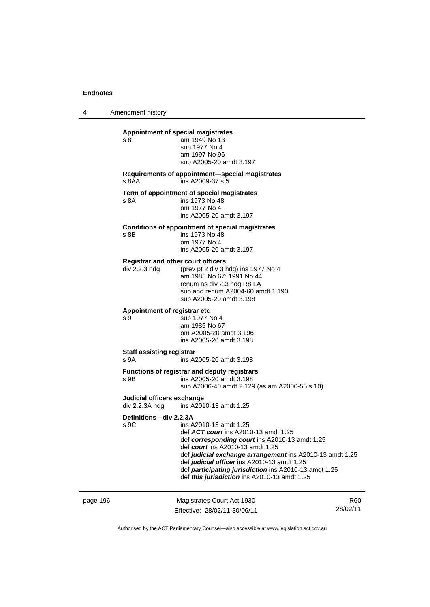4 Amendment history

| Appointment of special magistrates                         |                                                                                                                                                                                                                                                                                                                                                                          |
|------------------------------------------------------------|--------------------------------------------------------------------------------------------------------------------------------------------------------------------------------------------------------------------------------------------------------------------------------------------------------------------------------------------------------------------------|
| s 8                                                        | am 1949 No 13<br>sub 1977 No 4<br>am 1997 No 96<br>sub A2005-20 amdt 3.197                                                                                                                                                                                                                                                                                               |
| s 8AA                                                      | Requirements of appointment-special magistrates<br>ins A2009-37 s 5                                                                                                                                                                                                                                                                                                      |
| s 8A                                                       | Term of appointment of special magistrates<br>ins 1973 No 48<br>om 1977 No 4<br>ins A2005-20 amdt 3.197                                                                                                                                                                                                                                                                  |
| s 8B                                                       | Conditions of appointment of special magistrates<br>ins 1973 No 48<br>om 1977 No 4<br>ins A2005-20 amdt 3.197                                                                                                                                                                                                                                                            |
| <b>Registrar and other court officers</b><br>div 2.2.3 hdg | (prev pt 2 div 3 hdg) ins 1977 No 4<br>am 1985 No 67; 1991 No 44<br>renum as div 2.3 hdg R8 LA<br>sub and renum A2004-60 amdt 1.190<br>sub A2005-20 amdt 3.198                                                                                                                                                                                                           |
| Appointment of registrar etc<br>s 9                        | sub 1977 No 4<br>am 1985 No 67<br>om A2005-20 amdt 3.196<br>ins A2005-20 amdt 3.198                                                                                                                                                                                                                                                                                      |
| <b>Staff assisting registrar</b><br>s 9A                   | ins A2005-20 amdt 3.198                                                                                                                                                                                                                                                                                                                                                  |
| s 9B                                                       | Functions of registrar and deputy registrars<br>ins A2005-20 amdt 3.198<br>sub A2006-40 amdt 2.129 (as am A2006-55 s 10)                                                                                                                                                                                                                                                 |
| Judicial officers exchange<br>div 2.2.3A hdg               | ins A2010-13 amdt 1.25                                                                                                                                                                                                                                                                                                                                                   |
| Definitions-div 2.2.3A<br>s 9C                             | ins A2010-13 amdt 1.25<br>def ACT court ins A2010-13 amdt 1.25<br>def corresponding court ins A2010-13 amdt 1.25<br>def court ins A2010-13 amdt 1.25<br>def judicial exchange arrangement ins A2010-13 amdt 1.25<br>def judicial officer ins A2010-13 amdt 1.25<br>def participating jurisdiction ins A2010-13 amdt 1.25<br>def this jurisdiction ins A2010-13 amdt 1.25 |

| page 196 | Magistrates Court Act 1930   | R60      |
|----------|------------------------------|----------|
|          | Effective: 28/02/11-30/06/11 | 28/02/11 |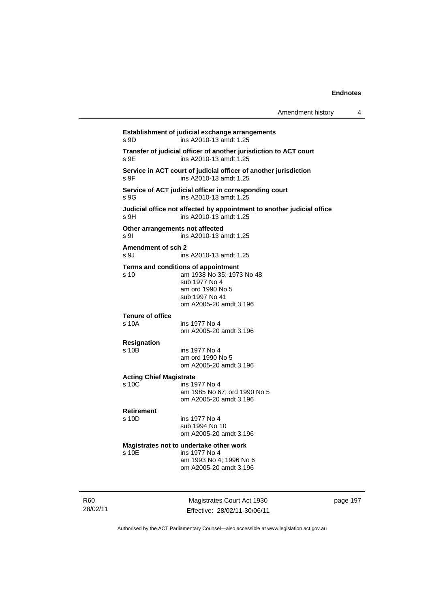| Amendment history |  |
|-------------------|--|
|-------------------|--|

| s 9D                                    | Establishment of judicial exchange arrangements<br>ins A2010-13 amdt 1.25                                                                         |
|-----------------------------------------|---------------------------------------------------------------------------------------------------------------------------------------------------|
| s 9E                                    | Transfer of judicial officer of another jurisdiction to ACT court<br>ins A2010-13 amdt 1.25                                                       |
| s 9F                                    | Service in ACT court of judicial officer of another jurisdiction<br>ins A2010-13 amdt 1.25                                                        |
| s 9G                                    | Service of ACT judicial officer in corresponding court<br>ins A2010-13 amdt 1.25                                                                  |
| s 9H                                    | Judicial office not affected by appointment to another judicial office<br>ins A2010-13 amdt 1.25                                                  |
| Other arrangements not affected<br>s 9l | ins A2010-13 amdt 1.25                                                                                                                            |
| Amendment of sch 2<br>s 9J              | ins A2010-13 amdt 1.25                                                                                                                            |
| s 10                                    | Terms and conditions of appointment<br>am 1938 No 35; 1973 No 48<br>sub 1977 No 4<br>am ord 1990 No 5<br>sub 1997 No 41<br>om A2005-20 amdt 3.196 |
| <b>Tenure of office</b><br>s 10A        | ins 1977 No 4<br>om A2005-20 amdt 3.196                                                                                                           |
| <b>Resignation</b><br>s 10B             | ins 1977 No 4<br>am ord 1990 No 5<br>om A2005-20 amdt 3.196                                                                                       |
| <b>Acting Chief Magistrate</b><br>s 10C | ins 1977 No 4<br>am 1985 No 67; ord 1990 No 5<br>om A2005-20 amdt 3.196                                                                           |
| <b>Retirement</b><br>s 10D              | ins 1977 No 4<br>sub 1994 No 10<br>om A2005-20 amdt 3.196                                                                                         |
| s 10E                                   | Magistrates not to undertake other work<br>ins 1977 No 4<br>am 1993 No 4; 1996 No 6<br>om A2005-20 amdt 3.196                                     |
|                                         |                                                                                                                                                   |

R60 28/02/11

Magistrates Court Act 1930 Effective: 28/02/11-30/06/11 page 197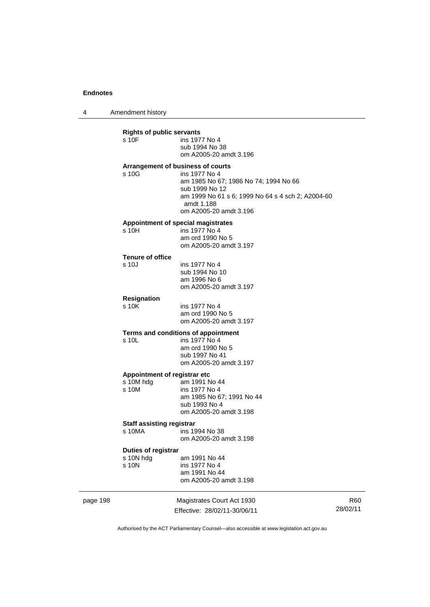4 Amendment history

|          | <b>Rights of public servants</b><br>$s$ 10 $F$     | ins 1977 No 4<br>sub 1994 No 38<br>om A2005-20 amdt 3.196                                                                                                                                                  |
|----------|----------------------------------------------------|------------------------------------------------------------------------------------------------------------------------------------------------------------------------------------------------------------|
|          | s 10G                                              | Arrangement of business of courts<br>ins 1977 No 4<br>am 1985 No 67; 1986 No 74; 1994 No 66<br>sub 1999 No 12<br>am 1999 No 61 s 6; 1999 No 64 s 4 sch 2; A2004-60<br>amdt 1.188<br>om A2005-20 amdt 3.196 |
|          | s 10H                                              | Appointment of special magistrates<br>ins 1977 No 4<br>am ord 1990 No 5<br>om A2005-20 amdt 3.197                                                                                                          |
|          | <b>Tenure of office</b><br>s 10J                   | ins 1977 No 4<br>sub 1994 No 10<br>am 1996 No 6<br>om A2005-20 amdt 3.197                                                                                                                                  |
|          | <b>Resignation</b><br>s 10K                        | ins 1977 No 4<br>am ord 1990 No 5<br>om A2005-20 amdt 3.197                                                                                                                                                |
|          | s 10L                                              | Terms and conditions of appointment<br>ins 1977 No 4<br>am ord 1990 No 5<br>sub 1997 No 41<br>om A2005-20 amdt 3.197                                                                                       |
|          | Appointment of registrar etc<br>s 10M hdg<br>s 10M | am 1991 No 44<br>ins 1977 No 4<br>am 1985 No 67; 1991 No 44<br>sub 1993 No 4<br>om A2005-20 amdt 3.198                                                                                                     |
|          | <b>Staff assisting registrar</b><br>s 10MA         | ins 1994 No 38<br>om A2005-20 amdt 3.198                                                                                                                                                                   |
|          | Duties of registrar<br>s 10N hdg<br>s 10N          | am 1991 No 44<br>ins 1977 No 4<br>am 1991 No 44<br>om A2005-20 amdt 3.198                                                                                                                                  |
| page 198 |                                                    | Magistrates Court Act 1930                                                                                                                                                                                 |

Effective: 28/02/11-30/06/11

R60 28/02/11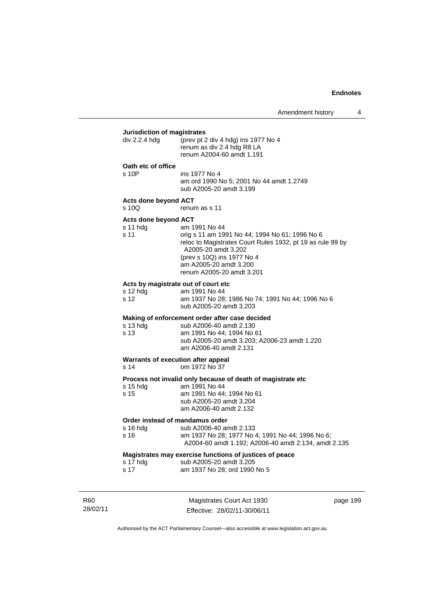## **Jurisdiction of magistrates**

| Jurisulction of Inagistrates<br>div 2.2.4 hdg<br>(prev pt 2 div 4 hdg) ins 1977 No 4<br>renum as div 2.4 hdg R8 LA |                                                                                                                                                                                                                                           |  |  |  |
|--------------------------------------------------------------------------------------------------------------------|-------------------------------------------------------------------------------------------------------------------------------------------------------------------------------------------------------------------------------------------|--|--|--|
|                                                                                                                    | renum A2004-60 amdt 1.191                                                                                                                                                                                                                 |  |  |  |
| Oath etc of office<br>s 10P                                                                                        | ins 1977 No 4<br>am ord 1990 No 5; 2001 No 44 amdt 1.2749<br>sub A2005-20 amdt 3.199                                                                                                                                                      |  |  |  |
| <b>Acts done beyond ACT</b><br>$s$ 10Q                                                                             | renum as s 11                                                                                                                                                                                                                             |  |  |  |
| Acts done beyond ACT<br>s 11 hdg<br>s 11                                                                           | am 1991 No 44<br>orig s 11 am 1991 No 44; 1994 No 61; 1996 No 6<br>reloc to Magistrates Court Rules 1932, pt 19 as rule 99 by<br>A2005-20 amdt 3.202<br>(prev s 10Q) ins 1977 No 4<br>am A2005-20 amdt 3.200<br>renum A2005-20 amdt 3.201 |  |  |  |
| Acts by magistrate out of court etc<br>s 12 hdg<br>s 12                                                            | am 1991 No 44<br>am 1937 No 28; 1986 No 74; 1991 No 44; 1996 No 6<br>sub A2005-20 amdt 3.203                                                                                                                                              |  |  |  |
| s 13 hdg<br>s 13                                                                                                   | Making of enforcement order after case decided<br>sub A2006-40 amdt 2.130<br>am 1991 No 44; 1994 No 61<br>sub A2005-20 amdt 3.203; A2006-23 amdt 1.220<br>am A2006-40 amdt 2.131                                                          |  |  |  |
| Warrants of execution after appeal<br>s <sub>14</sub>                                                              | om 1972 No 37                                                                                                                                                                                                                             |  |  |  |
| s 15 hdg<br>s 15                                                                                                   | Process not invalid only because of death of magistrate etc<br>am 1991 No 44<br>am 1991 No 44; 1994 No 61<br>sub A2005-20 amdt 3.204<br>am A2006-40 amdt 2.132                                                                            |  |  |  |
| Order instead of mandamus order<br>s 16 hdg<br>s 16                                                                | sub A2006-40 amdt 2.133<br>am 1937 No 28; 1977 No 4; 1991 No 44; 1996 No 6;<br>A2004-60 amdt 1.192; A2006-40 amdt 2.134, amdt 2.135                                                                                                       |  |  |  |
|                                                                                                                    | Magistrates may exercise functions of justices of peace                                                                                                                                                                                   |  |  |  |

| s 17 hdg | sub A2005-20 amdt 3.205 |
|----------|-------------------------|
|          | .                       |

| ่ s 17 |  | am 1937 No 28; ord 1990 No 5 |
|--------|--|------------------------------|
|        |  |                              |

R60 28/02/11

Magistrates Court Act 1930 Effective: 28/02/11-30/06/11 page 199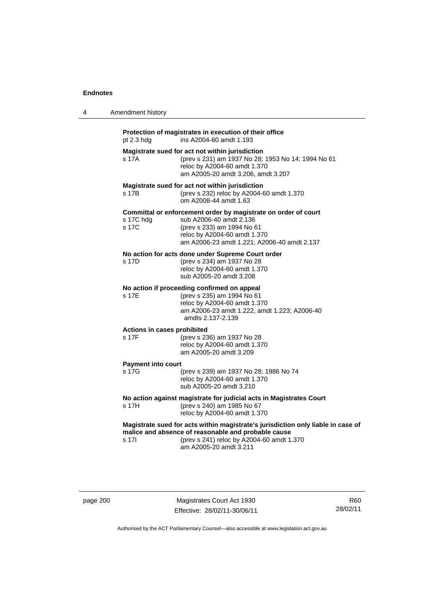| 4 | Amendment history                    |                                                                                                                                                                                                                |
|---|--------------------------------------|----------------------------------------------------------------------------------------------------------------------------------------------------------------------------------------------------------------|
|   | pt 2.3 hdg                           | Protection of magistrates in execution of their office<br>ins A2004-60 amdt 1.193                                                                                                                              |
|   | s 17A                                | Magistrate sued for act not within jurisdiction<br>(prev s 231) am 1937 No 28; 1953 No 14; 1994 No 61<br>reloc by A2004-60 amdt 1.370<br>am A2005-20 amdt 3.206, amdt 3.207                                    |
|   | s 17B                                | Magistrate sued for act not within jurisdiction<br>(prev s 232) reloc by A2004-60 amdt 1.370<br>om A2008-44 amdt 1.63                                                                                          |
|   | s 17C hdg<br>s 17C                   | Committal or enforcement order by magistrate on order of court<br>sub A2006-40 amdt 2.136<br>(prev s 233) am 1994 No 61<br>reloc by A2004-60 amdt 1.370<br>am A2006-23 amdt 1.221; A2006-40 amdt 2.137         |
|   | s 17D                                | No action for acts done under Supreme Court order<br>(prev s 234) am 1937 No 28<br>reloc by A2004-60 amdt 1.370<br>sub A2005-20 amdt 3.208                                                                     |
|   | s 17F                                | No action if proceeding confirmed on appeal<br>(prev s 235) am 1994 No 61<br>reloc by A2004-60 amdt 1.370<br>am A2006-23 amdt 1.222, amdt 1.223; A2006-40<br>amdts 2.137-2.139                                 |
|   | Actions in cases prohibited<br>s 17F | (prev s 236) am 1937 No 28<br>reloc by A2004-60 amdt 1.370<br>am A2005-20 amdt 3.209                                                                                                                           |
|   | <b>Payment into court</b><br>s 17G   | (prev s 239) am 1937 No 28; 1986 No 74<br>reloc by A2004-60 amdt 1.370<br>sub A2005-20 amdt 3.210                                                                                                              |
|   | s 17H                                | No action against magistrate for judicial acts in Magistrates Court<br>(prev s 240) am 1985 No 67<br>reloc by A2004-60 amdt 1.370                                                                              |
|   | s 17l                                | Magistrate sued for acts within magistrate's jurisdiction only liable in case of<br>malice and absence of reasonable and probable cause<br>(prev s 241) reloc by A2004-60 amdt 1.370<br>am A2005-20 amdt 3.211 |

page 200 Magistrates Court Act 1930 Effective: 28/02/11-30/06/11

R60 28/02/11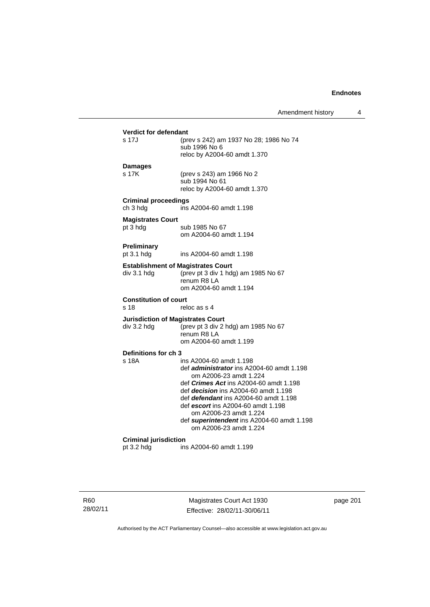## **Verdict for defendant**<br>s 17J (pre (prev s 242) am 1937 No 28; 1986 No 74 sub 1996 No 6 reloc by A2004-60 amdt 1.370 **Damages**  s 17K (prev s 243) am 1966 No 2 sub 1994 No 61 reloc by A2004-60 amdt 1.370 **Criminal proceedings**  ch 3 hdg ins A2004-60 amdt 1.198 **Magistrates Court**  pt 3 hdg sub 1985 No 67 om A2004-60 amdt 1.194 **Preliminary**  pt 3.1 hdg ins A2004-60 amdt 1.198 **Establishment of Magistrates Court**  div 3.1 hdg (prev pt 3 div 1 hdg) am 1985 No 67 renum R8 LA om A2004-60 amdt 1.194 **Constitution of court**  s 18 reloc as s 4 **Jurisdiction of Magistrates Court**  div 3.2 hdg (prev pt 3 div 2 hdg) am 1985 No 67 renum R8 LA om A2004-60 amdt 1.199 **Definitions for ch 3**  ins A2004-60 amdt 1.198 def *administrator* ins A2004-60 amdt 1.198 om A2006-23 amdt 1.224 def *Crimes Act* ins A2004-60 amdt 1.198 def *decision* ins A2004-60 amdt 1.198 def *defendant* ins A2004-60 amdt 1.198 def *escort* ins A2004-60 amdt 1.198 om A2006-23 amdt 1.224 def *superintendent* ins A2004-60 amdt 1.198 om A2006-23 amdt 1.224 **Criminal jurisdiction**  ins A2004-60 amdt 1.199

R60 28/02/11

Magistrates Court Act 1930 Effective: 28/02/11-30/06/11 page 201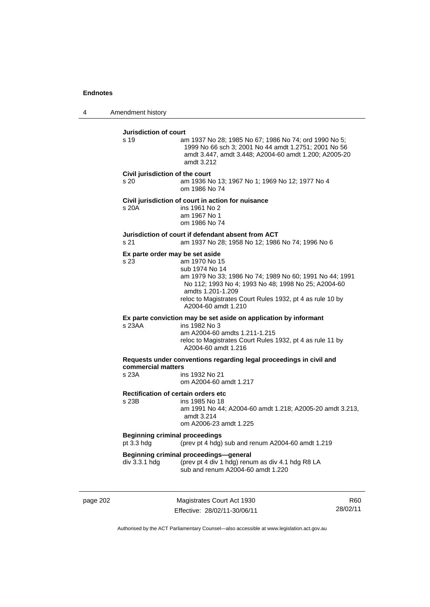4 Amendment history

**Jurisdiction of court**  s 19 am 1937 No 28; 1985 No 67; 1986 No 74; ord 1990 No 5; 1999 No 66 sch 3; 2001 No 44 amdt 1.2751; 2001 No 56 amdt 3.447, amdt 3.448; A2004-60 amdt 1.200; A2005-20 amdt 3.212 **Civil jurisdiction of the court**  s 20 am 1936 No 13; 1967 No 1; 1969 No 12; 1977 No 4 om 1986 No 74 **Civil jurisdiction of court in action for nuisance**  s 20A ins 1961 No 2 am 1967 No 1 om 1986 No 74 **Jurisdiction of court if defendant absent from ACT**  s 21 am 1937 No 28; 1958 No 12; 1986 No 74; 1996 No 6 **Ex parte order may be set aside**  s 23 am 1970 No 15 sub 1974 No 14 am 1979 No 33; 1986 No 74; 1989 No 60; 1991 No 44; 1991 No 112; 1993 No 4; 1993 No 48; 1998 No 25; A2004-60 amdts 1.201-1.209 reloc to Magistrates Court Rules 1932, pt 4 as rule 10 by A2004-60 amdt 1.210 **Ex parte conviction may be set aside on application by informant**  s 23AA ins 1982 No 3 am A2004-60 amdts 1.211-1.215 reloc to Magistrates Court Rules 1932, pt 4 as rule 11 by A2004-60 amdt 1.216 **Requests under conventions regarding legal proceedings in civil and commercial matters**  ins 1932 No 21 om A2004-60 amdt 1.217 **Rectification of certain orders etc**<br>s 23B ins 1985 No 18 ins 1985 No 18 am 1991 No 44; A2004-60 amdt 1.218; A2005-20 amdt 3.213, amdt 3.214 om A2006-23 amdt 1.225 **Beginning criminal proceedings**  pt 3.3 hdg (prev pt 4 hdg) sub and renum A2004-60 amdt 1.219 **Beginning criminal proceedings—general**<br>div 3.3.1 hdg (prev pt 4 div 1 hdg) renu (prev pt 4 div 1 hdg) renum as div 4.1 hdg R8 LA sub and renum A2004-60 amdt 1.220

page 202 Magistrates Court Act 1930 Effective: 28/02/11-30/06/11

R60 28/02/11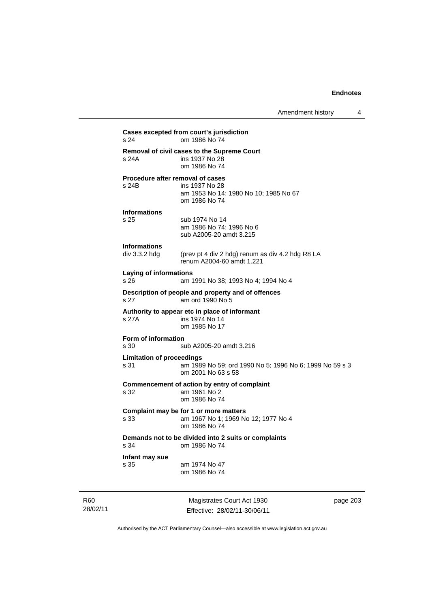**Cases excepted from court's jurisdiction**  s 24 om 1986 No 74 **Removal of civil cases to the Supreme Court**  s 24A ins 1937 No 28 om 1986 No 74 **Procedure after removal of cases**  s 24B ins 1937 No 28 am 1953 No 14; 1980 No 10; 1985 No 67 om 1986 No 74 **Informations**  s 25 sub 1974 No 14 am 1986 No 74; 1996 No 6 sub A2005-20 amdt 3.215 **Informations**  div 3.3.2 hdg (prev pt 4 div 2 hdg) renum as div 4.2 hdg R8 LA renum A2004-60 amdt 1.221 **Laying of informations**  s 26 am 1991 No 38; 1993 No 4; 1994 No 4 **Description of people and property and of offences**  s 27 am ord 1990 No 5 **Authority to appear etc in place of informant**  s 27A **ins 1974** No 14 om 1985 No 17 **Form of information**  s 30 sub A2005-20 amdt 3.216 **Limitation of proceedings**  s 31 am 1989 No 59; ord 1990 No 5; 1996 No 6; 1999 No 59 s 3 om 2001 No 63 s 58 **Commencement of action by entry of complaint**  s 32 am 1961 No 2 om 1986 No 74 **Complaint may be for 1 or more matters**  s 33 am 1967 No 1; 1969 No 12; 1977 No 4 om 1986 No 74 **Demands not to be divided into 2 suits or complaints**  om 1986 No 74 **Infant may sue**  s 35 am 1974 No 47 om 1986 No 74

R60 28/02/11

Magistrates Court Act 1930 Effective: 28/02/11-30/06/11 page 203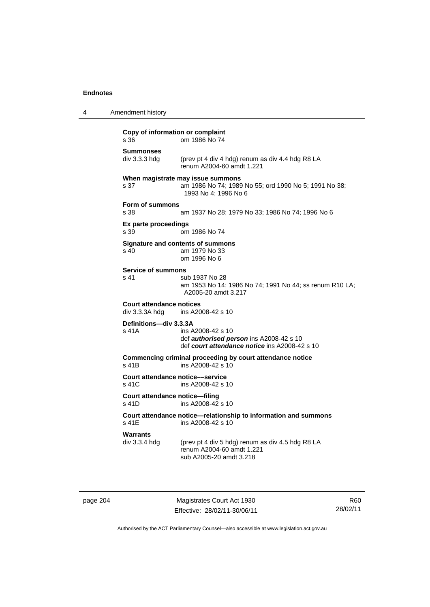4 Amendment history

## **Copy of information or complaint**  s 36 om 1986 No 74 **Summonses**  div 3.3.3 hdg (prev pt 4 div 4 hdg) renum as div 4.4 hdg R8 LA renum A2004-60 amdt 1.221 **When magistrate may issue summons**  s 37 am 1986 No 74; 1989 No 55; ord 1990 No 5; 1991 No 38; 1993 No 4; 1996 No 6 **Form of summons**  s 38 am 1937 No 28; 1979 No 33; 1986 No 74; 1996 No 6 **Ex parte proceedings**  s 39 om 1986 No 74 **Signature and contents of summons**  s 40 am 1979 No 33 om 1996 No 6 **Service of summons**  s 41 sub 1937 No 28 am 1953 No 14; 1986 No 74; 1991 No 44; ss renum R10 LA; A2005-20 amdt 3.217 **Court attendance notices**  ins A2008-42 s 10 **Definitions—div 3.3.3A**  s 41A ins A2008-42 s 10 def *authorised person* ins A2008-42 s 10 def *court attendance notice* ins A2008-42 s 10 **Commencing criminal proceeding by court attendance notice**  s 41B ins A2008-42 s 10 **Court attendance notice––service**  s 41C ins A2008-42 s 10 **Court attendance notice—filing**  s 41D ins A2008-42 s 10 **Court attendance notice—relationship to information and summons**  ins A2008-42 s 10 Warrants<br>div 3.3.4 hdg (prev pt 4 div 5 hdg) renum as div 4.5 hdg R8 LA renum A2004-60 amdt 1.221 sub A2005-20 amdt 3.218

page 204 Magistrates Court Act 1930 Effective: 28/02/11-30/06/11

R60 28/02/11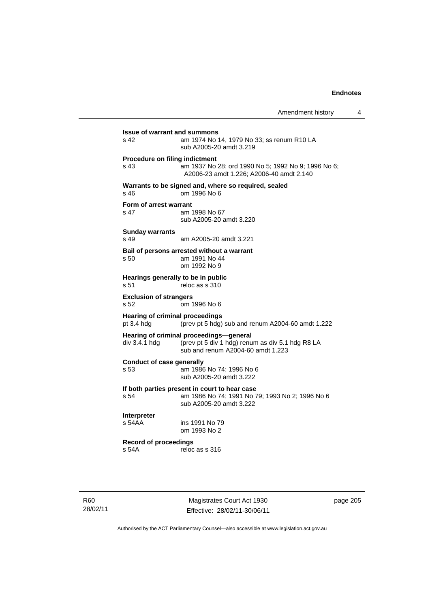| Amendment history |  |
|-------------------|--|
|-------------------|--|

| <b>Issue of warrant and summons</b><br>s <sub>42</sub> | am 1974 No 14, 1979 No 33; ss renum R10 LA<br>sub A2005-20 amdt 3.219                                                            |
|--------------------------------------------------------|----------------------------------------------------------------------------------------------------------------------------------|
| <b>Procedure on filing indictment</b><br>s 43          | am 1937 No 28; ord 1990 No 5; 1992 No 9; 1996 No 6;                                                                              |
| $s$ 46                                                 | A2006-23 amdt 1.226; A2006-40 amdt 2.140<br>Warrants to be signed and, where so required, sealed<br>om 1996 No 6                 |
| Form of arrest warrant<br>s 47                         | am 1998 No 67<br>sub A2005-20 amdt 3.220                                                                                         |
| <b>Sunday warrants</b><br>s 49                         | am A2005-20 amdt 3.221                                                                                                           |
| s 50                                                   | Bail of persons arrested without a warrant<br>am 1991 No 44<br>om 1992 No 9                                                      |
| Hearings generally to be in public<br>s 51             | reloc as s 310                                                                                                                   |
| <b>Exclusion of strangers</b><br>s 52                  | om 1996 No 6                                                                                                                     |
| <b>Hearing of criminal proceedings</b><br>pt 3.4 hdg   | (prev pt 5 hdg) sub and renum A2004-60 amdt 1.222                                                                                |
| div 3.4.1 hdg                                          | Hearing of criminal proceedings-general<br>(prev pt 5 div 1 hdg) renum as div 5.1 hdg R8 LA<br>sub and renum A2004-60 amdt 1.223 |
| <b>Conduct of case generally</b><br>s <sub>53</sub>    | am 1986 No 74; 1996 No 6<br>sub A2005-20 amdt 3.222                                                                              |
| s 54                                                   | If both parties present in court to hear case<br>am 1986 No 74; 1991 No 79; 1993 No 2; 1996 No 6<br>sub A2005-20 amdt 3.222      |
| Interpreter<br>s 54AA                                  | ins 1991 No 79<br>om 1993 No 2                                                                                                   |
| <b>Record of proceedings</b><br>s 54A                  | reloc as s 316                                                                                                                   |

R60 28/02/11

Magistrates Court Act 1930 Effective: 28/02/11-30/06/11 page 205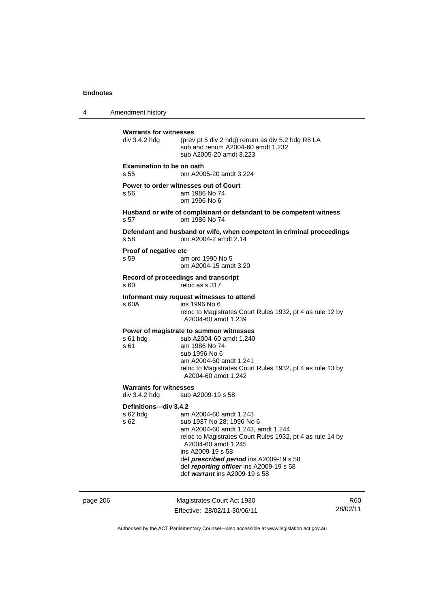4 Amendment history **Warrants for witnesses**  div 3.4.2 hdg (prev pt 5 div 2 hdg) renum as div 5.2 hdg R8 LA sub and renum A2004-60 amdt 1.232 sub A2005-20 amdt 3.223 **Examination to be on oath**  s 55 om A2005-20 amdt 3.224 **Power to order witnesses out of Court**  s 56 am 1986 No 74 om 1996 No 6 **Husband or wife of complainant or defandant to be competent witness**  s 57 om 1986 No 74 **Defendant and husband or wife, when competent in criminal proceedings**  s 58 om A2004-2 amdt 2.14 **Proof of negative etc**  s 59 am ord 1990 No 5 om A2004-15 amdt 3.20 **Record of proceedings and transcript**  s 60 reloc as s 317 **Informant may request witnesses to attend**  ins 1996 No 6 reloc to Magistrates Court Rules 1932, pt 4 as rule 12 by A2004-60 amdt 1.239 **Power of magistrate to summon witnesses**  s 61 hdg sub A2004-60 amdt 1.240 s 61 am 1986 No 74 sub 1996 No 6 am A2004-60 amdt 1.241 reloc to Magistrates Court Rules 1932, pt 4 as rule 13 by A2004-60 amdt 1.242 **Warrants for witnesses**  div 3.4.2 hdg sub A2009-19 s 58 **Definitions—div 3.4.2**  s 62 hdg am A2004-60 amdt 1.243 sub 1937 No 28: 1996 No 6 am A2004-60 amdt 1.243, amdt 1.244 reloc to Magistrates Court Rules 1932, pt 4 as rule 14 by A2004-60 amdt 1.245 ins A2009-19 s 58 def *prescribed period* ins A2009-19 s 58 def *reporting officer* ins A2009-19 s 58 def *warrant* ins A2009-19 s 58

page 206 Magistrates Court Act 1930 Effective: 28/02/11-30/06/11 R60 28/02/11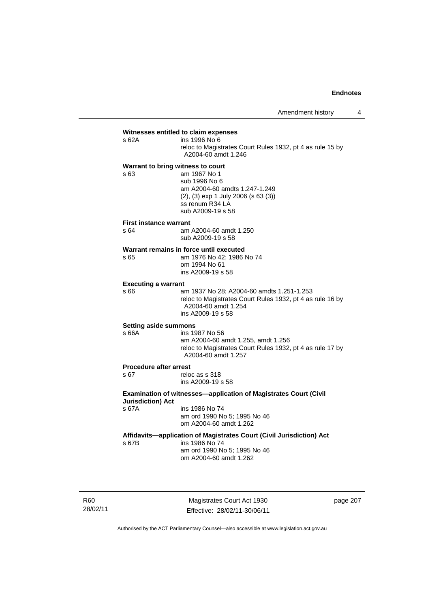## **Witnesses entitled to claim expenses**<br>s 62A **ins 1996** No 6

ins 1996 No 6 reloc to Magistrates Court Rules 1932, pt 4 as rule 15 by A2004-60 amdt 1.246

## **Warrant to bring witness to court**

s 63 am 1967 No 1 sub 1996 No 6 am A2004-60 amdts 1.247-1.249 (2), (3) exp 1 July 2006 (s 63 (3)) ss renum R34 LA sub A2009-19 s 58

#### **First instance warrant**

s 64 am A2004-60 amdt 1.250 sub A2009-19 s 58

#### **Warrant remains in force until executed**

s 65 am 1976 No 42; 1986 No 74 om 1994 No 61 ins A2009-19 s 58

#### **Executing a warrant**

s 66 am 1937 No 28; A2004-60 amdts 1.251-1.253 reloc to Magistrates Court Rules 1932, pt 4 as rule 16 by A2004-60 amdt 1.254 ins A2009-19 s 58

#### **Setting aside summons**

## s 66A ins 1987 No 56

 am A2004-60 amdt 1.255, amdt 1.256 reloc to Magistrates Court Rules 1932, pt 4 as rule 17 by A2004-60 amdt 1.257

## **Procedure after arrest**<br>s 67 relo

reloc as s 318 ins A2009-19 s 58

### **Examination of witnesses—application of Magistrates Court (Civil Jurisdiction) Act**  s 67A ins 1986 No 74

 am ord 1990 No 5; 1995 No 46 om A2004-60 amdt 1.262

### **Affidavits—application of Magistrates Court (Civil Jurisdiction) Act**

s 67B ins 1986 No 74 am ord 1990 No 5; 1995 No 46 om A2004-60 amdt 1.262

R60 28/02/11

Magistrates Court Act 1930 Effective: 28/02/11-30/06/11 page 207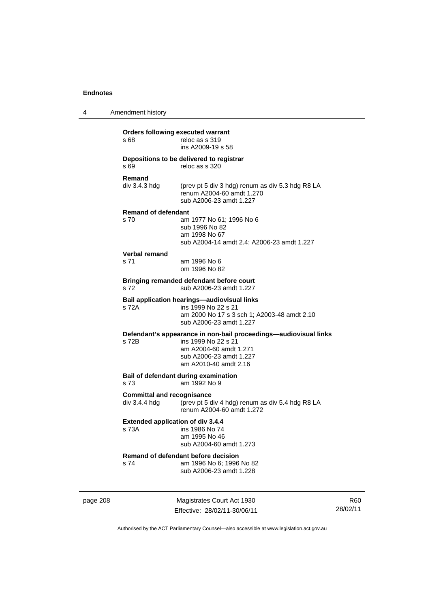4 Amendment history

| s 68                                               | Orders following executed warrant<br>reloc as s 319<br>ins A2009-19 s 58                                                                                              |
|----------------------------------------------------|-----------------------------------------------------------------------------------------------------------------------------------------------------------------------|
| s 69                                               | Depositions to be delivered to registrar<br>reloc as s 320                                                                                                            |
| Remand<br>div 3.4.3 hdg                            | (prev pt 5 div 3 hdg) renum as div 5.3 hdg R8 LA<br>renum A2004-60 amdt 1.270<br>sub A2006-23 amdt 1.227                                                              |
| <b>Remand of defendant</b><br>s 70                 | am 1977 No 61; 1996 No 6<br>sub 1996 No 82<br>am 1998 No 67<br>sub A2004-14 amdt 2.4; A2006-23 amdt 1.227                                                             |
| <b>Verbal remand</b><br>s 71                       | am 1996 No 6<br>om 1996 No 82                                                                                                                                         |
| s 72                                               | Bringing remanded defendant before court<br>sub A2006-23 amdt 1.227                                                                                                   |
| s 72A                                              | Bail application hearings-audiovisual links<br>ins 1999 No 22 s 21<br>am 2000 No 17 s 3 sch 1; A2003-48 amdt 2.10<br>sub A2006-23 amdt 1.227                          |
| s 72B                                              | Defendant's appearance in non-bail proceedings-audiovisual links<br>ins 1999 No 22 s 21<br>am A2004-60 amdt 1.271<br>sub A2006-23 amdt 1.227<br>am A2010-40 amdt 2.16 |
| s 73                                               | Bail of defendant during examination<br>am 1992 No 9                                                                                                                  |
| <b>Committal and recognisance</b><br>div 3.4.4 hdg | (prev pt 5 div 4 hdg) renum as div 5.4 hdg R8 LA<br>renum A2004-60 amdt 1.272                                                                                         |
| <b>Extended application of div 3.4.4</b><br>s 73A  | ins 1986 No 74<br>am 1995 No 46<br>sub A2004-60 amdt 1.273                                                                                                            |
| s 74                                               | Remand of defendant before decision<br>am 1996 No 6; 1996 No 82<br>sub A2006-23 amdt 1.228                                                                            |

page 208 Magistrates Court Act 1930 Effective: 28/02/11-30/06/11

R60 28/02/11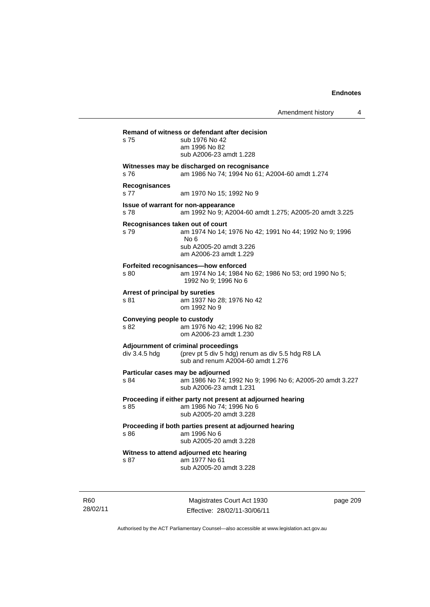Amendment history 4 **Remand of witness or defendant after decision**  s 75 sub 1976 No 42 am 1996 No 82 sub A2006-23 amdt 1.228 **Witnesses may be discharged on recognisance**  s 76 am 1986 No 74; 1994 No 61; A2004-60 amdt 1.274 **Recognisances**  s 77 am 1970 No 15; 1992 No 9 **Issue of warrant for non-appearance**  s 78 am 1992 No 9; A2004-60 amdt 1.275; A2005-20 amdt 3.225 **Recognisances taken out of court**  s 79 am 1974 No 14; 1976 No 42; 1991 No 44; 1992 No 9; 1996 No 6 sub A2005-20 amdt 3.226 am A2006-23 amdt 1.229 **Forfeited recognisances—how enforced**  s 80 am 1974 No 14; 1984 No 62; 1986 No 53; ord 1990 No 5; 1992 No 9; 1996 No 6 **Arrest of principal by sureties**  s 81 am 1937 No 28; 1976 No 42 om 1992 No 9 **Conveying people to custody**  s 82 am 1976 No 42; 1996 No 82 om A2006-23 amdt 1.230 **Adjournment of criminal proceedings**  div 3.4.5 hdg (prev pt 5 div 5 hdg) renum as div 5.5 hdg R8 LA sub and renum A2004-60 amdt 1.276 **Particular cases may be adjourned**  s 84 am 1986 No 74; 1992 No 9; 1996 No 6; A2005-20 amdt 3.227 sub A2006-23 amdt 1.231 **Proceeding if either party not present at adjourned hearing**  s 85 am 1986 No 74; 1996 No 6 sub A2005-20 amdt 3.228 **Proceeding if both parties present at adjourned hearing**  s 86 am 1996 No 6 sub A2005-20 amdt 3.228 **Witness to attend adjourned etc hearing**  s 87 am 1977 No 61 sub A2005-20 amdt 3.228

R60 28/02/11

Magistrates Court Act 1930 Effective: 28/02/11-30/06/11 page 209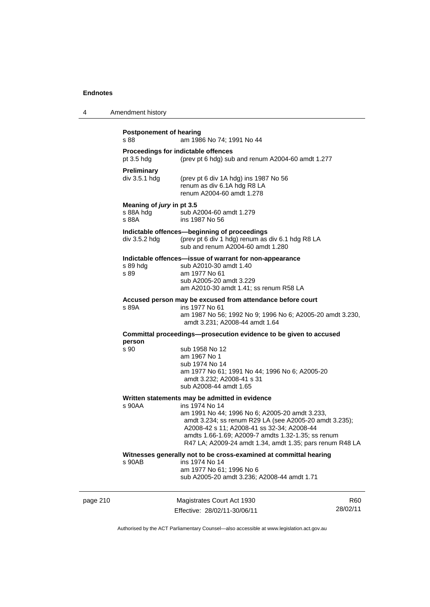| Amendment history<br>4 |  |
|------------------------|--|
|------------------------|--|

|          | <b>Postponement of hearing</b><br>s 88          | am 1986 No 74; 1991 No 44                                                                                                                                                                                                                                                                                                                    |                 |
|----------|-------------------------------------------------|----------------------------------------------------------------------------------------------------------------------------------------------------------------------------------------------------------------------------------------------------------------------------------------------------------------------------------------------|-----------------|
|          | pt $3.5$ hdg                                    | Proceedings for indictable offences<br>(prev pt 6 hdg) sub and renum A2004-60 amdt 1.277                                                                                                                                                                                                                                                     |                 |
|          | <b>Preliminary</b><br>div 3.5.1 hdg             | (prev pt 6 div 1A hdg) ins 1987 No 56<br>renum as div 6.1A hdg R8 LA<br>renum A2004-60 amdt 1.278                                                                                                                                                                                                                                            |                 |
|          | Meaning of jury in pt 3.5<br>s 88A hdg<br>s 88A | sub A2004-60 amdt 1.279<br>ins 1987 No 56                                                                                                                                                                                                                                                                                                    |                 |
|          | $div$ 3.5.2 hdg                                 | Indictable offences-beginning of proceedings<br>(prev pt 6 div 1 hdg) renum as div 6.1 hdg R8 LA<br>sub and renum A2004-60 amdt 1.280                                                                                                                                                                                                        |                 |
|          | s 89 hdg<br>s 89                                | Indictable offences—issue of warrant for non-appearance<br>sub A2010-30 amdt 1.40<br>am 1977 No 61<br>sub A2005-20 amdt 3.229<br>am A2010-30 amdt 1.41; ss renum R58 LA                                                                                                                                                                      |                 |
|          | s 89A                                           | Accused person may be excused from attendance before court<br>ins 1977 No 61<br>am 1987 No 56; 1992 No 9; 1996 No 6; A2005-20 amdt 3.230,<br>amdt 3.231; A2008-44 amdt 1.64                                                                                                                                                                  |                 |
|          | person                                          | Committal proceedings—prosecution evidence to be given to accused                                                                                                                                                                                                                                                                            |                 |
|          | s 90                                            | sub 1958 No 12<br>am 1967 No 1<br>sub 1974 No 14<br>am 1977 No 61; 1991 No 44; 1996 No 6; A2005-20<br>amdt 3.232; A2008-41 s 31<br>sub A2008-44 amdt 1.65                                                                                                                                                                                    |                 |
|          | s 90AA                                          | Written statements may be admitted in evidence<br>ins 1974 No 14<br>am 1991 No 44; 1996 No 6; A2005-20 amdt 3.233,<br>amdt 3.234; ss renum R29 LA (see A2005-20 amdt 3.235);<br>A2008-42 s 11; A2008-41 ss 32-34; A2008-44<br>amdts 1.66-1.69; A2009-7 amdts 1.32-1.35; ss renum<br>R47 LA; A2009-24 amdt 1.34, amdt 1.35; pars renum R48 LA |                 |
|          | s 90AB                                          | Witnesses generally not to be cross-examined at committal hearing<br>ins 1974 No 14<br>am 1977 No 61; 1996 No 6<br>sub A2005-20 amdt 3.236; A2008-44 amdt 1.71                                                                                                                                                                               |                 |
| page 210 |                                                 | Magistrates Court Act 1930                                                                                                                                                                                                                                                                                                                   | R <sub>60</sub> |

Authorised by the ACT Parliamentary Counsel—also accessible at www.legislation.act.gov.au

28/02/11

Effective: 28/02/11-30/06/11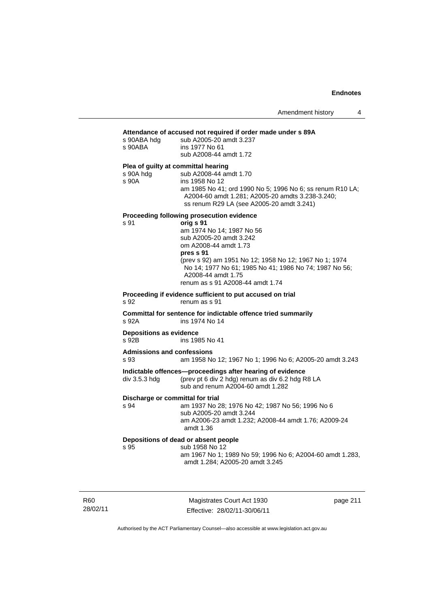#### **Attendance of accused not required if order made under s 89A**

| s 90ABA hdg<br>s 90ABA                    | Attendance of accused not required if order made under s 89A<br>sub A2005-20 amdt 3.237<br>ins 1977 No 61                                                                                                                                                                                                                          |
|-------------------------------------------|------------------------------------------------------------------------------------------------------------------------------------------------------------------------------------------------------------------------------------------------------------------------------------------------------------------------------------|
| Plea of guilty at committal hearing       | sub A2008-44 amdt 1.72                                                                                                                                                                                                                                                                                                             |
| s 90A hdg<br>s 90A                        | sub A2008-44 amdt 1.70<br>ins 1958 No 12<br>am 1985 No 41; ord 1990 No 5; 1996 No 6; ss renum R10 LA;<br>A2004-60 amdt 1.281; A2005-20 amdts 3.238-3.240;<br>ss renum R29 LA (see A2005-20 amdt 3.241)                                                                                                                             |
| s 91                                      | Proceeding following prosecution evidence<br>orig s 91<br>am 1974 No 14; 1987 No 56<br>sub A2005-20 amdt 3.242<br>om A2008-44 amdt 1.73<br>pres s 91<br>(prev s 92) am 1951 No 12; 1958 No 12; 1967 No 1; 1974<br>No 14; 1977 No 61; 1985 No 41; 1986 No 74; 1987 No 56;<br>A2008-44 amdt 1.75<br>renum as s 91 A2008-44 amdt 1.74 |
| s 92                                      | Proceeding if evidence sufficient to put accused on trial<br>renum as s 91                                                                                                                                                                                                                                                         |
| s 92A                                     | Committal for sentence for indictable offence tried summarily<br>ins 1974 No 14                                                                                                                                                                                                                                                    |
| <b>Depositions as evidence</b><br>s 92B   | ins 1985 No 41                                                                                                                                                                                                                                                                                                                     |
| <b>Admissions and confessions</b><br>s 93 | am 1958 No 12; 1967 No 1; 1996 No 6; A2005-20 amdt 3.243                                                                                                                                                                                                                                                                           |
| div 3.5.3 hdg                             | Indictable offences-proceedings after hearing of evidence<br>(prev pt 6 div 2 hdg) renum as div 6.2 hdg R8 LA<br>sub and renum A2004-60 amdt 1.282                                                                                                                                                                                 |
| Discharge or committal for trial<br>s 94  | am 1937 No 28; 1976 No 42; 1987 No 56; 1996 No 6<br>sub A2005-20 amdt 3.244<br>am A2006-23 amdt 1.232; A2008-44 amdt 1.76; A2009-24<br>amdt 1.36                                                                                                                                                                                   |
| s 95                                      | Depositions of dead or absent people<br>sub 1958 No 12<br>am 1967 No 1; 1989 No 59; 1996 No 6; A2004-60 amdt 1.283,<br>amdt 1.284; A2005-20 amdt 3.245                                                                                                                                                                             |

R60 28/02/11

Magistrates Court Act 1930 Effective: 28/02/11-30/06/11 page 211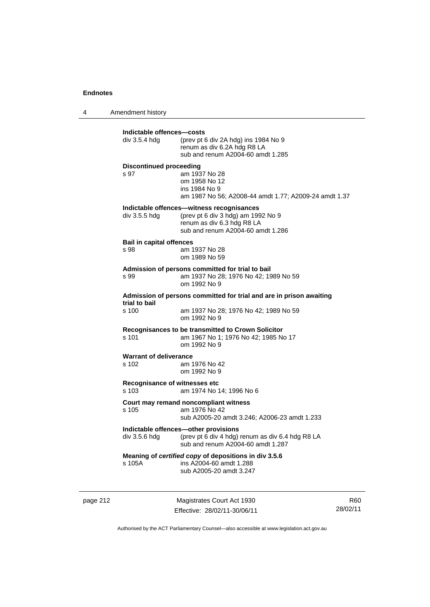4 Amendment history

| div 3.5.4 hdg                           | (prev pt 6 div 2A hdg) ins 1984 No 9<br>renum as div 6.2A hdg R8 LA<br>sub and renum A2004-60 amdt 1.285                                           |
|-----------------------------------------|----------------------------------------------------------------------------------------------------------------------------------------------------|
| <b>Discontinued proceeding</b><br>s 97  | am 1937 No 28<br>om 1958 No 12<br>ins 1984 No 9<br>am 1987 No 56; A2008-44 amdt 1.77; A2009-24 amdt 1.37                                           |
| div 3.5.5 hdg                           | Indictable offences—witness recognisances<br>(prev pt 6 div 3 hdg) am 1992 No 9<br>renum as div 6.3 hdg R8 LA<br>sub and renum A2004-60 amdt 1.286 |
| <b>Bail in capital offences</b><br>s 98 | am 1937 No 28<br>om 1989 No 59                                                                                                                     |
| s 99                                    | Admission of persons committed for trial to bail<br>am 1937 No 28; 1976 No 42; 1989 No 59<br>om 1992 No 9                                          |
|                                         | Admission of persons committed for trial and are in prison awaiting                                                                                |
| trial to bail<br>s 100                  | am 1937 No 28; 1976 No 42; 1989 No 59<br>om 1992 No 9                                                                                              |
| s 101                                   | <b>Recognisances to be transmitted to Crown Solicitor</b><br>am 1967 No 1; 1976 No 42; 1985 No 17<br>om 1992 No 9                                  |
| <b>Warrant of deliverance</b><br>s 102  | am 1976 No 42<br>om 1992 No 9                                                                                                                      |
| Recognisance of witnesses etc<br>s 103  | am 1974 No 14; 1996 No 6                                                                                                                           |
| s 105                                   | Court may remand noncompliant witness<br>am 1976 No 42<br>sub A2005-20 amdt 3.246; A2006-23 amdt 1.233                                             |
| div 3.5.6 hdg                           | Indictable offences-other provisions<br>(prev pt 6 div 4 hdg) renum as div 6.4 hdg R8 LA<br>sub and renum A2004-60 amdt 1.287                      |
| s 105A                                  | Meaning of certified copy of depositions in div 3.5.6<br>ins A2004-60 amdt 1.288<br>sub A2005-20 amdt 3.247                                        |

page 212 Magistrates Court Act 1930 Effective: 28/02/11-30/06/11

R60 28/02/11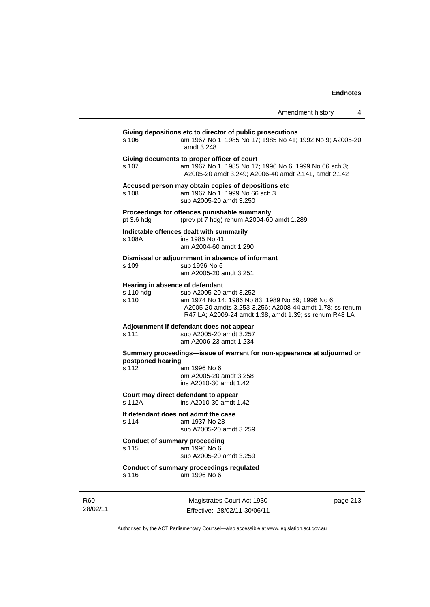|                                                       |                                                                                                                                                                                                    | Amendment history | 4 |
|-------------------------------------------------------|----------------------------------------------------------------------------------------------------------------------------------------------------------------------------------------------------|-------------------|---|
| s 106                                                 | Giving depositions etc to director of public prosecutions<br>am 1967 No 1; 1985 No 17; 1985 No 41; 1992 No 9; A2005-20<br>amdt 3.248                                                               |                   |   |
| s 107                                                 | Giving documents to proper officer of court<br>am 1967 No 1; 1985 No 17; 1996 No 6; 1999 No 66 sch 3;<br>A2005-20 amdt 3.249; A2006-40 amdt 2.141, amdt 2.142                                      |                   |   |
| s 108                                                 | Accused person may obtain copies of depositions etc<br>am 1967 No 1; 1999 No 66 sch 3<br>sub A2005-20 amdt 3.250                                                                                   |                   |   |
| pt 3.6 h dq                                           | Proceedings for offences punishable summarily<br>(prev pt 7 hdg) renum A2004-60 amdt 1.289                                                                                                         |                   |   |
| s 108A                                                | Indictable offences dealt with summarily<br>ins 1985 No 41<br>am A2004-60 amdt 1.290                                                                                                               |                   |   |
| s 109                                                 | Dismissal or adjournment in absence of informant<br>sub 1996 No 6<br>am A2005-20 amdt 3.251                                                                                                        |                   |   |
| Hearing in absence of defendant<br>s 110 hdg<br>s 110 | sub A2005-20 amdt 3.252<br>am 1974 No 14; 1986 No 83; 1989 No 59; 1996 No 6;<br>A2005-20 amdts 3.253-3.256; A2008-44 amdt 1.78; ss renum<br>R47 LA; A2009-24 amdt 1.38, amdt 1.39; ss renum R48 LA |                   |   |
| s 111                                                 | Adjournment if defendant does not appear<br>sub A2005-20 amdt 3.257<br>am A2006-23 amdt 1.234                                                                                                      |                   |   |
| postponed hearing<br>s 112                            | Summary proceedings—issue of warrant for non-appearance at adjourned or<br>am 1996 No 6<br>om A2005-20 amdt 3.258<br>ins A2010-30 amdt 1.42                                                        |                   |   |
| s 112A                                                | Court may direct defendant to appear<br>ins A2010-30 amdt 1.42                                                                                                                                     |                   |   |
| s 114                                                 | If defendant does not admit the case<br>am 1937 No 28<br>sub A2005-20 amdt 3.259                                                                                                                   |                   |   |
| Conduct of summary proceeding<br>s 115                | am 1996 No 6<br>sub A2005-20 amdt 3.259                                                                                                                                                            |                   |   |
|                                                       | Conduct of summary proceedings regulated                                                                                                                                                           |                   |   |

s 116 am 1996 No 6

R60 28/02/11

Magistrates Court Act 1930 Effective: 28/02/11-30/06/11 page 213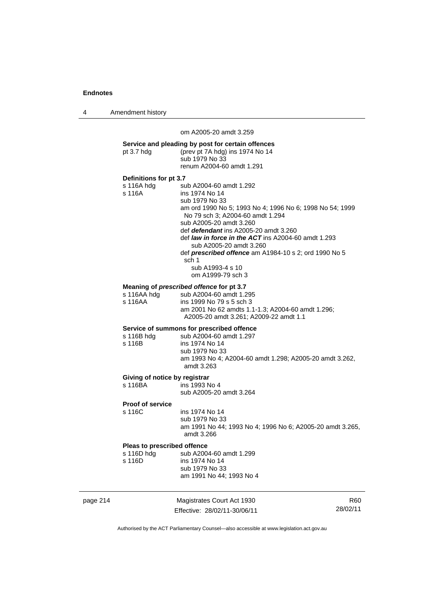4 Amendment history

om A2005-20 amdt 3.259

page 214 Magistrates Court Act 1930 R60 **Service and pleading by post for certain offences**  pt 3.7 hdg (prev pt 7A hdg) ins 1974 No 14 sub 1979 No 33 renum A2004-60 amdt 1.291 **Definitions for pt 3.7**  s 116A hdg sub A2004-60 amdt 1.292<br>s 116A ins 1974 No 14 ins 1974 No 14 sub 1979 No 33 am ord 1990 No 5; 1993 No 4; 1996 No 6; 1998 No 54; 1999 No 79 sch 3; A2004-60 amdt 1.294 sub A2005-20 amdt 3.260 def *defendant* ins A2005-20 amdt 3.260 def *law in force in the ACT* ins A2004-60 amdt 1.293 sub A2005-20 amdt 3.260 def *prescribed offence* am A1984-10 s 2; ord 1990 No 5 sch 1 sub A1993-4 s 10 om A1999-79 sch 3 **Meaning of** *prescribed offence* **for pt 3.7**  s 116AA hdg sub A2004-60 amdt 1.295<br>s 116AA ins 1999 No 79 s 5 sch 3 ins 1999 No 79 s 5 sch 3 am 2001 No 62 amdts 1.1-1.3; A2004-60 amdt 1.296; A2005-20 amdt 3.261; A2009-22 amdt 1.1 **Service of summons for prescribed offence**  sub A2004-60 amdt 1.297 s 116B ins 1974 No 14 sub 1979 No 33 am 1993 No 4; A2004-60 amdt 1.298; A2005-20 amdt 3.262, amdt 3.263 **Giving of notice by registrar**<br>s 116BA ins 1993 N ins 1993 No 4 sub A2005-20 amdt 3.264 **Proof of service**  s 116C ins 1974 No 14 sub 1979 No 33 am 1991 No 44; 1993 No 4; 1996 No 6; A2005-20 amdt 3.265, amdt 3.266 **Pleas to prescribed offence**<br>s 116D hdg sub A200 sub A2004-60 amdt 1.299 s 116D ins 1974 No 14 sub 1979 No 33 am 1991 No 44; 1993 No 4

Authorised by the ACT Parliamentary Counsel—also accessible at www.legislation.act.gov.au

28/02/11

Effective: 28/02/11-30/06/11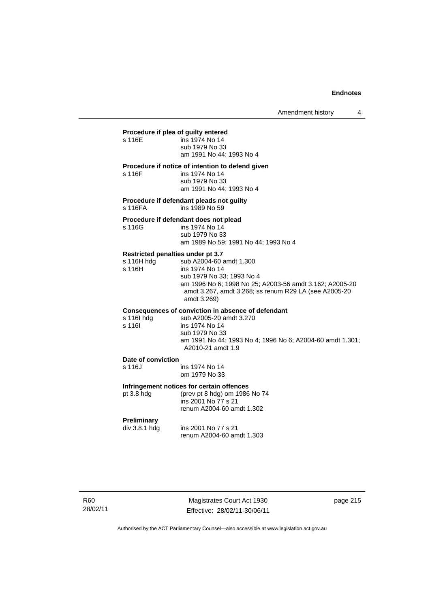## **Procedure if plea of guilty entered**

s 116F

| s 116E | ins 1974 No 14           |
|--------|--------------------------|
|        | sub 1979 No 33           |
|        | am 1991 No 44; 1993 No 4 |

### **Procedure if notice of intention to defend given**

| s 116F | ins 1974 No 14           |
|--------|--------------------------|
|        | sub 1979 No 33           |
|        | am 1991 No 44; 1993 No 4 |

**Procedure if defendant pleads not guilty**  s 116FA ins 1989 No 59

#### **Procedure if defendant does not plead**

| s 116G | ins 1974 No 14                       |
|--------|--------------------------------------|
|        | sub 1979 No 33                       |
|        | am 1989 No 59; 1991 No 44; 1993 No 4 |

### **Restricted penalties under pt 3.7**

| s 116H hda | sub A2004-60 amdt 1.300                                 |
|------------|---------------------------------------------------------|
| s 116H     | ins 1974 No 14                                          |
|            | sub 1979 No 33; 1993 No 4                               |
|            | am 1996 No 6: 1998 No 25: A2003-56 amdt 3.162: A2005-20 |
|            | amdt 3.267, amdt 3.268; ss renum R29 LA (see A2005-20   |
|            | amdt 3.269)                                             |
|            |                                                         |

### **Consequences of conviction in absence of defendant**

| s 116 hdg | sub A2005-20 amdt 3.270                                   |
|-----------|-----------------------------------------------------------|
| s 116I    | ins 1974 No 14                                            |
|           | sub 1979 No 33                                            |
|           | am 1991 No 44; 1993 No 4; 1996 No 6; A2004-60 amdt 1.301; |
|           | A2010-21 amdt 1.9                                         |
|           |                                                           |

#### **Date of conviction**  s 116

| s 116J | ins 1974 No 14 |
|--------|----------------|
|        | om 1979 No 33  |

#### **Infringement notices for certain offences**

| pt 3.8 hdg | (prev pt 8 hdg) om 1986 No 74 |
|------------|-------------------------------|
|            | ins 2001 No 77 s 21           |
|            | renum A2004-60 amdt 1.302     |

# **Preliminary**

ins 2001 No 77 s 21 renum A2004-60 amdt 1.303

Magistrates Court Act 1930 Effective: 28/02/11-30/06/11 page 215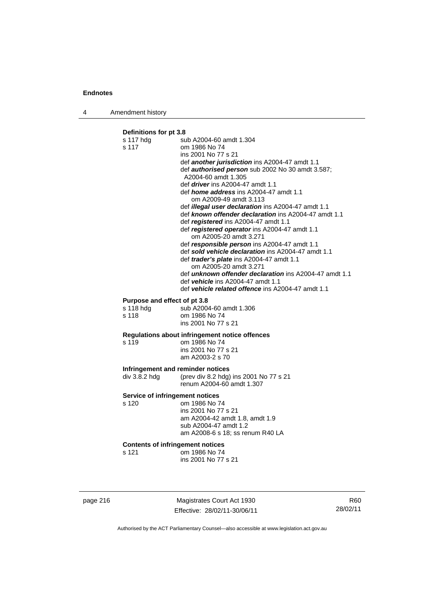4 Amendment history

## **Definitions for pt 3.8**

| s 117 hdg                                        | sub A2004-60 amdt 1.304                                                                                   |
|--------------------------------------------------|-----------------------------------------------------------------------------------------------------------|
| s 117                                            | om 1986 No 74                                                                                             |
|                                                  | ins 2001 No 77 s 21                                                                                       |
|                                                  | def another jurisdiction ins A2004-47 amdt 1.1<br>def <b>authorised person</b> sub 2002 No 30 amdt 3.587; |
|                                                  | A2004-60 amdt 1.305                                                                                       |
|                                                  | def <i>driver</i> ins A2004-47 amdt 1.1                                                                   |
|                                                  | def <i>home address</i> ins A2004-47 amdt 1.1                                                             |
|                                                  | om A2009-49 amdt 3.113                                                                                    |
|                                                  | def <i>illegal user declaration</i> ins A2004-47 amdt 1.1                                                 |
|                                                  | def known offender declaration ins A2004-47 amdt 1.1                                                      |
|                                                  | def registered ins A2004-47 amdt 1.1                                                                      |
|                                                  | def registered operator ins A2004-47 amdt 1.1<br>om A2005-20 amdt 3.271                                   |
|                                                  | def responsible person ins A2004-47 amdt 1.1                                                              |
|                                                  | def sold vehicle declaration ins A2004-47 amdt 1.1                                                        |
|                                                  | def <i>trader's plate</i> ins A2004-47 amdt 1.1                                                           |
|                                                  | om A2005-20 amdt 3.271<br>def <b>unknown offender declaration</b> ins A2004-47 amdt 1.1                   |
|                                                  | def vehicle ins A2004-47 amdt 1.1                                                                         |
|                                                  | def vehicle related offence ins A2004-47 amdt 1.1                                                         |
| Purpose and effect of pt 3.8                     |                                                                                                           |
| s 118 hdg                                        | sub A2004-60 amdt 1.306                                                                                   |
| s 118                                            | om 1986 No 74                                                                                             |
|                                                  | ins 2001 No 77 s 21                                                                                       |
|                                                  | Regulations about infringement notice offences                                                            |
| s 119                                            | om 1986 No 74                                                                                             |
|                                                  | ins 2001 No 77 s 21                                                                                       |
|                                                  | am A2003-2 s 70                                                                                           |
| Infringement and reminder notices                |                                                                                                           |
| div 3.8.2 hdg                                    | (prev div 8.2 hdg) ins 2001 No 77 s 21                                                                    |
|                                                  | renum A2004-60 amdt 1.307                                                                                 |
| Service of infringement notices                  |                                                                                                           |
| s 120                                            | om 1986 No 74                                                                                             |
|                                                  | ins 2001 No 77 s 21                                                                                       |
|                                                  | am A2004-42 amdt 1.8, amdt 1.9<br>sub A2004-47 amdt 1.2                                                   |
|                                                  | am A2008-6 s 18; ss renum R40 LA                                                                          |
|                                                  |                                                                                                           |
| <b>Contents of infringement notices</b><br>s 121 | om 1986 No 74                                                                                             |
|                                                  | ins 2001 No 77 s 21                                                                                       |
|                                                  |                                                                                                           |
|                                                  |                                                                                                           |
|                                                  |                                                                                                           |

page 216 Magistrates Court Act 1930 Effective: 28/02/11-30/06/11

R60 28/02/11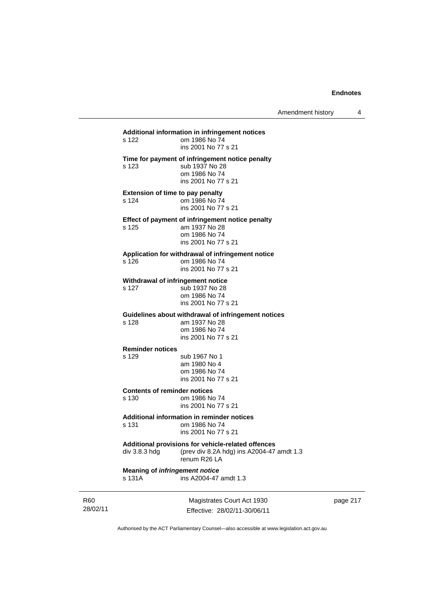## 28/02/11 Magistrates Court Act 1930 Effective: 28/02/11-30/06/11 **Additional information in infringement notices**  om 1986 No 74 ins 2001 No 77 s 21 **Time for payment of infringement notice penalty**  s 123 sub 1937 No 28 om 1986 No 74 ins 2001 No 77 s 21 **Extension of time to pay penalty**  s 124 om 1986 No 74 ins 2001 No 77 s 21 **Effect of payment of infringement notice penalty**<br>s 125 am 1937 No 28 am 1937 No 28 om 1986 No 74 ins 2001 No 77 s 21 **Application for withdrawal of infringement notice**  s 126 om 1986 No 74 ins 2001 No 77 s 21 **Withdrawal of infringement notice**<br>s 127 sub 1937 No 28 sub 1937 No 28 om 1986 No 74 ins 2001 No 77 s 21 **Guidelines about withdrawal of infringement notices**  s 128 am 1937 No 28 om 1986 No 74 ins 2001 No 77 s 21 **Reminder notices**  s 129 sub 1967 No 1 am 1980 No 4 om 1986 No 74 ins 2001 No 77 s 21 **Contents of reminder notices**  s 130 om 1986 No 74 ins 2001 No 77 s 21 **Additional information in reminder notices**  s 131 om 1986 No 74 ins 2001 No 77 s 21 **Additional provisions for vehicle-related offences**  div 3.8.3 hdg (prev div 8.2A hdg) ins A2004-47 amdt 1.3 renum R26 LA **Meaning of** *infringement notice*<br>s 131A **ins A2004-47** ins A2004-47 amdt 1.3

page 217

Authorised by the ACT Parliamentary Counsel—also accessible at www.legislation.act.gov.au

R60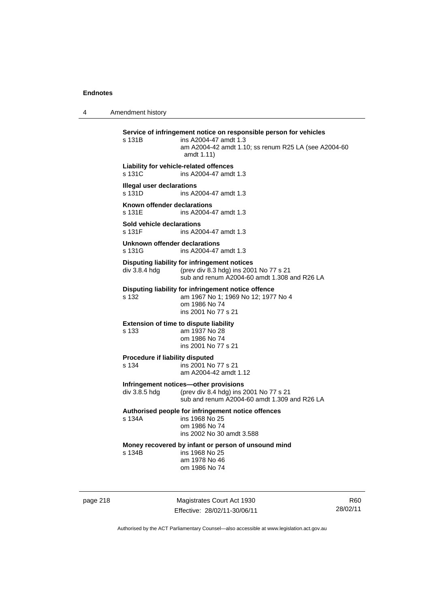4 Amendment history **Service of infringement notice on responsible person for vehicles**  s 131B ins A2004-47 amdt 1.3 am A2004-42 amdt 1.10; ss renum R25 LA (see A2004-60 amdt 1.11) **Liability for vehicle-related offences**  s 131C ins A2004-47 amdt 1.3 **Illegal user declarations**  s 131D ins A2004-47 amdt 1.3 **Known offender declarations**  s 131E ins A2004-47 amdt 1.3 **Sold vehicle declarations**  ins A2004-47 amdt 1.3 **Unknown offender declarations**  s 131G ins A2004-47 amdt 1.3 **Disputing liability for infringement notices**<br>div 3.8.4 hdg (prev div 8.3 hdg) ins 200 (prev div 8.3 hdg) ins 2001 No 77 s 21 sub and renum A2004-60 amdt 1.308 and R26 LA **Disputing liability for infringement notice offence**  s 132 am 1967 No 1; 1969 No 12; 1977 No 4 om 1986 No 74 ins 2001 No 77 s 21 **Extension of time to dispute liability**  s 133 am 1937 No 28 om 1986 No 74 ins 2001 No 77 s 21 **Procedure if liability disputed**  s 134 ins 2001 No 77 s 21 am A2004-42 amdt 1.12 **Infringement notices—other provisions**  div 3.8.5 hdg (prev div 8.4 hdg) ins 2001 No 77 s 21 sub and renum A2004-60 amdt 1.309 and R26 LA **Authorised people for infringement notice offences**  s 134A ins 1968 No 25 om 1986 No 74 ins 2002 No 30 amdt 3.588 **Money recovered by infant or person of unsound mind**  s 134B ins 1968 No 25 am 1978 No 46 om 1986 No 74

page 218 Magistrates Court Act 1930 Effective: 28/02/11-30/06/11

R60 28/02/11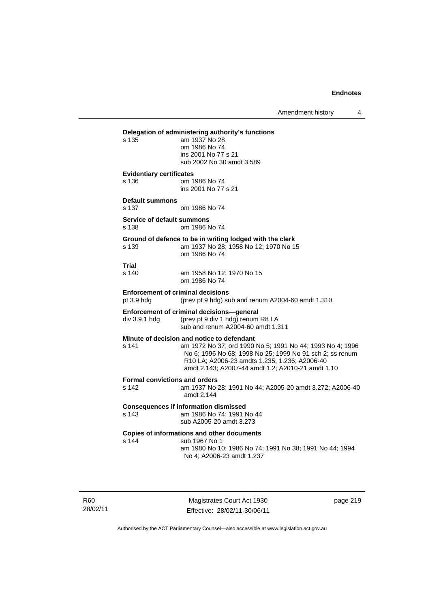Amendment history 4

## **Delegation of administering authority's functions**

am 1937 No 28 om 1986 No 74 ins 2001 No 77 s 21 sub 2002 No 30 amdt 3.589

### **Evidentiary certificates**

s 136 om 1986 No 74 ins 2001 No 77 s 21

**Default summons** 

s 137 om 1986 No 74

#### **Service of default summons**  s 138 om 1986 No 74

### **Ground of defence to be in writing lodged with the clerk**

s 139 am 1937 No 28; 1958 No 12; 1970 No 15 om 1986 No 74

## **Trial**

am 1958 No 12; 1970 No 15 om 1986 No 74

#### **Enforcement of criminal decisions**

pt 3.9 hdg (prev pt 9 hdg) sub and renum A2004-60 amdt 1.310

sub and renum A2004-60 amdt 1.311

## **Enforcement of criminal decisions—general**

div 3.9.1 hdg (prev pt 9 div 1 hdg) renum R8 LA

## **Minute of decision and notice to defendant**

s 141 am 1972 No 37; ord 1990 No 5; 1991 No 44; 1993 No 4; 1996 No 6; 1996 No 68; 1998 No 25; 1999 No 91 sch 2; ss renum R10 LA; A2006-23 amdts 1.235, 1.236; A2006-40 amdt 2.143; A2007-44 amdt 1.2; A2010-21 amdt 1.10

#### **Formal convictions and orders**

s 142 am 1937 No 28; 1991 No 44; A2005-20 amdt 3.272; A2006-40 amdt 2.144

## **Consequences if information dismissed**

s 143 am 1986 No 74; 1991 No 44 sub A2005-20 amdt 3.273

#### **Copies of informations and other documents**

s 144 sub 1967 No 1

 am 1980 No 10; 1986 No 74; 1991 No 38; 1991 No 44; 1994 No 4; A2006-23 amdt 1.237

R60 28/02/11

Magistrates Court Act 1930 Effective: 28/02/11-30/06/11 page 219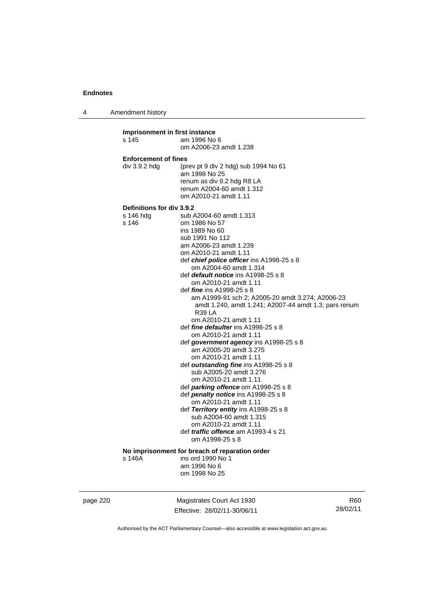4 Amendment history

**Imprisonment in first instance**  s 145 am 1996 No 6 om A2006-23 amdt 1.238 **Enforcement of fines**  div 3.9.2 hdg (prev pt 9 div 2 hdg) sub 1994 No 61 am 1998 No 25 renum as div 9.2 hdg R8 LA renum A2004-60 amdt 1.312 om A2010-21 amdt 1.11 **Definitions for div 3.9.2**  sub A2004-60 amdt 1.313 s 146 om 1986 No 57 ins 1989 No 60 sub 1991 No 112 am A2006-23 amdt 1.239 om A2010-21 amdt 1.11 def *chief police officer* ins A1998-25 s 8 om A2004-60 amdt 1.314 def *default notice* ins A1998-25 s 8 om A2010-21 amdt 1.11 def *fine* ins A1998-25 s 8 am A1999-91 sch 2; A2005-20 amdt 3.274; A2006-23 amdt 1.240, amdt 1.241; A2007-44 amdt 1.3; pars renum R39 LA om A2010-21 amdt 1.11 def *fine defaulter* ins A1998-25 s 8 om A2010-21 amdt 1.11 def *government agency* ins A1998-25 s 8 am A2005-20 amdt 3.275 om A2010-21 amdt 1.11 def *outstanding fine* ins A1998-25 s 8 sub A2005-20 amdt 3.276 om A2010-21 amdt 1.11 def *parking offence* om A1998-25 s 8 def *penalty notice* ins A1998-25 s 8 om A2010-21 amdt 1.11 def *Territory entity* ins A1998-25 s 8 sub A2004-60 amdt 1.315 om A2010-21 amdt 1.11 def *traffic offence* am A1993-4 s 21 om A1998-25 s 8 **No imprisonment for breach of reparation order**  s 146A ins ord 1990 No 1 am 1996 No 6 om 1998 No 25

page 220 Magistrates Court Act 1930 Effective: 28/02/11-30/06/11

R60 28/02/11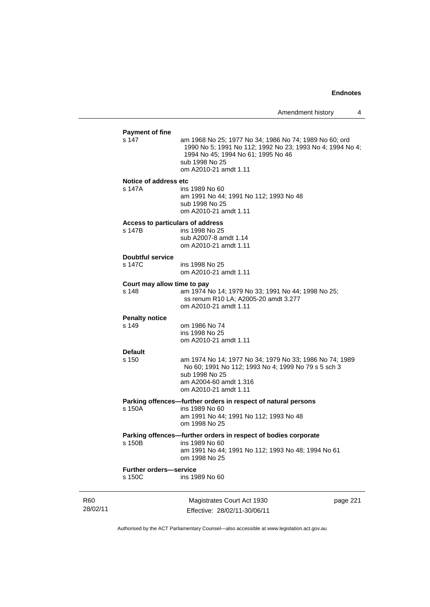|                             | <b>Payment of fine</b>                     |                                                                                                                                                                                                      |          |
|-----------------------------|--------------------------------------------|------------------------------------------------------------------------------------------------------------------------------------------------------------------------------------------------------|----------|
|                             | s 147                                      | am 1968 No 25; 1977 No 34; 1986 No 74; 1989 No 60; ord<br>1990 No 5; 1991 No 112; 1992 No 23; 1993 No 4; 1994 No 4;<br>1994 No 45; 1994 No 61; 1995 No 46<br>sub 1998 No 25<br>om A2010-21 amdt 1.11 |          |
|                             | Notice of address etc<br>s 147A            | ins 1989 No 60<br>am 1991 No 44; 1991 No 112; 1993 No 48<br>sub 1998 No 25<br>om A2010-21 amdt 1.11                                                                                                  |          |
|                             | Access to particulars of address<br>s 147B | ins 1998 No 25<br>sub A2007-8 amdt 1.14<br>om A2010-21 amdt 1.11                                                                                                                                     |          |
|                             | <b>Doubtful service</b><br>s 147C          | ins 1998 No 25<br>om A2010-21 amdt 1.11                                                                                                                                                              |          |
|                             | Court may allow time to pay<br>s 148       | am 1974 No 14; 1979 No 33; 1991 No 44; 1998 No 25;<br>ss renum R10 LA; A2005-20 amdt 3.277<br>om A2010-21 amdt 1.11                                                                                  |          |
|                             | <b>Penalty notice</b>                      |                                                                                                                                                                                                      |          |
|                             | s 149                                      | om 1986 No 74<br>ins 1998 No 25<br>om A2010-21 amdt 1.11                                                                                                                                             |          |
|                             | <b>Default</b><br>s 150                    | am 1974 No 14; 1977 No 34; 1979 No 33; 1986 No 74; 1989<br>No 60; 1991 No 112; 1993 No 4; 1999 No 79 s 5 sch 3<br>sub 1998 No 25<br>am A2004-60 amdt 1.316<br>om A2010-21 amdt 1.11                  |          |
|                             | s 150A                                     | Parking offences-further orders in respect of natural persons<br>ins 1989 No 60<br>am 1991 No 44; 1991 No 112; 1993 No 48<br>om 1998 No 25                                                           |          |
|                             | s 150B                                     | Parking offences-further orders in respect of bodies corporate<br>ins 1989 No 60<br>am 1991 No 44; 1991 No 112; 1993 No 48; 1994 No 61<br>om 1998 No 25                                              |          |
|                             | <b>Further orders-service</b><br>s 150C    | ins 1989 No 60                                                                                                                                                                                       |          |
| R <sub>60</sub><br>28/02/11 |                                            | Magistrates Court Act 1930<br>Effective: 28/02/11-30/06/11                                                                                                                                           | page 221 |

Authorised by the ACT Parliamentary Counsel—also accessible at www.legislation.act.gov.au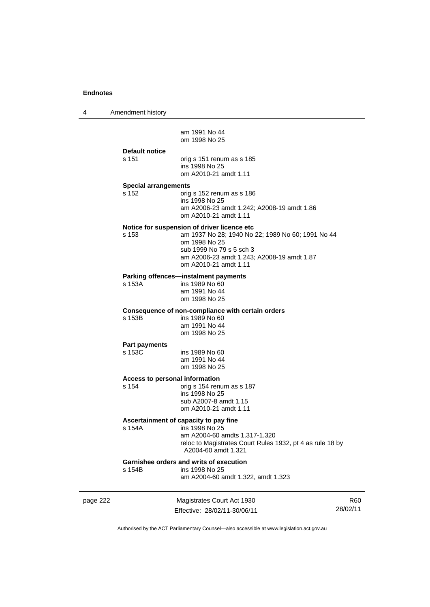4 Amendment history

am 1991 No 44 om 1998 No 25

**Default notice** 

s 151 orig s 151 renum as s 185 ins 1998 No 25 om A2010-21 amdt 1.11

#### **Special arrangements**

s 152 orig s 152 renum as s 186 ins 1998 No 25 am A2006-23 amdt 1.242; A2008-19 amdt 1.86 om A2010-21 amdt 1.11

#### **Notice for suspension of driver licence etc**

s 153 am 1937 No 28; 1940 No 22; 1989 No 60; 1991 No 44 om 1998 No 25 sub 1999 No 79 s 5 sch 3 am A2006-23 amdt 1.243; A2008-19 amdt 1.87 om A2010-21 amdt 1.11

#### **Parking offences—instalment payments**

s 153A ins 1989 No 60 am 1991 No 44 om 1998 No 25

### **Consequence of non-compliance with certain orders**

s 153B ins 1989 No 60 am 1991 No 44 om 1998 No 25

## **Part payments**

ins 1989 No 60 am 1991 No 44 om 1998 No 25

#### **Access to personal information**

s 154 orig s 154 renum as s 187 ins 1998 No 25 sub A2007-8 amdt 1.15 om A2010-21 amdt 1.11

#### **Ascertainment of capacity to pay fine**

s 154A ins 1998 No 25 am A2004-60 amdts 1.317-1.320 reloc to Magistrates Court Rules 1932, pt 4 as rule 18 by A2004-60 amdt 1.321

## **Garnishee orders and writs of execution**<br>s 154B ins 1998 No 25

ins 1998 No 25

am A2004-60 amdt 1.322, amdt 1.323

| эτ<br>к<br>. . |  |
|----------------|--|
|----------------|--|

Magistrates Court Act 1930 Effective: 28/02/11-30/06/11

R60 28/02/11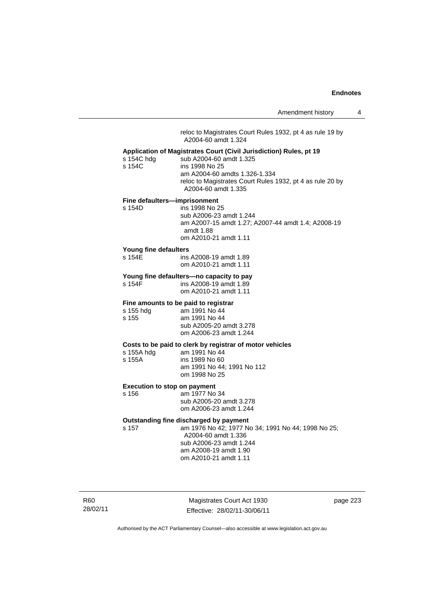reloc to Magistrates Court Rules 1932, pt 4 as rule 19 by A2004-60 amdt 1.324 **Application of Magistrates Court (Civil Jurisdiction) Rules, pt 19**  s 154C hdg sub A2004-60 amdt 1.325<br>s 154C ins 1998 No 25 ins 1998 No 25 am A2004-60 amdts 1.326-1.334 reloc to Magistrates Court Rules 1932, pt 4 as rule 20 by A2004-60 amdt 1.335 **Fine defaulters—imprisonment**  s 154D ins 1998 No 25 sub A2006-23 amdt 1.244 am A2007-15 amdt 1.27; A2007-44 amdt 1.4; A2008-19 amdt 1.88 om A2010-21 amdt 1.11 **Young fine defaulters**  ins A2008-19 amdt 1.89 om A2010-21 amdt 1.11 **Young fine defaulters—no capacity to pay**  s 154F ins A2008-19 amdt 1.89 om A2010-21 amdt 1.11 **Fine amounts to be paid to registrar**<br>s 155 hdg am 1991 No 44 am 1991 No 44 s 155 am 1991 No 44 sub A2005-20 amdt 3.278 om A2006-23 amdt 1.244 **Costs to be paid to clerk by registrar of motor vehicles**  s 155A hdg am 1991 No 44<br>s 155A ins 1989 No 60 ins 1989 No 60 am 1991 No 44; 1991 No 112 om 1998 No 25 **Execution to stop on payment**  s 156 am 1977 No 34 sub A2005-20 amdt 3.278 om A2006-23 amdt 1.244 **Outstanding fine discharged by payment**  s 157 am 1976 No 42; 1977 No 34; 1991 No 44; 1998 No 25; A2004-60 amdt 1.336 sub A2006-23 amdt 1.244 am A2008-19 amdt 1.90 om A2010-21 amdt 1.11

R60 28/02/11

Magistrates Court Act 1930 Effective: 28/02/11-30/06/11 page 223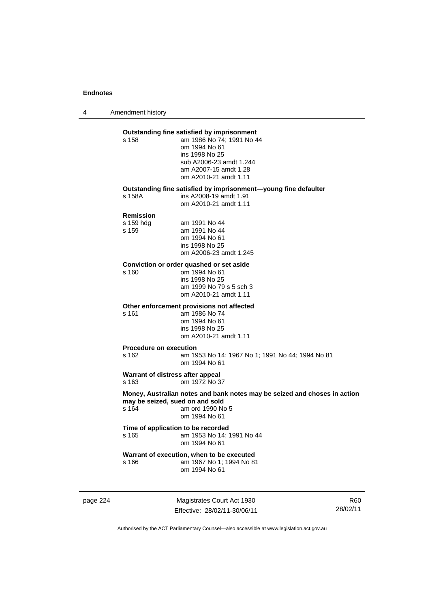4 Amendment history

#### **Outstanding fine satisfied by imprisonment**

s 158 am 1986 No 74; 1991 No 44 om 1994 No 61 ins 1998 No 25 sub A2006-23 amdt 1.244 am A2007-15 amdt 1.28 om A2010-21 amdt 1.11

## **Outstanding fine satisfied by imprisonment—young fine defaulter**

s 158A ins A2008-19 amdt 1.91

om A2010-21 amdt 1.11

#### **Remission**

| s 159 hdg | am 1991 No 44          |
|-----------|------------------------|
| s 159     | am 1991 No 44          |
|           | om 1994 No 61          |
|           | ins 1998 No 25         |
|           | om A2006-23 amdt 1.245 |

## **Conviction or order quashed or set aside**

om 1994 No 61 ins 1998 No 25 am 1999 No 79 s 5 sch 3 om A2010-21 amdt 1.11

### **Other enforcement provisions not affected**

s 161 am 1986 No 74 om 1994 No 61 ins 1998 No 25 om A2010-21 amdt 1.11

#### **Procedure on execution**

s 162 am 1953 No 14; 1967 No 1; 1991 No 44; 1994 No 81 om 1994 No 61

### **Warrant of distress after appeal**

s 163 om 1972 No 37

**Money, Australian notes and bank notes may be seized and choses in action may be seized, sued on and sold**  s 164 am ord 1990 No 5 om 1994 No 61

#### **Time of application to be recorded**  s 165 am 1953 No 14; 1991 No 44 om 1994 No 61

#### **Warrant of execution, when to be executed**<br>s 166 **am 1967** No 1: 1994 No 8 am 1967 No 1: 1994 No 81 om 1994 No 61

page 224 Magistrates Court Act 1930 Effective: 28/02/11-30/06/11

R60 28/02/11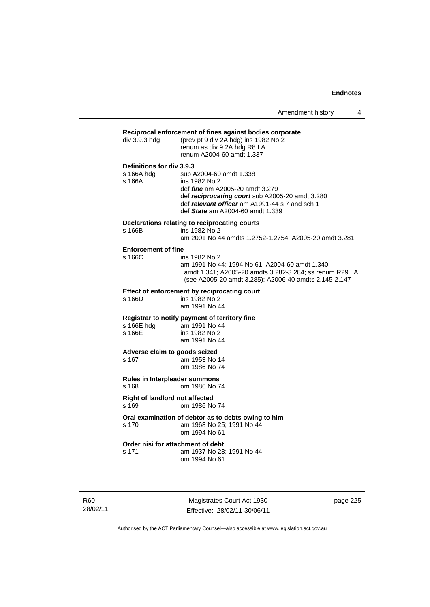|                                         | Reciprocal enforcement of fines against bodies corporate                                                                                                                                                                    |
|-----------------------------------------|-----------------------------------------------------------------------------------------------------------------------------------------------------------------------------------------------------------------------------|
| div 3.9.3 hdg                           | (prev pt 9 div 2A hdg) ins 1982 No 2<br>renum as div 9.2A hdg R8 LA<br>renum A2004-60 amdt 1.337                                                                                                                            |
| Definitions for div 3.9.3               |                                                                                                                                                                                                                             |
| s 166A hdg<br>s 166A                    | sub A2004-60 amdt 1.338<br>ins 1982 No 2<br>def <i>fine</i> am A2005-20 amdt 3.279<br>def reciprocating court sub A2005-20 amdt 3.280<br>def relevant officer am A1991-44 s 7 and sch 1<br>def State am A2004-60 amdt 1.339 |
|                                         | Declarations relating to reciprocating courts                                                                                                                                                                               |
| s 166B                                  | ins 1982 No 2<br>am 2001 No 44 amdts 1.2752-1.2754; A2005-20 amdt 3.281                                                                                                                                                     |
| <b>Enforcement of fine</b>              |                                                                                                                                                                                                                             |
| s 166C                                  | ins 1982 No 2<br>am 1991 No 44; 1994 No 61; A2004-60 amdt 1.340,<br>amdt 1.341; A2005-20 amdts 3.282-3.284; ss renum R29 LA<br>(see A2005-20 amdt 3.285); A2006-40 amdts 2.145-2.147                                        |
|                                         | Effect of enforcement by reciprocating court                                                                                                                                                                                |
| s 166D                                  | ins 1982 No 2<br>am 1991 No 44                                                                                                                                                                                              |
|                                         | Registrar to notify payment of territory fine                                                                                                                                                                               |
| s 166E                                  | s 166E hdg am 1991 No 44<br>ins 1982 No 2                                                                                                                                                                                   |
|                                         | am 1991 No 44                                                                                                                                                                                                               |
| Adverse claim to goods seized           |                                                                                                                                                                                                                             |
| s 167                                   | am 1953 No 14                                                                                                                                                                                                               |
|                                         | om 1986 No 74                                                                                                                                                                                                               |
| Rules in Interpleader summons<br>s 168  | om 1986 No 74                                                                                                                                                                                                               |
| Right of landlord not affected<br>s 169 | om 1986 No 74                                                                                                                                                                                                               |
|                                         | Oral examination of debtor as to debts owing to him                                                                                                                                                                         |
| s 170                                   | am 1968 No 25; 1991 No 44<br>om 1994 No 61                                                                                                                                                                                  |
|                                         | Order nisi for attachment of debt                                                                                                                                                                                           |
| s 171                                   | am 1937 No 28; 1991 No 44                                                                                                                                                                                                   |
|                                         | om 1994 No 61                                                                                                                                                                                                               |
|                                         |                                                                                                                                                                                                                             |

R60 28/02/11

Magistrates Court Act 1930 Effective: 28/02/11-30/06/11 page 225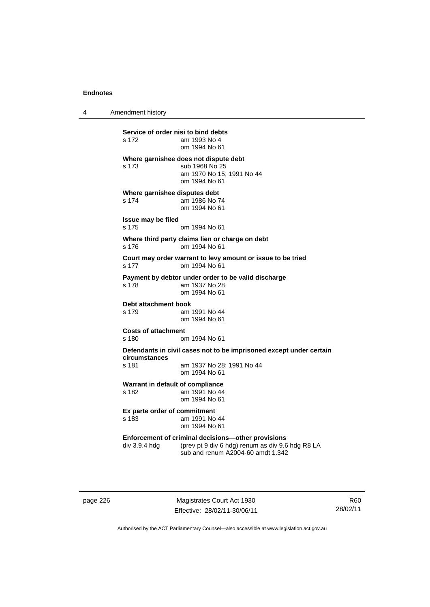4 Amendment history

**Service of order nisi to bind debts**  s 172 am 1993 No 4 om 1994 No 61 **Where garnishee does not dispute debt**  s 173 sub 1968 No 25 am 1970 No 15; 1991 No 44 om 1994 No 61 **Where garnishee disputes debt**  s 174 am 1986 No 74 om 1994 No 61 **Issue may be filed**  s 175 om 1994 No 61 **Where third party claims lien or charge on debt**  s 176 om 1994 No 61 **Court may order warrant to levy amount or issue to be tried**  s 177 om 1994 No 61 **Payment by debtor under order to be valid discharge**  s 178 am 1937 No 28 om 1994 No 61 **Debt attachment book**<br>s 179 am am 1991 No 44 om 1994 No 61 **Costs of attachment**  s 180 om 1994 No 61 **Defendants in civil cases not to be imprisoned except under certain circumstances**  s 181 am 1937 No 28; 1991 No 44 om 1994 No 61 **Warrant in default of compliance**  s 182 **am 1991 No 44**  om 1994 No 61 **Ex parte order of commitment**  s 183 am 1991 No 44 om 1994 No 61 **Enforcement of criminal decisions—other provisions**<br>div 3.9.4 hdg (prev pt 9 div 6 hdg) renum as div 9.6 (prev pt 9 div 6 hdg) renum as div 9.6 hdg R8 LA sub and renum A2004-60 amdt 1.342

page 226 Magistrates Court Act 1930 Effective: 28/02/11-30/06/11

R60 28/02/11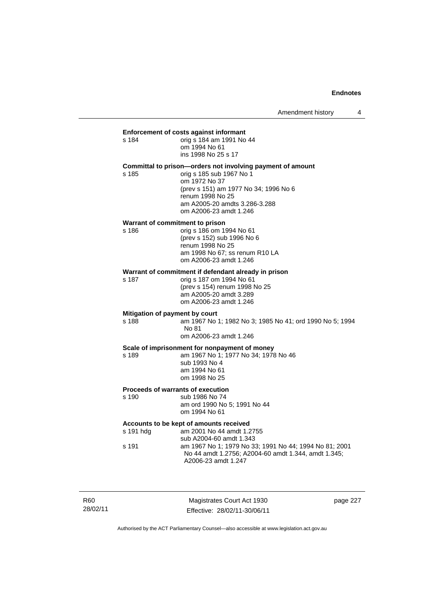**Enforcement of costs against informant**<br>s 184 am 1991 No<br> s 184 orig s 184 am 1991 No 44 om 1994 No 61 ins 1998 No 25 s 17

#### **Committal to prison—orders not involving payment of amount**

s 185 orig s 185 sub 1967 No 1 om 1972 No 37 (prev s 151) am 1977 No 34; 1996 No 6 renum 1998 No 25 am A2005-20 amdts 3.286-3.288 om A2006-23 amdt 1.246

#### **Warrant of commitment to prison**

s 186 orig s 186 om 1994 No 61 (prev s 152) sub 1996 No 6 renum 1998 No 25 am 1998 No 67; ss renum R10 LA om A2006-23 amdt 1.246

## **Warrant of commitment if defendant already in prison**  $\frac{187}{187}$  orig s 187 om 1994 No 61

orig s 187 om 1994 No 61 (prev s 154) renum 1998 No 25 am A2005-20 amdt 3.289 om A2006-23 amdt 1.246

#### **Mitigation of payment by court**

s 188 am 1967 No 1; 1982 No 3; 1985 No 41; ord 1990 No 5; 1994 No 81 om A2006-23 amdt 1.246

#### **Scale of imprisonment for nonpayment of money**

s 189 am 1967 No 1; 1977 No 34; 1978 No 46 sub 1993 No 4

 am 1994 No 61 om 1998 No 25

### **Proceeds of warrants of execution**

s 190 sub 1986 No 74 am ord 1990 No 5; 1991 No 44 om 1994 No 61

### **Accounts to be kept of amounts received**

| s 191 hdq | am 2001 No 44 amdt 1.2755                              |
|-----------|--------------------------------------------------------|
|           | sub A2004-60 amdt 1.343                                |
| s 191     | am 1967 No 1: 1979 No 33: 1991 No 44: 1994 No 81: 2001 |
|           | No 44 amdt 1.2756: A2004-60 amdt 1.344. amdt 1.345:    |
|           | A2006-23 amdt 1.247                                    |

R60 28/02/11

Magistrates Court Act 1930 Effective: 28/02/11-30/06/11 page 227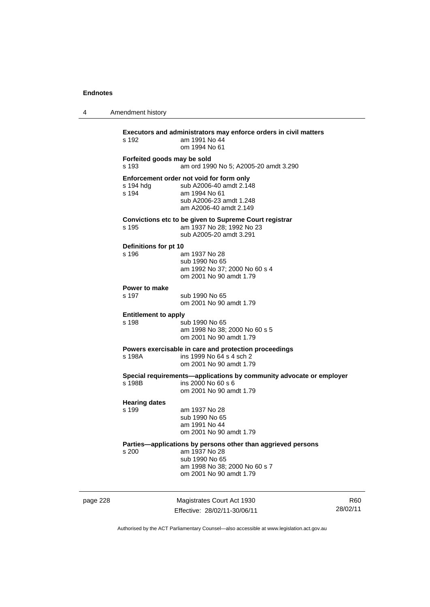4 Amendment history

|          | s 192                                | <b>Executors and administrators may enforce orders in civil matters</b><br>am 1991 No 44<br>om 1994 No 61                                                   |                             |
|----------|--------------------------------------|-------------------------------------------------------------------------------------------------------------------------------------------------------------|-----------------------------|
|          | Forfeited goods may be sold<br>s 193 | am ord 1990 No 5; A2005-20 amdt 3.290                                                                                                                       |                             |
|          | s 194 hdg<br>s 194                   | Enforcement order not void for form only<br>sub A2006-40 amdt 2.148<br>am 1994 No 61<br>sub A2006-23 amdt 1.248<br>am A2006-40 amdt 2.149                   |                             |
|          | s 195                                | Convictions etc to be given to Supreme Court registrar<br>am 1937 No 28; 1992 No 23<br>sub A2005-20 amdt 3.291                                              |                             |
|          | Definitions for pt 10<br>s 196       | am 1937 No 28<br>sub 1990 No 65<br>am 1992 No 37: 2000 No 60 s 4<br>om 2001 No 90 amdt 1.79                                                                 |                             |
|          | Power to make<br>s 197               | sub 1990 No 65<br>om 2001 No 90 amdt 1.79                                                                                                                   |                             |
|          | <b>Entitlement to apply</b><br>s 198 | sub 1990 No 65<br>am 1998 No 38; 2000 No 60 s 5<br>om 2001 No 90 amdt 1.79                                                                                  |                             |
|          | s 198A                               | Powers exercisable in care and protection proceedings<br>ins 1999 No 64 s 4 sch 2<br>om 2001 No 90 amdt 1.79                                                |                             |
|          | s 198B                               | Special requirements-applications by community advocate or employer<br>ins 2000 No 60 s 6<br>om 2001 No 90 amdt 1.79                                        |                             |
|          | <b>Hearing dates</b><br>s 199        | am 1937 No 28<br>sub 1990 No 65<br>am 1991 No 44<br>om 2001 No 90 amdt 1.79                                                                                 |                             |
|          | s 200                                | Parties-applications by persons other than aggrieved persons<br>am 1937 No 28<br>sub 1990 No 65<br>am 1998 No 38; 2000 No 60 s 7<br>om 2001 No 90 amdt 1.79 |                             |
| page 228 |                                      | Magistrates Court Act 1930<br>Effective: 28/02/11-30/06/11                                                                                                  | R <sub>60</sub><br>28/02/11 |

Authorised by the ACT Parliamentary Counsel—also accessible at www.legislation.act.gov.au

R60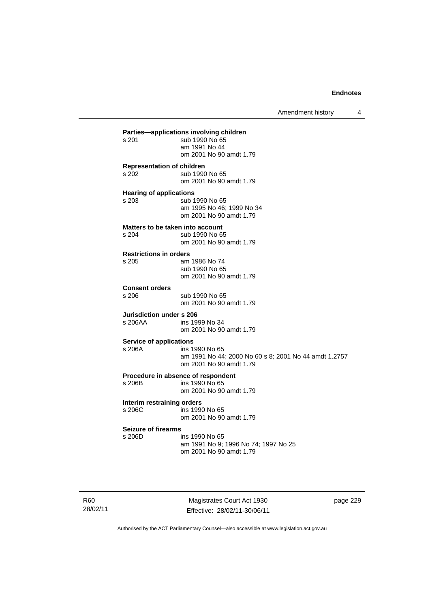Amendment history 4

**Parties—applications involving children**  sub 1990 No 65 am 1991 No 44 om 2001 No 90 amdt 1.79 **Representation of children**  s 202 sub 1990 No 65 om 2001 No 90 amdt 1.79 **Hearing of applications**  s 203 sub 1990 No 65 am 1995 No 46; 1999 No 34 om 2001 No 90 amdt 1.79 **Matters to be taken into account**<br>s 204 sub 1990 No 6 sub 1990 No 65 om 2001 No 90 amdt 1.79 **Restrictions in orders**  am 1986 No 74 sub 1990 No 65 om 2001 No 90 amdt 1.79 **Consent orders**  sub 1990 No 65 om 2001 No 90 amdt 1.79 **Jurisdiction under s 206**<br>s 206AA ins 19 ins 1999 No 34 om 2001 No 90 amdt 1.79 **Service of applications**  s 206A ins 1990 No 65 am 1991 No 44; 2000 No 60 s 8; 2001 No 44 amdt 1.2757 om 2001 No 90 amdt 1.79 **Procedure in absence of respondent**<br>s 206B ins 1990 No 65 ins 1990 No 65 om 2001 No 90 amdt 1.79 **Interim restraining orders**  s 206C ins 1990 No 65 om 2001 No 90 amdt 1.79 **Seizure of firearms**  s 206D ins 1990 No 65 am 1991 No 9; 1996 No 74; 1997 No 25 om 2001 No 90 amdt 1.79

R60 28/02/11

Magistrates Court Act 1930 Effective: 28/02/11-30/06/11 page 229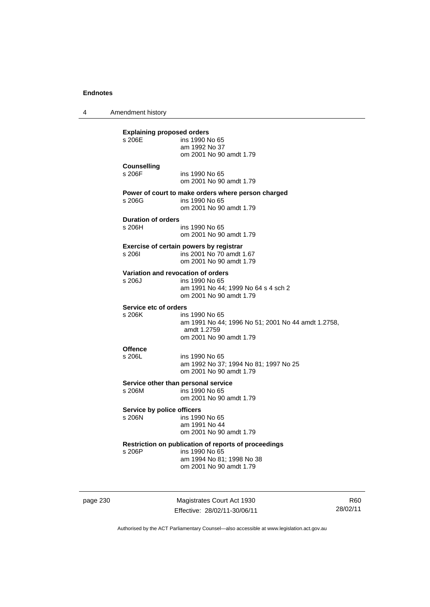4 Amendment history **Explaining proposed orders**  ins 1990 No 65 am 1992 No 37 om 2001 No 90 amdt 1.79 **Counselling**  s 206F ins 1990 No 65 om 2001 No 90 amdt 1.79 **Power of court to make orders where person charged**  ins 1990 No 65 om 2001 No 90 amdt 1.79 **Duration of orders**  ins 1990 No 65 om 2001 No 90 amdt 1.79 **Exercise of certain powers by registrar**  s 206I ins 2001 No 70 amdt 1.67 om 2001 No 90 amdt 1.79 **Variation and revocation of orders**  s 206J ins 1990 No 65 am 1991 No 44; 1999 No 64 s 4 sch 2 om 2001 No 90 amdt 1.79 **Service etc of orders**  s 206K ins 1990 No 65 am 1991 No 44; 1996 No 51; 2001 No 44 amdt 1.2758, amdt 1.2759 om 2001 No 90 amdt 1.79 **Offence**  s 206L ins 1990 No 65 am 1992 No 37; 1994 No 81; 1997 No 25 om 2001 No 90 amdt 1.79 **Service other than personal service**  ins 1990 No 65 om 2001 No 90 amdt 1.79 **Service by police officers**<br>s 206N ins 199 ins 1990 No 65 am 1991 No 44 om 2001 No 90 amdt 1.79 **Restriction on publication of reports of proceedings**  s 206P ins 1990 No 65 am 1994 No 81; 1998 No 38 om 2001 No 90 amdt 1.79

page 230 Magistrates Court Act 1930 Effective: 28/02/11-30/06/11

R60 28/02/11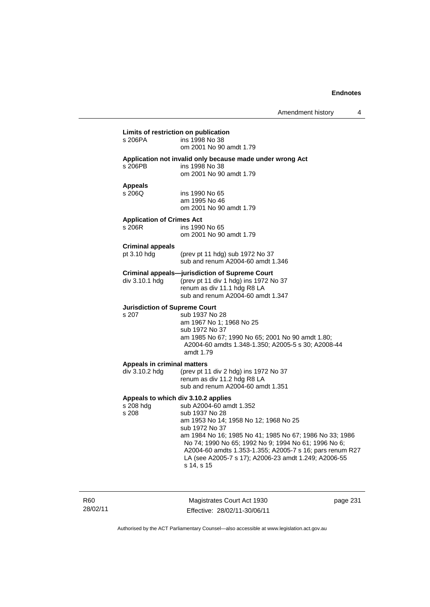| s 206PA                                              | ins 1998 No 38<br>om 2001 No 90 amdt 1.79                                                                                                                                                                                                                                                                                                                                                        |
|------------------------------------------------------|--------------------------------------------------------------------------------------------------------------------------------------------------------------------------------------------------------------------------------------------------------------------------------------------------------------------------------------------------------------------------------------------------|
| s 206PB                                              | Application not invalid only because made under wrong Act<br>ins 1998 No 38<br>om 2001 No 90 amdt 1.79                                                                                                                                                                                                                                                                                           |
| <b>Appeals</b><br>s 206Q                             | ins 1990 No 65<br>am 1995 No 46<br>om 2001 No 90 amdt 1.79                                                                                                                                                                                                                                                                                                                                       |
| <b>Application of Crimes Act</b><br>s 206R           | ins 1990 No 65<br>om 2001 No 90 amdt 1.79                                                                                                                                                                                                                                                                                                                                                        |
| <b>Criminal appeals</b><br>pt 3.10 hdg               | (prev pt 11 hdg) sub 1972 No 37<br>sub and renum A2004-60 amdt 1.346                                                                                                                                                                                                                                                                                                                             |
| div 3.10.1 hdg                                       | <b>Criminal appeals-jurisdiction of Supreme Court</b><br>(prev pt 11 div 1 hdg) ins 1972 No 37<br>renum as div 11.1 hdg R8 LA<br>sub and renum A2004-60 amdt 1.347                                                                                                                                                                                                                               |
| <b>Jurisdiction of Supreme Court</b><br>s 207        | sub 1937 No 28<br>am 1967 No 1; 1968 No 25<br>sub 1972 No 37<br>am 1985 No 67; 1990 No 65; 2001 No 90 amdt 1.80;<br>A2004-60 amdts 1.348-1.350; A2005-5 s 30; A2008-44<br>amdt 1.79                                                                                                                                                                                                              |
| <b>Appeals in criminal matters</b><br>div 3.10.2 hdg | (prev pt 11 div 2 hdg) ins 1972 No 37<br>renum as div 11.2 hdg R8 LA<br>sub and renum A2004-60 amdt 1.351                                                                                                                                                                                                                                                                                        |
| s 208 hdg<br>s 208                                   | Appeals to which div 3.10.2 applies<br>sub A2004-60 amdt 1.352<br>sub 1937 No 28<br>am 1953 No 14; 1958 No 12; 1968 No 25<br>sub 1972 No 37<br>am 1984 No 16; 1985 No 41; 1985 No 67; 1986 No 33; 1986<br>No 74; 1990 No 65; 1992 No 9; 1994 No 61; 1996 No 6;<br>A2004-60 amdts 1.353-1.355; A2005-7 s 16; pars renum R27<br>LA (see A2005-7 s 17); A2006-23 amdt 1.249; A2006-55<br>s 14, s 15 |

R60 28/02/11

Magistrates Court Act 1930 Effective: 28/02/11-30/06/11 page 231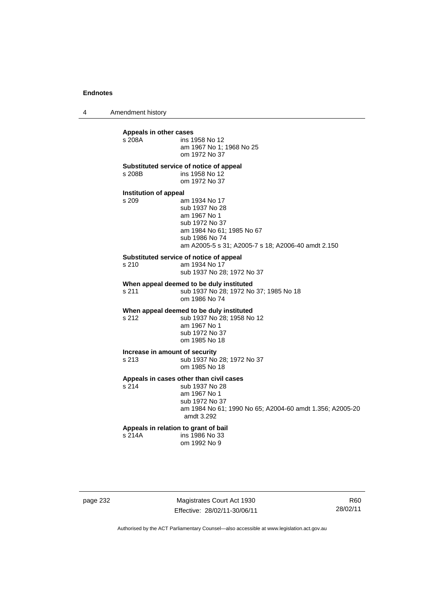4 Amendment history

**Appeals in other cases**  ins 1958 No 12 am 1967 No 1; 1968 No 25 om 1972 No 37 **Substituted service of notice of appeal**  s 208B ins 1958 No 12 om 1972 No 37 **Institution of appeal**<br>s 209 a am 1934 No 17 sub 1937 No 28 am 1967 No 1 sub 1972 No 37 am 1984 No 61; 1985 No 67 sub 1986 No 74 am A2005-5 s 31; A2005-7 s 18; A2006-40 amdt 2.150 **Substituted service of notice of appeal**  s 210 am 1934 No 17 sub 1937 No 28; 1972 No 37 **When appeal deemed to be duly instituted**  s 211 **Sub 1937 No 28: 1972 No 37: 1985 No 18**  om 1986 No 74 **When appeal deemed to be duly instituted**  s 212 sub 1937 No 28; 1958 No 12 am 1967 No 1 sub 1972 No 37 om 1985 No 18 **Increase in amount of security**  s 213 sub 1937 No 28; 1972 No 37 om 1985 No 18 **Appeals in cases other than civil cases**  s 214 sub 1937 No 28 am 1967 No 1 sub 1972 No 37 am 1984 No 61; 1990 No 65; A2004-60 amdt 1.356; A2005-20 amdt 3.292 **Appeals in relation to grant of bail**  s 214A ins 1986 No 33 om 1992 No 9

page 232 Magistrates Court Act 1930 Effective: 28/02/11-30/06/11

R60 28/02/11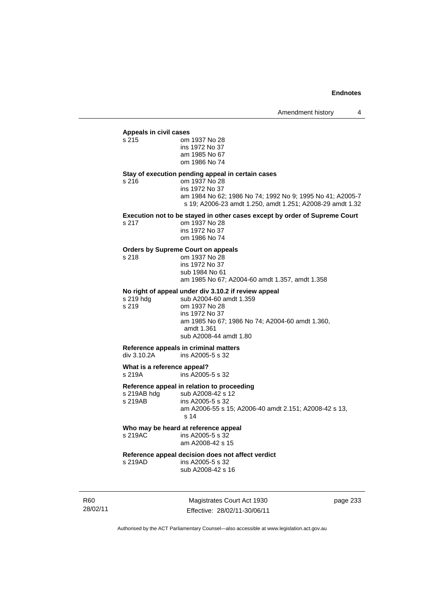#### **Appeals in civil cases**

s 217

| s 215 | om 1937 No 28  |
|-------|----------------|
|       | ins 1972 No 37 |
|       | am 1985 No 67  |
|       | om 1986 No 74  |
|       |                |

#### **Stay of execution pending appeal in certain cases**

s 216 om 1937 No 28 ins 1972 No 37

> am 1984 No 62; 1986 No 74; 1992 No 9; 1995 No 41; A2005-7 s 19; A2006-23 amdt 1.250, amdt 1.251; A2008-29 amdt 1.32

#### **Execution not to be stayed in other cases except by order of Supreme Court**

| s 217 | om 1937 No 28  |
|-------|----------------|
|       | ins 1972 No 37 |
|       | om 1986 No 74  |

### **Orders by Supreme Court on appeals**

s 218 om 1937 No 28 ins 1972 No 37 sub 1984 No 61

am 1985 No 67; A2004-60 amdt 1.357, amdt 1.358

#### **No right of appeal under div 3.10.2 if review appeal**

s 219 hdg sub A2004-60 amdt 1.359<br>s 219 om 1937 No 28 om 1937 No 28 ins 1972 No 37 am 1985 No 67; 1986 No 74; A2004-60 amdt 1.360, amdt 1.361 sub A2008-44 amdt 1.80

#### **Reference appeals in criminal matters**

div 3.10.2A ins A2005-5 s 32

**What is a reference appeal?**<br>s 219A **ins A2005** 

ins A2005-5 s 32

#### **Reference appeal in relation to proceeding**

s 219AB hdg sub A2008-42 s 12<br>s 219AB ins A2005-5 s 32 ins A2005-5 s 32 am A2006-55 s 15; A2006-40 amdt 2.151; A2008-42 s 13, s 14

## **Who may be heard at reference appeal**

s 219AC ins A2005-5 s 32 am A2008-42 s 15

## **Reference appeal decision does not affect verdict**

ins A2005-5 s 32 sub A2008-42 s 16

R60 28/02/11

Magistrates Court Act 1930 Effective: 28/02/11-30/06/11 page 233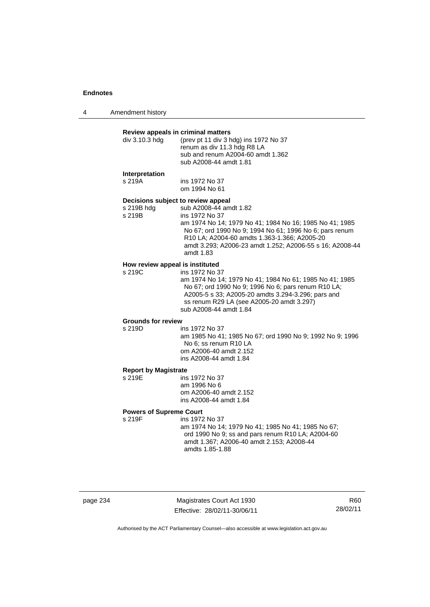4 Amendment history

#### **Review appeals in criminal matters**

| renum as div 11.3 hdg R8 LA<br>sub and renum A2004-60 amdt 1.362<br>sub A2008-44 amdt 1.81 | (prev pt 11 div 3 hdg) ins 1972 No 37 |
|--------------------------------------------------------------------------------------------|---------------------------------------|
|                                                                                            |                                       |

#### **Interpretation**

s 219A ins 1972 No 37 om 1994 No 61

#### **Decisions subject to review appeal**

s 219B hdg sub A2008-44 amdt 1.82

| s 219B | ins 1972 No 37                                                                     |
|--------|------------------------------------------------------------------------------------|
|        | am 1974 No 14: 1979 No 41: 1984 No 16: 1985 No 41: 1985                            |
|        | No 67; ord 1990 No 9; 1994 No 61; 1996 No 6; pars renum                            |
|        | R <sub>10</sub> LA; A <sub>2004</sub> -60 amdts 1.363-1.366; A <sub>2005</sub> -20 |
|        | amdt 3.293; A2006-23 amdt 1.252; A2006-55 s 16; A2008-44                           |
|        | amdt 1.83                                                                          |
|        |                                                                                    |

## **How review appeal is instituted**

s 219C ins 1972 No 37 am 1974 No 14; 1979 No 41; 1984 No 61; 1985 No 41; 1985 No 67; ord 1990 No 9; 1996 No 6; pars renum R10 LA; A2005-5 s 33; A2005-20 amdts 3.294-3.296; pars and ss renum R29 LA (see A2005-20 amdt 3.297) sub A2008-44 amdt 1.84

## **Grounds for review**

ins 1972 No 37

am 1985 No 41; 1985 No 67; ord 1990 No 9; 1992 No 9; 1996 No 6; ss renum R10 LA om A2006-40 amdt 2.152 ins A2008-44 amdt 1.84

## **Report by Magistrate**

ins 1972 No 37 am 1996 No 6 om A2006-40 amdt 2.152 ins A2008-44 amdt 1.84

#### **Powers of Supreme Court**

s 219F ins 1972 No 37 am 1974 No 14; 1979 No 41; 1985 No 41; 1985 No 67; ord 1990 No 9; ss and pars renum R10 LA; A2004-60 amdt 1.367; A2006-40 amdt 2.153; A2008-44 amdts 1.85-1.88

page 234 Magistrates Court Act 1930 Effective: 28/02/11-30/06/11

R60 28/02/11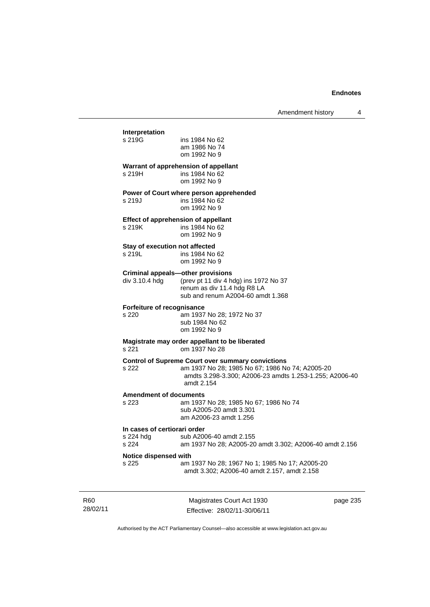## Magistrates Court Act 1930 **Interpretation**  ins 1984 No 62 am 1986 No 74 om 1992 No 9 **Warrant of apprehension of appellant**  s 219H ins 1984 No 62 om 1992 No 9 **Power of Court where person apprehended**  s 219J ins 1984 No 62 om 1992 No 9 **Effect of apprehension of appellant**<br>s 219K ins 1984 No 62  $ins 1984$  No 62 om 1992 No 9 **Stay of execution not affected**  s 219L ins 1984 No 62 om 1992 No 9 **Criminal appeals—other provisions**  div 3.10.4 hdg (prev pt 11 div 4 hdg) ins 1972 No 37 renum as div 11.4 hdg R8 LA sub and renum A2004-60 amdt 1.368 **Forfeiture of recognisance**  s 220 am 1937 No 28; 1972 No 37 sub 1984 No 62 om 1992 No 9 **Magistrate may order appellant to be liberated**  s 221 om 1937 No 28 **Control of Supreme Court over summary convictions**  am 1937 No 28; 1985 No 67; 1986 No 74; A2005-20 amdts 3.298-3.300; A2006-23 amdts 1.253-1.255; A2006-40 amdt 2.154 **Amendment of documents**  s 223 am 1937 No 28; 1985 No 67; 1986 No 74 sub A2005-20 amdt 3.301 am A2006-23 amdt 1.256 **In cases of certiorari order**  s 224 hdg sub A2006-40 amdt 2.155<br>s 224 sm 1937 No 28: A2005-20 am 1937 No 28; A2005-20 amdt 3.302; A2006-40 amdt 2.156 **Notice dispensed with**  s 225 am 1937 No 28; 1967 No 1; 1985 No 17; A2005-20 amdt 3.302; A2006-40 amdt 2.157, amdt 2.158

page 235

R60 28/02/11

Authorised by the ACT Parliamentary Counsel—also accessible at www.legislation.act.gov.au

Effective: 28/02/11-30/06/11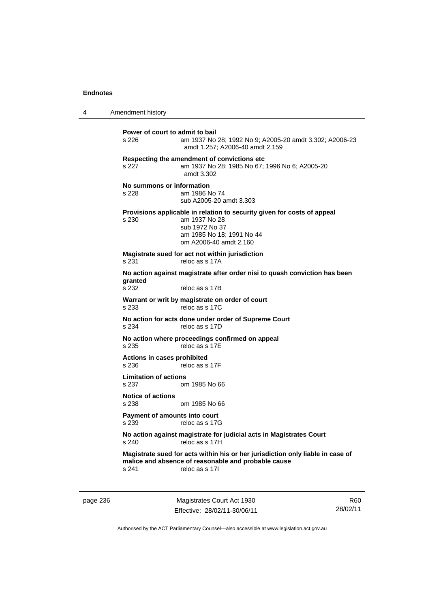4 Amendment history

**Power of court to admit to bail**  s 226 am 1937 No 28; 1992 No 9; A2005-20 amdt 3.302; A2006-23 amdt 1.257; A2006-40 amdt 2.159 **Respecting the amendment of convictions etc**  s 227 am 1937 No 28; 1985 No 67; 1996 No 6; A2005-20 amdt 3.302 **No summons or information**  s 228 am 1986 No 74 sub A2005-20 amdt 3.303 **Provisions applicable in relation to security given for costs of appeal**  s 230 am 1937 No 28 sub 1972 No 37 am 1985 No 18; 1991 No 44 om A2006-40 amdt 2.160 **Magistrate sued for act not within jurisdiction**  s 231 reloc as s 17A **No action against magistrate after order nisi to quash conviction has been**  granted<br>s 232 reloc as s 17B **Warrant or writ by magistrate on order of court**  s 233 reloc as s 17C **No action for acts done under order of Supreme Court**  s 234 reloc as s 17D **No action where proceedings confirmed on appeal**  s 235 reloc as s 17E **Actions in cases prohibited**  s 236 reloc as s 17F **Limitation of actions**  s 237 om 1985 No 66 **Notice of actions**  om 1985 No 66 **Payment of amounts into court**  s 239 reloc as s 17G **No action against magistrate for judicial acts in Magistrates Court**  s 240 reloc as s 17H **Magistrate sued for acts within his or her jurisdiction only liable in case of malice and absence of reasonable and probable cause**  s 241 reloc as s 17I

page 236 Magistrates Court Act 1930 Effective: 28/02/11-30/06/11

R60 28/02/11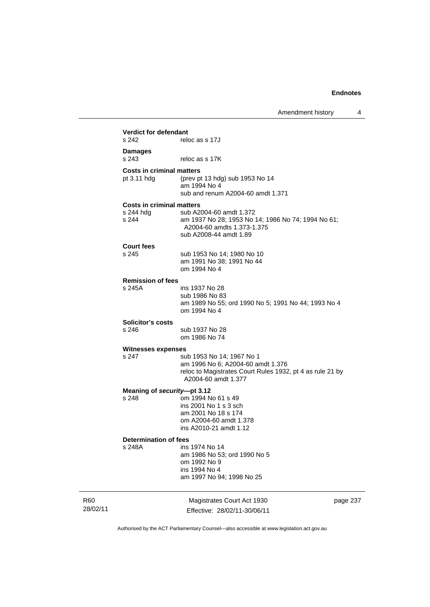|                 | <b>Verdict for defendant</b><br>s 242                  | reloc as s 17J                                                                                                                                     |          |
|-----------------|--------------------------------------------------------|----------------------------------------------------------------------------------------------------------------------------------------------------|----------|
|                 | <b>Damages</b><br>s 243                                | reloc as s 17K                                                                                                                                     |          |
|                 | <b>Costs in criminal matters</b><br>pt 3.11 hdg        | (prev pt 13 hdg) sub 1953 No 14<br>am 1994 No 4<br>sub and renum A2004-60 amdt 1.371                                                               |          |
|                 | <b>Costs in criminal matters</b><br>s 244 hdg<br>s 244 | sub A2004-60 amdt 1.372<br>am 1937 No 28; 1953 No 14; 1986 No 74; 1994 No 61;<br>A2004-60 amdts 1.373-1.375<br>sub A2008-44 amdt 1.89              |          |
|                 | <b>Court fees</b><br>s 245                             | sub 1953 No 14; 1980 No 10<br>am 1991 No 38; 1991 No 44<br>om 1994 No 4                                                                            |          |
|                 | <b>Remission of fees</b><br>s 245A                     | ins 1937 No 28<br>sub 1986 No 83<br>am 1989 No 55; ord 1990 No 5; 1991 No 44; 1993 No 4<br>om 1994 No 4                                            |          |
|                 | Solicitor's costs<br>s 246                             | sub 1937 No 28<br>om 1986 No 74                                                                                                                    |          |
|                 | <b>Witnesses expenses</b><br>s 247                     | sub 1953 No 14; 1967 No 1<br>am 1996 No 6; A2004-60 amdt 1.376<br>reloc to Magistrates Court Rules 1932, pt 4 as rule 21 by<br>A2004-60 amdt 1.377 |          |
|                 | Meaning of security-pt 3.12<br>s 248                   | om 1994 No 61 s 49<br>ins 2001 No 1 s 3 sch<br>am 2001 No 18 s 174<br>om A2004-60 amdt 1.378<br>ins A2010-21 amdt 1.12                             |          |
|                 | Determination of fees<br>s 248A                        | ins 1974 No 14<br>am 1986 No 53; ord 1990 No 5<br>om 1992 No 9<br>ins 1994 No 4<br>am 1997 No 94; 1998 No 25                                       |          |
| R60<br>28/02/11 |                                                        | Magistrates Court Act 1930<br>Effective: 28/02/11-30/06/11                                                                                         | page 237 |

Authorised by the ACT Parliamentary Counsel—also accessible at www.legislation.act.gov.au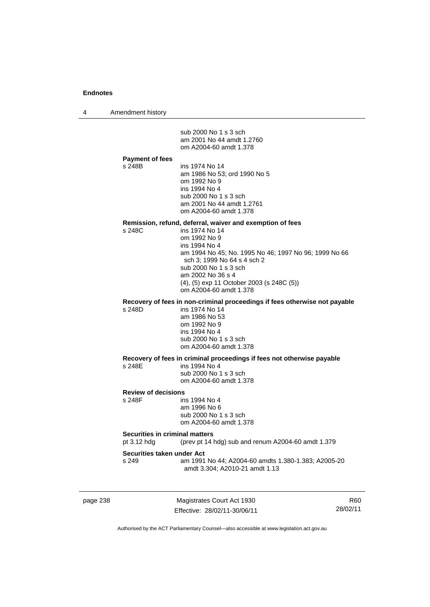4 Amendment history

page 238 Magistrates Court Act 1930 Effective: 28/02/11-30/06/11 R60 28/02/11 sub 2000 No 1 s 3 sch am 2001 No 44 amdt 1.2760 om A2004-60 amdt 1.378 **Payment of fees**  ins 1974 No 14 am 1986 No 53; ord 1990 No 5 om 1992 No 9 ins 1994 No 4 sub 2000 No 1 s 3 sch am 2001 No 44 amdt 1.2761 om A2004-60 amdt 1.378 **Remission, refund, deferral, waiver and exemption of fees**  s 248C ins 1974 No 14 om 1992 No 9 ins 1994 No 4 am 1994 No 45; No. 1995 No 46; 1997 No 96; 1999 No 66 sch 3; 1999 No 64 s 4 sch 2 sub 2000 No 1 s 3 sch am 2002 No 36 s 4 (4), (5) exp 11 October 2003 (s 248C (5)) om A2004-60 amdt 1.378 **Recovery of fees in non-criminal proceedings if fees otherwise not payable**  s 248D ins 1974 No 14 am 1986 No 53 om 1992 No 9 ins 1994 No 4 sub 2000 No 1 s 3 sch om A2004-60 amdt 1.378 **Recovery of fees in criminal proceedings if fees not otherwise payable**  s 248E ins 1994 No 4 sub 2000 No 1 s 3 sch om A2004-60 amdt 1.378 **Review of decisions**  s 248F ins 1994 No 4 am 1996 No 6 sub 2000 No 1 s 3 sch om A2004-60 amdt 1.378 **Securities in criminal matters**<br>pt 3.12 hdg (prev pt 14) (prev pt 14 hdg) sub and renum A2004-60 amdt  $1.379$ **Securities taken under Act**  s 249 am 1991 No 44; A2004-60 amdts 1.380-1.383; A2005-20 amdt 3.304; A2010-21 amdt 1.13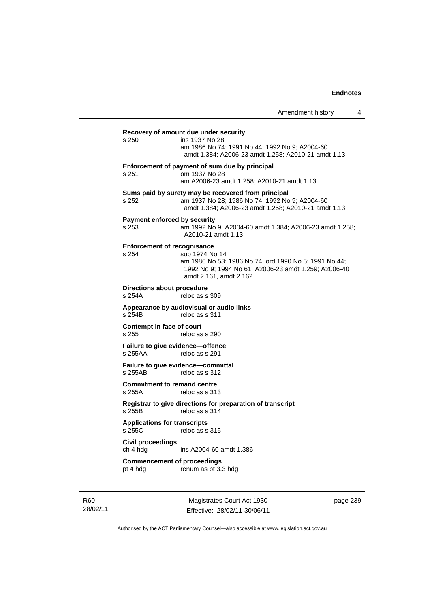# **Recovery of amount due under security**

s 250 ins 1937 No 28 am 1986 No 74; 1991 No 44; 1992 No 9; A2004-60 amdt 1.384; A2006-23 amdt 1.258; A2010-21 amdt 1.13 **Enforcement of payment of sum due by principal**  s 251 om 1937 No 28 am A2006-23 amdt 1.258; A2010-21 amdt 1.13 **Sums paid by surety may be recovered from principal**  s 252 am 1937 No 28; 1986 No 74; 1992 No 9; A2004-60 amdt 1.384; A2006-23 amdt 1.258; A2010-21 amdt 1.13 **Payment enforced by security**  s 253 am 1992 No 9; A2004-60 amdt 1.384; A2006-23 amdt 1.258; A2010-21 amdt 1.13 **Enforcement of recognisance**  s 254 sub 1974 No 14 am 1986 No 53; 1986 No 74; ord 1990 No 5; 1991 No 44; 1992 No 9; 1994 No 61; A2006-23 amdt 1.259; A2006-40 amdt 2.161, amdt 2.162 **Directions about procedure**<br>s 254A reloc as s reloc as s 309 **Appearance by audiovisual or audio links**  s 254B reloc as s 311 **Contempt in face of court**  s 255 reloc as s 290 **Failure to give evidence—offence**  s 255AA reloc as s 291 **Failure to give evidence—committal**  s 255AB reloc as s 312 **Commitment to remand centre**  s 255A reloc as s 313 **Registrar to give directions for preparation of transcript**  s 255B reloc as s 314 **Applications for transcripts**  s 255C reloc as s 315 **Civil proceedings**  ch 4 hdg ins A2004-60 amdt 1.386

**Commencement of proceedings**  pt 4 hdg renum as pt 3.3 hdg

R60 28/02/11

Magistrates Court Act 1930 Effective: 28/02/11-30/06/11 page 239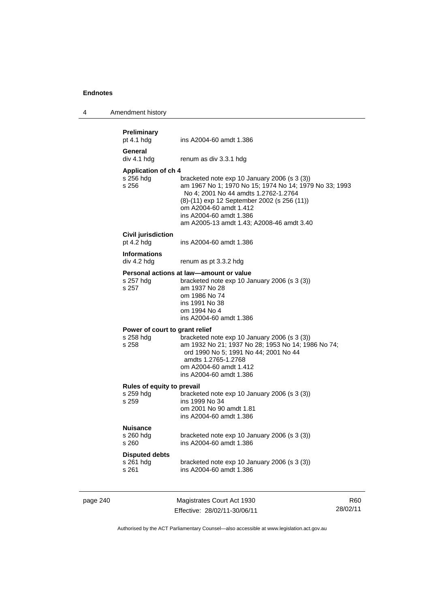| 4 | Amendment history |  |
|---|-------------------|--|
|---|-------------------|--|

| page 240 |                                                                     | Magistrates Court Act 1930                                                                                                                                                                                                                                                                        | R60 |
|----------|---------------------------------------------------------------------|---------------------------------------------------------------------------------------------------------------------------------------------------------------------------------------------------------------------------------------------------------------------------------------------------|-----|
|          | <b>Disputed debts</b><br>s 261 hdg<br>s 261                         | bracketed note $exp 10$ January 2006 (s 3 (3))<br>ins A2004-60 amdt 1.386                                                                                                                                                                                                                         |     |
|          | s 260 hdg<br>s 260                                                  | bracketed note $exp 10$ January 2006 (s 3 (3))<br>ins A2004-60 amdt 1.386                                                                                                                                                                                                                         |     |
|          | Rules of equity to prevail<br>s 259 hdg<br>s 259<br><b>Nuisance</b> | bracketed note exp 10 January 2006 (s 3 (3))<br>ins 1999 No 34<br>om 2001 No 90 amdt 1.81<br>ins A2004-60 amdt 1.386                                                                                                                                                                              |     |
|          | Power of court to grant relief<br>s 258 hdg<br>s 258                | bracketed note exp 10 January 2006 (s 3 (3))<br>am 1932 No 21; 1937 No 28; 1953 No 14; 1986 No 74;<br>ord 1990 No 5; 1991 No 44; 2001 No 44<br>amdts 1.2765-1.2768<br>om A2004-60 amdt 1.412<br>ins A2004-60 amdt 1.386                                                                           |     |
|          | s 257 hdg<br>s 257                                                  | Personal actions at law-amount or value<br>bracketed note exp 10 January 2006 (s 3 (3))<br>am 1937 No 28<br>om 1986 No 74<br>ins 1991 No 38<br>om 1994 No 4<br>ins A2004-60 amdt 1.386                                                                                                            |     |
|          | <b>Informations</b><br>div 4.2 hdg                                  | renum as pt 3.3.2 hdg                                                                                                                                                                                                                                                                             |     |
|          | <b>Civil jurisdiction</b><br>pt $4.2$ hdg                           | ins A2004-60 amdt 1.386                                                                                                                                                                                                                                                                           |     |
|          | <b>Application of ch 4</b><br>s 256 hdg<br>s 256                    | bracketed note $exp 10$ January 2006 (s 3 (3))<br>am 1967 No 1; 1970 No 15; 1974 No 14; 1979 No 33; 1993<br>No 4; 2001 No 44 amdts 1.2762-1.2764<br>(8)-(11) exp 12 September 2002 (s 256 (11))<br>om A2004-60 amdt 1.412<br>ins A2004-60 amdt 1.386<br>am A2005-13 amdt 1.43; A2008-46 amdt 3.40 |     |
|          | General<br>div 4.1 hdg                                              | renum as div 3.3.1 hdg                                                                                                                                                                                                                                                                            |     |
|          | <b>Preliminary</b><br>pt $4.1$ hdg                                  | ins A2004-60 amdt 1.386                                                                                                                                                                                                                                                                           |     |

Effective: 28/02/11-30/06/11

R60 28/02/11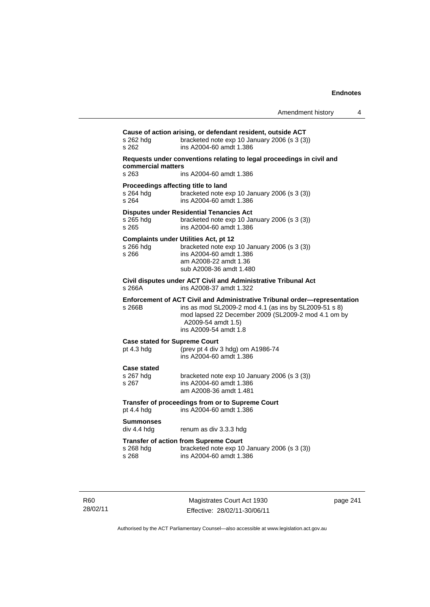| Amendment history |  |  |
|-------------------|--|--|
|-------------------|--|--|

**Cause of action arising, or defendant resident, outside ACT**  s 262 hdg bracketed note exp 10 January 2006 (s 3 (3)) s 262 ins A2004-60 amdt 1.386 **Requests under conventions relating to legal proceedings in civil and commercial matters**  s 263 ins A2004-60 amdt 1.386 **Proceedings affecting title to land**  s 264 hdg bracketed note exp 10 January 2006 (s 3 (3))<br>s 264 ins A2004-60 amdt 1.386 s 264 ins A2004-60 amdt 1.386 **Disputes under Residential Tenancies Act**  s 265 hdg bracketed note exp 10 January 2006 (s 3 (3)) s 265 ins A2004-60 amdt 1.386 **Complaints under Utilities Act, pt 12**  s 266 hdg bracketed note exp 10 January 2006 (s 3 (3)) s 266 ins A2004-60 amdt 1.386 am A2008-22 amdt 1.36 sub A2008-36 amdt 1.480 **Civil disputes under ACT Civil and Administrative Tribunal Act**  s 266A ins A2008-37 amdt 1.322 **Enforcement of ACT Civil and Administrative Tribunal order—representation**  s 266B ins as mod SL2009-2 mod 4.1 (as ins by SL2009-51 s 8) mod lapsed 22 December 2009 (SL2009-2 mod 4.1 om by A2009-54 amdt 1.5) ins A2009-54 amdt 1.8 **Case stated for Supreme Court**  pt 4.3 hdg (prev pt 4 div 3 hdg) om A1986-74 ins A2004-60 amdt 1.386 **Case stated**  s 267 hdg bracketed note exp 10 January 2006 (s 3 (3))<br>s 267 ins A2004-60 amdt 1.386 s 267 ins A2004-60 amdt 1.386 am A2008-36 amdt 1.481 **Transfer of proceedings from or to Supreme Court**  pt 4.4 hdg ins A2004-60 amdt 1.386 **Summonses**  renum as div 3.3.3 hdg **Transfer of action from Supreme Court**  s 268 hdg bracketed note exp 10 January 2006 (s 3 (3))<br>s 268 ins A2004-60 amdt 1.386 s 268 ins A2004-60 amdt 1.386

R60 28/02/11

Magistrates Court Act 1930 Effective: 28/02/11-30/06/11 page 241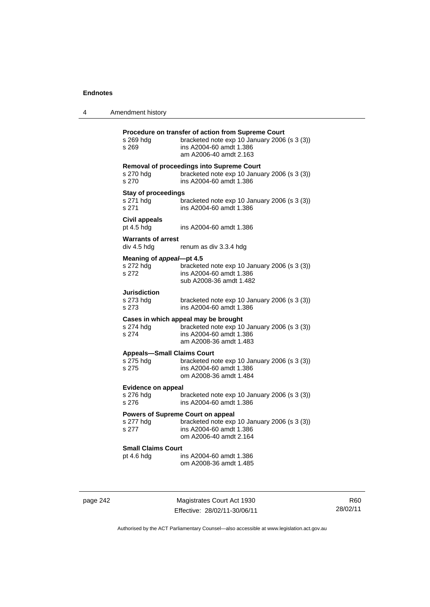| 4 | Amendment history                                |                                                                                                                                                         |
|---|--------------------------------------------------|---------------------------------------------------------------------------------------------------------------------------------------------------------|
|   | s 269 hdg<br>s 269                               | Procedure on transfer of action from Supreme Court<br>bracketed note exp 10 January 2006 (s 3 (3))<br>ins A2004-60 amdt 1.386<br>am A2006-40 amdt 2.163 |
|   | s 270 hdg<br>s 270                               | <b>Removal of proceedings into Supreme Court</b><br>bracketed note exp 10 January 2006 (s 3 (3))<br>ins A2004-60 amdt 1.386                             |
|   | <b>Stay of proceedings</b><br>s 271 hdg<br>s 271 | bracketed note $exp 10$ January 2006 (s 3 (3))<br>ins A2004-60 amdt 1.386                                                                               |
|   | Civil appeals<br>pt $4.5$ hdg                    | ins A2004-60 amdt 1.386                                                                                                                                 |
|   | <b>Warrants of arrest</b><br>div 4.5 hdg         | renum as div 3.3.4 hdg                                                                                                                                  |
|   | s 272 hdg<br>s 272                               | Meaning of appeal-pt 4.5<br>bracketed note $exp 10$ January 2006 (s 3 (3))<br>ins A2004-60 amdt 1.386<br>sub A2008-36 amdt 1.482                        |
|   | <b>Jurisdiction</b><br>s 273 hdg<br>s 273        | bracketed note $exp 10$ January 2006 (s 3 (3))<br>ins A2004-60 amdt 1.386                                                                               |
|   | s 274 hdg<br>s 274                               | Cases in which appeal may be brought<br>bracketed note exp 10 January 2006 (s 3 (3))<br>ins A2004-60 amdt 1.386<br>am A2008-36 amdt 1.483               |
|   | s 275 hdg<br>s 275                               | <b>Appeals-Small Claims Court</b><br>bracketed note exp 10 January 2006 (s 3 (3))<br>ins A2004-60 amdt 1.386<br>om A2008-36 amdt 1.484                  |
|   | <b>Evidence on appeal</b><br>s 276 hdg<br>s 276  | bracketed note exp 10 January 2006 (s 3 (3))<br>ins A2004-60 amdt 1.386                                                                                 |
|   | s 277 hdg<br>s 277                               | Powers of Supreme Court on appeal<br>bracketed note exp 10 January 2006 (s 3 (3))<br>ins A2004-60 amdt 1.386<br>om A2006-40 amdt 2.164                  |
|   | Small Claims Court<br>pt $4.6$ hdg               | ins A2004-60 amdt 1.386<br>om A2008-36 amdt 1.485                                                                                                       |
|   |                                                  |                                                                                                                                                         |

page 242 Magistrates Court Act 1930 Effective: 28/02/11-30/06/11

R60 28/02/11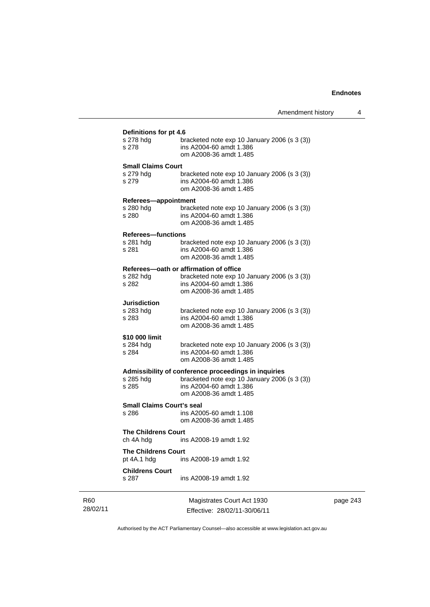| s 278 hdg<br>s 278                        | bracketed note exp 10 January 2006 (s 3 (3))<br>ins A2004-60 amdt 1.386<br>om A2008-36 amdt 1.485                                            |
|-------------------------------------------|----------------------------------------------------------------------------------------------------------------------------------------------|
| <b>Small Claims Court</b>                 |                                                                                                                                              |
| s 279                                     | s 279 hdg bracketed note exp 10 January 2006 (s 3 (3))<br>s 279 ins A2004-60 amdt 1.386<br>ins A2004-60 amdt 1.386<br>om A2008-36 amdt 1.485 |
| Referees-appointment                      |                                                                                                                                              |
| s 280 hdg<br>s 280                        | bracketed note exp 10 January 2006 (s 3 (3))<br>ins A2004-60 amdt 1.386<br>om A2008-36 amdt 1.485                                            |
| <b>Referees-functions</b>                 |                                                                                                                                              |
| s 281                                     | s 281 hdg bracketed note exp 10 January 2006 (s 3 (3))<br>ins A2004-60 amdt 1.386<br>om A2008-36 amdt 1.485                                  |
|                                           | Referees-oath or affirmation of office                                                                                                       |
| s 282 hdg<br>s 282                        | bracketed note exp 10 January 2006 (s 3 (3))<br>ins A2004-60 amdt 1.386<br>om A2008-36 amdt 1.485                                            |
| <b>Jurisdiction</b>                       |                                                                                                                                              |
| s 283 hdg<br>s 283                        | bracketed note exp 10 January 2006 (s 3 (3))<br>ins A2004-60 amdt 1.386<br>om A2008-36 amdt 1.485                                            |
| \$10 000 limit                            |                                                                                                                                              |
| s 284 hdg<br>s 284                        | bracketed note exp 10 January 2006 (s 3 (3))<br>ins A2004-60 amdt 1.386<br>om A2008-36 amdt 1.485                                            |
|                                           | Admissibility of conference proceedings in inquiries                                                                                         |
| s 285 hdg<br>s 285                        | bracketed note exp 10 January 2006 (s 3 (3))<br>ins A2004-60 amdt 1.386<br>om A2008-36 amdt 1.485                                            |
| <b>Small Claims Court's seal</b>          |                                                                                                                                              |
| s 286                                     | ins A2005-60 amdt 1.108<br>om A2008-36 amdt 1.485                                                                                            |
| <b>The Childrens Court</b><br>ch 4A hdg   | ins A2008-19 amdt 1.92                                                                                                                       |
| <b>The Childrens Court</b><br>pt 4A.1 hdg | ins A2008-19 amdt 1.92                                                                                                                       |
| <b>Childrens Court</b><br>s 287           | ins A2008-19 amdt 1.92                                                                                                                       |

R60 28/02/11

Magistrates Court Act 1930 Effective: 28/02/11-30/06/11 page 243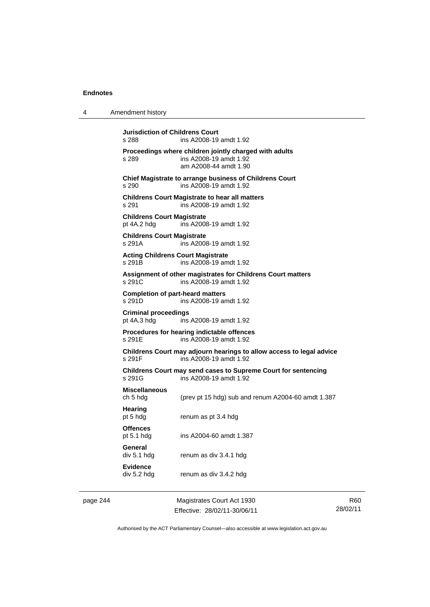| 4                                | Amendment history                                  |                                                                                                           |
|----------------------------------|----------------------------------------------------|-----------------------------------------------------------------------------------------------------------|
|                                  | Jurisdiction of Childrens Court<br>s 288           | ins A2008-19 amdt 1.92                                                                                    |
|                                  | s 289                                              | Proceedings where children jointly charged with adults<br>ins A2008-19 amdt 1.92<br>am A2008-44 amdt 1.90 |
|                                  | s 290                                              | Chief Magistrate to arrange business of Childrens Court<br>ins A2008-19 amdt 1.92                         |
|                                  | s 291                                              | <b>Childrens Court Magistrate to hear all matters</b><br>ins A2008-19 amdt 1.92                           |
|                                  | <b>Childrens Court Magistrate</b><br>pt 4A.2 hdg   | ins A2008-19 amdt 1.92                                                                                    |
|                                  | <b>Childrens Court Magistrate</b><br>s 291A        | ins A2008-19 amdt 1.92                                                                                    |
|                                  | <b>Acting Childrens Court Magistrate</b><br>s 291B | ins A2008-19 amdt 1.92                                                                                    |
|                                  | s 291C                                             | Assignment of other magistrates for Childrens Court matters<br>ins A2008-19 amdt 1.92                     |
|                                  | <b>Completion of part-heard matters</b><br>s 291D  | ins A2008-19 amdt 1.92                                                                                    |
|                                  | <b>Criminal proceedings</b><br>pt 4A.3 hdg         | ins A2008-19 amdt 1.92                                                                                    |
|                                  | s 291E                                             | Procedures for hearing indictable offences<br>ins A2008-19 amdt 1.92                                      |
|                                  | s 291F                                             | Childrens Court may adjourn hearings to allow access to legal advice<br>ins A2008-19 amdt 1.92            |
| s 291G<br>ins A2008-19 amdt 1.92 |                                                    | Childrens Court may send cases to Supreme Court for sentencing                                            |
|                                  | <b>Miscellaneous</b><br>ch 5 hdg                   | (prev pt 15 hdg) sub and renum A2004-60 amdt 1.387                                                        |
|                                  | Hearing<br>pt 5 hdg                                | renum as pt 3.4 hdg                                                                                       |
|                                  | <b>Offences</b><br>pt $5.1$ hdg                    | ins A2004-60 amdt 1.387                                                                                   |
|                                  | General<br>div 5.1 hdg                             | renum as div 3.4.1 hdg                                                                                    |
|                                  | <b>Evidence</b><br>div 5.2 hdg                     | renum as div 3.4.2 hdg                                                                                    |
| page 244                         |                                                    | Magistrates Court Act 1930                                                                                |

Authorised by the ACT Parliamentary Counsel—also accessible at www.legislation.act.gov.au

R60 28/02/11

Effective: 28/02/11-30/06/11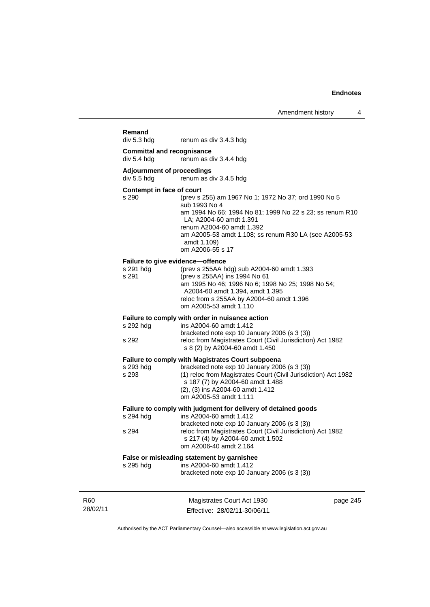| Remand<br>div 5.3 hdg                                  | renum as div 3.4.3 hdg                                                                                                                                                                                                                                                                |          |
|--------------------------------------------------------|---------------------------------------------------------------------------------------------------------------------------------------------------------------------------------------------------------------------------------------------------------------------------------------|----------|
| <b>Committal and recognisance</b><br>div 5.4 hdg       | renum as div 3.4.4 hdg                                                                                                                                                                                                                                                                |          |
| <b>Adjournment of proceedings</b>                      |                                                                                                                                                                                                                                                                                       |          |
| div 5.5 hdg                                            | renum as div 3.4.5 hdg                                                                                                                                                                                                                                                                |          |
| Contempt in face of court<br>s 290                     | (prev s 255) am 1967 No 1; 1972 No 37; ord 1990 No 5<br>sub 1993 No 4<br>am 1994 No 66; 1994 No 81; 1999 No 22 s 23; ss renum R10<br>LA; A2004-60 amdt 1.391<br>renum A2004-60 amdt 1.392<br>am A2005-53 amdt 1.108; ss renum R30 LA (see A2005-53<br>amdt 1.109)<br>om A2006-55 s 17 |          |
| Failure to give evidence-offence<br>s 291 hdg<br>s 291 | (prev s 255AA hdg) sub A2004-60 amdt 1.393<br>(prev s 255AA) ins 1994 No 61<br>am 1995 No 46; 1996 No 6; 1998 No 25; 1998 No 54;<br>A2004-60 amdt 1.394, amdt 1.395<br>reloc from s 255AA by A2004-60 amdt 1.396<br>om A2005-53 amdt 1.110                                            |          |
|                                                        | Failure to comply with order in nuisance action<br>ins A2004-60 amdt 1.412                                                                                                                                                                                                            |          |
| s 292 hdg<br>s 292                                     | bracketed note exp 10 January 2006 (s 3 (3))<br>reloc from Magistrates Court (Civil Jurisdiction) Act 1982<br>s 8 (2) by A2004-60 amdt 1.450                                                                                                                                          |          |
| s 293 hdg<br>s 293                                     | <b>Failure to comply with Magistrates Court subpoena</b><br>bracketed note exp 10 January 2006 (s 3 (3))<br>(1) reloc from Magistrates Court (Civil Jurisdiction) Act 1982<br>s 187 (7) by A2004-60 amdt 1.488<br>(2), (3) ins A2004-60 amdt 1.412<br>om A2005-53 amdt 1.111          |          |
|                                                        | Failure to comply with judgment for delivery of detained goods                                                                                                                                                                                                                        |          |
| s 294 hdg<br>s 294                                     | ins A2004-60 amdt 1.412<br>bracketed note exp 10 January 2006 (s 3 (3))<br>reloc from Magistrates Court (Civil Jurisdiction) Act 1982<br>s 217 (4) by A2004-60 amdt 1.502<br>om A2006-40 amdt 2.164                                                                                   |          |
| s 295 hdg                                              | False or misleading statement by garnishee<br>ins A2004-60 amdt 1.412<br>bracketed note exp 10 January 2006 (s 3 (3))                                                                                                                                                                 |          |
|                                                        | Magistrates Court Act 1930<br>Effective: 28/02/11-30/06/11                                                                                                                                                                                                                            | page 245 |

Authorised by the ACT Parliamentary Counsel—also accessible at www.legislation.act.gov.au

R60 28/02/11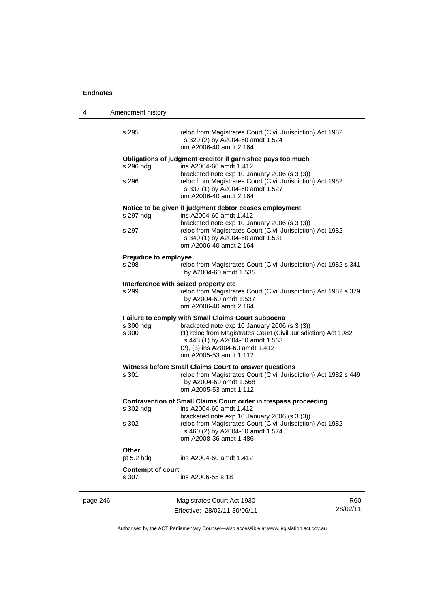| 4        | Amendment history            |                                                                                                                                                                                                                                                                        |     |  |
|----------|------------------------------|------------------------------------------------------------------------------------------------------------------------------------------------------------------------------------------------------------------------------------------------------------------------|-----|--|
|          | s 295                        | reloc from Magistrates Court (Civil Jurisdiction) Act 1982<br>s 329 (2) by A2004-60 amdt 1.524<br>om A2006-40 amdt 2.164                                                                                                                                               |     |  |
|          | s 296 hdg                    | Obligations of judgment creditor if garnishee pays too much<br>ins A2004-60 amdt 1.412<br>bracketed note exp 10 January 2006 (s 3 (3))                                                                                                                                 |     |  |
|          | s 296                        | reloc from Magistrates Court (Civil Jurisdiction) Act 1982<br>s 337 (1) by A2004-60 amdt 1.527<br>om A2006-40 amdt 2.164                                                                                                                                               |     |  |
|          |                              | Notice to be given if judgment debtor ceases employment                                                                                                                                                                                                                |     |  |
|          | s 297 hdg                    | ins A2004-60 amdt 1.412<br>bracketed note exp 10 January 2006 (s 3 (3))                                                                                                                                                                                                |     |  |
|          | s 297                        | reloc from Magistrates Court (Civil Jurisdiction) Act 1982<br>s 340 (1) by A2004-60 amdt 1.531<br>om A2006-40 amdt 2.164                                                                                                                                               |     |  |
|          | <b>Prejudice to employee</b> |                                                                                                                                                                                                                                                                        |     |  |
|          | s 298                        | reloc from Magistrates Court (Civil Jurisdiction) Act 1982 s 341<br>by A2004-60 amdt 1.535                                                                                                                                                                             |     |  |
|          |                              | Interference with seized property etc                                                                                                                                                                                                                                  |     |  |
|          | s 299                        | reloc from Magistrates Court (Civil Jurisdiction) Act 1982 s 379<br>by A2004-60 amdt 1.537<br>om A2006-40 amdt 2.164                                                                                                                                                   |     |  |
|          | s 300 hdg<br>s 300           | Failure to comply with Small Claims Court subpoena<br>bracketed note exp 10 January 2006 (s 3 (3))<br>(1) reloc from Magistrates Court (Civil Jurisdiction) Act 1982<br>s 448 (1) by A2004-60 amdt 1.563<br>(2), (3) ins A2004-60 amdt 1.412<br>om A2005-53 amdt 1.112 |     |  |
|          |                              | Witness before Small Claims Court to answer questions                                                                                                                                                                                                                  |     |  |
|          | s 301                        | reloc from Magistrates Court (Civil Jurisdiction) Act 1982 s 449<br>by A2004-60 amdt 1.568<br>om A2005-53 amdt 1.112                                                                                                                                                   |     |  |
|          |                              | Contravention of Small Claims Court order in trespass proceeding                                                                                                                                                                                                       |     |  |
|          | s 302 hdg                    | ins A2004-60 amdt 1.412                                                                                                                                                                                                                                                |     |  |
|          | s 302                        | bracketed note exp 10 January 2006 (s 3 (3))<br>reloc from Magistrates Court (Civil Jurisdiction) Act 1982<br>s 460 (2) by A2004-60 amdt 1.574<br>om A2008-36 amdt 1.486                                                                                               |     |  |
|          | Other                        |                                                                                                                                                                                                                                                                        |     |  |
|          | pt 5.2 hdg                   | ins A2004-60 amdt 1.412                                                                                                                                                                                                                                                |     |  |
|          | <b>Contempt of court</b>     |                                                                                                                                                                                                                                                                        |     |  |
|          | s 307                        | ins A2006-55 s 18                                                                                                                                                                                                                                                      |     |  |
| page 246 |                              | Magistrates Court Act 1930                                                                                                                                                                                                                                             | R60 |  |

Authorised by the ACT Parliamentary Counsel—also accessible at www.legislation.act.gov.au

28/02/11

Effective: 28/02/11-30/06/11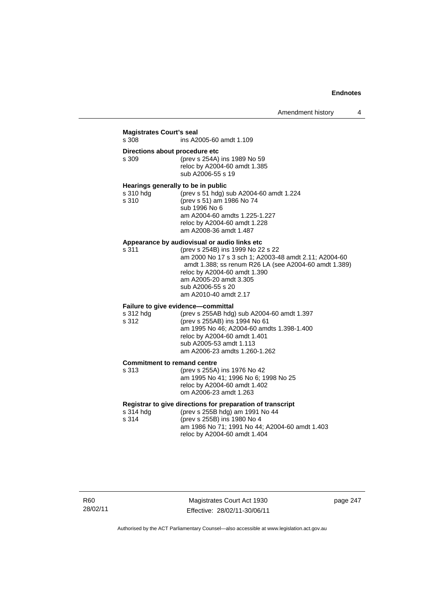# **Magistrates Court's seal**

ins A2005-60 amdt 1.109

#### **Directions about procedure etc**

| s 309 | (prev s 254A) ins 1989 No 59 |
|-------|------------------------------|
|       | reloc by A2004-60 amdt 1.385 |
|       | sub A2006-55 s 19            |

#### **Hearings generally to be in public**

| s 310 hdg | (prev s 51 hdg) sub A2004-60 amdt 1.224 |
|-----------|-----------------------------------------|
| s 310     | (prev s 51) am 1986 No 74               |
|           | sub 1996 No 6                           |
|           | am A2004-60 amdts 1.225-1.227           |
|           | reloc by A2004-60 amdt 1.228            |
|           | am A2008-36 amdt 1.487                  |
|           |                                         |

### **Appearance by audiovisual or audio links etc**

| s 311 | (prev s 254B) ins 1999 No 22 s 22                     |
|-------|-------------------------------------------------------|
|       | am 2000 No 17 s 3 sch 1; A2003-48 amdt 2.11; A2004-60 |
|       | amdt 1.388; ss renum R26 LA (see A2004-60 amdt 1.389) |
|       | reloc by A2004-60 amdt 1.390                          |
|       | am A2005-20 amdt 3.305                                |
|       | sub A2006-55 s 20                                     |
|       | am A2010-40 amdt 2.17                                 |
|       |                                                       |

# **Failure to give evidence—committal**

| s 312 hdg | (prev s 255AB hdg) sub A2004-60 amdt 1.397 |
|-----------|--------------------------------------------|
| s 312     | (prev s 255AB) ins 1994 No 61              |
|           | am 1995 No 46: A2004-60 amdts 1.398-1.400  |
|           | reloc by A2004-60 amdt 1.401               |
|           | sub A2005-53 amdt 1.113                    |
|           | am A2006-23 amdts 1.260-1.262              |
|           |                                            |

#### **Commitment to remand centre**

| s 313 | (prev s 255A) ins 1976 No 42         |
|-------|--------------------------------------|
|       | am 1995 No 41; 1996 No 6; 1998 No 25 |
|       | reloc by A2004-60 amdt 1.402         |
|       | om A2006-23 amdt 1.263               |
|       |                                      |

#### **Registrar to give directions for preparation of transcript**

| s 314 hdg | (prev s 255B hdg) am 1991 No 44                                                |
|-----------|--------------------------------------------------------------------------------|
| s 314     | (prev s 255B) ins 1980 No 4                                                    |
|           | am 1986 No 71; 1991 No 44; A2004-60 amdt 1.403<br>reloc by A2004-60 amdt 1.404 |

Magistrates Court Act 1930 Effective: 28/02/11-30/06/11 page 247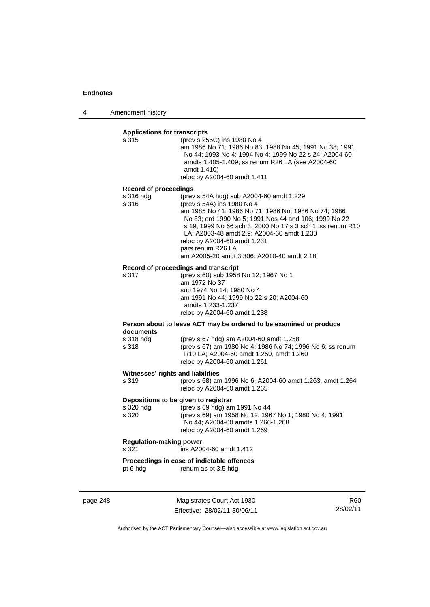4 Amendment history

# **Applications for transcripts**

| s 315                                                                                                         | (prev s 255C) ins 1980 No 4                             |
|---------------------------------------------------------------------------------------------------------------|---------------------------------------------------------|
|                                                                                                               | am 1986 No 71; 1986 No 83; 1988 No 45; 1991 No 38; 1991 |
|                                                                                                               | No 44: 1993 No 4: 1994 No 4: 1999 No 22 s 24: A2004-60  |
|                                                                                                               | amdts 1.405-1.409; ss renum R26 LA (see A2004-60)       |
|                                                                                                               | amdt 1.410)                                             |
|                                                                                                               | reloc by A2004-60 amdt 1.411                            |
| December 1999 - Louis Communist State State State State State State State State State State State State State |                                                         |

#### **Record of proceedings**

| s 316 hdg | (prev s 54A hdg) sub A2004-60 amdt 1.229                   |
|-----------|------------------------------------------------------------|
| s 316     | (prev s 54A) ins 1980 No 4                                 |
|           | am 1985 No 41; 1986 No 71; 1986 No; 1986 No 74; 1986       |
|           | No 83; ord 1990 No 5; 1991 Nos 44 and 106; 1999 No 22      |
|           | s 19; 1999 No 66 sch 3; 2000 No 17 s 3 sch 1; ss renum R10 |
|           | LA; A2003-48 amdt 2.9; A2004-60 amdt 1.230                 |
|           | reloc by A2004-60 amdt 1.231                               |
|           | pars renum R26 LA                                          |
|           | am A2005-20 amdt 3.306; A2010-40 amdt 2.18                 |
|           |                                                            |

#### **Record of proceedings and transcript**

| s 317 | (prev s 60) sub 1958 No 12; 1967 No 1    |
|-------|------------------------------------------|
|       | am 1972 No 37                            |
|       | sub 1974 No 14: 1980 No 4                |
|       | am 1991 No 44; 1999 No 22 s 20; A2004-60 |
|       | amdts 1.233-1.237                        |
|       | reloc by A2004-60 amdt 1.238             |

#### **Person about to leave ACT may be ordered to be examined or produce documents**

| s 318 hda | (prev s 67 hdg) am A2004-60 amdt 1.258                           |
|-----------|------------------------------------------------------------------|
| s 318     | (prev s 67) am 1980 No 4; 1986 No 74; 1996 No 6; ss renum        |
|           | R <sub>10</sub> LA; A <sub>2004</sub> -60 amdt 1.259, amdt 1.260 |
|           | reloc by A2004-60 amdt 1.261                                     |

#### **Witnesses' rights and liabilities**

| s 319 | (prev s 68) am 1996 No 6; A2004-60 amdt 1.263, amdt 1.264 |
|-------|-----------------------------------------------------------|
|       | reloc by A2004-60 amdt 1.265                              |

#### **Depositions to be given to registrar**

| s 320 hdg | (prev s 69 hdg) am 1991 No 44                         |
|-----------|-------------------------------------------------------|
| s 320     | (prev s 69) am 1958 No 12; 1967 No 1; 1980 No 4; 1991 |
|           | No 44; A2004-60 amdts 1.266-1.268                     |
|           | reloc by A2004-60 amdt 1.269                          |

# **Regulation-making power**

s 321 ins A2004-60 amdt 1.412

# **Proceedings in case of indictable offences**<br>pt 6 hdg renum as pt 3.5 hdg

renum as pt 3.5 hdg

page 248 Magistrates Court Act 1930 Effective: 28/02/11-30/06/11

R60 28/02/11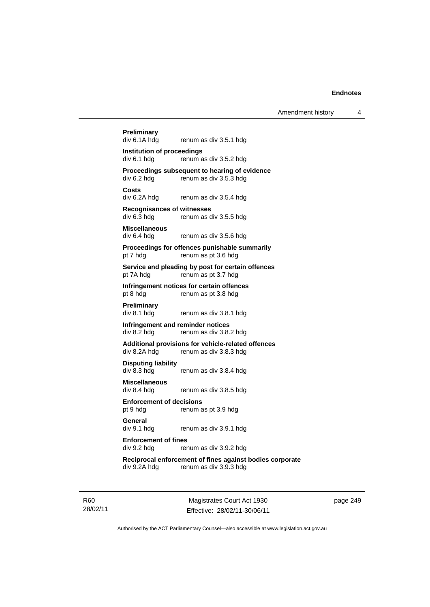# **Preliminary**  renum as div 3.5.1 hdg **Institution of proceedings**  div 6.1 hdg renum as div 3.5.2 hdg **Proceedings subsequent to hearing of evidence**<br>div 6.2 hdg renum as div 3.5.3 hdg renum as div 3.5.3 hdg **Costs**  div 6.2A hdg renum as div 3.5.4 hdg **Recognisances of witnesses**  renum as div 3.5.5 hdg **Miscellaneous**  div 6.4 hdg renum as div 3.5.6 hdg **Proceedings for offences punishable summarily**  pt 7 hdg renum as pt 3.6 hdg **Service and pleading by post for certain offences**  pt 7A hdg renum as pt 3.7 hdg **Infringement notices for certain offences**  pt 8 hdg renum as pt 3.8 hdg **Preliminary**  div 8.1 hdg renum as div 3.8.1 hdg **Infringement and reminder notices**  div 8.2 hdg renum as div 3.8.2 hdg **Additional provisions for vehicle-related offences**  div 8.2A hdg renum as div 3.8.3 hdg **Disputing liability**  renum as div 3.8.4 hdg **Miscellaneous**  div 8.4 hdg renum as div 3.8.5 hdg **Enforcement of decisions**  pt 9 hdg renum as pt 3.9 hdg **General**  div 9.1 hdg renum as div 3.9.1 hdg **Enforcement of fines**  div 9.2 hdg renum as div 3.9.2 hdg **Reciprocal enforcement of fines against bodies corporate**  div 9.2A hdg renum as div 3.9.3 hdg

R60 28/02/11

Magistrates Court Act 1930 Effective: 28/02/11-30/06/11 page 249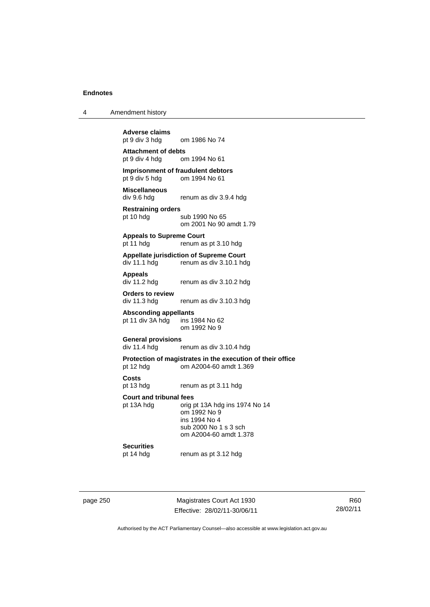| Amendment history |
|-------------------|
|                   |

**Adverse claims**  om 1986 No 74

**Attachment of debts**  pt 9 div 4 hdg om 1994 No 61

#### **Imprisonment of fraudulent debtors**<br>
pt 9 div 5 hdg om 1994 No 61 om 1994 No 61

**Miscellaneous**  div 9.6 hdg renum as div 3.9.4 hdg

**Restraining orders**  pt 10 hdg sub 1990 No 65

om 2001 No 90 amdt 1.79

#### **Appeals to Supreme Court**

pt 11 hdg renum as pt 3.10 hdg

**Appellate jurisdiction of Supreme Court**  div 11.1 hdg renum as div 3.10.1 hdg

**Appeals** 

renum as div 3.10.2 hdg

**Orders to review**  div 11.3 hdg renum as div 3.10.3 hdg

**Absconding appellants** 

pt 11 div  $3A$  hdg om 1992 No 9

#### **General provisions**

div 11.4 hdg renum as div 3.10.4 hdg

# **Protection of magistrates in the execution of their office**

pt 12 hdg om A2004-60 amdt 1.369

**Costs** 

pt 13 hdg renum as pt 3.11 hdg

#### **Court and tribunal fees**

pt 13A hdg orig pt 13A hdg ins 1974 No 14 om 1992 No 9 ins 1994 No 4 sub 2000 No 1 s 3 sch om A2004-60 amdt 1.378

**Securities**<br>pt 14 hdg

renum as pt 3.12 hdg

page 250 Magistrates Court Act 1930 Effective: 28/02/11-30/06/11

R60 28/02/11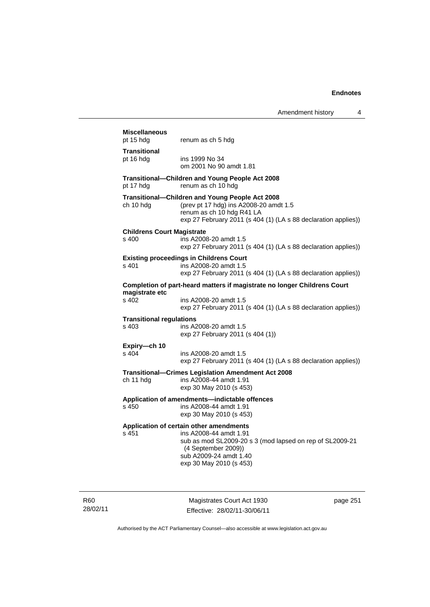| Amendment history |  |
|-------------------|--|
|-------------------|--|

| <b>Miscellaneous</b><br>pt 15 hdg                                                                           | renum as ch 5 hdg                                                                                                                                                                                         |  |
|-------------------------------------------------------------------------------------------------------------|-----------------------------------------------------------------------------------------------------------------------------------------------------------------------------------------------------------|--|
| <b>Transitional</b><br>pt 16 hdg                                                                            | ins 1999 No 34<br>om 2001 No 90 amdt 1.81                                                                                                                                                                 |  |
| pt 17 hdg                                                                                                   | Transitional-Children and Young People Act 2008<br>renum as ch 10 hdg                                                                                                                                     |  |
| ch 10 hdg                                                                                                   | Transitional-Children and Young People Act 2008<br>(prev pt 17 hdg) ins A2008-20 amdt 1.5<br>renum as ch 10 hdg R41 LA<br>exp 27 February 2011 (s 404 (1) (LA s 88 declaration applies))                  |  |
| <b>Childrens Court Magistrate</b><br>s 400                                                                  | ins A2008-20 amdt 1.5<br>exp 27 February 2011 (s 404 (1) (LA s 88 declaration applies))                                                                                                                   |  |
| s 401                                                                                                       | <b>Existing proceedings in Childrens Court</b><br>ins A2008-20 amdt 1.5<br>exp 27 February 2011 (s 404 (1) (LA s 88 declaration applies))                                                                 |  |
|                                                                                                             | Completion of part-heard matters if magistrate no longer Childrens Court                                                                                                                                  |  |
| magistrate etc<br>$s$ 402                                                                                   | ins A2008-20 amdt 1.5<br>exp 27 February 2011 (s 404 (1) (LA s 88 declaration applies))                                                                                                                   |  |
| <b>Transitional regulations</b><br>s 403                                                                    | ins A2008-20 amdt 1.5<br>exp 27 February 2011 (s 404 (1))                                                                                                                                                 |  |
| Expiry—ch 10<br>s 404                                                                                       | ins A2008-20 amdt 1.5<br>exp 27 February 2011 (s 404 (1) (LA s 88 declaration applies))                                                                                                                   |  |
| ch 11 hdg                                                                                                   | <b>Transitional–Crimes Legislation Amendment Act 2008</b><br>ins A2008-44 amdt 1.91<br>exp 30 May 2010 (s 453)                                                                                            |  |
| Application of amendments-indictable offences<br>ins A2008-44 amdt 1.91<br>s 450<br>exp 30 May 2010 (s 453) |                                                                                                                                                                                                           |  |
| s 451                                                                                                       | Application of certain other amendments<br>ins A2008-44 amdt 1.91<br>sub as mod SL2009-20 s 3 (mod lapsed on rep of SL2009-21<br>(4 September 2009))<br>sub A2009-24 amdt 1.40<br>exp 30 May 2010 (s 453) |  |

R60 28/02/11

Magistrates Court Act 1930 Effective: 28/02/11-30/06/11 page 251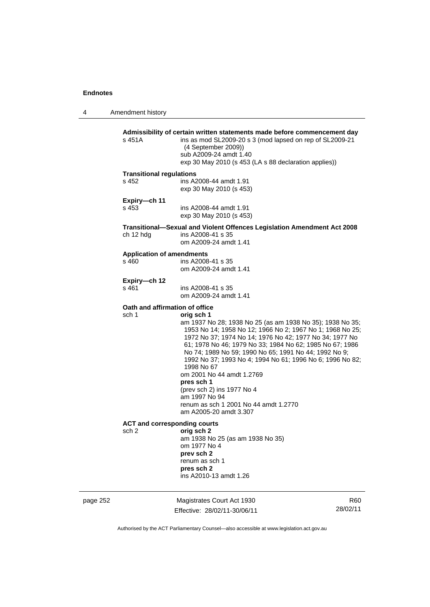4 Amendment history

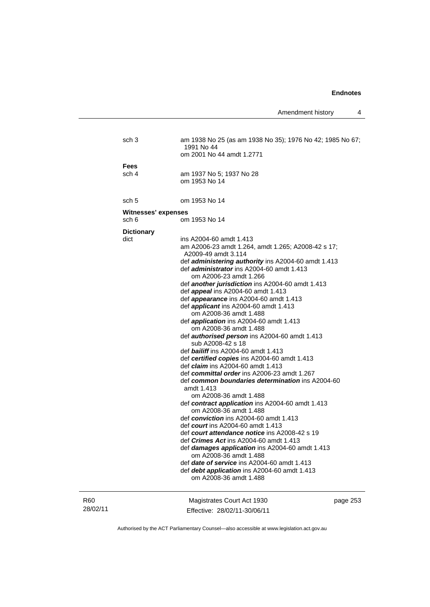Amendment history 4

|          | sch 3                      | am 1938 No 25 (as am 1938 No 35); 1976 No 42; 1985 No 67;<br>1991 No 44                  |          |
|----------|----------------------------|------------------------------------------------------------------------------------------|----------|
|          |                            | om 2001 No 44 amdt 1.2771                                                                |          |
|          | Fees                       |                                                                                          |          |
|          | sch 4                      | am 1937 No 5; 1937 No 28                                                                 |          |
|          |                            | om 1953 No 14                                                                            |          |
|          | sch 5                      | om 1953 No 14                                                                            |          |
|          | <b>Witnesses' expenses</b> |                                                                                          |          |
|          | sch 6                      | om 1953 No 14                                                                            |          |
|          | <b>Dictionary</b>          |                                                                                          |          |
|          | dict                       | ins A2004-60 amdt 1.413                                                                  |          |
|          |                            | am A2006-23 amdt 1.264, amdt 1.265; A2008-42 s 17;                                       |          |
|          |                            | A2009-49 amdt 3.114                                                                      |          |
|          |                            | def administering authority ins A2004-60 amdt 1.413                                      |          |
|          |                            | def <i>administrator</i> ins A2004-60 amdt 1.413                                         |          |
|          |                            | om A2006-23 amdt 1.266<br>def another jurisdiction ins A2004-60 amdt 1.413               |          |
|          |                            | def <i>appeal</i> ins A2004-60 amdt 1.413                                                |          |
|          |                            | def appearance ins A2004-60 amdt 1.413                                                   |          |
|          |                            | def <i>applicant</i> ins A2004-60 amdt 1.413                                             |          |
|          |                            | om A2008-36 amdt 1.488                                                                   |          |
|          |                            | def <i>application</i> ins A2004-60 amdt 1.413                                           |          |
|          |                            | om A2008-36 amdt 1.488                                                                   |          |
|          |                            | def <b>authorised person</b> ins A2004-60 amdt 1.413                                     |          |
|          |                            | sub A2008-42 s 18                                                                        |          |
|          |                            | def <b>bailiff</b> ins A2004-60 amdt 1.413                                               |          |
|          |                            | def certified copies ins A2004-60 amdt 1.413<br>def <i>claim</i> ins A2004-60 amdt 1.413 |          |
|          |                            | def committal order ins A2006-23 amdt 1.267                                              |          |
|          |                            | def common boundaries determination ins A2004-60                                         |          |
|          |                            | amdt 1.413                                                                               |          |
|          |                            | om A2008-36 amdt 1.488                                                                   |          |
|          |                            | def contract application ins A2004-60 amdt 1.413<br>om A2008-36 amdt 1.488               |          |
|          |                            | def conviction ins A2004-60 amdt 1.413                                                   |          |
|          |                            | def <i>court</i> ins A2004-60 amdt 1.413                                                 |          |
|          |                            | def court attendance notice ins A2008-42 s 19                                            |          |
|          |                            | def Crimes Act ins A2004-60 amdt 1.413                                                   |          |
|          |                            | def damages application ins A2004-60 amdt 1.413                                          |          |
|          |                            | om A2008-36 amdt 1.488                                                                   |          |
|          |                            | def date of service ins A2004-60 amdt 1.413                                              |          |
|          |                            | def debt application ins A2004-60 amdt 1.413<br>om A2008-36 amdt 1.488                   |          |
| R60      |                            | Magistrates Court Act 1930                                                               | page 253 |
| 28/02/11 |                            | Fffective: 28/02/11-30/06/11                                                             |          |

Authorised by the ACT Parliamentary Counsel—also accessible at www.legislation.act.gov.au

Effective: 28/02/11-30/06/11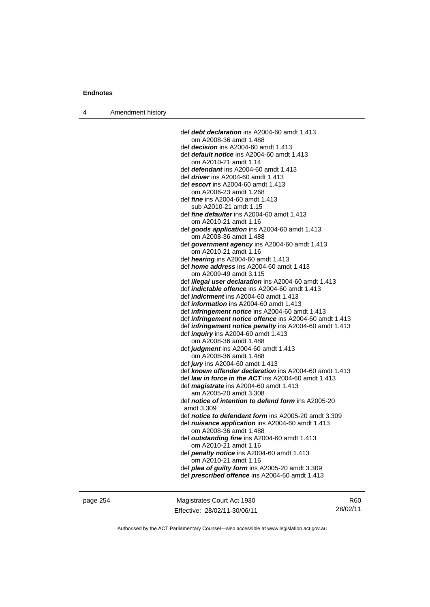4 Amendment history

 def *debt declaration* ins A2004-60 amdt 1.413 om A2008-36 amdt 1.488 def *decision* ins A2004-60 amdt 1.413 def *default notice* ins A2004-60 amdt 1.413 om A2010-21 amdt 1.14 def *defendant* ins A2004-60 amdt 1.413 def *driver* ins A2004-60 amdt 1.413 def *escort* ins A2004-60 amdt 1.413 om A2006-23 amdt 1.268 def *fine* ins A2004-60 amdt 1.413 sub A2010-21 amdt 1.15 def *fine defaulter* ins A2004-60 amdt 1.413 om A2010-21 amdt 1.16 def *goods application* ins A2004-60 amdt 1.413 om A2008-36 amdt 1.488 def *government agency* ins A2004-60 amdt 1.413 om A2010-21 amdt 1.16 def *hearing* ins A2004-60 amdt 1.413 def *home address* ins A2004-60 amdt 1.413 om A2009-49 amdt 3.115 def *illegal user declaration* ins A2004-60 amdt 1.413 def *indictable offence* ins A2004-60 amdt 1.413 def *indictment* ins A2004-60 amdt 1.413 def *information* ins A2004-60 amdt 1.413 def *infringement notice* ins A2004-60 amdt 1.413 def *infringement notice offence* ins A2004-60 amdt 1.413 def *infringement notice penalty* ins A2004-60 amdt 1.413 def *inquiry* ins A2004-60 amdt 1.413 om A2008-36 amdt 1.488 def *judgment* ins A2004-60 amdt 1.413 om A2008-36 amdt 1.488 def *jury* ins A2004-60 amdt 1.413 def *known offender declaration* ins A2004-60 amdt 1.413 def *law in force in the ACT* ins A2004-60 amdt 1.413 def *magistrate* ins A2004-60 amdt 1.413 am A2005-20 amdt 3.308 def *notice of intention to defend form* ins A2005-20 amdt 3.309 def *notice to defendant form* ins A2005-20 amdt 3.309 def *nuisance application* ins A2004-60 amdt 1.413 om A2008-36 amdt 1.488 def *outstanding fine* ins A2004-60 amdt 1.413 om A2010-21 amdt 1.16 def *penalty notice* ins A2004-60 amdt 1.413 om A2010-21 amdt 1.16 def *plea of guilty form* ins A2005-20 amdt 3.309 def *prescribed offence* ins A2004-60 amdt 1.413

page 254 Magistrates Court Act 1930 Effective: 28/02/11-30/06/11

R60 28/02/11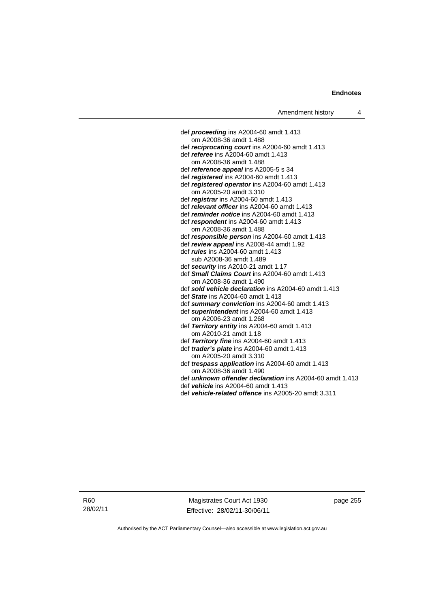def *proceeding* ins A2004-60 amdt 1.413 om A2008-36 amdt 1.488 def *reciprocating court* ins A2004-60 amdt 1.413 def *referee* ins A2004-60 amdt 1.413 om A2008-36 amdt 1.488 def *reference appeal* ins A2005-5 s 34 def *registered* ins A2004-60 amdt 1.413 def *registered operator* ins A2004-60 amdt 1.413 om A2005-20 amdt 3.310 def *registrar* ins A2004-60 amdt 1.413 def *relevant officer* ins A2004-60 amdt 1.413 def *reminder notice* ins A2004-60 amdt 1.413 def *respondent* ins A2004-60 amdt 1.413 om A2008-36 amdt 1.488 def *responsible person* ins A2004-60 amdt 1.413 def *review appeal* ins A2008-44 amdt 1.92 def *rules* ins A2004-60 amdt 1.413 sub A2008-36 amdt 1.489 def *security* ins A2010-21 amdt 1.17 def *Small Claims Court* ins A2004-60 amdt 1.413 om A2008-36 amdt 1.490 def *sold vehicle declaration* ins A2004-60 amdt 1.413 def *State* ins A2004-60 amdt 1.413 def *summary conviction* ins A2004-60 amdt 1.413 def *superintendent* ins A2004-60 amdt 1.413 om A2006-23 amdt 1.268 def *Territory entity* ins A2004-60 amdt 1.413 om A2010-21 amdt 1.18 def *Territory fine* ins A2004-60 amdt 1.413 def *trader's plate* ins A2004-60 amdt 1.413 om A2005-20 amdt 3.310 def *trespass application* ins A2004-60 amdt 1.413 om A2008-36 amdt 1.490 def *unknown offender declaration* ins A2004-60 amdt 1.413 def *vehicle* ins A2004-60 amdt 1.413 def *vehicle-related offence* ins A2005-20 amdt 3.311

R60 28/02/11

Magistrates Court Act 1930 Effective: 28/02/11-30/06/11 page 255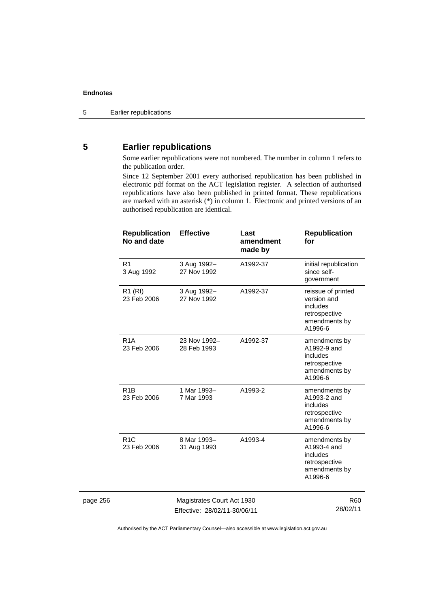# **5 Earlier republications**

Some earlier republications were not numbered. The number in column 1 refers to the publication order.

Since 12 September 2001 every authorised republication has been published in electronic pdf format on the ACT legislation register. A selection of authorised republications have also been published in printed format. These republications are marked with an asterisk (\*) in column 1. Electronic and printed versions of an authorised republication are identical.

|          | <b>Republication</b><br>No and date | <b>Effective</b>                                           | Last<br>amendment<br>made by | <b>Republication</b><br>for                                                                |
|----------|-------------------------------------|------------------------------------------------------------|------------------------------|--------------------------------------------------------------------------------------------|
|          | R <sub>1</sub><br>3 Aug 1992        | 3 Aug 1992-<br>27 Nov 1992                                 | A1992-37                     | initial republication<br>since self-<br>government                                         |
|          | R1 (RI)<br>23 Feb 2006              | 3 Aug 1992-<br>27 Nov 1992                                 | A1992-37                     | reissue of printed<br>version and<br>includes<br>retrospective<br>amendments by<br>A1996-6 |
|          | R <sub>1</sub> A<br>23 Feb 2006     | 23 Nov 1992-<br>28 Feb 1993                                | A1992-37                     | amendments by<br>A1992-9 and<br>includes<br>retrospective<br>amendments by<br>A1996-6      |
|          | R <sub>1</sub> B<br>23 Feb 2006     | 1 Mar 1993-<br>7 Mar 1993                                  | A1993-2                      | amendments by<br>A1993-2 and<br>includes<br>retrospective<br>amendments by<br>A1996-6      |
|          | R <sub>1</sub> C<br>23 Feb 2006     | 8 Mar 1993-<br>31 Aug 1993                                 | A1993-4                      | amendments by<br>A1993-4 and<br>includes<br>retrospective<br>amendments by<br>A1996-6      |
|          |                                     |                                                            |                              |                                                                                            |
| page 256 |                                     | Magistrates Court Act 1930<br>Effective: 28/02/11-30/06/11 |                              | R <sub>60</sub><br>28/02/11                                                                |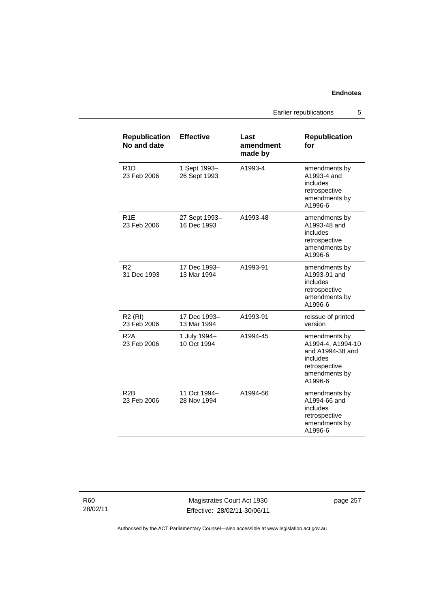Earlier republications 5

| <b>Republication</b><br>No and date | <b>Effective</b>             | Last<br>amendment<br>made by | <b>Republication</b><br>for                                                                                     |
|-------------------------------------|------------------------------|------------------------------|-----------------------------------------------------------------------------------------------------------------|
| R1D<br>23 Feb 2006                  | 1 Sept 1993-<br>26 Sept 1993 | A1993-4                      | amendments by<br>A1993-4 and<br>includes<br>retrospective<br>amendments by<br>A1996-6                           |
| R <sub>1E</sub><br>23 Feb 2006      | 27 Sept 1993-<br>16 Dec 1993 | A1993-48                     | amendments by<br>A1993-48 and<br>includes<br>retrospective<br>amendments by<br>A1996-6                          |
| R2<br>31 Dec 1993                   | 17 Dec 1993-<br>13 Mar 1994  | A1993-91                     | amendments by<br>A1993-91 and<br>includes<br>retrospective<br>amendments by<br>A1996-6                          |
| <b>R2 (RI)</b><br>23 Feb 2006       | 17 Dec 1993-<br>13 Mar 1994  | A1993-91                     | reissue of printed<br>version                                                                                   |
| R <sub>2</sub> A<br>23 Feb 2006     | 1 July 1994-<br>10 Oct 1994  | A1994-45                     | amendments by<br>A1994-4, A1994-10<br>and A1994-38 and<br>includes<br>retrospective<br>amendments by<br>A1996-6 |
| R <sub>2</sub> B<br>23 Feb 2006     | 11 Oct 1994–<br>28 Nov 1994  | A1994-66                     | amendments by<br>A1994-66 and<br>includes<br>retrospective<br>amendments by<br>A1996-6                          |

R60 28/02/11

Magistrates Court Act 1930 Effective: 28/02/11-30/06/11 page 257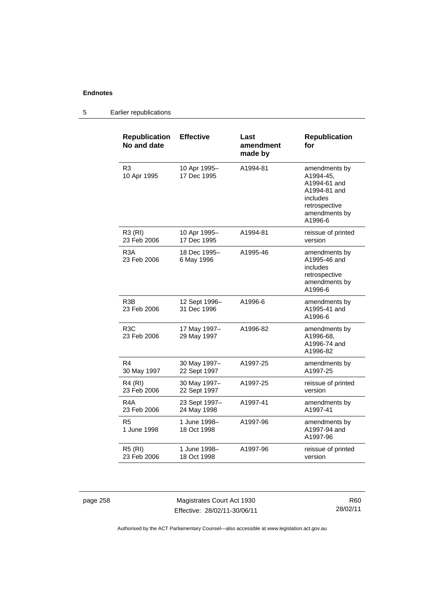| <b>Republication</b><br>No and date | <b>Effective</b>             | Last<br>amendment<br>made by | <b>Republication</b><br>for                                                                                         |
|-------------------------------------|------------------------------|------------------------------|---------------------------------------------------------------------------------------------------------------------|
| R <sub>3</sub><br>10 Apr 1995       | 10 Apr 1995-<br>17 Dec 1995  | A1994-81                     | amendments by<br>A1994-45,<br>A1994-61 and<br>A1994-81 and<br>includes<br>retrospective<br>amendments by<br>A1996-6 |
| R3 (RI)<br>23 Feb 2006              | 10 Apr 1995-<br>17 Dec 1995  | A1994-81                     | reissue of printed<br>version                                                                                       |
| R3A<br>23 Feb 2006                  | 18 Dec 1995-<br>6 May 1996   | A1995-46                     | amendments by<br>A1995-46 and<br>includes<br>retrospective<br>amendments by<br>A1996-6                              |
| R3B<br>23 Feb 2006                  | 12 Sept 1996-<br>31 Dec 1996 | A1996-6                      | amendments by<br>A1995-41 and<br>A1996-6                                                                            |
| R3C<br>23 Feb 2006                  | 17 May 1997-<br>29 May 1997  | A1996-82                     | amendments by<br>A1996-68,<br>A1996-74 and<br>A1996-82                                                              |
| R4<br>30 May 1997                   | 30 May 1997-<br>22 Sept 1997 | A1997-25                     | amendments by<br>A1997-25                                                                                           |
| R4 (RI)<br>23 Feb 2006              | 30 May 1997-<br>22 Sept 1997 | A1997-25                     | reissue of printed<br>version                                                                                       |
| R4A<br>23 Feb 2006                  | 23 Sept 1997-<br>24 May 1998 | A1997-41                     | amendments by<br>A1997-41                                                                                           |
| R5<br>1 June 1998                   | 1 June 1998-<br>18 Oct 1998  | A1997-96                     | amendments by<br>A1997-94 and<br>A1997-96                                                                           |
| <b>R5 (RI)</b><br>23 Feb 2006       | 1 June 1998-<br>18 Oct 1998  | A1997-96                     | reissue of printed<br>version                                                                                       |

# 5 Earlier republications

page 258 Magistrates Court Act 1930 Effective: 28/02/11-30/06/11

R60 28/02/11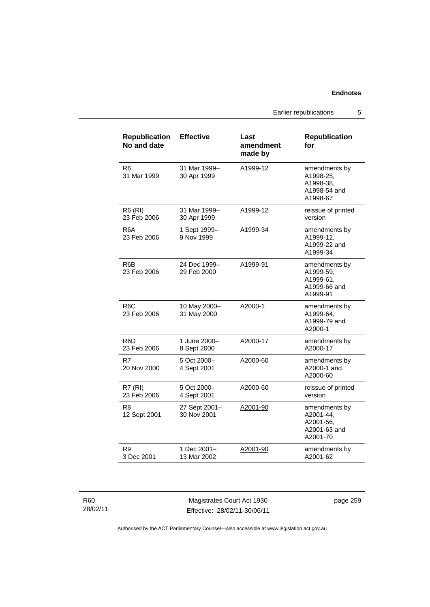Earlier republications 5

| <b>Republication</b><br>No and date | <b>Effective</b>             | Last<br>amendment<br>made by | <b>Republication</b><br>for                                         |
|-------------------------------------|------------------------------|------------------------------|---------------------------------------------------------------------|
| R6<br>31 Mar 1999                   | 31 Mar 1999-<br>30 Apr 1999  | A1999-12                     | amendments by<br>A1998-25,<br>A1998-38.<br>A1998-54 and<br>A1998-67 |
| <b>R6 (RI)</b><br>23 Feb 2006       | 31 Mar 1999-<br>30 Apr 1999  | A1999-12                     | reissue of printed<br>version                                       |
| R6A<br>23 Feb 2006                  | 1 Sept 1999-<br>9 Nov 1999   | A1999-34                     | amendments by<br>A1999-12.<br>A1999-22 and<br>A1999-34              |
| R6B<br>23 Feb 2006                  | 24 Dec 1999-<br>29 Feb 2000  | A1999-91                     | amendments by<br>A1999-59,<br>A1999-61,<br>A1999-66 and<br>A1999-91 |
| R <sub>6</sub> C<br>23 Feb 2006     | 10 May 2000-<br>31 May 2000  | A2000-1                      | amendments by<br>A1999-64,<br>A1999-79 and<br>A2000-1               |
| R6D<br>23 Feb 2006                  | 1 June 2000-<br>8 Sept 2000  | A2000-17                     | amendments by<br>A2000-17                                           |
| R7<br>20 Nov 2000                   | 5 Oct 2000-<br>4 Sept 2001   | A2000-60                     | amendments by<br>A2000-1 and<br>A2000-60                            |
| R7(RI)<br>23 Feb 2006               | 5 Oct 2000-<br>4 Sept 2001   | A2000-60                     | reissue of printed<br>version                                       |
| R <sub>8</sub><br>12 Sept 2001      | 27 Sept 2001-<br>30 Nov 2001 | A2001-90                     | amendments by<br>A2001-44,<br>A2001-56,<br>A2001-63 and<br>A2001-70 |
| R9<br>3 Dec 2001                    | 1 Dec 2001-<br>13 Mar 2002   | A2001-90                     | amendments by<br>A2001-62                                           |

R60 28/02/11

Magistrates Court Act 1930 Effective: 28/02/11-30/06/11 page 259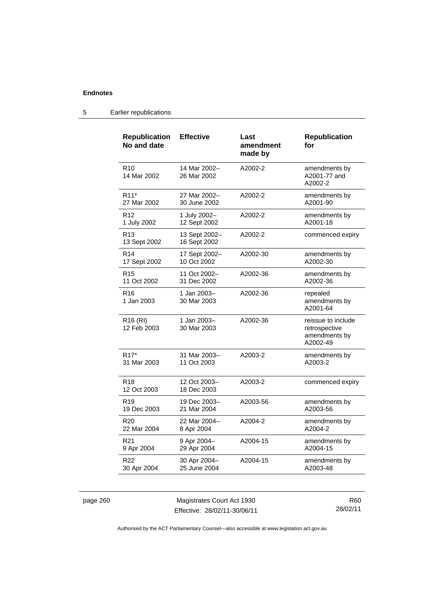| <b>Republication</b><br>No and date | <b>Effective</b>              | Last<br>amendment<br>made by | <b>Republication</b><br>for                                      |
|-------------------------------------|-------------------------------|------------------------------|------------------------------------------------------------------|
| R <sub>10</sub><br>14 Mar 2002      | 14 Mar 2002-<br>26 Mar 2002   | A2002-2                      | amendments by<br>A2001-77 and<br>A2002-2                         |
| R <sub>11</sub> *                   | 27 Mar 2002-                  | A2002-2                      | amendments by                                                    |
| 27 Mar 2002                         | 30 June 2002                  |                              | A2001-90                                                         |
| R <sub>12</sub>                     | 1 July 2002-                  | A2002-2                      | amendments by                                                    |
| 1 July 2002                         | 12 Sept 2002                  |                              | A2001-18                                                         |
| R <sub>13</sub><br>13 Sept 2002     | 13 Sept 2002-<br>16 Sept 2002 | A2002-2                      | commenced expiry                                                 |
| R <sub>14</sub>                     | 17 Sept 2002-                 | A2002-30                     | amendments by                                                    |
| 17 Sept 2002                        | 10 Oct 2002                   |                              | A2002-30                                                         |
| R <sub>15</sub>                     | 11 Oct 2002-                  | A2002-36                     | amendments by                                                    |
| 11 Oct 2002                         | 31 Dec 2002                   |                              | A2002-36                                                         |
| R <sub>16</sub><br>1 Jan 2003       | 1 Jan 2003-<br>30 Mar 2003    | A2002-36                     | repealed<br>amendments by<br>A2001-64                            |
| R <sub>16</sub> (RI)<br>12 Feb 2003 | 1 Jan 2003-<br>30 Mar 2003    | A2002-36                     | reissue to include<br>retrospective<br>amendments by<br>A2002-49 |
| R <sub>17</sub> *                   | 31 Mar 2003-                  | A2003-2                      | amendments by                                                    |
| 31 Mar 2003                         | 11 Oct 2003                   |                              | A2003-2                                                          |
| R <sub>18</sub><br>12 Oct 2003      | 12 Oct 2003-<br>18 Dec 2003   | A2003-2                      | commenced expiry                                                 |
| R <sub>19</sub>                     | 19 Dec 2003-                  | A2003-56                     | amendments by                                                    |
| 19 Dec 2003                         | 21 Mar 2004                   |                              | A2003-56                                                         |
| R <sub>20</sub>                     | 22 Mar 2004-                  | A2004-2                      | amendments by                                                    |
| 22 Mar 2004                         | 8 Apr 2004                    |                              | A2004-2                                                          |
| R <sub>21</sub>                     | 9 Apr 2004-                   | A2004-15                     | amendments by                                                    |
| 9 Apr 2004                          | 29 Apr 2004                   |                              | A2004-15                                                         |
| R22                                 | 30 Apr 2004-                  | A2004-15                     | amendments by                                                    |
| 30 Apr 2004                         | 25 June 2004                  |                              | A2003-48                                                         |

# 5 Earlier republications

page 260 Magistrates Court Act 1930 Effective: 28/02/11-30/06/11

R60 28/02/11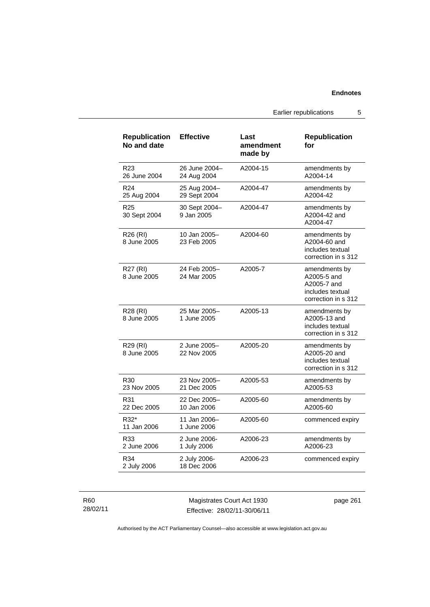Earlier republications 5

| <b>Republication</b><br>No and date | <b>Effective</b>             | Last<br>amendment<br>made by | <b>Republication</b><br>for                                                            |
|-------------------------------------|------------------------------|------------------------------|----------------------------------------------------------------------------------------|
| R <sub>23</sub><br>26 June 2004     | 26 June 2004-<br>24 Aug 2004 | A2004-15                     | amendments by<br>A2004-14                                                              |
| R <sub>24</sub><br>25 Aug 2004      | 25 Aug 2004-<br>29 Sept 2004 | A2004-47                     | amendments by<br>A2004-42                                                              |
| R <sub>25</sub><br>30 Sept 2004     | 30 Sept 2004-<br>9 Jan 2005  | A2004-47                     | amendments by<br>A2004-42 and<br>A2004-47                                              |
| R <sub>26</sub> (RI)<br>8 June 2005 | 10 Jan 2005–<br>23 Feb 2005  | A2004-60                     | amendments by<br>A2004-60 and<br>includes textual<br>correction in s 312               |
| R27 (RI)<br>8 June 2005             | 24 Feb 2005-<br>24 Mar 2005  | A2005-7                      | amendments by<br>A2005-5 and<br>A2005-7 and<br>includes textual<br>correction in s 312 |
| R28 (RI)<br>8 June 2005             | 25 Mar 2005-<br>1 June 2005  | A2005-13                     | amendments by<br>A2005-13 and<br>includes textual<br>correction in s 312               |
| R29 (RI)<br>8 June 2005             | 2 June 2005-<br>22 Nov 2005  | A2005-20                     | amendments by<br>A2005-20 and<br>includes textual<br>correction in s 312               |
| R30<br>23 Nov 2005                  | 23 Nov 2005-<br>21 Dec 2005  | A2005-53                     | amendments by<br>A2005-53                                                              |
| R31<br>22 Dec 2005                  | 22 Dec 2005-<br>10 Jan 2006  | A2005-60                     | amendments by<br>A2005-60                                                              |
| R32*<br>11 Jan 2006                 | 11 Jan 2006-<br>1 June 2006  | A2005-60                     | commenced expiry                                                                       |
| R33<br>2 June 2006                  | 2 June 2006-<br>1 July 2006  | A2006-23                     | amendments by<br>A2006-23                                                              |
| R34<br>2 July 2006                  | 2 July 2006-<br>18 Dec 2006  | A2006-23                     | commenced expiry                                                                       |

R60 28/02/11

Magistrates Court Act 1930 Effective: 28/02/11-30/06/11 page 261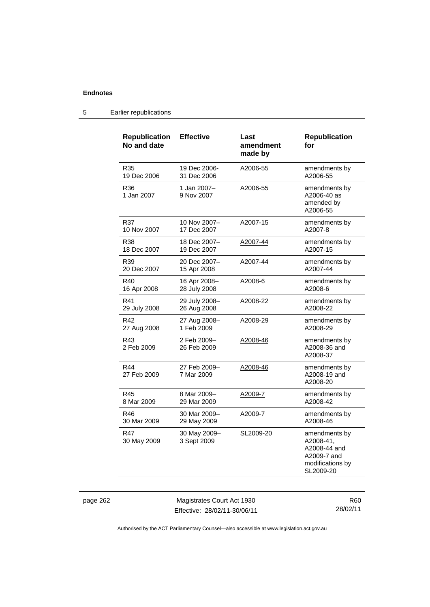# 5 Earlier republications

| <b>Republication</b><br>No and date | <b>Effective</b>            | Last<br>amendment<br>made by | <b>Republication</b><br>for                                                                |
|-------------------------------------|-----------------------------|------------------------------|--------------------------------------------------------------------------------------------|
| R35                                 | 19 Dec 2006-                | A2006-55                     | amendments by                                                                              |
| 19 Dec 2006                         | 31 Dec 2006                 |                              | A2006-55                                                                                   |
| R36<br>1 Jan 2007                   | 1 Jan 2007-<br>9 Nov 2007   | A2006-55                     | amendments by<br>A2006-40 as<br>amended by<br>A2006-55                                     |
| R37                                 | 10 Nov 2007-                | A2007-15                     | amendments by                                                                              |
| 10 Nov 2007                         | 17 Dec 2007                 |                              | A2007-8                                                                                    |
| R38                                 | 18 Dec 2007-                | A2007-44                     | amendments by                                                                              |
| 18 Dec 2007                         | 19 Dec 2007                 |                              | A2007-15                                                                                   |
| R39                                 | 20 Dec 2007-                | A2007-44                     | amendments by                                                                              |
| 20 Dec 2007                         | 15 Apr 2008                 |                              | A2007-44                                                                                   |
| R40                                 | 16 Apr 2008-                | A2008-6                      | amendments by                                                                              |
| 16 Apr 2008                         | 28 July 2008                |                              | A2008-6                                                                                    |
| R41                                 | 29 July 2008-               | A2008-22                     | amendments by                                                                              |
| 29 July 2008                        | 26 Aug 2008                 |                              | A2008-22                                                                                   |
| R42                                 | 27 Aug 2008-                | A2008-29                     | amendments by                                                                              |
| 27 Aug 2008                         | 1 Feb 2009                  |                              | A2008-29                                                                                   |
| R43<br>2 Feb 2009                   | 2 Feb 2009-<br>26 Feb 2009  | A2008-46                     | amendments by<br>A2008-36 and<br>A2008-37                                                  |
| R44<br>27 Feb 2009                  | 27 Feb 2009-<br>7 Mar 2009  | A2008-46                     | amendments by<br>A2008-19 and<br>A2008-20                                                  |
| R45                                 | 8 Mar 2009-                 | A2009-7                      | amendments by                                                                              |
| 8 Mar 2009                          | 29 Mar 2009                 |                              | A2008-42                                                                                   |
| R46                                 | 30 Mar 2009-                | A2009-7                      | amendments by                                                                              |
| 30 Mar 2009                         | 29 May 2009                 |                              | A2008-46                                                                                   |
| R47<br>30 May 2009                  | 30 May 2009-<br>3 Sept 2009 | SL2009-20                    | amendments by<br>A2008-41,<br>A2008-44 and<br>A2009-7 and<br>modifications by<br>SL2009-20 |

page 262 Magistrates Court Act 1930 Effective: 28/02/11-30/06/11

R60 28/02/11